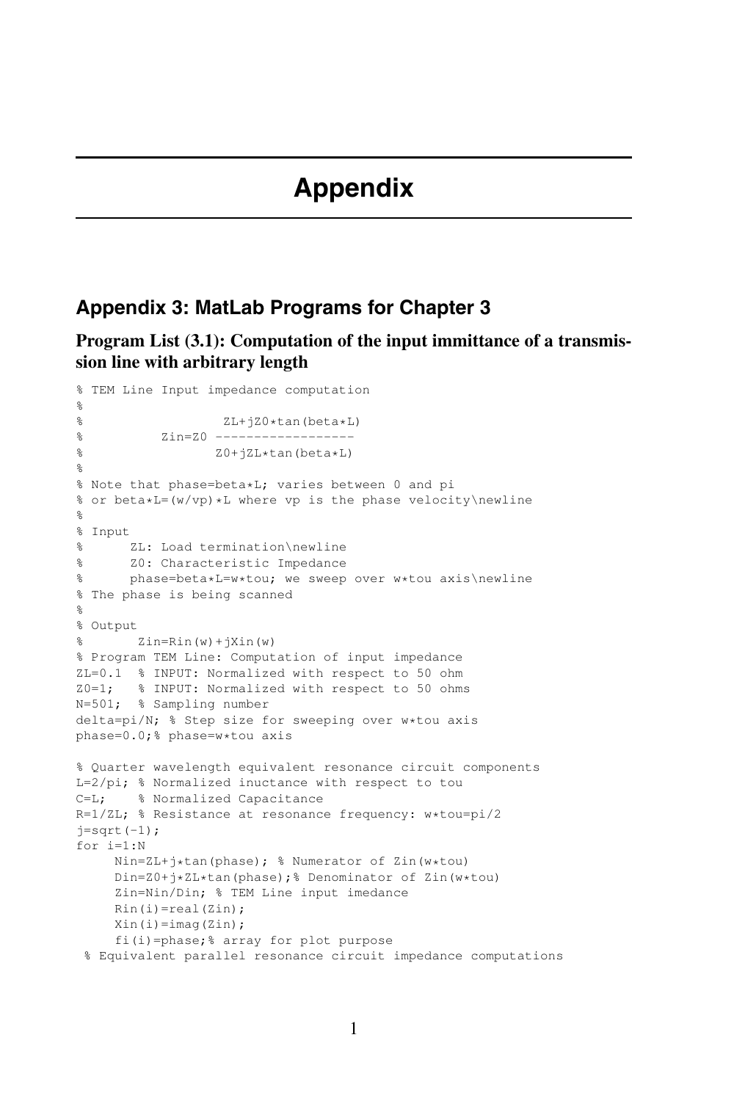## **Appendix 3: MatLab Programs for Chapter 3**

**Program List (3.1): Computation of the input immittance of a transmission line with arbitrary length**

```
% TEM Line Input impedance computation
%
% ZL+jZ0*tan(beta*L)
          Zin=Z0 ------------------
\delta Z0+jZL*tan(beta*L)
\mathbf{Q}% Note that phase=beta*L; varies between 0 and pi
% or beta*L=(w/vp)*L where vp is the phase velocity\newline
%
% Input
% ZL: Load termination\newline
% Z0: Characteristic Impedance
% phase=beta*L=w*tou; we sweep over w*tou axis\newline
% The phase is being scanned
\approx% Output
% Zin=Rin(W)+jXin(W)% Program TEM Line: Computation of input impedance
ZL=0.1 % INPUT: Normalized with respect to 50 ohm
Z0=1; % INPUT: Normalized with respect to 50 ohms
N=501; % Sampling number
delta=pi/N; % Step size for sweeping over w*tou axis
phase=0.0;% phase=w*tou axis
% Quarter wavelength equivalent resonance circuit components
L=2/pi; % Normalized inuctance with respect to tou
C=L; % Normalized Capacitance
R=1/ZL; % Resistance at resonance frequency: w*tou=pi/2
j=sqrt(-1);for i=1:N
    Nin=ZL+j*tan(phase); % Numerator of Zin(w*tou)
    Din=Z0+j*ZL*tan(phase);% Denominator of Zin(w*tou)
     Zin=Nin/Din; % TEM Line input imedance
    Rin(i)=real(Zin);Xin(i)=imag(Zin);fi(i)=phase;% array for plot purpose
 % Equivalent parallel resonance circuit impedance computations
```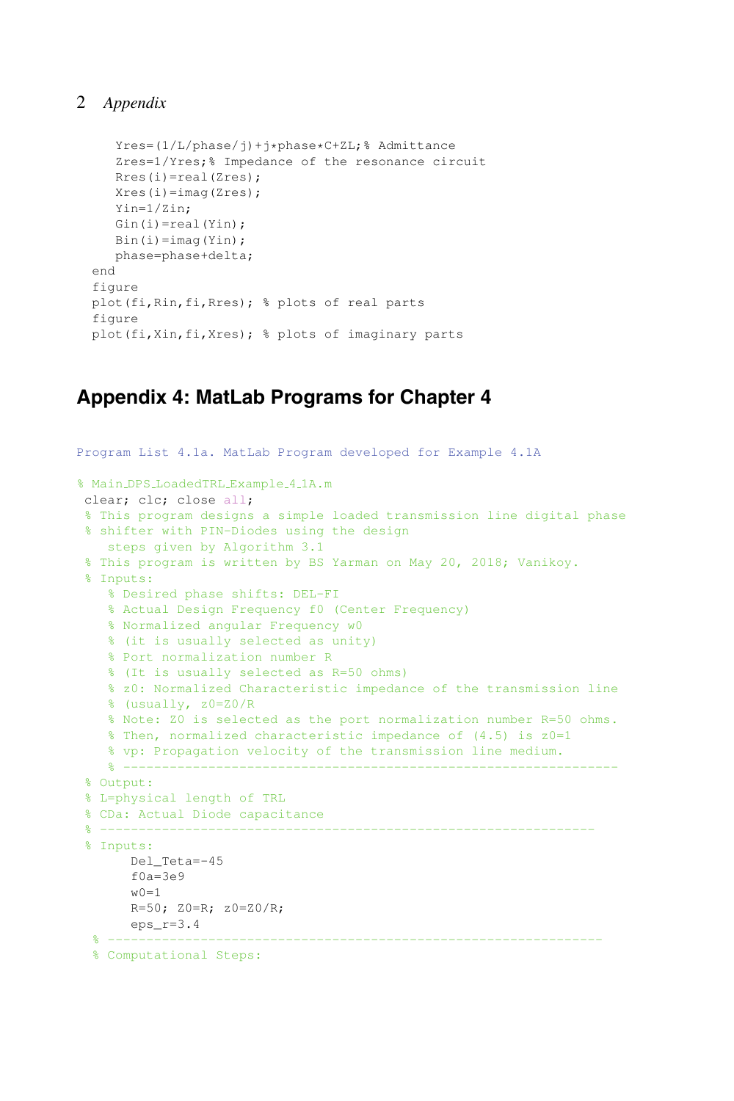```
Yres=(1/L/phase/j)+j*phase*C+ZL;% Admittance
   Zres=1/Yres;% Impedance of the resonance circuit
  Rres(i)=real(Zres);
  Xres(i)=imag(Zres);
  Yin=1/Zin;
  Gin(i)=real(Yin);Bin(i) = image(Yin);phase=phase+delta;
end
figure
plot(fi,Rin,fi,Rres); % plots of real parts
figure
plot(fi,Xin,fi,Xres); % plots of imaginary parts
```
## **Appendix 4: MatLab Programs for Chapter 4**

```
Program List 4.1a. MatLab Program developed for Example 4.1A
% Main DPS LoadedTRL Example 4 1A.m
clear; clc; close all;
% This program designs a simple loaded transmission line digital phase
% shifter with PIN-Diodes using the design
   steps given by Algorithm 3.1
% This program is written by BS Yarman on May 20, 2018; Vanikoy.
 % Inputs:
   % Desired phase shifts: DEL-FI
   % Actual Design Frequency f0 (Center Frequency)
   % Normalized angular Frequency w0
   % (it is usually selected as unity)
   % Port normalization number R
   % (It is usually selected as R=50 ohms)
   % z0: Normalized Characteristic impedance of the transmission line
   % (usually, z0=Z0/R
   % Note: Z0 is selected as the port normalization number R=50 ohms.
   % Then, normalized characteristic impedance of (4.5) is z0=1
   % vp: Propagation velocity of the transmission line medium.
    % ----------------------------------------------------------------
% Output:
% L=physical length of TRL
% CDa: Actual Diode capacitance
 % ----------------------------------------------------------------
 % Inputs:
     Del_Teta=-45
      f0a=3e9w0=1R=50; Z0=R; z0=Z0/R;eps_r=3.4
  % ----------------------------------------------------------------
 % Computational Steps:
```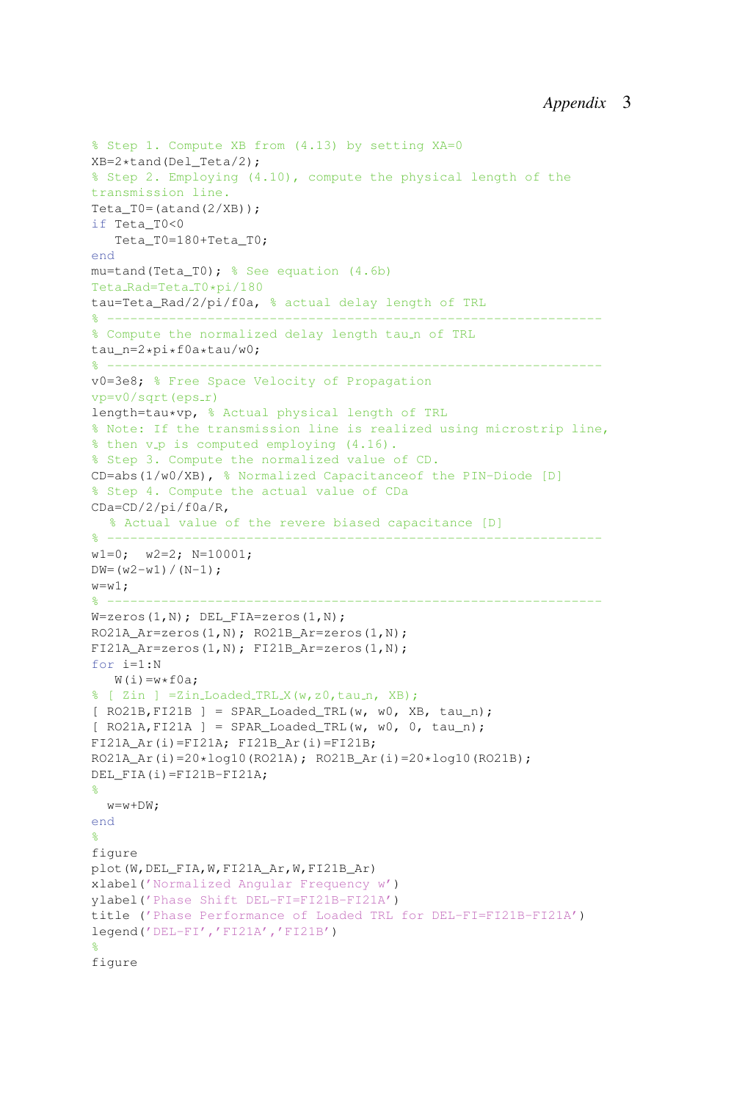```
% Step 1. Compute XB from (4.13) by setting XA=0
XB=2*tand(Del_Teta/2);
% Step 2. Employing (4.10), compute the physical length of the
transmission line.
Teta_T0=(atand(2/XB));if Teta_T0<0
   Teta_T0=180+Teta_T0;
end
mu=tand(Teta T0); % See equation (4.6b)
Teta_Rad=Teta_T0*pi/180
tau=Teta_Rad/2/pi/f0a, % actual delay length of TRL
% ----------------------------------------------------------------
% Compute the normalized delay length tau_n of TRL
tau n=2*pi*f0a*tau/w0;
% ----------------------------------------------------------------
v0=3e8; % Free Space Velocity of Propagation
vp=v0/sqrt(eps_r)length=tau*vp, % Actual physical length of TRL
% Note: If the transmission line is realized using microstrip line,
% then v_p is computed employing (4.16).% Step 3. Compute the normalized value of CD.
CD=abs(1/w0/XB), % Normalized Capacitanceof the PIN-Diode [D]
% Step 4. Compute the actual value of CDa
CDa=CD/2/pi/f0a/R,
  % Actual value of the revere biased capacitance [D]
% ----------------------------------------------------------------
w1=0; w2=2; N=10001;
DW = (w2-w1) / (N-1);
w= w1;% ----------------------------------------------------------------
W =zeros(1,N); DEL FIA=zeros(1,N);
RO21A_Ar=zeros(1,N); RO21B_Ar=zeros(1,N);
FI21A Ar=zeros(1,N); FI21B Ar=zeros(1,N);
for i=1:N
   W(i) = w * f0a;
% [ Zin ] =Zin_Loaded_TRL_X(w,z0,tau_n, XB);
[ RO21B,FI21B ] = SPAR_Loaded_TRL(w, w0, XB, tau_n);
[ RO21A,FI21A ] = SPAR_Loaded_TRL(w, w0, 0, tau_n);
FI21A_Ar(i)=FI21A; FI21B_Ar(i)=FI21B;
RO21A_Ar(i)=20*log10(RO21A); RO21B_Ar(i)=20*log10(RO21B);
DEL FIA(i)=FI21B-FI21A;
%
  w=w+DW;end
%
figure
plot(W,DEL_FIA,W,FI21A_Ar,W,FI21B_Ar)
xlabel('Normalized Angular Frequency w')
ylabel('Phase Shift DEL-FI=FI21B-FI21A')
title ('Phase Performance of Loaded TRL for DEL-FI=FI21B-FI21A')
legend('DEL-FI','FI21A','FI21B')
%
figure
```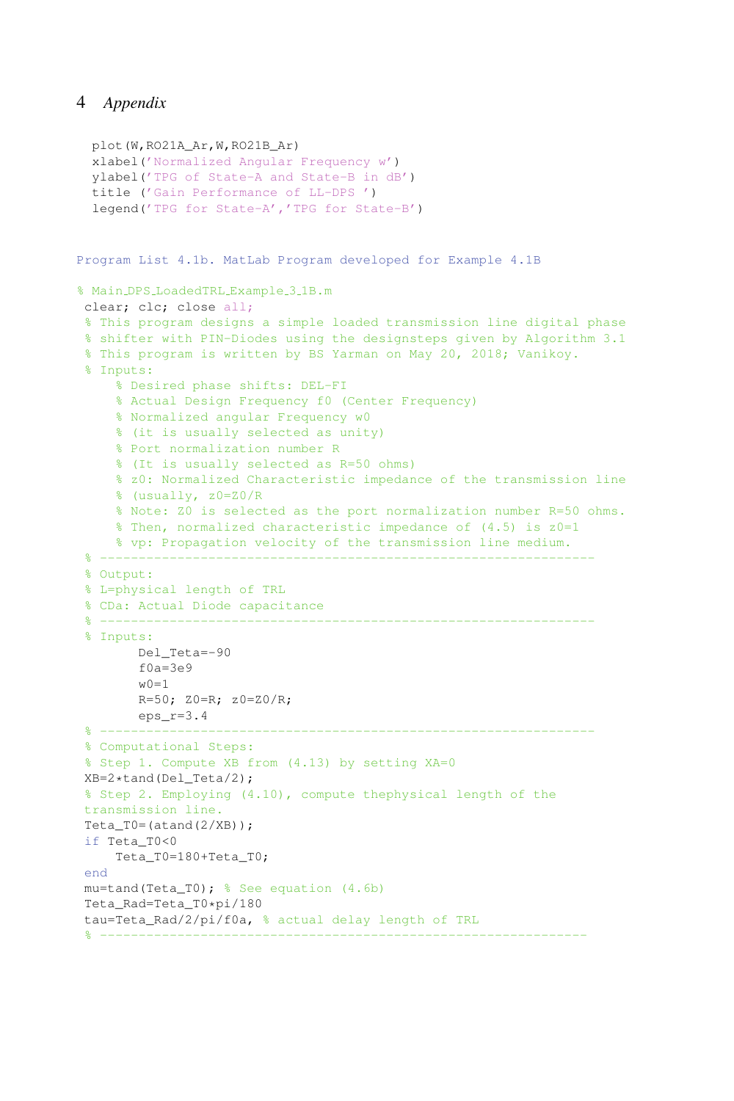```
plot(W,RO21A_Ar,W,RO21B_Ar)
 xlabel('Normalized Angular Frequency w')
 ylabel('TPG of State-A and State-B in dB')
 title ('Gain Performance of LL-DPS ')
 legend('TPG for State-A','TPG for State-B')
Program List 4.1b. MatLab Program developed for Example 4.1B
% Main DPS LoadedTRL Example 3 1B.m
clear; clc; close all;
% This program designs a simple loaded transmission line digital phase
% shifter with PIN-Diodes using the designsteps given by Algorithm 3.1
% This program is written by BS Yarman on May 20, 2018; Vanikoy.
% Inputs:
    % Desired phase shifts: DEL-FI
    % Actual Design Frequency f0 (Center Frequency)
    % Normalized angular Frequency w0
    % (it is usually selected as unity)
    % Port normalization number R
    % (It is usually selected as R=50 ohms)
    % z0: Normalized Characteristic impedance of the transmission line
    % (usually, z0=Z0/R
    % Note: Z0 is selected as the port normalization number R=50 ohms.
    % Then, normalized characteristic impedance of (4.5) is z0=1
    % vp: Propagation velocity of the transmission line medium.
 % ----------------------------------------------------------------
% Output:
% L=physical length of TRL
% CDa: Actual Diode capacitance
 % ----------------------------------------------------------------
% Inputs:
        Del_Teta=-90
        f0a=3e9w0=1R=50; Z0=R; z0=Z0/R;eps r=3.4\frac{9}{8} -------------
% Computational Steps:
% Step 1. Compute XB from (4.13) by setting XA=0
XB=2*tand(Del_Teta/2);
% Step 2. Employing (4.10), compute thephysical length of the
transmission line.
Teta_T0=(atand(2/XB));if Teta_T0<0
    Teta_T0=180+Teta_T0;
end
mu=tand(Teta_T0); % See equation (4.6b)
Teta_Rad=Teta_T0*pi/180
tau=Teta_Rad/2/pi/f0a, % actual delay length of TRL
 % ---------------------------------------------------------------
```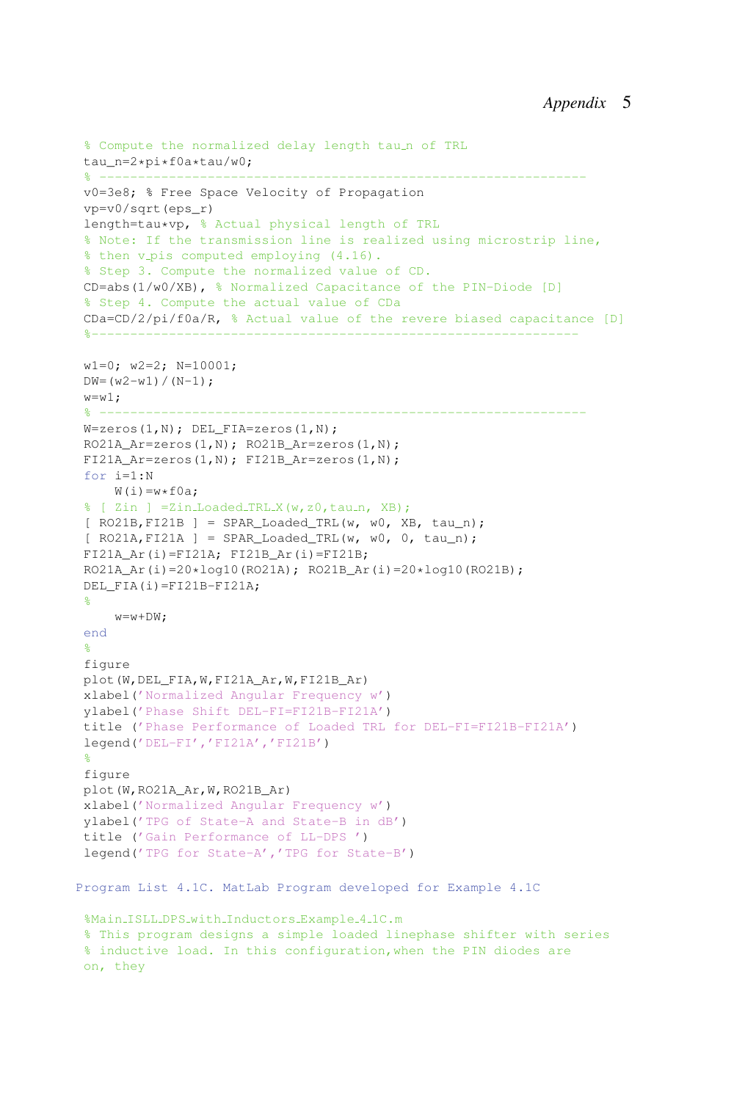```
% Compute the normalized delay length tau_n of TRL
 tau_n=2*pi*f0a*tau/w0;
 % ---------------------------------------------------------------
 v0=3e8; % Free Space Velocity of Propagation
 vp=v0/sqrt(eps_r)
 length=tau*vp, % Actual physical length of TRL
 % Note: If the transmission line is realized using microstrip line,
 % then v_pis computed employing (4.16).
 % Step 3. Compute the normalized value of CD.
 CD=abs(1/w0/XB), % Normalized Capacitance of the PIN-Diode [D]
 % Step 4. Compute the actual value of CDa
 CDa=CD/2/pi/f0a/R, % Actual value of the revere biased capacitance [D]
 %---------------------------------------------------------------
 w1=0; w2=2; N=10001;
 DW = (w2-w1) / (N-1);
 w= w1;
 % ---------------------------------------------------------------
W =zeros(1, N); DEL_FIA=zeros(1, N);
RO21A Ar=zeros(1,N); RO21B Ar=zeros(1,N);
FI21A_Ar=zeros(1,N); FI21B_Ar=zeros(1,N);
 for i=1:N
     W(i) = w * f0a:
 % [ Zin ] = Zin_Loaded_TRL_X(w, z0, tau_n, XB);
 [ RO21B, FI21B ] = SPAR\_loaded_TRL(w, w0, XB, tau_n);[ RO21A, FI21A ] = SPAR\_loaded_TRL(w, w0, 0, tau_n);FI21A Ar(i)=FI21A; FI21B Ar(i)=FI21B;
RO21A Ar(i) = 20 * log10(RO21A); RO21B Ar(i) = 20 * log10(RO21B);
DEL_FIA(i)=FI21B-FI21A;
 \approxw=w+DW;end
 %
 figure
 plot(W,DEL_FIA,W,FI21A_Ar,W,FI21B_Ar)
 xlabel('Normalized Angular Frequency w')
 ylabel('Phase Shift DEL-FI=FI21B-FI21A')
 title ('Phase Performance of Loaded TRL for DEL-FI=FI21B-FI21A')
 legend('DEL-FI','FI21A','FI21B')
 %
 figure
plot(W,RO21A_Ar,W,RO21B_Ar)
 xlabel('Normalized Angular Frequency w')
 ylabel('TPG of State-A and State-B in dB')
 title ('Gain Performance of LL-DPS ')
 legend('TPG for State-A','TPG for State-B')
Program List 4.1C. MatLab Program developed for Example 4.1C
 %Main_ISLL_DPS_with_Inductors_Example_4_1C.m
 % This program designs a simple loaded linephase shifter with series
 % inductive load. In this configuration,when the PIN diodes are
 on, they
```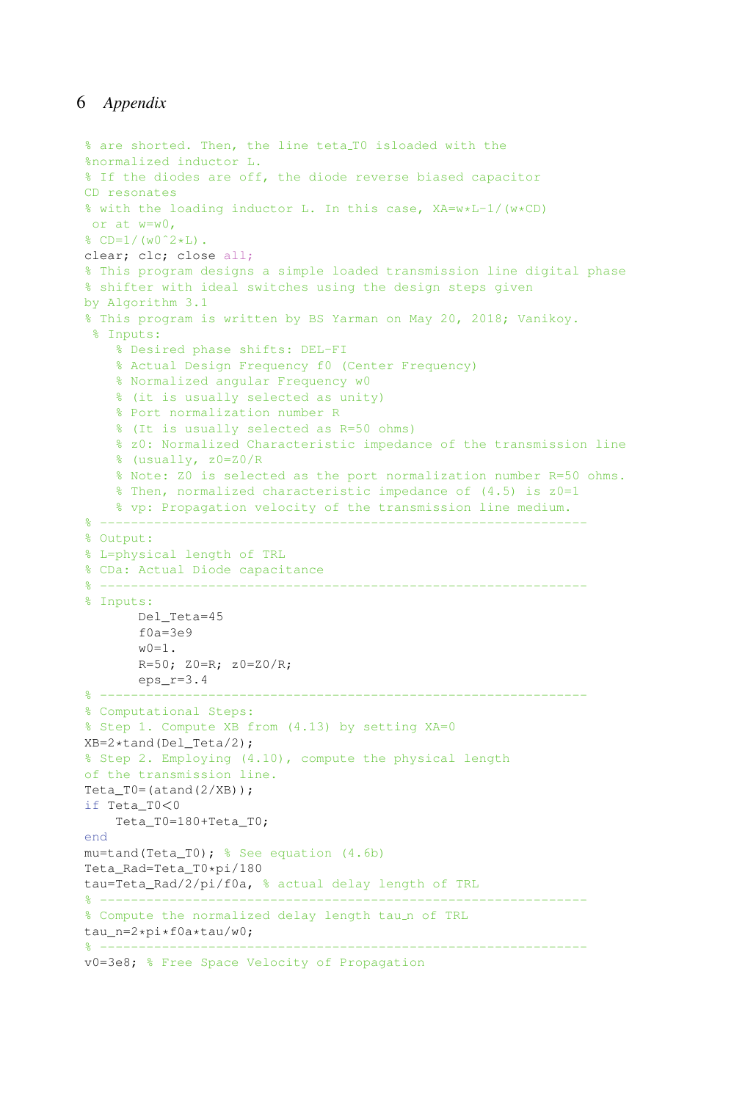```
% are shorted. Then, the line teta T0 isloaded with the
%normalized inductor L.
% If the diodes are off, the diode reverse biased capacitor
CD resonates
% with the loading inductor L. In this case, XA=w*L-1/(w*CD)
or at w=w0,
\text{CD} = 1 / (w0^2 + L).
clear; clc; close all;
% This program designs a simple loaded transmission line digital phase
% shifter with ideal switches using the design steps given
by Algorithm 3.1
% This program is written by BS Yarman on May 20, 2018; Vanikoy.
% Inputs:
    % Desired phase shifts: DEL-FI
    % Actual Design Frequency f0 (Center Frequency)
    % Normalized angular Frequency w0
    % (it is usually selected as unity)
    % Port normalization number R
    % (It is usually selected as R=50 ohms)
    % z0: Normalized Characteristic impedance of the transmission line
    % (usually, z0=Z0/R
    % Note: Z0 is selected as the port normalization number R=50 ohms.
    $ Then, normalized characteristic impedance of (4.5) is z0=1% vp: Propagation velocity of the transmission line medium.
% ---------------------------------------------------------------
% Output:
% L=physical length of TRL
% CDa: Actual Diode capacitance
% ---------------------------------------------------------------
% Inputs:
      Del_Teta=45
       f0a=3e9w(0=1).
       R=50; Z0=R; z0=Z0/R;eps_r=3.4% ---------------------------------------------------------------
% Computational Steps:
% Step 1. Compute XB from (4.13) by setting XA=0
XB=2*tand(Del_Teta/2);
% Step 2. Employing (4.10), compute the physical length
of the transmission line.
Teta_T0= (atand(2/XB));
if Teta_T0<0
    Teta_T0=180+Teta_T0;
end
mu=tand(Teta_T0); % See equation (4.6b)
Teta_Rad=Teta_T0*pi/180
tau=Teta_Rad/2/pi/f0a, % actual delay length of TRL
% ---------------------------------------------------------------
% Compute the normalized delay length tau_n of TRL
tau_n=2*pi*f0a*tau/w0;
% ---------------------------------------------------------------
v0=3e8; % Free Space Velocity of Propagation
```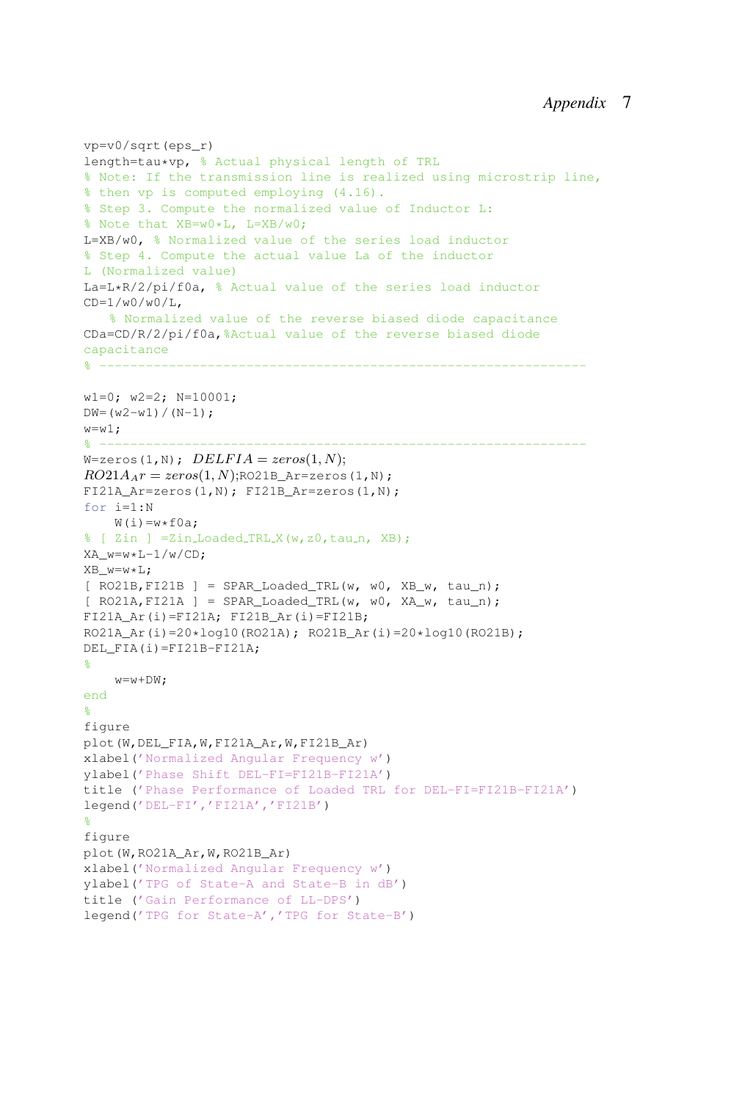```
vp=v0/sqrt(eps_r)
length=tau*vp, % Actual physical length of TRL
% Note: If the transmission line is realized using microstrip line,
% then vp is computed employing (4.16).
% Step 3. Compute the normalized value of Inductor L:
% Note that XB=w0*L, L=XB/w0;
L=XB/w0, % Normalized value of the series load inductor
% Step 4. Compute the actual value La of the inductor
L (Normalized value)
La=L*R/2/pi/f0a, % Actual value of the series load inductor
CD=1/w0/w0/L.
   % Normalized value of the reverse biased diode capacitance
CDa=CD/R/2/pi/f0a,%Actual value of the reverse biased diode
capacitance
% ---------------------------------------------------------------
w1=0; w2=2; N=10001;
DW = (w2-w1) / (N-1);
w = w1:
% ---------------------------------------------------------------
W = zeros(1, N); \text{ DELFIA} = zeros(1, N);RO21A_A r = zeros(1, N); RO21B_A r = zeros(1, N);FI21A Ar=zeros(1,N); FI21B Ar=zeros(1,N);
for i=1:N
    W(i) = w * f0a;% [ Zin ] = Zin_Loaded_TRL_X(w, z0, tau_n, XB) ;
XA_w=w*L-1/w/CD;XB_w=w*L;
[ RO21B, FI21B ] = SPAR\_loaded_TRL(w, w0, XB_w, tau_n);[ RO21A, FI21A ] = SPAR_Loaded_TRL(w, w0, XA_w, tau_n);
FI21A Ar(i)=FI21A; FI21B Ar(i)=FI21B;
RO21A_Ar(i)=20*log10(RO21A); RO21B_Ar(i)=20*log10(RO21B);
DEL FIA(i)=FI21B-FI21A;
%
    w=w+DW;end
%
figure
plot(W,DEL_FIA,W,FI21A_Ar,W,FI21B_Ar)
xlabel('Normalized Angular Frequency w')
ylabel('Phase Shift DEL-FI=FI21B-FI21A')
title ('Phase Performance of Loaded TRL for DEL-FI=FI21B-FI21A')
legend('DEL-FI','FI21A','FI21B')
%
figure
plot(W,RO21A_Ar,W,RO21B_Ar)
xlabel('Normalized Angular Frequency w')
ylabel('TPG of State-A and State-B in dB')
title ('Gain Performance of LL-DPS')
legend('TPG for State-A','TPG for State-B')
```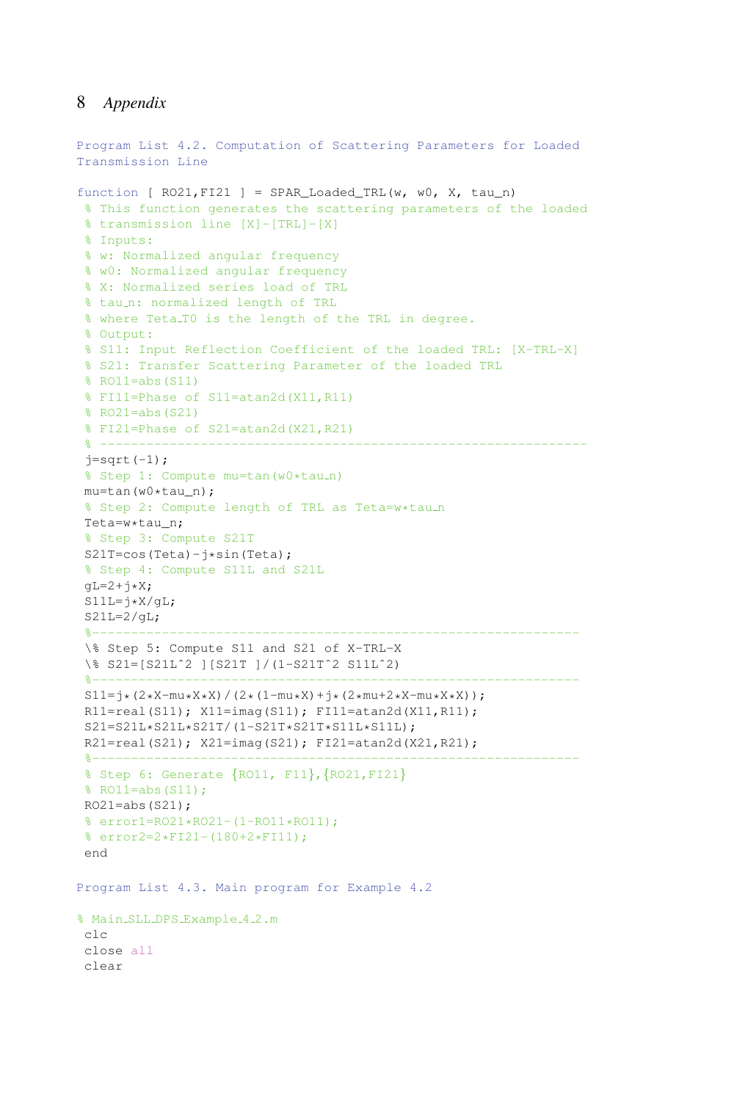```
Program List 4.2. Computation of Scattering Parameters for Loaded
Transmission Line
function [ RO21, F121 ] = SPAR\_loaded_TRL(w, w0, X, tau_n)% This function generates the scattering parameters of the loaded
 % transmission line [X]-[TRL]-[X]
 % Inputs:
 % w: Normalized angular frequency
 % w0: Normalized angular frequency
 % X: Normalized series load of TRL
 % tau_n: normalized length of TRL
 % where Teta_TO is the length of the TRL in degree.
 % Output:
 % S11: Input Reflection Coefficient of the loaded TRL: [X-TRL-X]
 % S21: Transfer Scattering Parameter of the loaded TRL
 % RO11=abs(S11)
 % FI11=Phase of S11=atan2d(X11,R11)
 % RO21=abs(S21)
 % FI21=Phase of S21=atan2d(X21,R21)
 % ---------------------------------------------------------------
 j=sqrt(-1);% Step 1: Compute mu=tan(w0*tau_n)
 mu=tan(w0*tau_n);
 % Step 2: Compute length of TRL as Teta=w*tau_n
 Teta=w*tau_n;
 % Step 3: Compute S21T
 S21T=cos(Teta)-j*sin(Teta);
 % Step 4: Compute S11L and S21L
 qL=2+j*X;S11L = j*X/gL;S21L=2/qL;%---------------------------------------------------------------
 \% Step 5: Compute S11 and S21 of X-TRL-X
 \% S21=[S21Lˆ2 ][S21T ]/(1-S21Tˆ2 S11Lˆ2)
 %---------------------------------------------------------------
 S11=j*(2*X-mu*X*X)/(2*(1-mu*X)+j*(2*mu+2*X-mu*X*X));R11=real(S11); X11=imaq(S11); FI11=atan2d(X11,R11);
 S21=S21L*S21L*S21T/(1-S21T*S21T*S11L*S11L);
 R21=real(S21); X21=imag(S21); FI21=atan2d(X21,R21);
 8 - - - - - - - - - - -% Step 6: Generate {RO11, F11},{RO21,FI21}
 % RO11=abs(S11);
 RO21 = abs(S21);% error1=RO21*RO21-(1-RO11*RO11);
 % error2=2*FI21-(180+2*FI11);
 end
Program List 4.3. Main program for Example 4.2
% Main_SLL_DPS_Example_4_2.m
 clc
 close all
 clear
```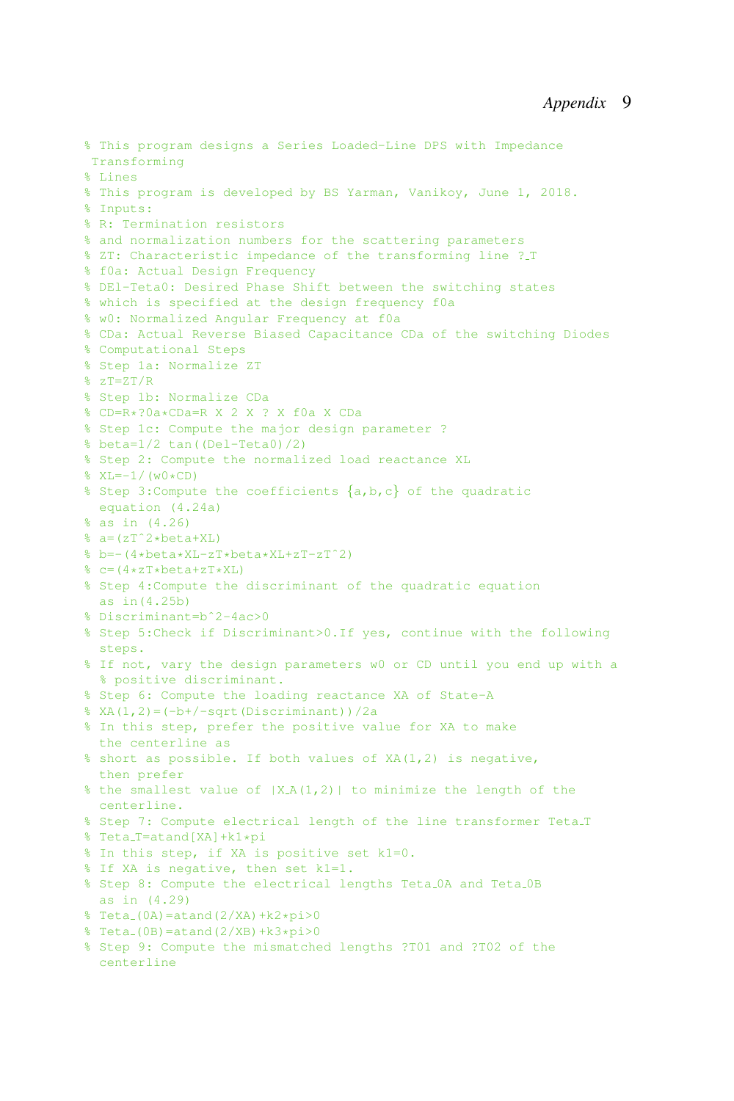```
% This program designs a Series Loaded-Line DPS with Impedance
Transforming
% Lines
% This program is developed by BS Yarman, Vanikoy, June 1, 2018.
% Inputs:
% R: Termination resistors
% and normalization numbers for the scattering parameters
% ZT: Characteristic impedance of the transforming line ? T
% f0a: Actual Design Frequency
% DEl-Teta0: Desired Phase Shift between the switching states
% which is specified at the design frequency f0a
% w0: Normalized Angular Frequency at f0a
% CDa: Actual Reverse Biased Capacitance CDa of the switching Diodes
% Computational Steps
% Step 1a: Normalize ZT
% zT=ZT/R
% Step 1b: Normalize CDa
% CD=R*?0a*CDa=R X 2 X ? X f0a X CDa
% Step 1c: Compute the major design parameter ?
% beta=1/2 tan((Del-Teta0)/2)
% Step 2: Compute the normalized load reactance XL
\sqrt{W} = -1 / (w0 * CD)% Step 3:Compute the coefficients {a,b,c} of the quadratic
 equation (4.24a)
% as in (4.26)
% a=(zTˆ2*beta+XL)
% b=-(4*beta*XL-zT*beta*XL+zT-zTˆ2)
\text{E} c=(4*zT*beta+zT*XL)
% Step 4:Compute the discriminant of the quadratic equation
 as in(4.25b)
% Discriminant=bˆ2-4ac>0
% Step 5:Check if Discriminant>0.If yes, continue with the following
 steps.
% If not, vary the design parameters w0 or CD until you end up with a
 % positive discriminant.
% Step 6: Compute the loading reactance XA of State-A
% XA(1,2)=(-b+/-sqrt(Discriminant))/2a% In this step, prefer the positive value for XA to make
 the centerline as
% short as possible. If both values of XA(1,2) is negative,
 then prefer
% the smallest value of |X_A(1,2)| to minimize the length of the
 centerline.
% Step 7: Compute electrical length of the line transformer Teta T
% Teta_T=atand[XA]+k1*pi
% In this step, if XA is positive set k1=0.
% If XA is negative, then set k1=1.
% Step 8: Compute the electrical lengths Teta 0A and Teta 0B
 as in (4.29)
\text{#} Teta_(0A)=atand(2/XA)+k2*pi>0
\text{#} Teta (0B) = at and (2/XB) + k3*pi>0
% Step 9: Compute the mismatched lengths ?T01 and ?T02 of the
 centerline
```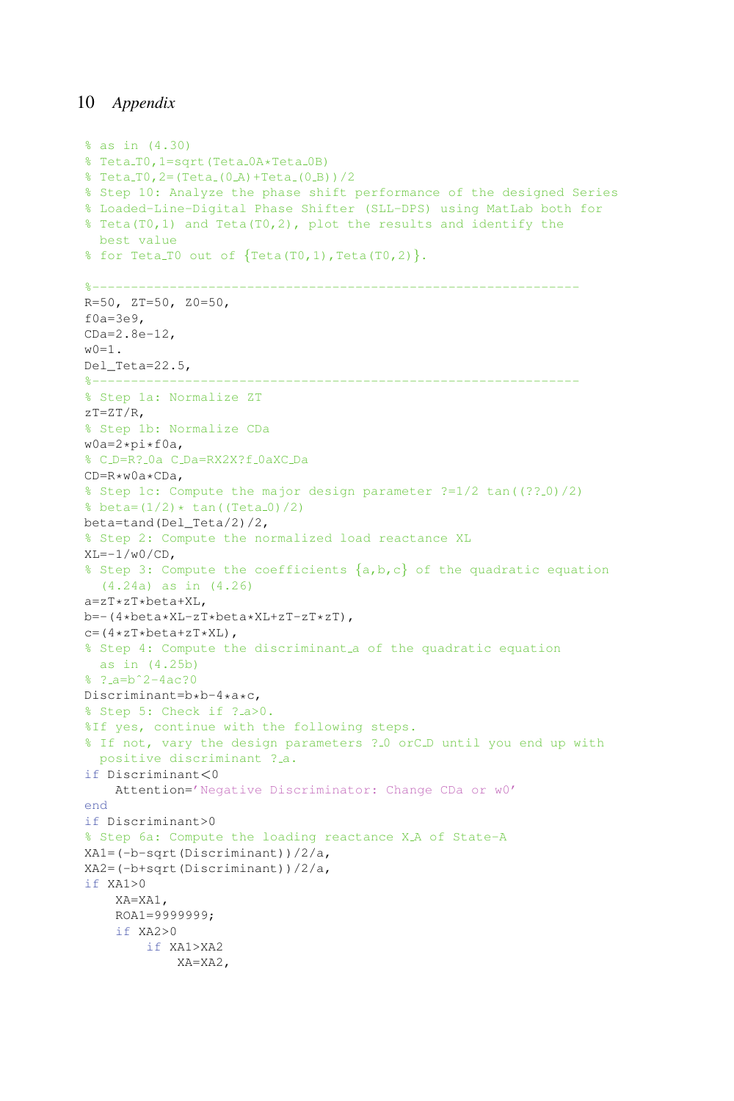```
% as in (4.30)
% Teta_T0, 1=sqrt(Teta_0A*Teta_0B)
% Teta T0,2=(Teta (0 A)+Teta (0 B))/2
% Step 10: Analyze the phase shift performance of the designed Series
% Loaded-Line-Digital Phase Shifter (SLL-DPS) using MatLab both for
% Teta(T0,1) and Teta(T0,2), plot the results and identify the
 best value
\text{for Teta\_T0 out of } \{ \text{Teta(T0,1)}, \text{Teta(T0,2)} \}.%---------------------------------------------------------------
R=50, ZT=50, Z0=50,
f0a=3e9,
CDa=2.8e-12,
w(0=1).
Del Teta=22.5,
%---------------------------------------------------------------
% Step 1a: Normalize ZT
zT=ZT/R,
% Step 1b: Normalize CDa
w0a=2*pi*f0a,
% C D=R? 0a C Da=RX2X?f 0aXC Da
CD=R*w0a*CDa,
% Step 1c: Compute the major design parameter ?=1/2 \tan(2?2.0)/2% beta=(1/2)*(tan((Teta_0)/2)beta=tand(Del_Teta/2)/2,
% Step 2: Compute the normalized load reactance XL
XL=-1/w0/CD,
% Step 3: Compute the coefficients \{a,b,c\} of the quadratic equation
  (4.24a) as in (4.26)
a=zT*zT*beta+XL,
b=-(4*beta*XL-zT*beta*XL+zT-zT*zT),
c=(4*zT*beta+zT*XL),
% Step 4: Compute the discriminant a of the quadratic equation
 as in (4.25b)
% ? a=bˆ2-4ac?0
Discriminant=b*b-4*a*c,
% Step 5: Check if ? a>0.
%If yes, continue with the following steps.
% If not, vary the design parameters ? 0 orC D until you end up with
 positive discriminant ?.a.
if Discriminant<0
   Attention='Negative Discriminator: Change CDa or w0'
end
if Discriminant>0
% Step 6a: Compute the loading reactance X_A of State-A
XA1=(-b-sqrt(Discriminant))/2/a,
XA2=(-b+sqrt(Discriminant))/2/a,
if XA1>0
    XA=XA1,
    ROA1=9999999;
    if XA2>0
        if XA1>XA2
            XA=XA2,
```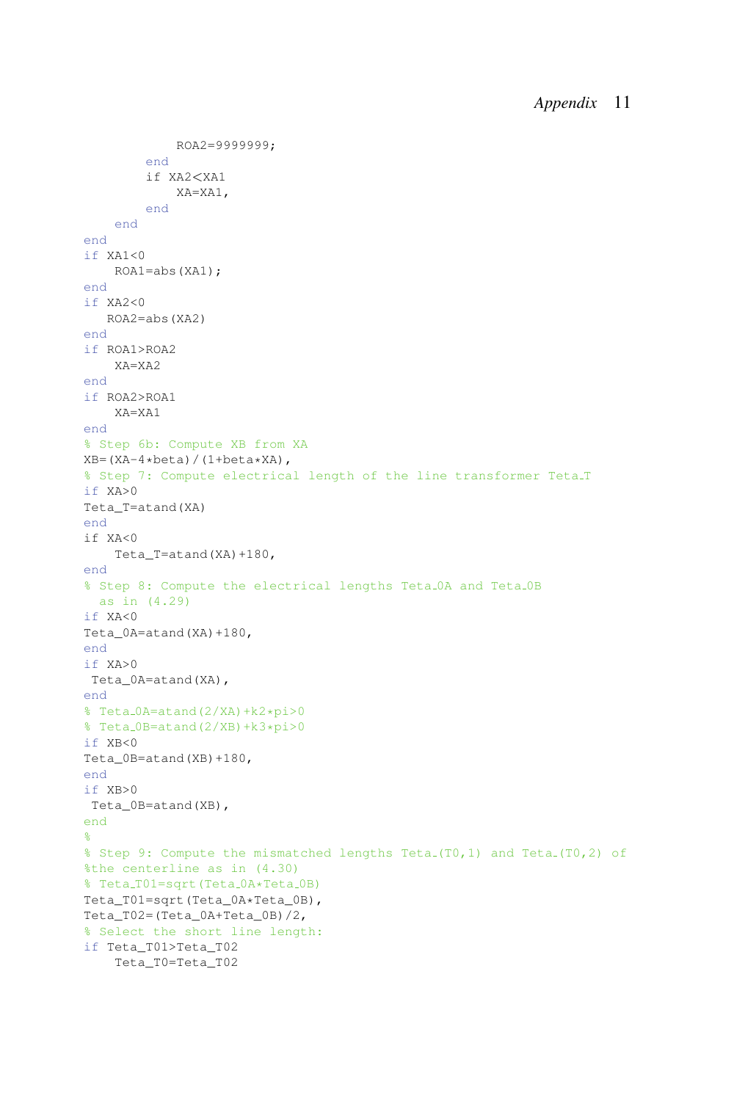```
ROA2=9999999;
        end
        if XA2<XA1
            XA=XA1,
        end
    end
end
if XA1<0
    ROA1=abs(XA1);
end
if XA2<0
  ROA2=abs(XA2)
end
if ROA1>ROA2
   XA=XA2
end
if ROA2>ROA1
    XA=XA1
end
% Step 6b: Compute XB from XA
XB=(XA-4*beta) / (1+beta*XA),
% Step 7: Compute electrical length of the line transformer Teta T
if XA>0
Teta_T=atand(XA)
end
if XA<0
    Teta_T=atand(XA)+180,
end
% Step 8: Compute the electrical lengths Teta 0A and Teta 0B
 as in (4.29)
if XA<0
Teta_0A=atand(XA)+180,
end
if XA>0
Teta_0A=atand(XA),
end
% Teta 0A=atand(2/XA)+k2*pi>0
% Teta 0B=atand(2/XB)+k3*pi>0
if XB<0
Teta_0B=atand(XB)+180,
end
if XB>0
Teta_0B=atand(XB),
end
%
% Step 9: Compute the mismatched lengths Teta (T0,1) and Teta (T0,2) of
%the centerline as in (4.30)
% Teta_T01=sqrt(Teta_0A*Teta_0B)
Teta T01=sqrt(Teta 0A*Teta 0B),
Teta_T02=(Teta_0A+Teta_0B)/2,
% Select the short line length:
if Teta_T01>Teta_T02
    Teta_T0=Teta_T02
```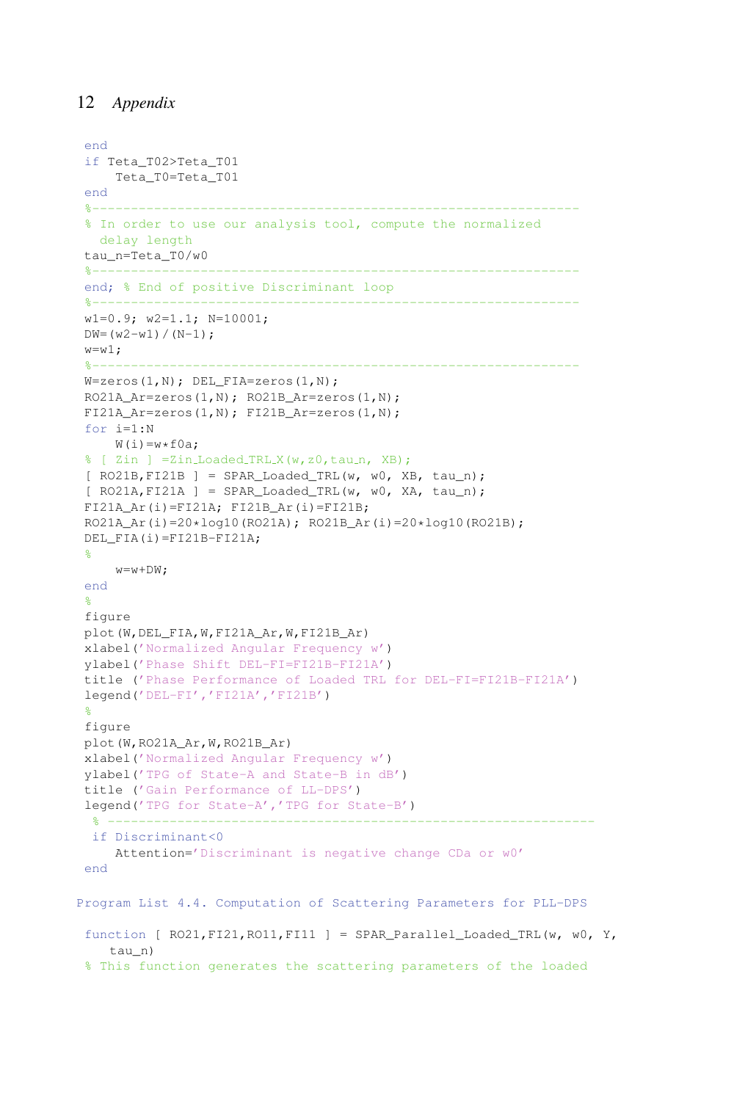```
end
 if Teta_T02>Teta_T01
     Teta_T0=Teta_T01
end
 %---------------------------------------------------------------
 % In order to use our analysis tool, compute the normalized
  delay length
 tau_n=Teta_T0/w0
 %---------------------------------------------------------------
 end; % End of positive Discriminant loop
 %---------------------------------------------------------------
 w1=0.9; w2=1.1; N=10001;
DW = (w2-w1) / (N-1);
w= w1;<br>k = -1%---------------------------------------------------------------
 W=zeros(1,N); DEL_FIA=zeros(1,N);
 RO21A_Ar=zeros(1,N); RO21B_Ar=zeros(1,N);
FI21A_Ar=zeros(1,N); FI21B_Ar=zeros(1,N);
 for i=1:N
    W(i) = w * f0a;% [ Zin ] =Zin_Loaded_TRL_X(w,z0,tau_n, XB);
 [ RO21B, FI21B ] = SPAR\_loaded_TRL(w, w0, XB, tau_n);[ RO21A, FI21A ] = SPAR Loaded TRI(w, w0, XA, tau n);FI21A_Ar(i)=FI21A; FI21B_Ar(i)=FI21B;
 RO21A_Ar(i)=20*log10(RO21A); RO21B_Ar(i)=20*log10(RO21B);
DEL_FIA(i)=FI21B-FI21A;
 %
    w = w + DW:
 end
 %
 figure
 plot(W,DEL_FIA,W,FI21A_Ar,W,FI21B_Ar)
xlabel('Normalized Angular Frequency w')
ylabel('Phase Shift DEL-FI=FI21B-FI21A')
 title ('Phase Performance of Loaded TRL for DEL-FI=FI21B-FI21A')
 legend('DEL-FI','FI21A','FI21B')
 %
 figure
plot(W,RO21A_Ar,W,RO21B_Ar)
xlabel('Normalized Angular Frequency w')
ylabel('TPG of State-A and State-B in dB')
title ('Gain Performance of LL-DPS')
 legend('TPG for State-A','TPG for State-B')
  % ---------------------------------------------------------------
 if Discriminant<0
    Attention='Discriminant is negative change CDa or w0'
 end
Program List 4.4. Computation of Scattering Parameters for PLL-DPS
 function [ RO21, FI21, RO11, FI11 ] = SPAR Parallel Loaded TRL(w, w0, Y,
   tau_n)
 % This function generates the scattering parameters of the loaded
```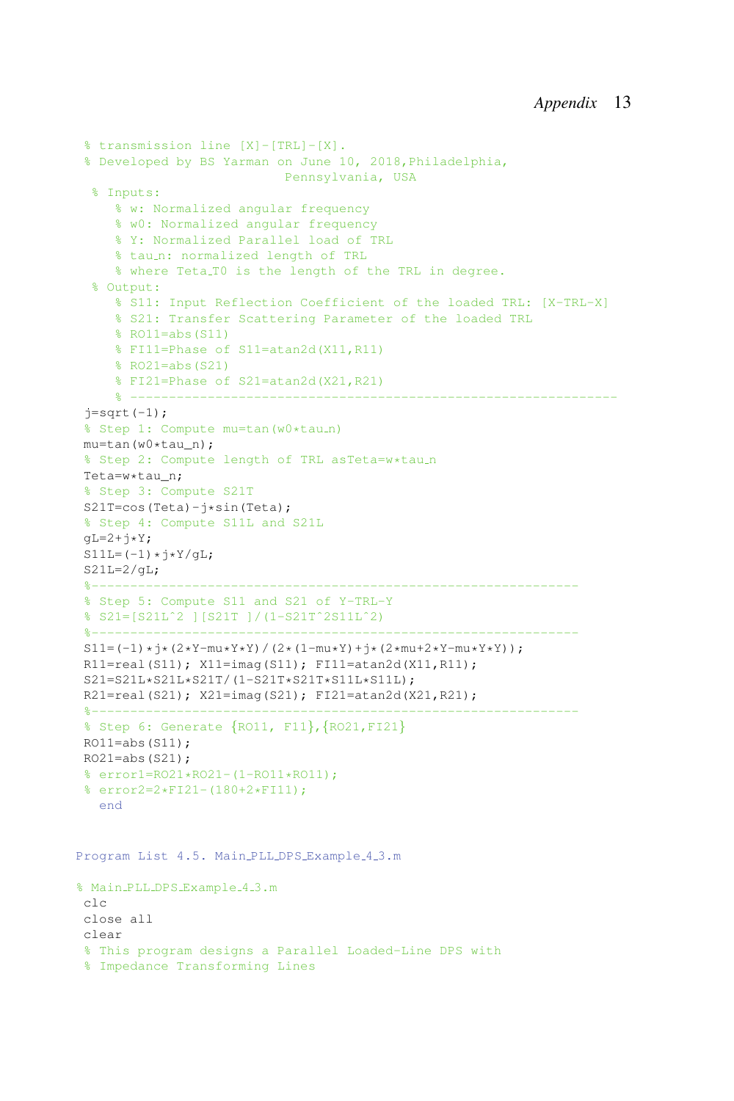```
% transmission line [X]-[TRL]-[X].
 % Developed by BS Yarman on June 10, 2018,Philadelphia,
                          Pennsylvania, USA
 % Inputs:
    % w: Normalized angular frequency
    % w0: Normalized angular frequency
    % Y: Normalized Parallel load of TRL
     % tau_n: normalized length of TRL
     % where Teta T0 is the length of the TRL in degree.
  % Output:
    % S11: Input Reflection Coefficient of the loaded TRL: [X-TRL-X]
    % S21: Transfer Scattering Parameter of the loaded TRL
     % RO11=abs(S11)
     % FI11=Phase of S11=atan2d(X11,R11)
     % RO21=abs(S21)
     % FI21=Phase of S21=atan2d(X21,R21)
     % ---------------------------------------------------------------
 j=sqrt(-1);
 % Step 1: Compute mu=tan (w0*tau_n)
mu=tan(w0*tau_n);
% Step 2: Compute length of TRL asTeta=w*tau_n
Teta=w*tau_n;
% Step 3: Compute S21T
S21T=cos(Teta)-j*sin(Teta);
% Step 4: Compute S11L and S21L
qL=2+j*Y;S11L=(-1)*i*Y/\alpha L;
S21L=2/qL;%---------------------------------------------------------------
% Step 5: Compute S11 and S21 of Y-TRL-Y
% S21=[S21Lˆ2 ][S21T ]/(1-S21Tˆ2S11Lˆ2)
 %---------------------------------------------------------------
S11 = (-1)*i*(2*Y-mu*Y*Y)/(2*(1-mu*Y)+i*(2*mu+2*Y-mu*Y*Y));R11=real(S11); X11=imaq(S11); FI11=atan2d(X11,R11);
S21=S21L*S21L*S21T/(1-S21T*S21T*S11L*S11L);
R21=real(S21); X21=imag(S21); FI21=atan2d(X21, R21);
%------------------
% Step 6: Generate {RO11, F11},{RO21,FI21}
RO11 = abs(S11);RO21 = abs(S21);
% error1=RO21*RO21-(1-RO11*RO11);
% error2=2*FI21-(180+2*FI11);
  end
Program List 4.5. Main PLL DPS Example 4.3.m
% Main PLL DPS Example 4 3.m
clc
close all
clear
% This program designs a Parallel Loaded-Line DPS with
% Impedance Transforming Lines
```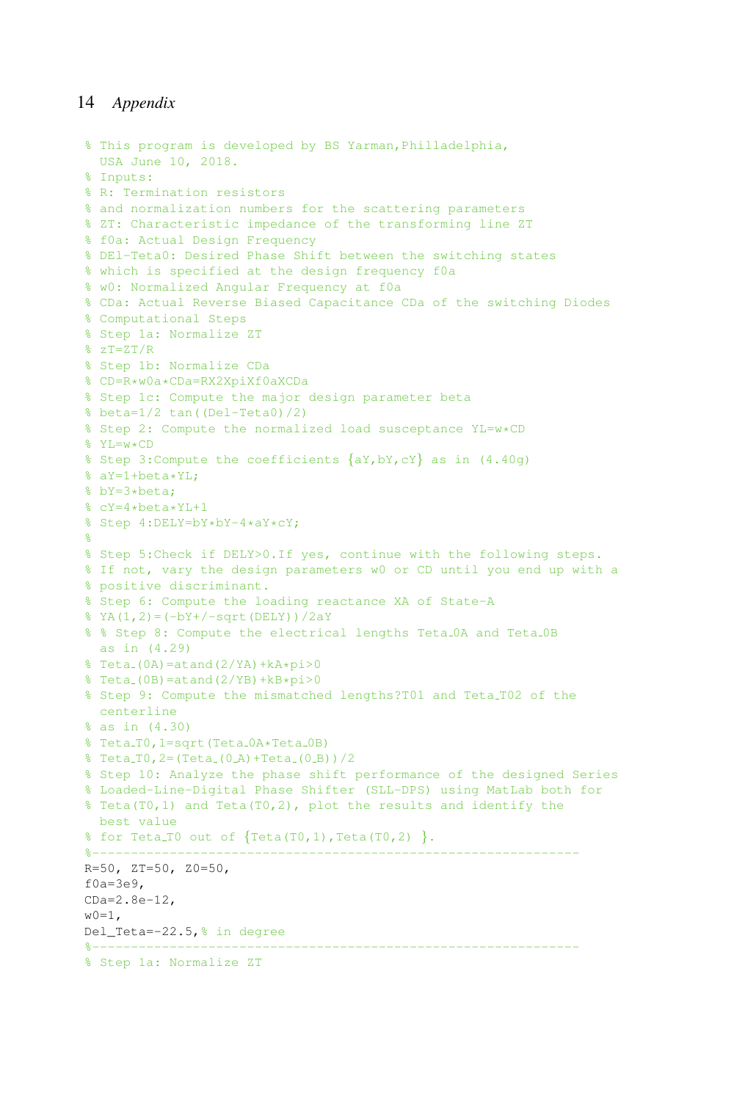```
% This program is developed by BS Yarman,Philladelphia,
 USA June 10, 2018.
% Inputs:
% R: Termination resistors
% and normalization numbers for the scattering parameters
% ZT: Characteristic impedance of the transforming line ZT
% f0a: Actual Design Frequency
% DEl-Teta0: Desired Phase Shift between the switching states
% which is specified at the design frequency f0a
% w0: Normalized Angular Frequency at f0a
% CDa: Actual Reverse Biased Capacitance CDa of the switching Diodes
% Computational Steps
% Step 1a: Normalize ZT
% 7T = ZT/R% Step 1b: Normalize CDa
% CD=R*w0a*CDa=RX2XpiXf0aXCDa
% Step 1c: Compute the major design parameter beta
% beta=1/2 tan((Del-Teta0)/2)
% Step 2: Compute the normalized load susceptance YL=w*CD
\& YL=w+CD
% Step 3: Compute the coefficients \{aY, bY, cY\} as in (4.40q)% aY=1+beta*YL;
% bY=3*beta;
% cY=4*beta*YL+1
% Step 4:DELY=bY*bY-4*aY*cY;
%
% Step 5:Check if DELY>0.If yes, continue with the following steps.
% If not, vary the design parameters w0 or CD until you end up with a
% positive discriminant.
% Step 6: Compute the loading reactance XA of State-A
\text{YA}(1,2)=(-bY+/-sqrt(DELY))/2aY% % Step 8: Compute the electrical lengths Teta OA and Teta OB
 as in (4.29)
\text{\$ Teta(0A)=atand(2YA)+kA*pi>0}\text{#} Teta (0B) = at and (2/YB) + \text{kB} \text{+} \text{kb} \text{+} \text{kb}% Step 9: Compute the mismatched lengths?T01 and Teta T02 of the
  centerline
% as in (4.30)
% Teta_T0, 1=sqrt(Teta_0A*Teta_0B)
% Teta_T0, 2=(Teta_(0_A) +Teta_(0_B)) /2
% Step 10: Analyze the phase shift performance of the designed Series
% Loaded-Line-Digital Phase Shifter (SLL-DPS) using MatLab both for
% Teta(T0,1) and Teta(T0,2), plot the results and identify the
 best value
% for Teta_T0 out of \{Teta(T0,1),Teta(T0,2)\}.
%---------------------------------------------------------------
R=50, ZT=50, Z0=50,
f0a=3e9,
CDa=2.8e-12,
w0=1.
Del_Teta=-22.5,% in degree
%---------------------------------------------------------------
% Step 1a: Normalize ZT
```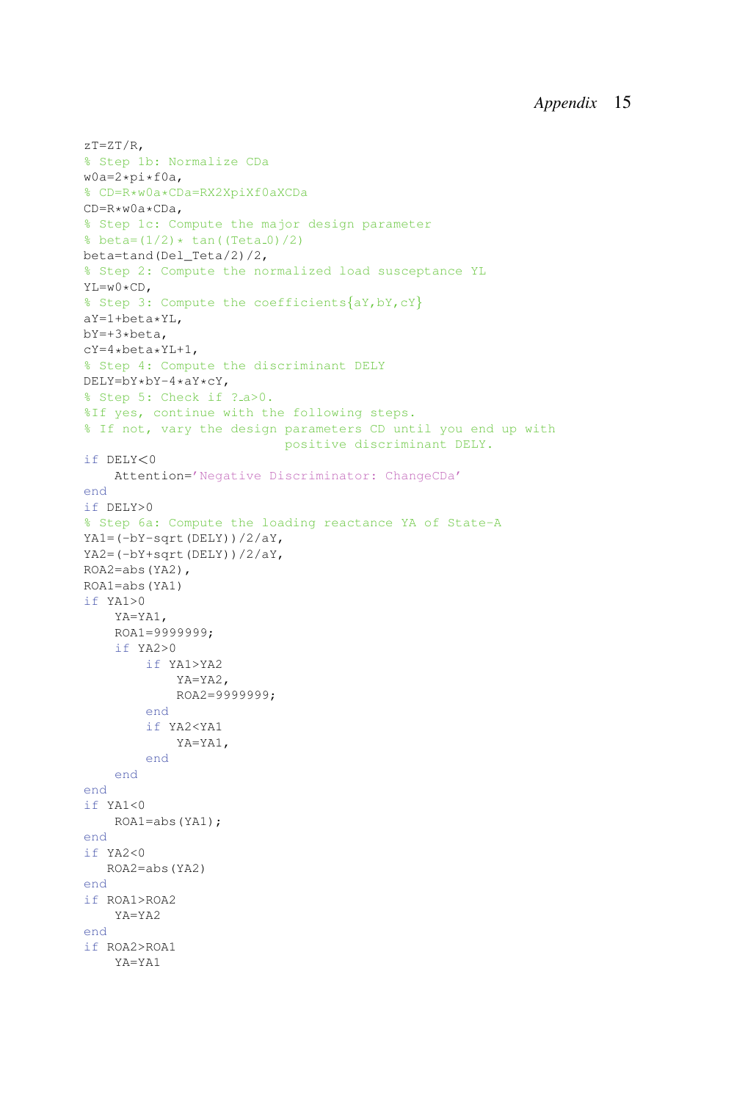```
zT=ZT/R,
% Step 1b: Normalize CDa
w0a=2*pi*f0a,
% CD=R*w0a*CDa=RX2XpiXf0aXCDa
CD=R*w0a*CDa,
% Step 1c: Compute the major design parameter
% beta=(1/2)* tan((Teta_0)/2)beta=tand(Del_Teta/2)/2,
% Step 2: Compute the normalized load susceptance YL
YL=w0*CD,
% Step 3: Compute the coefficients{aY,bY,cY}
aY=1+beta*YL,
bY=+3*beta,
cY=4*beta*YL+1,
% Step 4: Compute the discriminant DELY
DELY=bY*bY-4*aY*cY,
% Step 5: Check if ? a>0.
%If yes, continue with the following steps.
% If not, vary the design parameters CD until you end up with
                          positive discriminant DELY.
if DELY<0
    Attention='Negative Discriminator: ChangeCDa'
end
if DELY>0
% Step 6a: Compute the loading reactance YA of State-A
YA1=(-bY-sqrt(DELY))/2/aY,
YA2=(-bY+sqrt(DELY))/2/aY,
ROA2=abs(YA2),
ROA1=abs(YA1)
if YA1>0
    YA=YA1,
    ROA1=9999999;
    if YA2>0
        if YA1>YA2
            YA=YA2,
            ROA2=9999999;
        end
        if YA2<YA1
            YA=YA1,
        end
    end
end
if YA1<0
   ROA1=abs(YA1);
end
if YA2<0
  ROA2=abs(YA2)
end
if ROA1>ROA2
    YA=YA2
end
if ROA2>ROA1
    YA=YA1
```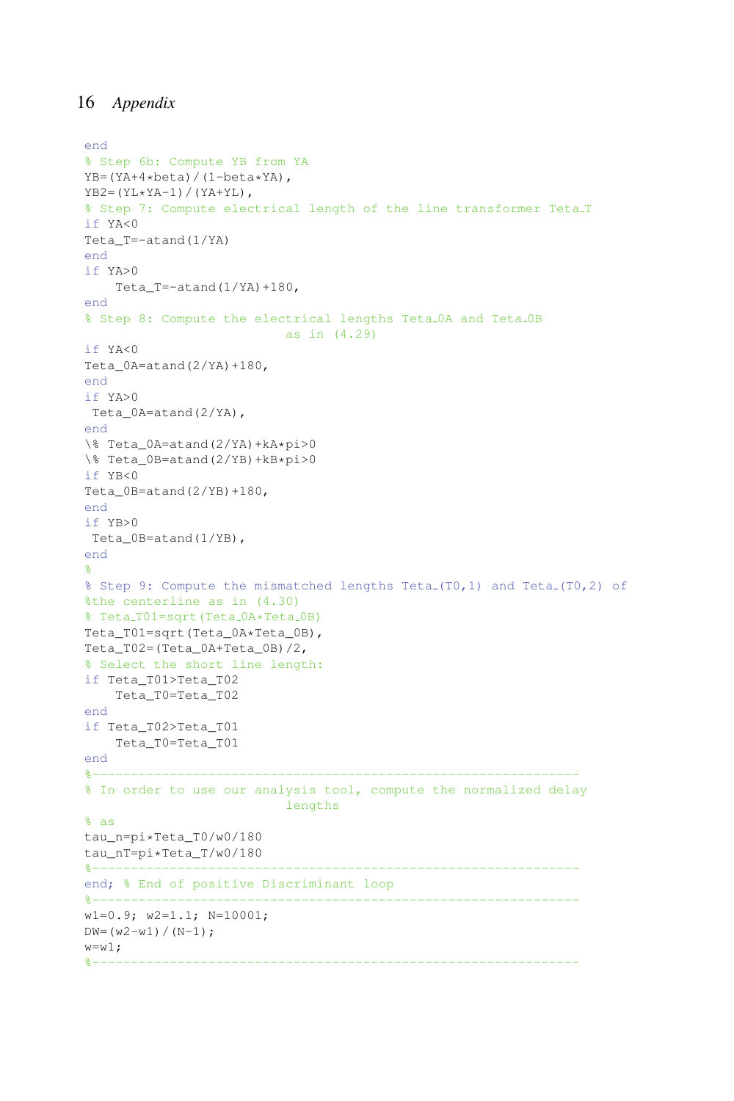```
end
% Step 6b: Compute YB from YA
YB=(YA+4*beta) / (1-beta*YA),
YB2=(YL*YA-1)/(YA+YL),
% Step 7: Compute electrical length of the line transformer Teta T
if YA<0
Teta_T=-atand(1/YA)
end
if YA>0
    Teta_T=-atand(1/YA)+180,
end
% Step 8: Compute the electrical lengths Teta 0A and Teta 0B
                        as in (4.29)
if YA<0
Teta_0A=atand(2/YA)+180,
end
if YA>0
Teta_0A=atand(2/YA),
end
\% Teta_0A=atand(2/YA)+kA*pi>0
\% Teta_0B=atand(2/YB)+kB*pi>0
if YB<0
Teta0B=atand(2/YB)+180,
end
if YB>0
Teta_0B=atand(1/YB),
end
\approx% Step 9: Compute the mismatched lengths Teta (T0,1) and Teta (T0,2) of
%the centerline as in (4.30)
% Teta_T01=sqrt(Teta_0A*Teta_0B)
Teta_T01=sqrt(Teta_0A*Teta_0B),
Teta_T02=(Teta_0A+Teta_0B)/2,
% Select the short line length:
if Teta_T01>Teta_T02
    Teta_T0=Teta_T02
end
if Teta_T02>Teta_T01
   Teta_T0=Teta_T01
end
%---------------------------------------------------------------
% In order to use our analysis tool, compute the normalized delay
                           lengths
% as
tau_n=pi*Teta_T0/w0/180
tau_nT=pi*Teta_T/w0/180
                                           %---------------------------------------------------------------
end; % End of positive Discriminant loop
%---------------------------------------------------------------
w1=0.9; w2=1.1; N=10001;
DW = (w2-w1) / (N-1);
w= w1;%---------------------------------------------------------------
```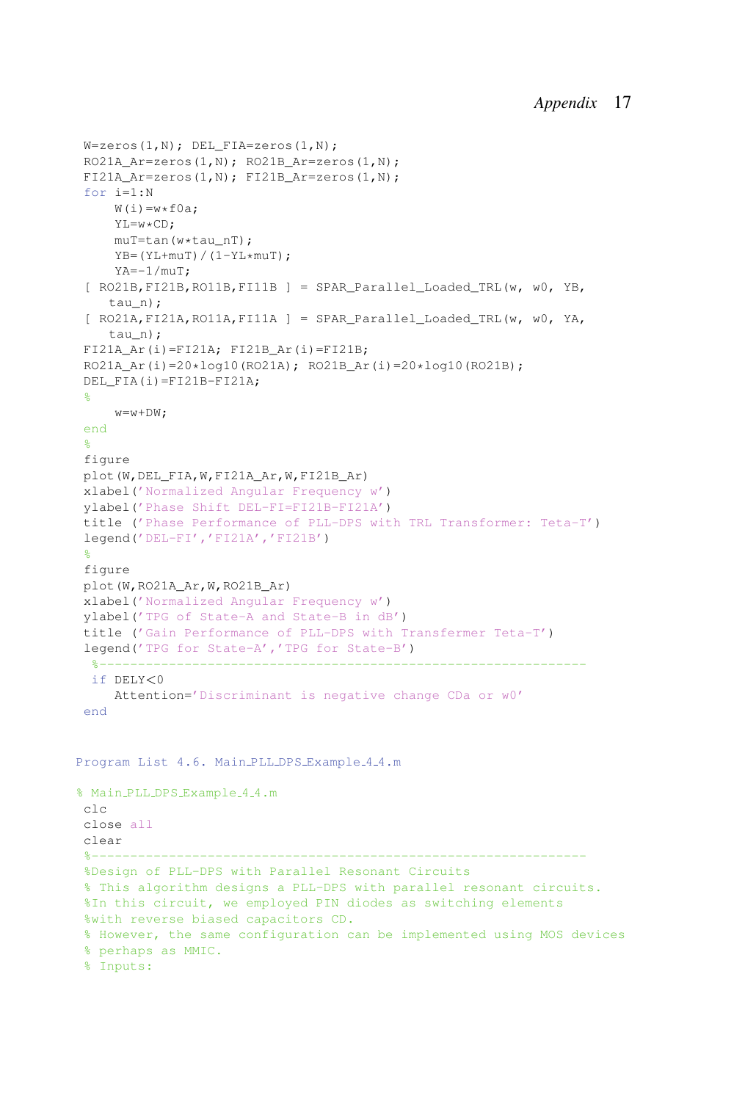```
W =zeros(1,N); DEL FIA=zeros(1,N);
RO21A_Ar=zeros(1,N); RO21B_Ar=zeros(1,N);
FI21A Ar=zeros(1,N); FI21B Ar=zeros(1,N);
 for i=1:N
    W(i) = w * f0a;YL=w*CD;
    muT=tan(w*tau_nT);
    YB=(YL+muT)/(1-YL*muT);YA=-1/muT;
 [ RO21B,FI21B,RO11B,FI11B ] = SPAR_Parallel_Loaded_TRL(w, w0, YB,
    tau n) :
 [ RO21A,FI21A,RO11A,FI11A ] = SPAR_Parallel_Loaded_TRL(w, w0, YA,
    tau n) :
FI21A Ar(i) = FI21A; FI21B Ar(i) = FI21B;RO21A Ar(i)=20*log10(RO21A); RO21B Ar(i)=20*log10(RO21B);
DEL_FIA(i)=FI21B-FI21A;
 %
    w=w+DW;end
 \approxfigure
plot(W,DEL_FIA,W,FI21A_Ar,W,FI21B_Ar)
xlabel('Normalized Angular Frequency w')
ylabel('Phase Shift DEL-FI=FI21B-FI21A')
title ('Phase Performance of PLL-DPS with TRL Transformer: Teta-T')
legend('DEL-FI','FI21A','FI21B')
 %
figure
plot(W,RO21A_Ar,W,RO21B_Ar)
xlabel('Normalized Angular Frequency w')
ylabel('TPG of State-A and State-B in dB')
title ('Gain Performance of PLL-DPS with Transfermer Teta-T')
legend('TPG for State-A','TPG for State-B')
  %---------------------------------------------------------------
 if DELY<0
    Attention='Discriminant is negative change CDa or w0'
 end
Program List 4.6. Main PLL DPS Example 4 4.m
% Main PLL DPS Example 4 4.m
clc
close all
clear
 %----------------------------------------------------------------
%Design of PLL-DPS with Parallel Resonant Circuits
 % This algorithm designs a PLL-DPS with parallel resonant circuits.
%In this circuit, we employed PIN diodes as switching elements
%with reverse biased capacitors CD.
% However, the same configuration can be implemented using MOS devices
% perhaps as MMIC.
% Inputs:
```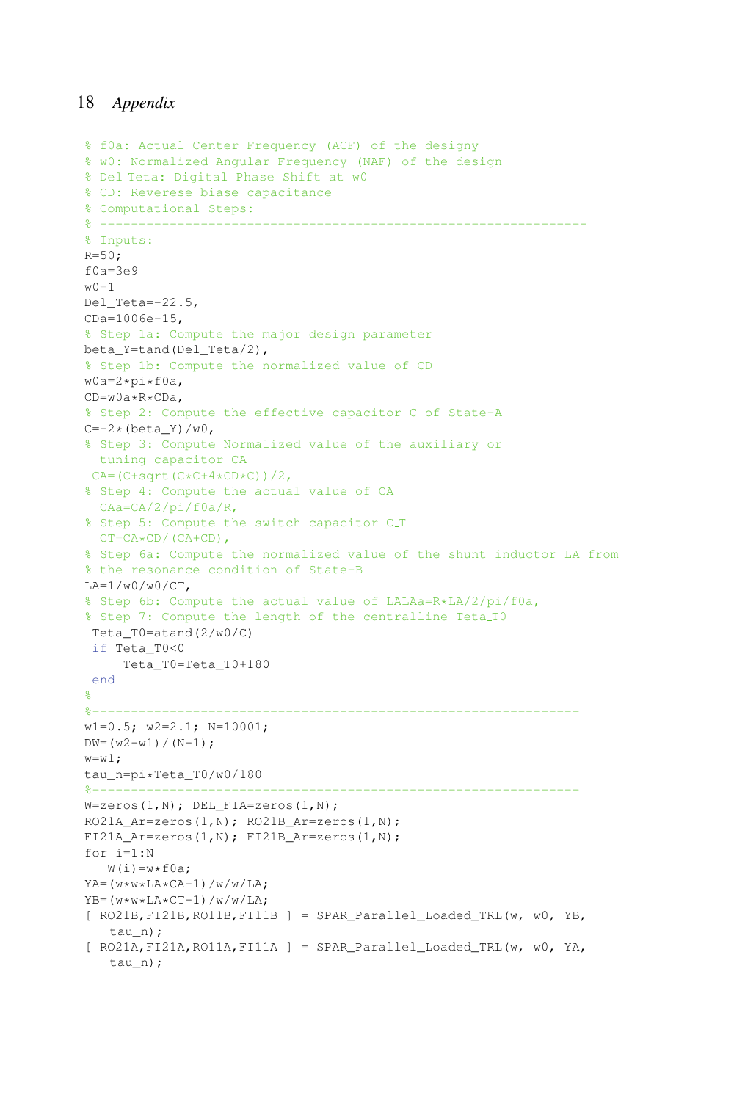```
% f0a: Actual Center Frequency (ACF) of the designy
% w0: Normalized Angular Frequency (NAF) of the design
% Del Teta: Digital Phase Shift at w0
% CD: Reverese biase capacitance
% Computational Steps:
% ---------------------------------------------------------------
% Inputs:
R = 50;f0a=3e9w0=1Del Teta=-22.5,
CDa=1006e-15,
% Step 1a: Compute the major design parameter
beta_Y=tand(Del_Teta/2),
% Step 1b: Compute the normalized value of CD
w0a=2*pi*f0a,
CD=w0a*R*CDa,
% Step 2: Compute the effective capacitor C of State-A
C=-2*(beta_Y)/w0,% Step 3: Compute Normalized value of the auxiliary or
  tuning capacitor CA
CA=(C+sqrt(C*C+4*CD*C))/2,% Step 4: Compute the actual value of CA
 CAa=CA/2/pi/f0a/R,
% Step 5: Compute the switch capacitor C_T
 CT=CA*CD / (CA+CD),
% Step 6a: Compute the normalized value of the shunt inductor LA from
% the resonance condition of State-B
LA=1/w0/w0/CT,
% Step 6b: Compute the actual value of LALAa=R*LA/2/pi/f0a,
% Step 7: Compute the length of the centralline Teta T0
Teta_T0=atand(2/w0/C)
if Teta_T0<0
    Teta_T0=Teta_T0+180
end
\mathbf{Q}%---------------------------------------------------------------
w1=0.5; w2=2.1; N=10001;
DW = (w2-w1) / (N-1);
w= w1;tau n=pi*Teta T0/w0/180
%---------------------------------------------------------------
W =zeros(1, N); DEL_FIA=zeros(1, N);
RO21A_Ar=zeros(1,N); RO21B_Ar=zeros(1,N);
FI21A_Ar=zeros(1,N); FI21B_Ar=zeros(1,N);
for i=1:N
   W(i) = w * f0a;YA = (w * w * LA * CA - 1) / w / w / LA;YB = (w * w * LA * CT-1)/w/w/LA;[ RO21B,FI21B,RO11B,FI11B ] = SPAR_Parallel_Loaded_TRL(w, w0, YB,
   tau n) :
[ RO21A, FI21A, RO11A, FI11A ] = SPAR Parallel Loaded TRI(w, w0, YA,tau_n);
```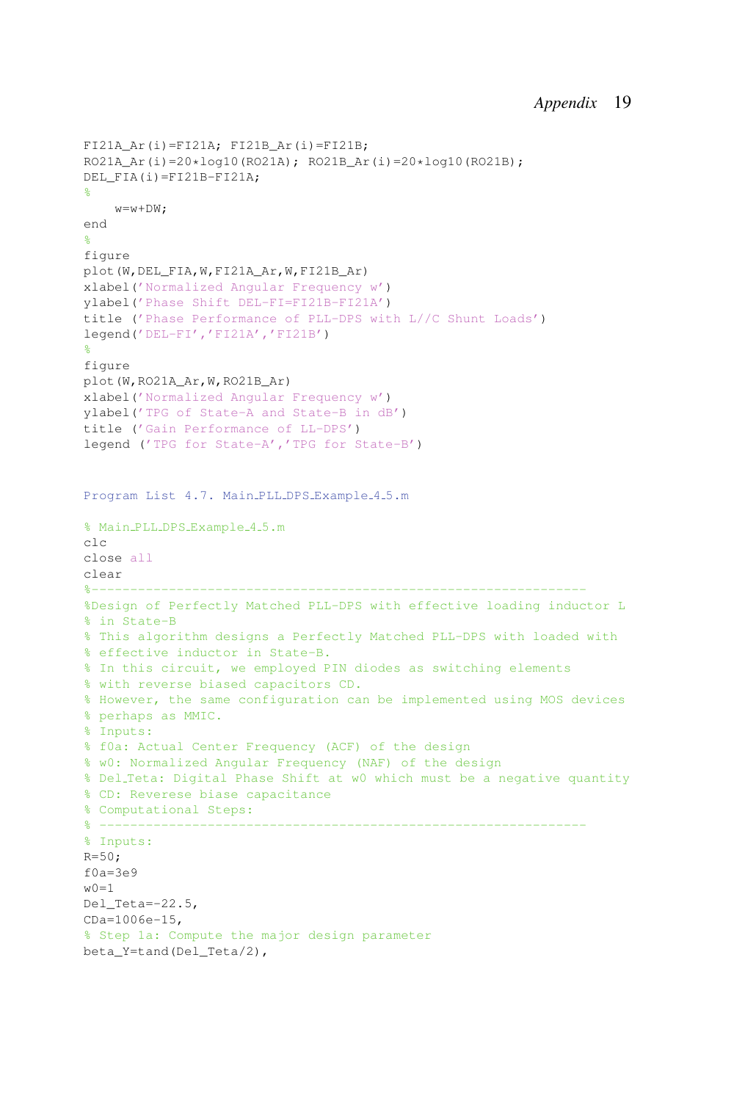```
FI21A Ar(i) = FI21A; FI21B Ar(i) = FI21B;RO21A_Ar(i)=20*log10(RO21A); RO21B_Ar(i)=20*log10(RO21B);
DEL_FIA(i)=FI21B-FI21A;
\approxw=w+DW:
end
%
figure
plot(W,DEL_FIA,W,FI21A_Ar,W,FI21B_Ar)
xlabel('Normalized Angular Frequency w')
ylabel('Phase Shift DEL-FI=FI21B-FI21A')
title ('Phase Performance of PLL-DPS with L//C Shunt Loads')
legend('DEL-FI','FI21A','FI21B')
%
figure
plot(W,RO21A_Ar,W,RO21B_Ar)
xlabel('Normalized Angular Frequency w')
ylabel('TPG of State-A and State-B in dB')
title ('Gain Performance of LL-DPS')
legend ('TPG for State-A','TPG for State-B')
Program List 4.7. Main PLL DPS Example 4.5.m
% Main PLL DPS Example 4 5.m
clc
close all
clear
%----------------------------------------------------------------
%Design of Perfectly Matched PLL-DPS with effective loading inductor L
% in State-B
% This algorithm designs a Perfectly Matched PLL-DPS with loaded with
% effective inductor in State-B.
% In this circuit, we employed PIN diodes as switching elements
% with reverse biased capacitors CD.
% However, the same configuration can be implemented using MOS devices
% perhaps as MMIC.
% Inputs:
% f0a: Actual Center Frequency (ACF) of the design
% w0: Normalized Angular Frequency (NAF) of the design
% Del Teta: Digital Phase Shift at w0 which must be a negative quantity
% CD: Reverese biase capacitance
% Computational Steps:
% ---------------------------------------------------------------
% Inputs:
R = 50;f0a=3e9w0=1Del_Teta=-22.5,
CDa=1006e-15,
% Step 1a: Compute the major design parameter
beta_Y=tand(Del_Teta/2),
```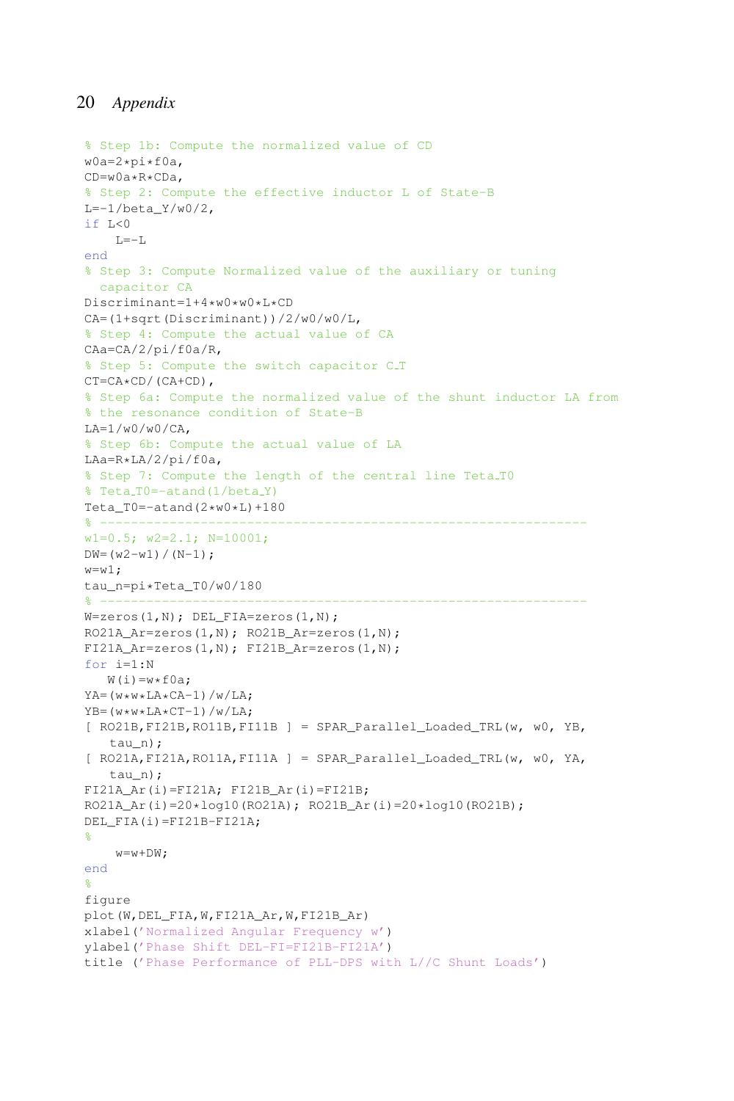```
% Step 1b: Compute the normalized value of CD
w0a=2*pi*f0a,
CD=w0a*R*CDa,
% Step 2: Compute the effective inductor L of State-B
L=-1/beta_Y/w0/2,
if L < 0L=-Lend
% Step 3: Compute Normalized value of the auxiliary or tuning
  capacitor CA
Discriminant=1+4*w0*w0*L*CD
CA=(1+sqrt(Discriminant))/2/w0/w0/L,
% Step 4: Compute the actual value of CA
CAa=CA/2/pi/f0a/R,
% Step 5: Compute the switch capacitor C_T
CT=CA*CD / (CA+CD),
% Step 6a: Compute the normalized value of the shunt inductor LA from
% the resonance condition of State-B
LA=1/w0/w0/CA,
% Step 6b: Compute the actual value of LA
LAa=R*LA/2/pi/f0a,
% Step 7: Compute the length of the central line Teta T0
% Teta_T0=-atand(1/beta_Y)
Teta_T0=-atand(2*w0*L)+180
% ---------------------------------------------------------------
w1=0.5; w2=2.1; N=10001;
DW = (w2-w1) / (N-1);
w = w1;
tau_n=pi*Teta_T0/w0/180
% ---------------------------------------------------------------
W =zeros(1, N); DEL FIA=zeros(1, N);RO21A_Ar=zeros(1,N); RO21B_Ar=zeros(1,N);
FI21A Ar=zeros(1,N); FI21B Ar=zeros(1,N);
for i=1:N
   W(i) = w * f0a;
YA=(w*w*LA*CA-1)/w/LA;
YB=(w*w*LA*CT-1)/w/LA;[ RO21B,FI21B,RO11B,FI11B ] = SPAR_Parallel_Loaded_TRL(w, w0, YB,
   tau n);
[ RO21A,FI21A,RO11A,FI11A ] = SPAR_Parallel_Loaded_TRL(w, w0, YA,
   tau n):
FI21A_Ar(i)=FI21A; FI21B_Ar(i)=FI21B;RO21A_Ar(i)=20*log10(RO21A); RO21B_Ar(i)=20*log10(RO21B);
DEL_FIA(i)=FI21B-FI21A;
%
    w=w+DW;end
\frac{6}{5}figure
plot(W,DEL_FIA,W,FI21A_Ar,W,FI21B_Ar)
xlabel('Normalized Angular Frequency w')
ylabel('Phase Shift DEL-FI=FI21B-FI21A')
title ('Phase Performance of PLL-DPS with L//C Shunt Loads')
```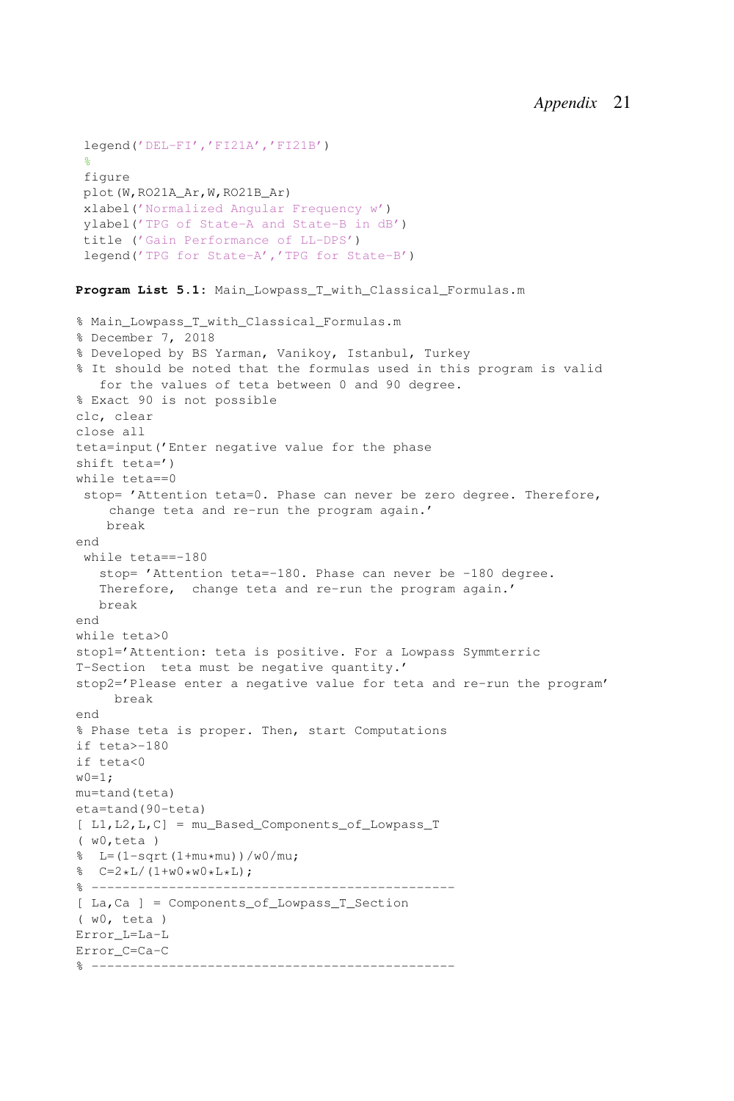```
legend('DEL-FI','FI21A','FI21B')
%
figure
plot(W,RO21A_Ar,W,RO21B_Ar)
xlabel('Normalized Angular Frequency w')
ylabel('TPG of State-A and State-B in dB')
title ('Gain Performance of LL-DPS')
legend('TPG for State-A','TPG for State-B')
```
**Program List 5.1:** Main\_Lowpass\_T\_with\_Classical\_Formulas.m

```
% Main_Lowpass_T_with_Classical_Formulas.m
% December 7, 2018
% Developed by BS Yarman, Vanikoy, Istanbul, Turkey
% It should be noted that the formulas used in this program is valid
  for the values of teta between 0 and 90 degree.
% Exact 90 is not possible
clc, clear
close all
teta=input('Enter negative value for the phase
shift teta=')
while teta==0
 stop= 'Attention teta=0. Phase can never be zero degree. Therefore,
    change teta and re-run the program again.'
    break
end
 while teta==-180
   stop= 'Attention teta=-180. Phase can never be -180 degree.
   Therefore, change teta and re-run the program again.'
   break
end
while teta>0
stop1='Attention: teta is positive. For a Lowpass Symmterric
T-Section teta must be negative quantity.'
stop2='Please enter a negative value for teta and re-run the program'
     break
end
% Phase teta is proper. Then, start Computations
if teta>-180
if teta<0
w0=1;mu=tand(teta)
eta=tand(90-teta)
[ L1,L2,L,C] = mu_Based_Components_of_Lowpass_T
( w0,teta )
\frac{1}{6} L=(1-sqrt(1+mu*mu))/w0/mu;
\text{C=2*L}/(1+\text{W0*W0*L*L});% -----------------------------------------------
[ La,Ca ] = Components_of_Lowpass_T_Section
( w0, teta )
Error_L=La-L
Error_C=Ca-C
% -----------------------------------------------
```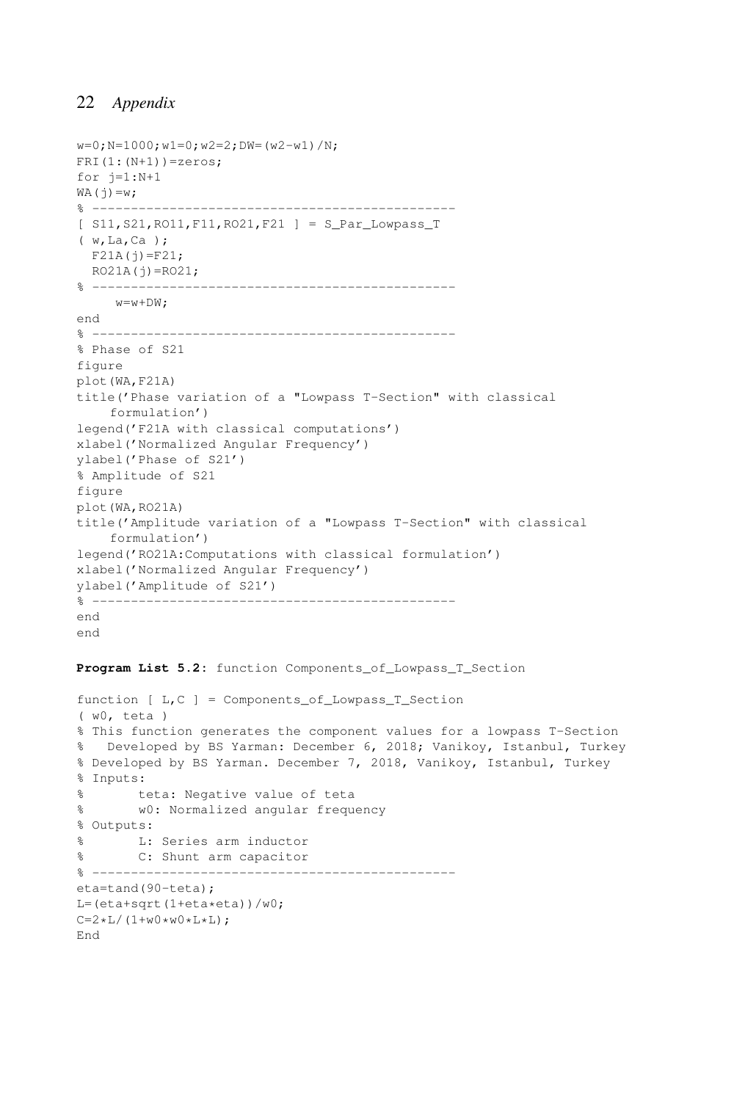```
w=0; N=1000; w1=0; w2=2; DW= (w2-w1) /N;
FRI(1:(N+1))=zeros;
for i=1:N+1WA(j)=w;% -----------------------------------------------
[ S11, S21, RO11, F11, RO21, F21 ] = S Par Lowpass T
( w,La,Ca );
  F21A(j)=F21;RO21A(j) = RO21;% -----------------------------------------------
     w = w + DW\cdotend
% -----------------------------------------------
% Phase of S21
figure
plot(WA,F21A)
title('Phase variation of a "Lowpass T-Section" with classical
    formulation')
legend('F21A with classical computations')
xlabel('Normalized Angular Frequency')
ylabel('Phase of S21')
% Amplitude of S21
figure
plot(WA,RO21A)
title('Amplitude variation of a "Lowpass T-Section" with classical
    formulation')
legend('RO21A:Computations with classical formulation')
xlabel('Normalized Angular Frequency')
ylabel('Amplitude of S21')
% -----------------------------------------------
end
end
```
Program List 5.2: function Components of Lowpass T Section

```
function [ L,C ] = Components_of_Lowpass_T_Section
( w0, teta )
% This function generates the component values for a lowpass T-Section
% Developed by BS Yarman: December 6, 2018; Vanikoy, Istanbul, Turkey
% Developed by BS Yarman. December 7, 2018, Vanikoy, Istanbul, Turkey
% Inputs:
% teta: Negative value of teta
% w0: Normalized angular frequency
% Outputs:
% L: Series arm inductor
% C: Shunt arm capacitor
% -----------------------------------------------
eta=tand(90-teta);
L = (eta + sqrt(1 + eta * eta)) / w0;C=2*L/(1+w0*w0*L*L);End
```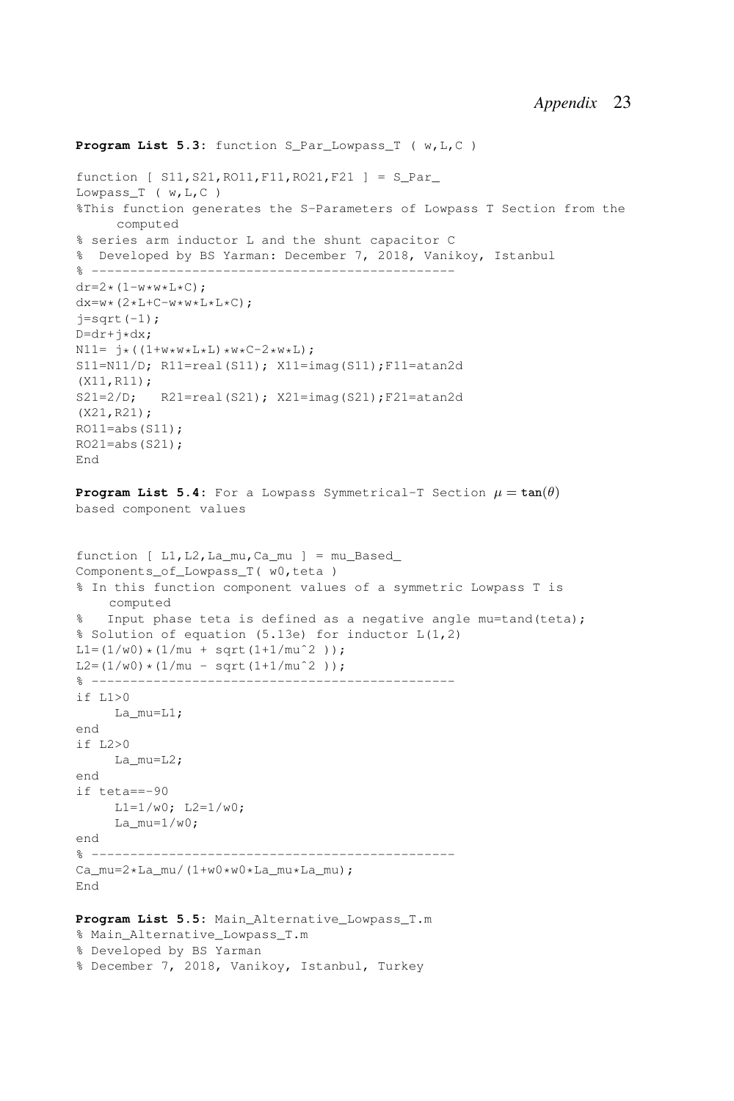```
Program List 5.3: function S Par Lowpass T ( w, L,C )
function [ SI1, S21, RO11, F11, RO21, F21] = S ParLowpass_T ( w,L,C )
%This function generates the S-Parameters of Lowpass T Section from the
     computed
% series arm inductor L and the shunt capacitor C
% Developed by BS Yarman: December 7, 2018, Vanikoy, Istanbul
% -----------------------------------------------
dr=2*(1-w*w*L*C);dx=w*(2*L+C-w*w*L*L*C);j=sqrt(-1);D=dr+i\star dx;
N11 = j * ((1+w*w * L * L) * w * C-2*wk L);S11=N11/D; R11=real(S11); X11=imag(S11);F11=atan2d
(X11,R11);
S21=2/D; R21=real(S21); X21=imag(S21);F21=atan2d
(X21,R21);
RO11 = abs(S11);RO21 = abs(S21);End
Program List 5.4: For a Lowpass Symmetrical-T Section \mu = \tan(\theta)based component values
function [ L1,L2,La_mu,Ca_mu ] = mu_Based_
Components_of_Lowpass_T( w0,teta )
% In this function component values of a symmetric Lowpass T is
    computed
% Input phase teta is defined as a negative angle mu=tand(teta);
% Solution of equation (5.13e) for inductor L(1,2)
L1=(1/w0)*(1/mu + sqrt(1+1/mu^2));
L2 = (1/w0) * (1/mu - sqrt(1+1/mu^2));
% -----------------------------------------------
if L1>0
    La_mu=L1;
end
if L2>0
     La_mu=L2;
end
if teta==-90
     L1=1/w0; L2=1/w0;
     La_{mu=1/w0;}end
% -----------------------------------------------
Ca_mu=2*La_mu/(1+w0*w0*La_mu*La_mu);
End
Program List 5.5: Main_Alternative_Lowpass_T.m
% Main Alternative Lowpass T.m
```

```
% Developed by BS Yarman
```

```
% December 7, 2018, Vanikoy, Istanbul, Turkey
```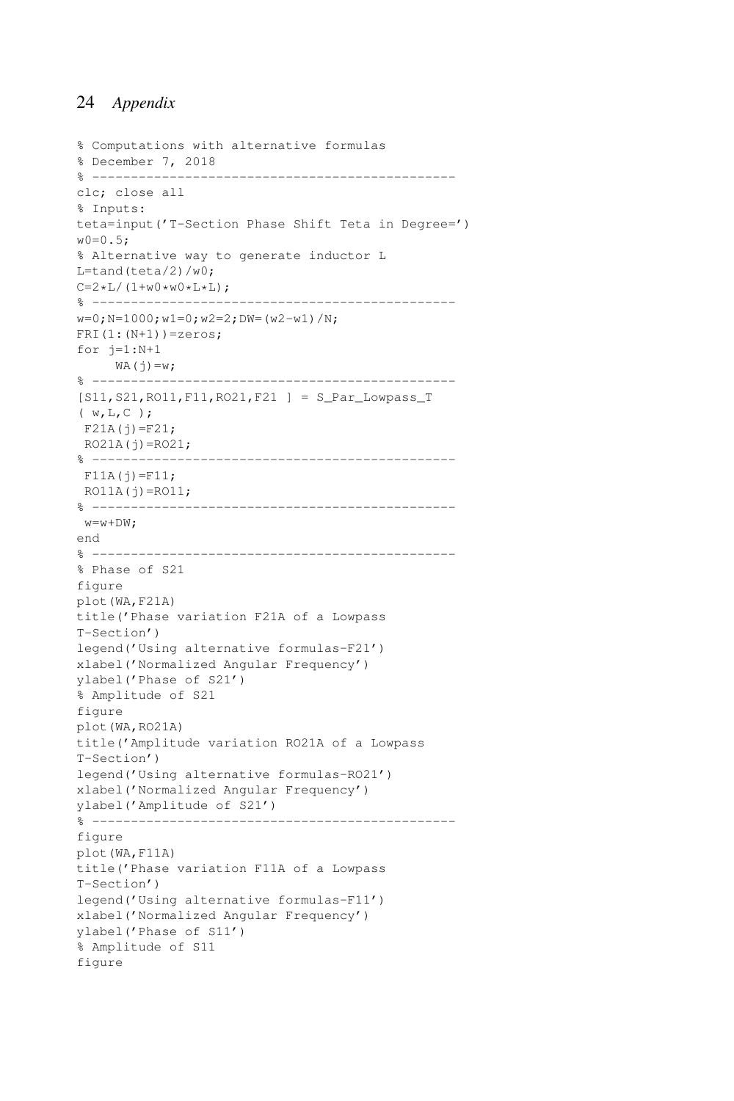```
% Computations with alternative formulas
% December 7, 2018
% -----------------------------------------------
clc; close all
% Inputs:
teta=input('T-Section Phase Shift Teta in Degree=')
w0=0.5:
% Alternative way to generate inductor L
L = \tanh(teta/2)/w0;
C=2*L/(1+w0*w0*L*L);% -----------------------------------------------
w=0; N=1000; w1=0; w2=2; DW= (w2-w1)/N;
FRI(1:(N+1))=zeros;
for i=1:N+1WA(j)=w;% -----------------------------------------------
[S11,S21,RO11,F11,RO21,F21 ] = S_Par_Lowpass_T
( w,L,C );
F21A(j)=F21;RO21A(j) = RO21;% -----------------------------------------------
F11A(j)=F11;RO11A(j) = RO11;% -----------------------------------------------
w=w+DW;end
% -----------------------------------------------
% Phase of S21
figure
plot(WA,F21A)
title('Phase variation F21A of a Lowpass
T-Section')
legend('Using alternative formulas-F21')
xlabel('Normalized Angular Frequency')
ylabel('Phase of S21')
% Amplitude of S21
figure
plot(WA,RO21A)
title('Amplitude variation RO21A of a Lowpass
T-Section')
legend('Using alternative formulas-RO21')
xlabel('Normalized Angular Frequency')
ylabel('Amplitude of S21')
% -----------------------------------------------
figure
plot(WA,F11A)
title('Phase variation F11A of a Lowpass
T-Section')
legend('Using alternative formulas-F11')
xlabel('Normalized Angular Frequency')
ylabel('Phase of S11')
% Amplitude of S11
figure
```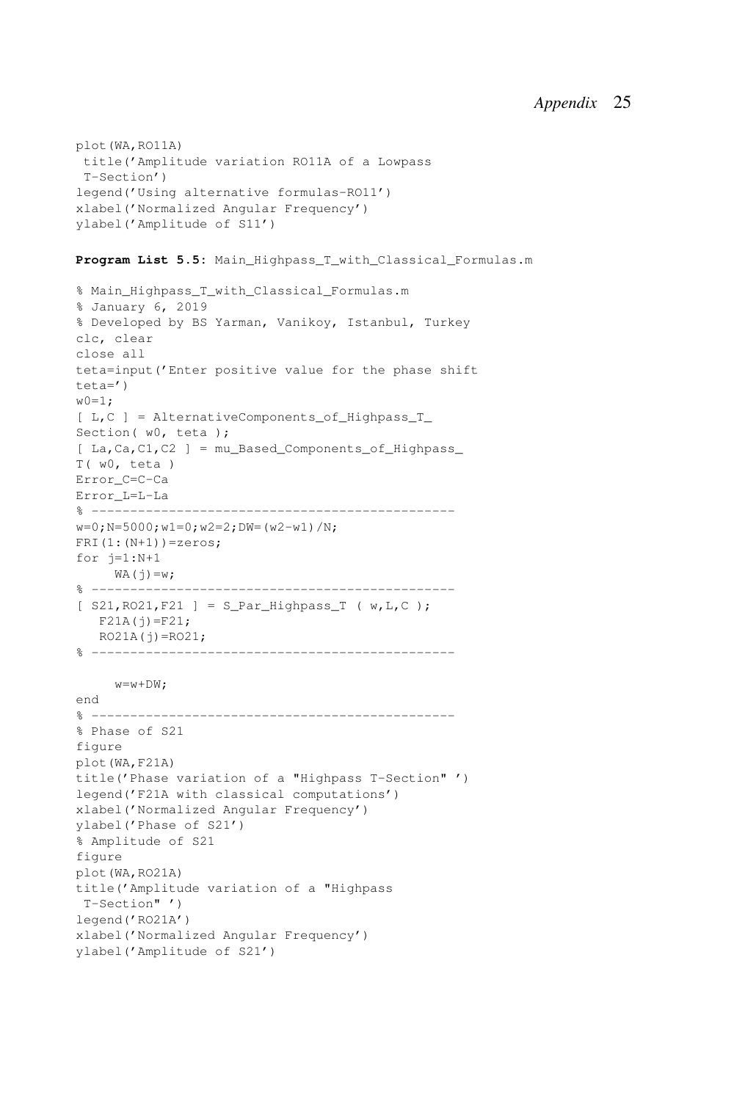```
plot(WA,RO11A)
title('Amplitude variation RO11A of a Lowpass
T-Section')
legend('Using alternative formulas-RO11')
xlabel('Normalized Angular Frequency')
ylabel('Amplitude of S11')
```

```
Program List 5.5: Main Highpass T with Classical Formulas.m
```

```
% Main_Highpass_T_with_Classical_Formulas.m
% January 6, 2019
% Developed by BS Yarman, Vanikoy, Istanbul, Turkey
clc, clear
close all
teta=input('Enter positive value for the phase shift
teta=')
w0=1:
[ L,C ] = AlternativeComponents of Highpass T
Section( w0, teta );
[ La,Ca,C1,C2 ] = mu_Based_Components_of_Highpass_
T( w0, teta )
Error_C=C-Ca
Error_L=L-La
% -----------------------------------------------
w=0; N=5000; w1=0; w2=2; DW= (w2-w1) /N;
FRI(1:(N+1))=zeros;
for j=1:N+1WA(j)=w;% -----------------------------------------------
[ S21,RO21,F21 ] = S_Par_Highpass_T ( w,L,C );
  F21A(i) = F21:
  RO21A(j) = RO21;% -----------------------------------------------
    w= w+DW:
end
% -----------------------------------------------
% Phase of S21
figure
plot(WA,F21A)
title('Phase variation of a "Highpass T-Section" ')
legend('F21A with classical computations')
xlabel('Normalized Angular Frequency')
ylabel('Phase of S21')
% Amplitude of S21
figure
plot(WA,RO21A)
title('Amplitude variation of a "Highpass
T-Section" ')
legend('RO21A')
xlabel('Normalized Angular Frequency')
ylabel('Amplitude of S21')
```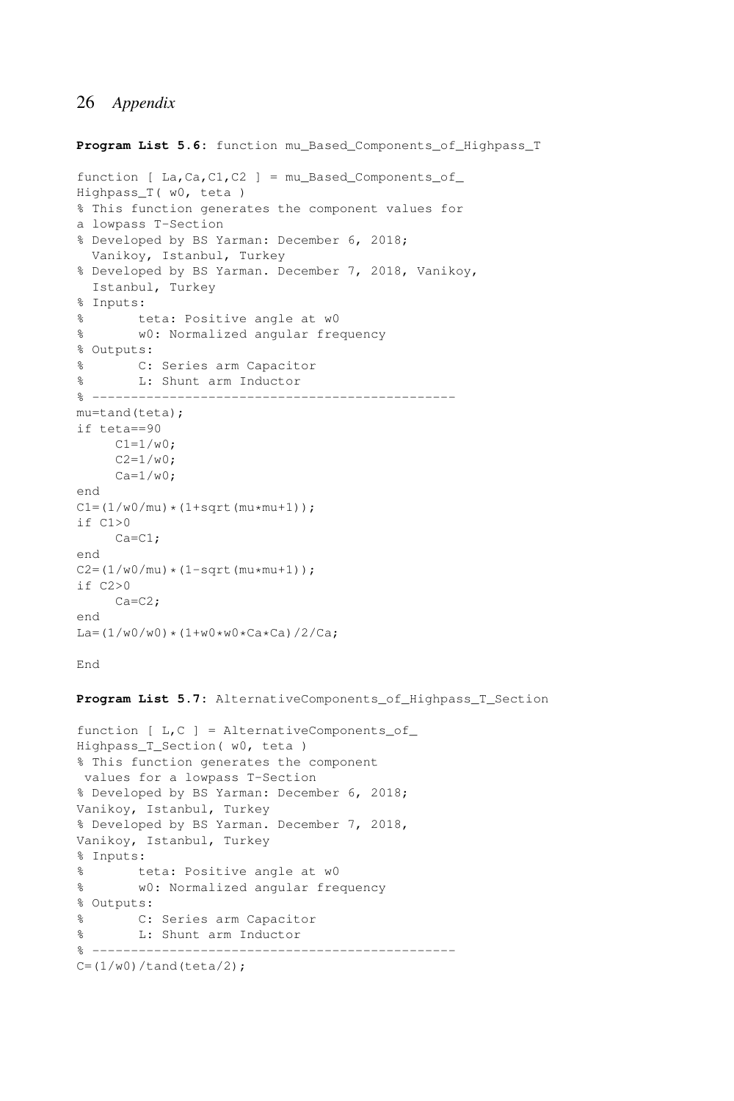Program List 5.6: function mu Based Components of Highpass T function  $[ La, Ca, C1, C2 ] = mu_Based\_Components_of$ 

```
Highpass_T( w0, teta )
% This function generates the component values for
a lowpass T-Section
% Developed by BS Yarman: December 6, 2018;
  Vanikoy, Istanbul, Turkey
% Developed by BS Yarman. December 7, 2018, Vanikoy,
 Istanbul, Turkey
% Inputs:
       teta: Positive angle at w0
% w0: Normalized angular frequency
% Outputs:
% C: Series arm Capacitor
% L: Shunt arm Inductor
\frac{6}{6} -------
mu=tand(teta);
if teta==90
    C1 = 1/w0;C2 = 1/w0:
    Ca=1/w0;
end
C1 = (1/w0/mu) * (1 + sqrt(mu *mu + 1));
if C1>0Ca=C1;
end
C2 = (1/w0/mu) * (1-sqrt(mu*mu+1));if C2>0
    Ca=C2;
end
La=(1/w0/w0)*(1+w0*w0*Ca*Ca)/2/Ca;
```

```
End
```
**Program List 5.7:** AlternativeComponents\_of\_Highpass\_T\_Section

```
function [L, C] = AlternativeComponents of
Highpass_T_Section( w0, teta )
% This function generates the component
values for a lowpass T-Section
% Developed by BS Yarman: December 6, 2018;
Vanikoy, Istanbul, Turkey
% Developed by BS Yarman. December 7, 2018,
Vanikoy, Istanbul, Turkey
% Inputs:
% teta: Positive angle at w0
% w0: Normalized angular frequency
% Outputs:
% C: Series arm Capacitor
% L: Shunt arm Inductor
% -----------------------------------------------
C = (1/w0) / \tanh(\text{teta}/2);
```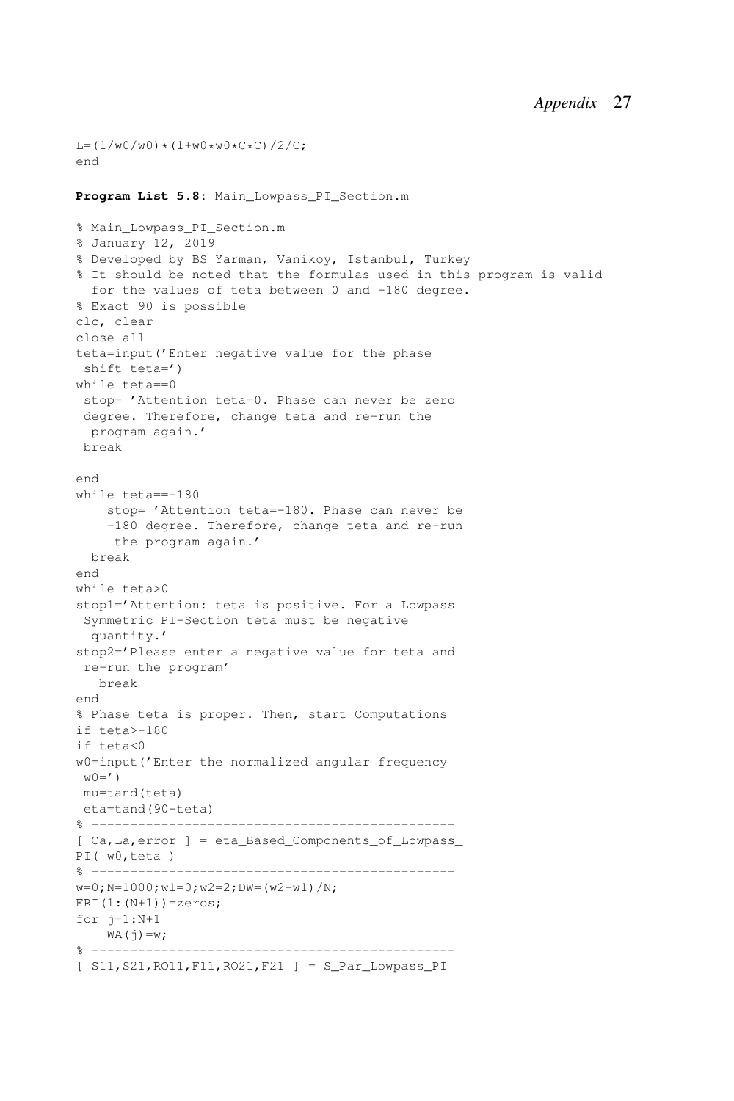```
L = (1/w0/w0) * (1+w0*w0*C*C)/2/C;end
Program List 5.8: Main_Lowpass_PI_Section.m
% Main_Lowpass_PI_Section.m
% January 12, 2019
% Developed by BS Yarman, Vanikoy, Istanbul, Turkey
% It should be noted that the formulas used in this program is valid
 for the values of teta between 0 and -180 degree.
% Exact 90 is possible
clc, clear
close all
teta=input('Enter negative value for the phase
shift teta=')
while teta==0
stop= 'Attention teta=0. Phase can never be zero
degree. Therefore, change teta and re-run the
 program again.'
break
end
while teta==-180
   stop= 'Attention teta=-180. Phase can never be
    -180 degree. Therefore, change teta and re-run
    the program again.'
 break
end
while teta>0
stop1='Attention: teta is positive. For a Lowpass
Symmetric PI-Section teta must be negative
 quantity.'
stop2='Please enter a negative value for teta and
re-run the program'
  break
end
% Phase teta is proper. Then, start Computations
if teta>-180
if teta<0
w0=input('Enter the normalized angular frequency
w0 = ')
mu=tand(teta)
eta=tand(90-teta)
% -----------------------------------------------
[ Ca,La,error ] = eta_Based_Components_of_Lowpass_
PI( w0,teta )
% -----------------------------------------------
w=0; N=1000; w1=0; w2=2; DW=(w2-w1)/N;
FRI(1:(N+1))=zeros;
for j=1:N+1WA(j)=w;% -----------------------------------------------
[ S11,S21,RO11,F11,RO21,F21 ] = S_Par_Lowpass_PI
```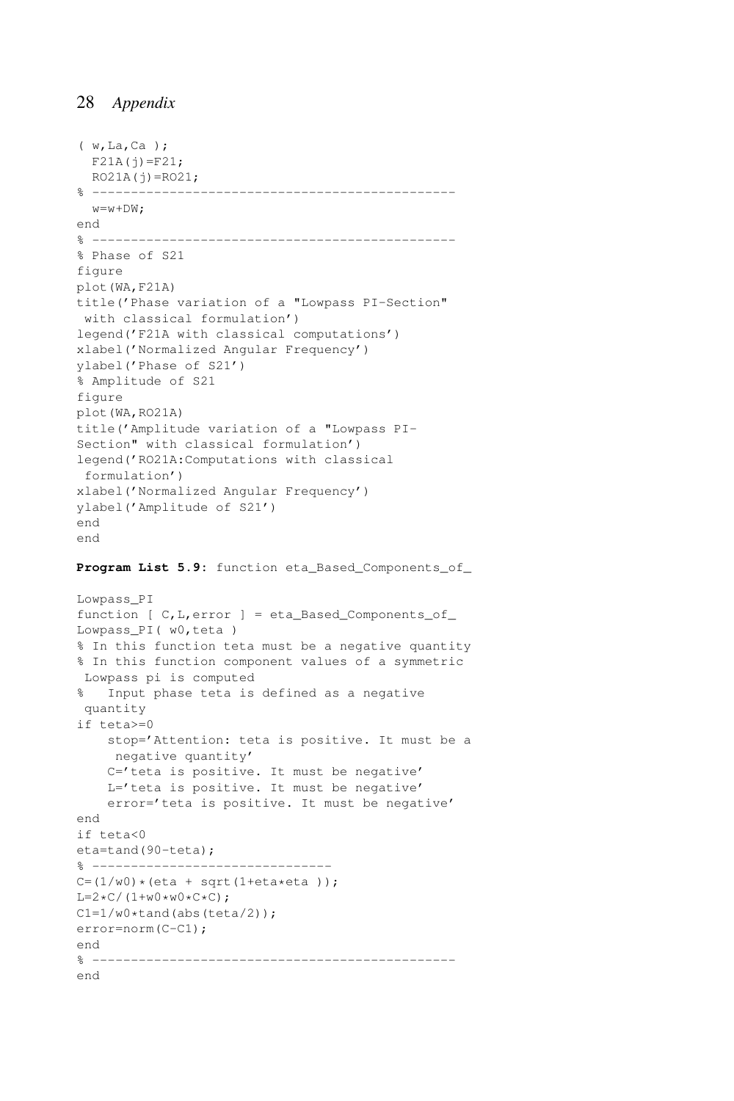```
( w,La,Ca );
 F21A(j)=F21;RO21A(i) = RO21;
% -----------------------------------------------
 w=w+DW:
end
% -----------------------------------------------
% Phase of S21
figure
plot(WA,F21A)
title('Phase variation of a "Lowpass PI-Section"
with classical formulation')
legend('F21A with classical computations')
xlabel('Normalized Angular Frequency')
ylabel('Phase of S21')
% Amplitude of S21
figure
plot(WA,RO21A)
title('Amplitude variation of a "Lowpass PI-
Section" with classical formulation')
legend('RO21A:Computations with classical
formulation')
xlabel('Normalized Angular Frequency')
ylabel('Amplitude of S21')
end
end
```
Program List 5.9: function eta Based Components of

```
Lowpass_PI
function [ C, L, error ] = eta_Based_Components_of_Lowpass_PI( w0,teta )
% In this function teta must be a negative quantity
% In this function component values of a symmetric
Lowpass pi is computed
% Input phase teta is defined as a negative
quantity
if teta>=0
   stop='Attention: teta is positive. It must be a
    negative quantity'
    C='teta is positive. It must be negative'
   L='teta is positive. It must be negative'
   error='teta is positive. It must be negative'
end
if teta<0
eta=tand(90-teta);
% -------------------------------
C = (1/w0) * (eta + sqrt(1 + eta * eta)));
L=2*C/(1+w0*w0*C*C);C1=1/w0*tand(abs(teta/2));
error=norm(C-C1);
end
% -----------------------------------------------
end
```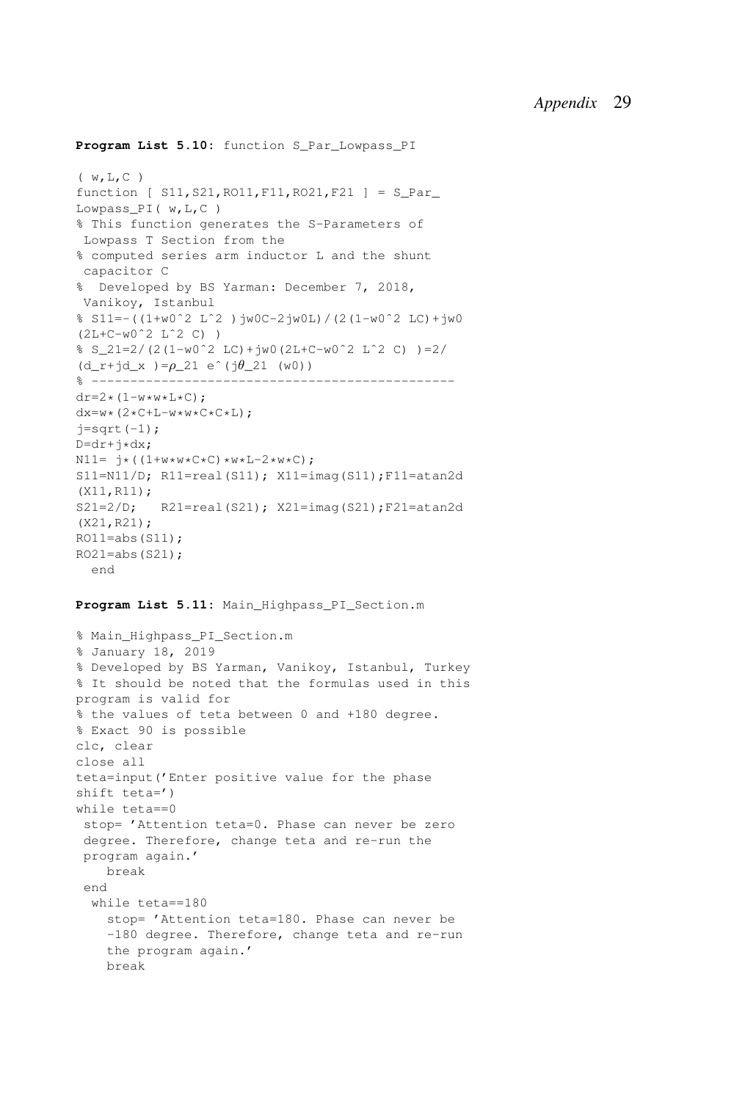```
Program List 5.10: function S Par Lowpass PI
```

```
( w,L,C )
function [ S11,S21,RO11,F11,RO21,F21 ] = S_Par_
Lowpass_PI( w,L,C )
% This function generates the S-Parameters of
Lowpass T Section from the
% computed series arm inductor L and the shunt
capacitor C
% Developed by BS Yarman: December 7, 2018,
Vanikoy, Istanbul
% S11=-((1+w0ˆ2 Lˆ2 )jw0C-2jw0L)/(2(1-w0ˆ2 LC)+jw0
(2L+C-w0ˆ2 Lˆ2 C) )
\frac{1}{2} S 21=2/(2(1-w0^2 LC)+jw0(2L+C-w0^2 L^2 C) )=2/
(d_r+jd_x) = \rho_2 1 e^{(j\theta_2 1 (w0))}% -----------------------------------------------
dr=2*(1-w*w*L*C);dx=w*(2*C+L-w*w*C*C*L);j=sqrt(-1);D=dr+i*dx;N11 = j*( (1+w*w*C*C) *w*L-2*w*C);S11=N11/D; R11=real(S11); X11=imag(S11); F11=atan2d
(X11,R11);
S21=2/D; R21=real(S21); X21=imag(S21);F21=atan2d
(X21,R21);
RO11=abs(S11);RO21 = abs(S21):
 end
```
#### Program List 5.11: Main Highpass PI Section.m

```
% Main_Highpass_PI_Section.m
% January 18, 2019
% Developed by BS Yarman, Vanikoy, Istanbul, Turkey
% It should be noted that the formulas used in this
program is valid for
% the values of teta between 0 and +180 degree.
% Exact 90 is possible
clc, clear
close all
teta=input('Enter positive value for the phase
shift teta=')
while teta==0
stop= 'Attention teta=0. Phase can never be zero
degree. Therefore, change teta and re-run the
program again.'
    break
 end
  while teta==180
    stop= 'Attention teta=180. Phase can never be
    -180 degree. Therefore, change teta and re-run
   the program again.'
    break
```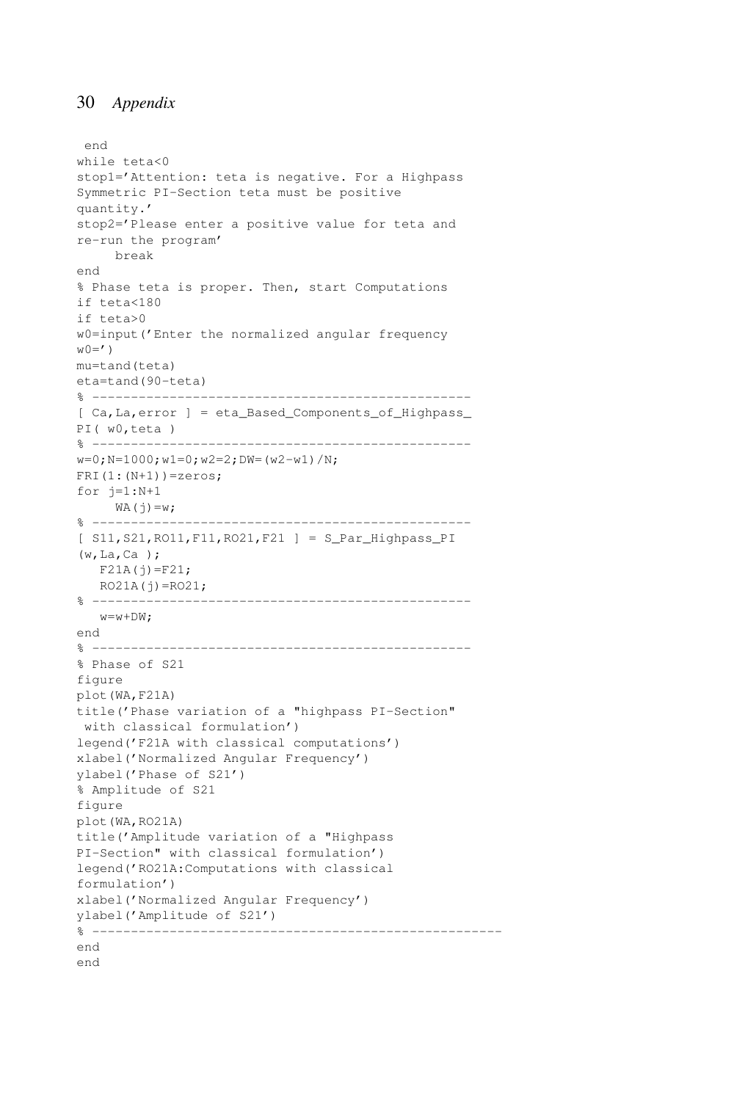```
end
while teta<0
stop1='Attention: teta is negative. For a Highpass
Symmetric PI-Section teta must be positive
quantity.'
stop2='Please enter a positive value for teta and
re-run the program'
     break
end
% Phase teta is proper. Then, start Computations
if teta<180
if teta>0
w0=input('Enter the normalized angular frequency
W() = 'mu=tand(teta)
eta=tand(90-teta)
% -------------------------------------------------
[ Ca,La,error ] = eta_Based_Components_of_Highpass_
PI( w0,teta )
% -------------------------------------------------
w=0; N=1000; w1=0; w2=2; DW= (w2-w1) /N;
FRI(1:(N+1))=zeros;
for i=1:N+1WA(j)=w;% -------------------------------------------------
[ S11,S21,RO11,F11,RO21,F21 ] = S_Par_Highpass_PI
(w,La,Ca );
  F21A(j)=F21;RO21A(j) = RO21;% -------------------------------------------------
  w=w+DW;end
% -------------------------------------------------
% Phase of S21
figure
plot(WA,F21A)
title('Phase variation of a "highpass PI-Section"
with classical formulation')
legend('F21A with classical computations')
xlabel('Normalized Angular Frequency')
ylabel('Phase of S21')
% Amplitude of S21
figure
plot(WA,RO21A)
title('Amplitude variation of a "Highpass
PI-Section" with classical formulation')
legend('RO21A:Computations with classical
formulation')
xlabel('Normalized Angular Frequency')
ylabel('Amplitude of S21')
% -----------------------------------------------------
end
end
```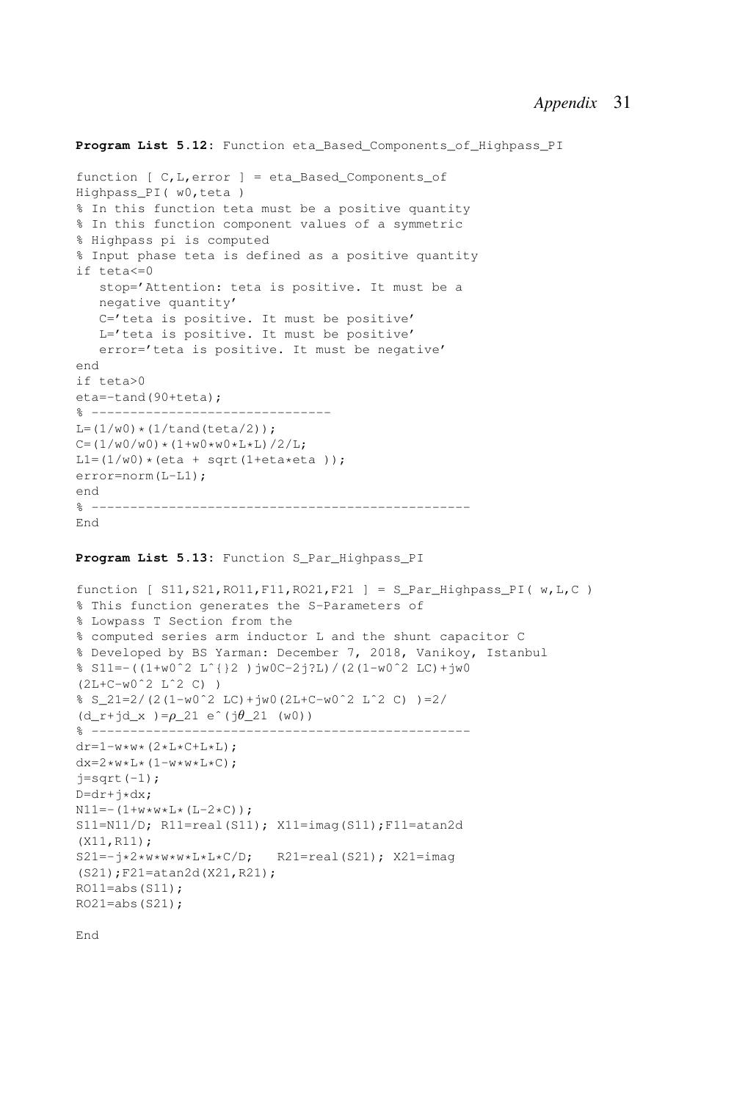```
Program List 5.12: Function eta Based Components of Highpass PI
function [ C, L, error ] = eta Based Components of
Highpass_PI( w0,teta )
% In this function teta must be a positive quantity
% In this function component values of a symmetric
% Highpass pi is computed
% Input phase teta is defined as a positive quantity
if teta<=0
   stop='Attention: teta is positive. It must be a
  negative quantity'
  C='teta is positive. It must be positive'
   L='teta is positive. It must be positive'
   error='teta is positive. It must be negative'
end
if teta>0
eta=-tand(90+teta);
% -------------------------------
L = (1/w0) * (1/tand(teta/2));
C = (1/w0/w0) * (1+w0*w0*L*L)/2/L;LI=(1/w0)*(eta + sqrt(1+eta*eta));
error=norm(L-L1);
end
% -------------------------------------------------
End
```
#### **Program List 5.13:** Function S\_Par\_Highpass\_PI

```
function [ SI1, S21, R011, F11, R021, F21 ] = S_{Par} Highpass_PI( w, L, C )
% This function generates the S-Parameters of
% Lowpass T Section from the
% computed series arm inductor L and the shunt capacitor C
% Developed by BS Yarman: December 7, 2018, Vanikoy, Istanbul
% S11=-((1+w0ˆ2 Lˆ{}2 )jw0C-2j?L)/(2(1-w0ˆ2 LC)+jw0
(2L+C-w0ˆ2 Lˆ2 C) )
% S_21=2/(2(1-w0ˆ2 LC)+jw0(2L+C-w0ˆ2 Lˆ2 C) )=2/
(d r+jd x )=\rho 21 e^(j\theta 21 (w0))
% -------------------------------------------------
dr=1-w*w*(2*L*C+L*L);dx=2*w*L*(1-w*w*L*C);j=sqrt(-1);D=dr+j*dx;N11 = -(1+w*w*L*(L-2*C));
S11=N11/D; R11=real(S11); X11=imag(S11); F11=atan2d
(X11,R11);
S21=-j*2*w*w*v*L*L*C/D; R21=real(S21); X21=imag
(S21);F21=atan2d(X21,R21);
RO11 = abs(S11);RO21 = abs(S21);
```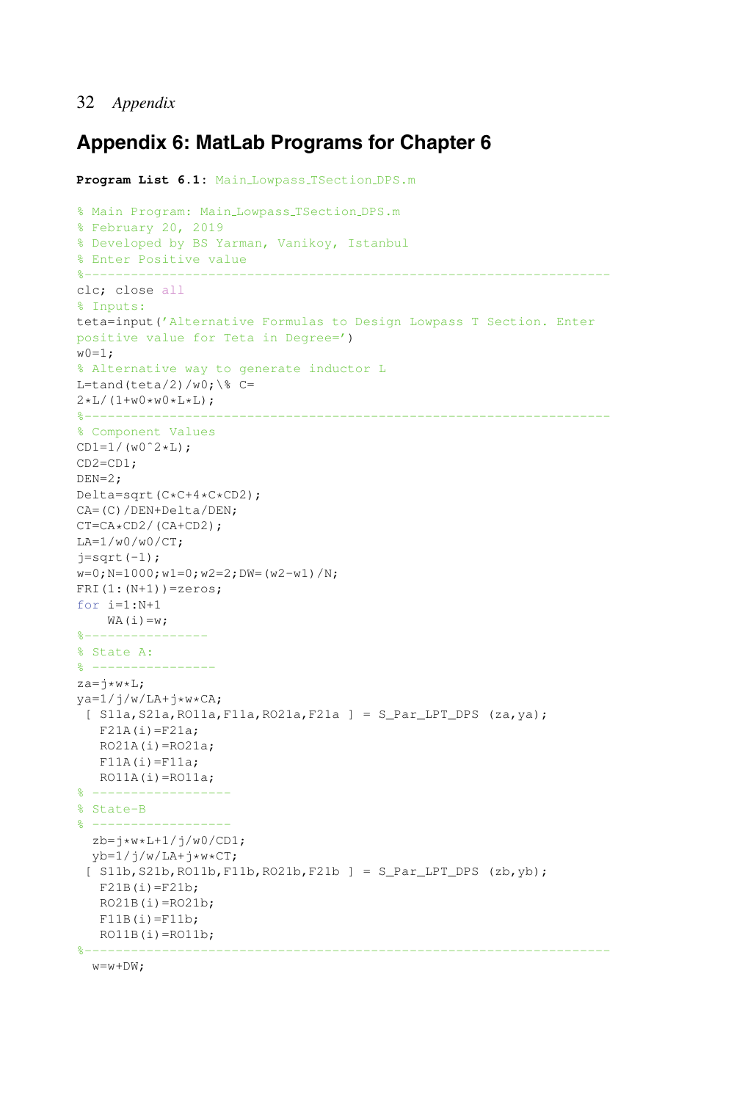## **Appendix 6: MatLab Programs for Chapter 6**

```
Program List 6.1: Main Lowpass TSection DPS.m
% Main Program: Main Lowpass TSection DPS.m
% February 20, 2019
% Developed by BS Yarman, Vanikoy, Istanbul
% Enter Positive value
%--------------------------------------------------------------------
clc; close all
% Inputs:
teta=input('Alternative Formulas to Design Lowpass T Section. Enter
positive value for Teta in Degree=')
w(0=1;% Alternative way to generate inductor L
L=tand(teta/2)/w0;\° C=
2*L/(1+w0*w0*L*L):
%--------------------------------------------------------------------
% Component Values
CD1=1/(w0^2*L);CD2=CD1;
DEN=2;
Delta=sqrt(C*C+4*C*CD2);
CA=(C)/DEN+Delta/DEN;
CT=CA*CD2/(CA+CD2);
LA=1/w0/w0/CT;
j=sqrt(-1);w=0;N=1000;w1=0;w2=2;DW=(w2-w1)/N;
FRI(1:(N+1))=zeros;
for i=1:N+1
   WA(i)=w;%----------------
% State A:
\frac{6}{6} ---------
z = i * w * L;
ya=1/j/w/LA+j*w*CA;[ S11a, S21a, RO11a, F11a, RO21a, F21a ] = S_{\text{par\_LPT\_DPS}} (za, ya);
   F21A(i)=F21a;RO21A(i) = RO21a;F11A(i)=F11a;RO11A(i) = RO11a;% ------------------
% State-B
% ------------------
  zb=j*w*L+1/j/w0/CD1;
  yb=1/j/w/LA+j*w*CT;[ S11b, S21b, RO11b, F11b, RO21b, F21b ] = S_Par_LPT_DPS (zb, yb);
   F21B(i)=F21b;RO21B(i)=RO21b;F11B(i)=F11b;RO11B(i)=RO11b;%--------------------------------------------------------------------
```

```
w=w+DW;
```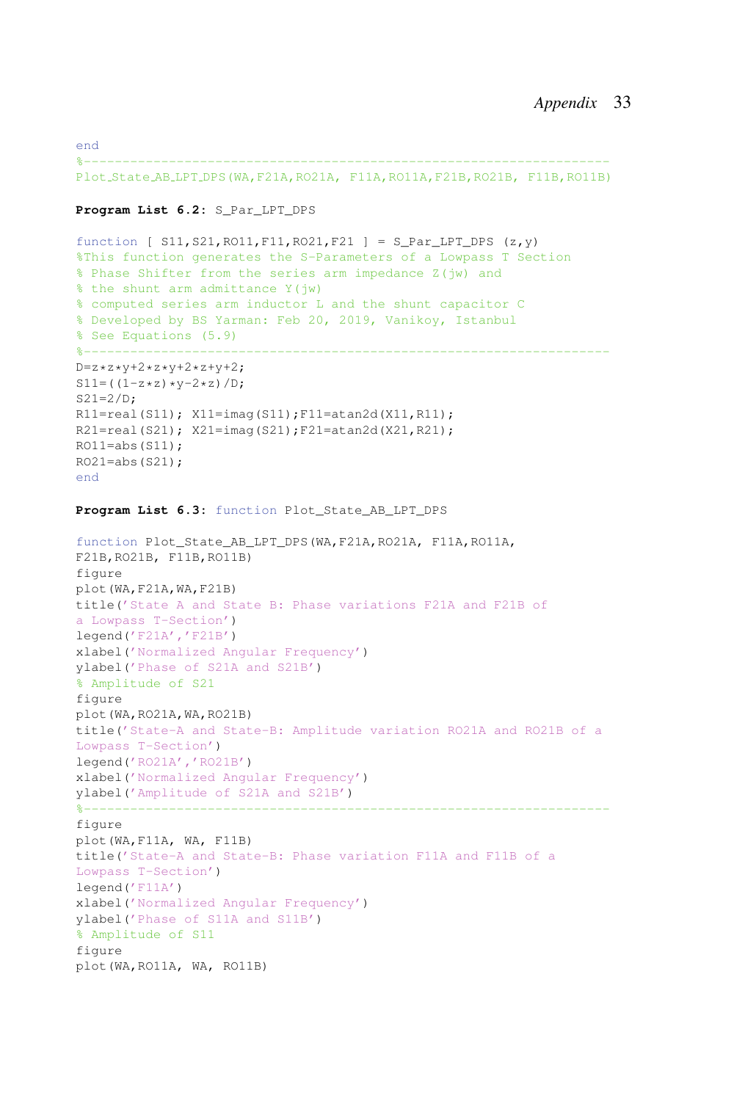end %-------------------------------------------------------------------- Plot State AB LPT DPS(WA,F21A,RO21A, F11A,RO11A,F21B,RO21B, F11B,RO11B)

#### **Program List 6.2:** S\_Par\_LPT\_DPS

```
function [ S11, S21, RO11, F11, RO21, F21 ] = S_Par_LPT_DPS (z, y)%This function generates the S-Parameters of a Lowpass T Section
% Phase Shifter from the series arm impedance Z(jw) and
% the shunt arm admittance Y(jw)
% computed series arm inductor L and the shunt capacitor C
% Developed by BS Yarman: Feb 20, 2019, Vanikoy, Istanbul
% See Equations (5.9)
%--------------------------------------------------------------------
D=z*z*y+2*z*y+2*z+y+2;S11= ((1-z*z)*y-2*z)/D;S21=2/D;R11=real(S11); X11=imag(S11);F11=atan2d(X11,R11);
R21=real(S21); X21=imaq(S21);F21=atan2d(X21,R21);
RO11 = abs(S11):
RO21 = abs(S21);
end
Program List 6.3: function Plot_State_AB_LPT_DPS
function Plot_State_AB_LPT_DPS(WA,F21A,RO21A, F11A,RO11A,
F21B,RO21B, F11B,RO11B)
figure
plot(WA,F21A,WA,F21B)
title('State A and State B: Phase variations F21A and F21B of
a Lowpass T-Section')
legend('F21A','F21B')
xlabel('Normalized Angular Frequency')
ylabel('Phase of S21A and S21B')
% Amplitude of S21
figure
plot(WA,RO21A,WA,RO21B)
title('State-A and State-B: Amplitude variation RO21A and RO21B of a
Lowpass T-Section')
legend('RO21A','RO21B')
xlabel('Normalized Angular Frequency')
ylabel('Amplitude of S21A and S21B')
%--------------------------------------------------------------------
figure
plot(WA,F11A, WA, F11B)
title('State-A and State-B: Phase variation F11A and F11B of a
Lowpass T-Section')
legend('F11A')
xlabel('Normalized Angular Frequency')
ylabel('Phase of S11A and S11B')
% Amplitude of S11
figure
plot(WA,RO11A, WA, RO11B)
```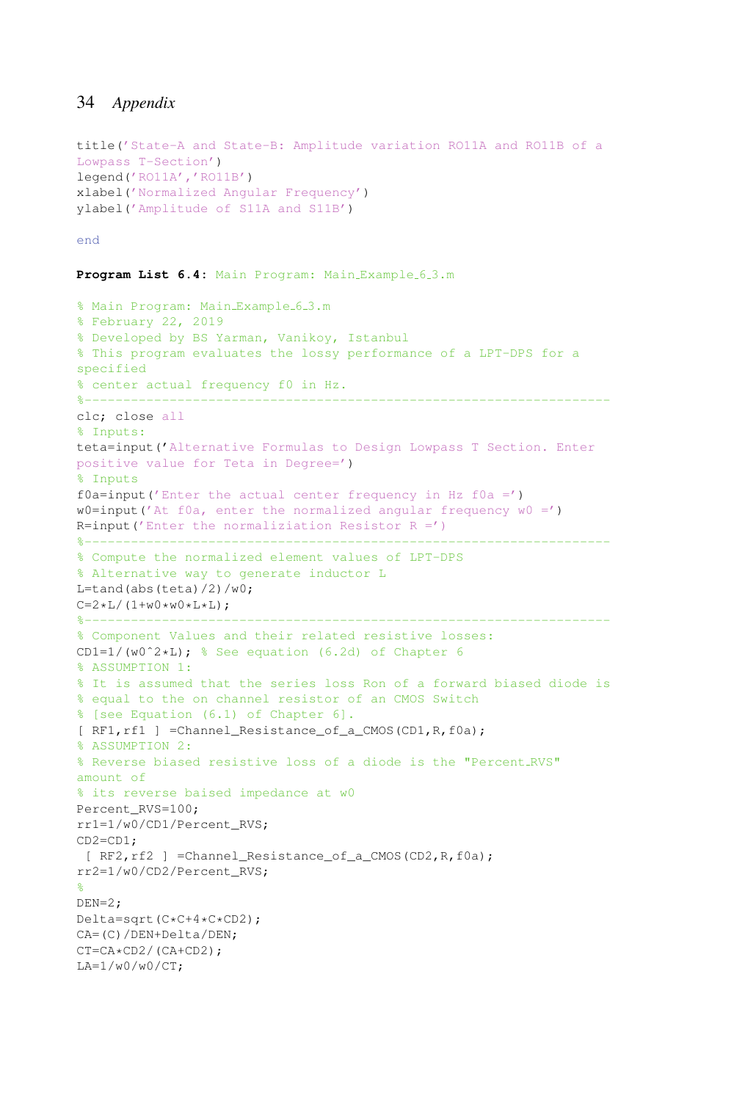```
title('State-A and State-B: Amplitude variation RO11A and RO11B of a
Lowpass T-Section')
legend('RO11A','RO11B')
xlabel('Normalized Angular Frequency')
ylabel('Amplitude of S11A and S11B')
```
#### end

```
Program List 6.4: Main Program: Main Example 6.3.m
```

```
% Main Program: Main_Example_6_3.m
% February 22, 2019
% Developed by BS Yarman, Vanikoy, Istanbul
% This program evaluates the lossy performance of a LPT-DPS for a
specified
% center actual frequency f0 in Hz.
%--------------------------------------------------------------------
clc; close all
% Inputs:
teta=input('Alternative Formulas to Design Lowpass T Section. Enter
positive value for Teta in Degree=')
% Inputs
f0a=input('Enter the actual center frequency in Hz f0a =')
w0=input('At f0a, enter the normalized angular frequency w0 = ')
R=input ('Enter the normaliziation Resistor R =')
%--------------------------------------------------------------------
% Compute the normalized element values of LPT-DPS
% Alternative way to generate inductor L
L=tand(abs(teta)/2)/w0;
C=2*L/(1+w0*w0*L*L);%--------------------------------------------------------------------
% Component Values and their related resistive losses:
CD1=1/(w0^2*L); % See equation (6.2d) of Chapter 6
% ASSUMPTION 1:
% It is assumed that the series loss Ron of a forward biased diode is
% equal to the on channel resistor of an CMOS Switch
% [see Equation (6.1) of Chapter 6].
[ RF1, rf1 ] =Channel Resistance of a CMOS(CD1, R, f0a);
% ASSUMPTION 2:
% Reverse biased resistive loss of a diode is the "Percent RVS"
amount of
% its reverse baised impedance at w0
Percent_RVS=100;
rr1=1/w0/CD1/Percent_RVS;
CD2=CD1;
 [ RF2, rf2 ] =Channel Resistance of a CMOS(CD2, R, f0a);
rr2=1/w0/CD2/Percent_RVS;
%
DEN=2;Delta=sqrt(C*C+4*C*CD2);
CA=(C)/DEN+Delta/DEN;
CT=CA*CD2/(CA+CD2);
LA=1/w0/w0/CT;
```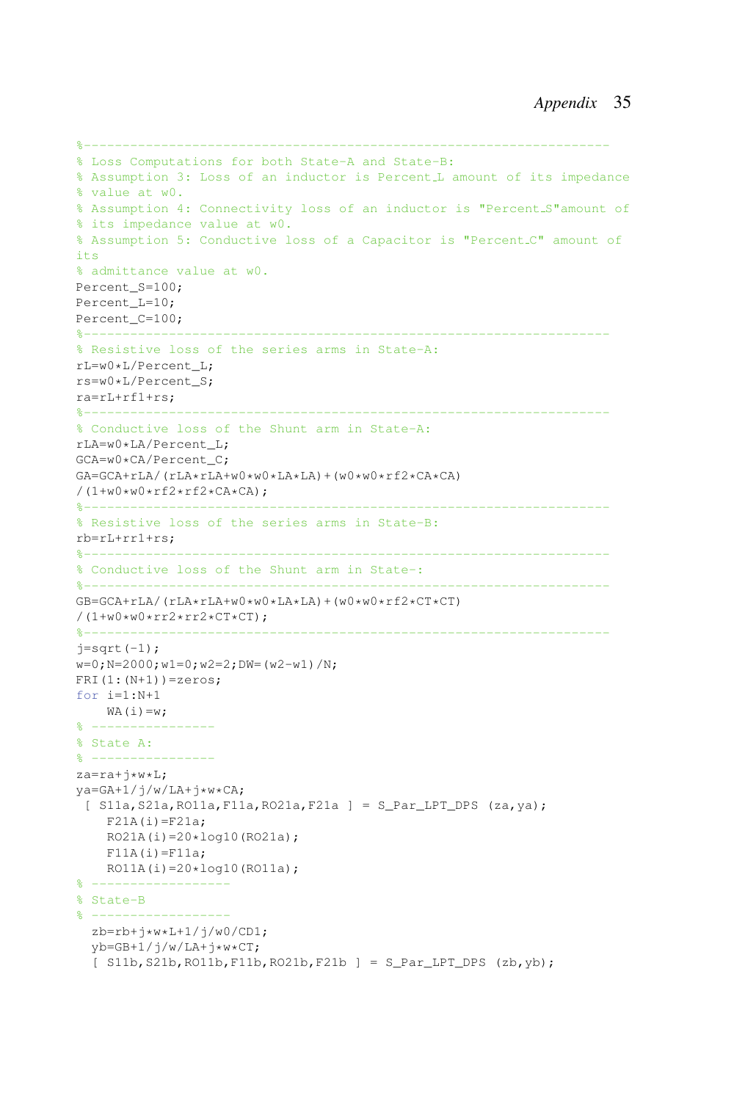```
%--------------------------------------------------------------------
% Loss Computations for both State-A and State-B:
% Assumption 3: Loss of an inductor is Percent L amount of its impedance
% value at w0.
% Assumption 4: Connectivity loss of an inductor is "Percent S"amount of
% its impedance value at w0.
% Assumption 5: Conductive loss of a Capacitor is "Percent C" amount of
its
% admittance value at w0.
Percent_S=100;
Percent_L=10;
Percent_C=100;
%--------------------------------------------------------------------
% Resistive loss of the series arms in State-A:
rL=w0*L/Percent_L;
rs=w0*L/Percent_S;
ra=rL+rf1+rs;
%--------------------------------------------------------------------
% Conductive loss of the Shunt arm in State-A:
rLA=w0*LA/Percent_L;
GCA=w0*CA/Percent_C;
GA=GCA+rLA/(rLA*rLA+w0*w0*LA*LA)+(w0*w0*rf2*CA*CA)
/(1+w0*w0*rf2*rf2*CA*CA);
% Resistive loss of the series arms in State-B:
rb=rL+rr1+rs;
%--------------------------------------------------------------------
% Conductive loss of the Shunt arm in State-:
%--------------------------------------------------------------------
GB=GCA+rLA/(rLA*rLA+W0*w0*LA*LA)+(w0*w0*rf2*CT*CT)/(1+w0*w0*rr2*rr2*CT*CT);%--------------------------------------------------------------------
j=sqrt(-1);w=0; N=2000; w1=0; w2=2; DW= (w2-w1) /N;
FRI(1:(N+1))=zeros;
for i=1:N+1
    WA(i)=w;% ----------------
% State A:
% ----------------
za=ra+j*w*L;
ya=GA+1/j/w/LA+j*w*CA;
 [ S11a,S21a,RO11a,F11a,RO21a,F21a ] = S_Par_LPT_DPS (za,ya);
    F21A(i)=F21a;RO21A(i)=20*log10(RO21a);F11A(i)=F11a;RO11A(i) = 20 * log10(RO11a);% ------------------
% State-B
% ------------------
  zb=rb+j*w*L+1/j/w0/CD1;
  vb=GB+1/j/w/LA+j*w*CT;
  [ S11b, S21b, R011b, F11b, R021b, F21b ] = S_\text{Par\_LPT\_DPS} (zb, yb);
```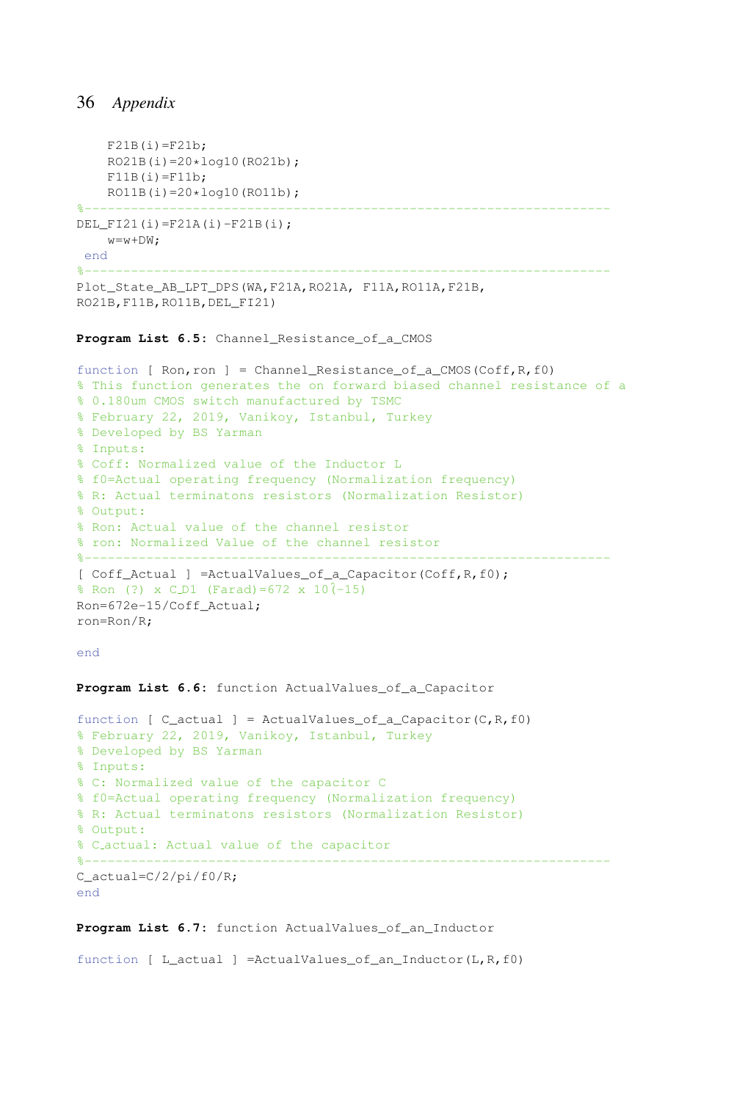```
F21B(i)=F21b;RO21B(i)=20*log10(RO21b);
F11B(i)=F11b;
RO11B(i)=20*log10(RO11b);
```

```
%--------------------------------------------------------------------
DEL FI21(i)=F21A(i)-F21B(i);
   w=w+DW;
```
end

```
%--------------------------------------------------------------------
```
Plot\_State\_AB\_LPT\_DPS(WA,F21A,RO21A, F11A,RO11A,F21B, RO21B,F11B,RO11B,DEL\_FI21)

#### Program List 6.5: Channel Resistance of a CMOS

```
function [ Ron, ron ] = Channel_Resistance_of_a_CMOS(Coff, R, f0)
% This function generates the on forward biased channel resistance of a
% 0.180um CMOS switch manufactured by TSMC
% February 22, 2019, Vanikoy, Istanbul, Turkey
% Developed by BS Yarman
% Inputs:
% Coff: Normalized value of the Inductor L
% f0=Actual operating frequency (Normalization frequency)
% R: Actual terminatons resistors (Normalization Resistor)
% Output:
% Ron: Actual value of the channel resistor
% ron: Normalized Value of the channel resistor
%--------------------------------------------------------------------
[ Coff_Actual ] =ActualValues_of_a_Capacitor(Coff,R,f0);
\text{Ron} (?) x C_D1 (Farad)=672 x 10(-15)Ron=672e-15/Coff_Actual;
ron=Ron/R;
```

```
end
```
**Program List 6.6:** function ActualValues\_of\_a\_Capacitor

```
function [ C_actual ] = ActualValues_of_a_Capacitor(C,R,f0)
% February 22, 2019, Vanikoy, Istanbul, Turkey
% Developed by BS Yarman
% Inputs:
% C: Normalized value of the capacitor C
% f0=Actual operating frequency (Normalization frequency)
% R: Actual terminatons resistors (Normalization Resistor)
% Output:
% C actual: Actual value of the capacitor
%--------------------------------------------------------------------
C_actual=C/2/pi/f0/R;
end
```
#### **Program List 6.7:** function ActualValues\_of\_an\_Inductor

function  $\lceil$  L actual  $\rceil$  =ActualValues of an Inductor(L,R,f0)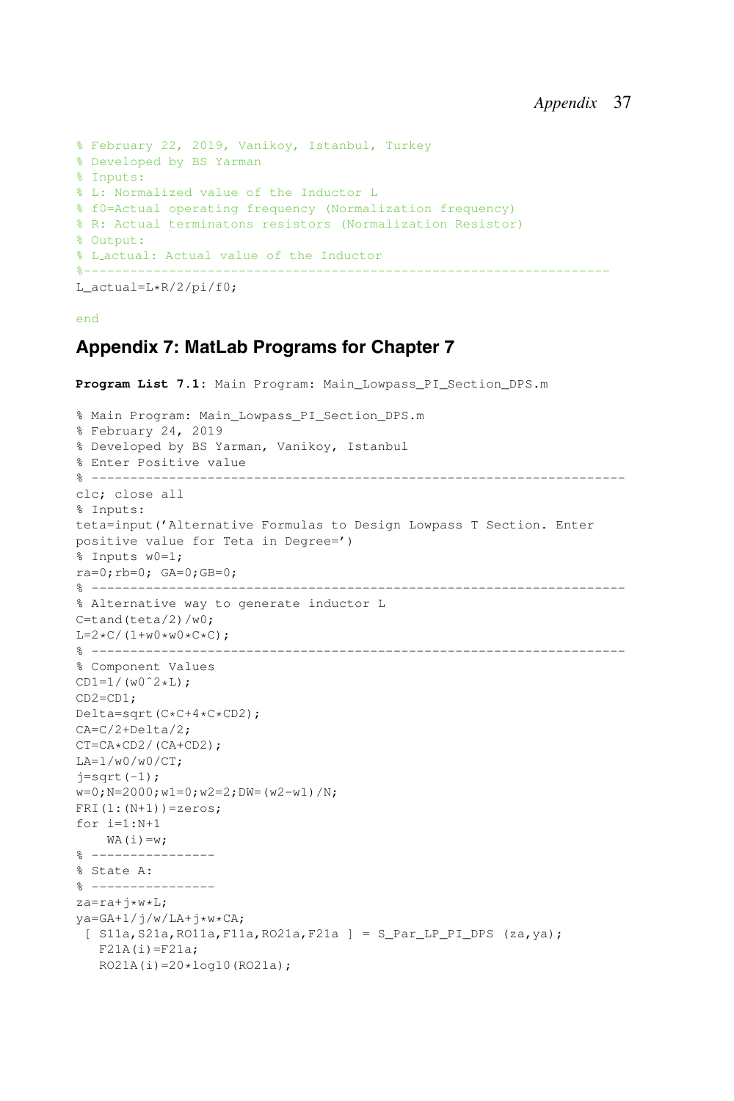```
% February 22, 2019, Vanikoy, Istanbul, Turkey
% Developed by BS Yarman
% Inputs:
% L: Normalized value of the Inductor L
% f0=Actual operating frequency (Normalization frequency)
% R: Actual terminatons resistors (Normalization Resistor)
% Output:
% L actual: Actual value of the Inductor
%--------------------------------------------------------------------
L_actual=L*R/2/pi/f0;
```
#### end

# **Appendix 7: MatLab Programs for Chapter 7**

```
Program List 7.1: Main Program: Main_Lowpass_PI_Section_DPS.m
% Main Program: Main_Lowpass_PI_Section_DPS.m
% February 24, 2019
% Developed by BS Yarman, Vanikoy, Istanbul
% Enter Positive value
% ---------------------------------------------------------------------
clc; close all
% Inputs:
teta=input('Alternative Formulas to Design Lowpass T Section. Enter
positive value for Teta in Degree=')
% Inputs w0=1;
ra=0;rb=0; GA=0;GB=0;
% ---------------------------------------------------------------------
% Alternative way to generate inductor L
C = \tanh(teta/2)/w0;
L=2*C/(1+w0*w0*C*C);% ---------------------------------------------------------------------
% Component Values
CD1=1/(w0^2*L);CD2=CD1;
Delta=sqrt(C*C+4*C*CD2);
CA=C/2+Delta/2;
CT=CA*CD2/(CA+CD2);
LA=1/w0/w0/CT;j=sqrt(-1);w=0; N=2000; w1=0; w2=2; DW= (w2-w1) /N;
FRI(1:(N+1))=zeros;
for i=1:N+1
   WA(i)=w;\frac{9}{8} -----------------
% State A:
% ----------------
za=ra+j*w*L;
ya = GA + 1/j/w/LA + j*w*CA;[ S11a, S21a, RO11a, F11a, RO21a, F21a ] = S_{Par\_LP\_PI\_DPS} (za, ya);
  F21A(i)=F21a;RO21A(i)=20*log10(RO21a);
```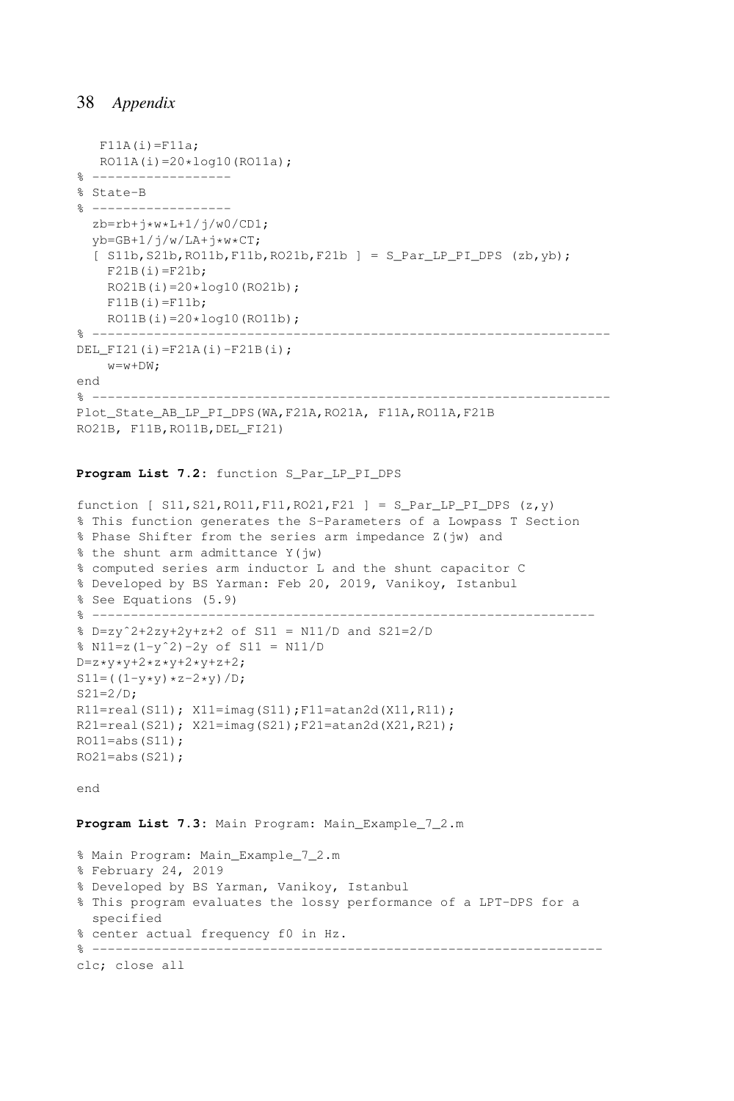```
F11A(i)=F11a;RO11A(i) = 20 * log10(RO11a);% ------------------
% State-B
% ------------------
  zb=rb+i*w*L+1/j/w0/CD1;vb=GB+1/j/w/LA+j*w*CT;
  [ S11b, S21b, RO11b, F11b, RO21b, F21b ] = S_Par_LP_PI_DPS (zb, yb);
    F21B(i)=F21b:
   RO21B(i)=20*log10(RO21b);
   F11B(i)=F11b;RO11B(i)=20*log10(RO11b);% -------------------------------------------------------------------
DEL FI21(i)=F21A(i)-F21B(i);
   w=w+DW;
end
% -------------------------------------------------------------------
Plot_State_AB_LP_PI_DPS(WA,F21A,RO21A, F11A,RO11A,F21B
RO21B, F11B,RO11B,DEL_FI21)
```
#### Program List 7.2: function S Par LP PI DPS

```
function [ S11, S21, R011, F11, R021, F21 ] = S Par LP PI DPS (z, y)% This function generates the S-Parameters of a Lowpass T Section
% Phase Shifter from the series arm impedance Z(jw) and
% the shunt arm admittance Y(jw)
% computed series arm inductor L and the shunt capacitor C
% Developed by BS Yarman: Feb 20, 2019, Vanikoy, Istanbul
% See Equations (5.9)
% -----------------------------------------------------------------
% D=zyˆ2+2zy+2y+z+2 of S11 = N11/D and S21=2/D
% N11=z(1-yˆ2)-2y of S11 = N11/D
D=z* y*y+2*z*y+2*y+z+2;S11= ((1-y*y)*z-2*y)/D;S21=2/D:
R11=real(S11); X11=imag(S11);F11=atan2d(X11,R11);
R21=real(S21); X21=imag(S21);F21=atan2d(X21,R21);
RO11 = abs(S11);RO21 = abs(S21);
end
Program List 7.3: Main Program: Main_Example_7_2.m
% Main Program: Main_Example_7_2.m
```
% February 24, 2019 % Developed by BS Yarman, Vanikoy, Istanbul % This program evaluates the lossy performance of a LPT-DPS for a specified % center actual frequency f0 in Hz. % ----------------------------------------------------------------- clc; close all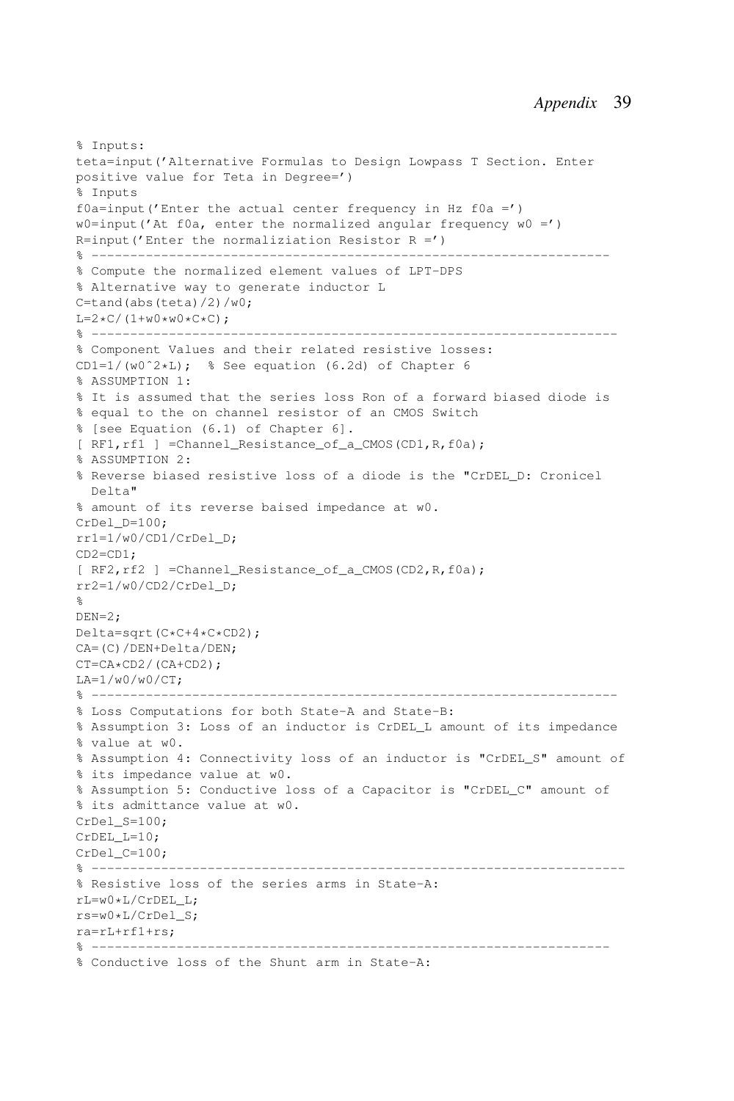```
% Inputs:
teta=input('Alternative Formulas to Design Lowpass T Section. Enter
positive value for Teta in Degree=')
% Inputs
f0a=input('Enter the actual center frequency in Hz f0a =')
w0=input('At f0a, enter the normalized angular frequency w0 = ')
R=input('Enter the normaliziation Resistor R =')
% -------------------------------------------------------------------
% Compute the normalized element values of LPT-DPS
% Alternative way to generate inductor L
C=tand(abs(teta)/2)/w0;
L=2*C/(1+w0*w0*C*C);% --------------------------------------------------------------------
% Component Values and their related resistive losses:
CD1=1/(w0^2*L); % See equation (6.2d) of Chapter 6
% ASSUMPTION 1:
% It is assumed that the series loss Ron of a forward biased diode is
% equal to the on channel resistor of an CMOS Switch
% [see Equation (6.1) of Chapter 6].
[ RF1,rf1 ] =Channel_Resistance_of_a_CMOS(CD1,R,f0a);
% ASSUMPTION 2:
% Reverse biased resistive loss of a diode is the "CrDEL_D: Cronicel
 Delta"
% amount of its reverse baised impedance at w0.
CrDel D=100;
rr1=1/w0/CD1/CrDel_D;
CD2=CD1;
[ RF2,rf2 ] =Channel_Resistance_of_a_CMOS(CD2,R,f0a);
rr2=1/w0/CD2/CrDel_D;
%
DEN=2;Delta=sqrt(C*C+4*C*CD2);
CA=(C)/DEN+Delta/DEN;
CT=CA*CD2/(CA+CD2);
LA=1/w0/w0/CT;
% --------------------------------------------------------------------
% Loss Computations for both State-A and State-B:
% Assumption 3: Loss of an inductor is CrDEL_L amount of its impedance
% value at w0.
% Assumption 4: Connectivity loss of an inductor is "CrDEL_S" amount of
% its impedance value at w0.
% Assumption 5: Conductive loss of a Capacitor is "CrDEL_C" amount of
% its admittance value at w0.
CrDel S=100;
CrDEL_L=10;
CrDel_C=100;
% ---------------------------------------------------------------------
% Resistive loss of the series arms in State-A:
rL=w0*L/CrDEL_L;
rs=w0*L/CrDel_S;
ra=rL+rf1+rs;
% -------------------------------------------------------------------
% Conductive loss of the Shunt arm in State-A:
```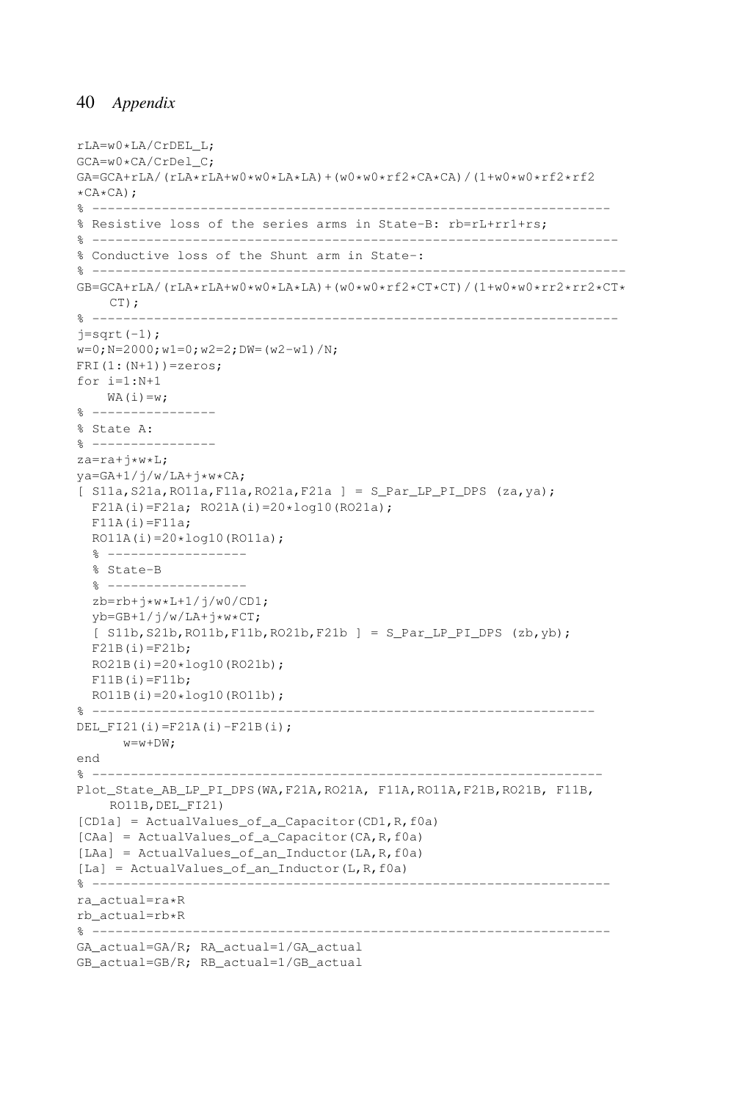```
rLA=w0*LA/CrDEL_L;
GCA=w0*CA/CrDel_C;
GA=GCA+rLA/(rLA*rLA+W0*w0*LA*LA)+(w0*w0*rf2*CA*CA)/(1+w0*w0*rf2*rf2\starCA\starCA) ;
% -------------------------------------------------------------------
% Resistive loss of the series arms in State-B: rb=rL+rr1+rs;
% --------------------------------------------------------------------
% Conductive loss of the Shunt arm in State-:
% ---------------------------------------------------------------------
GB = GCA + rLA / (rLA * rLA + w0 * w0 * LA * LA) + (w0 * w0 * rf2 * CT * CT) / (1 + w0 * w0 * rr2 * rr2 * CT * C')CT);
% --------------------------------------------------------------------
i=sart(-1):
w=0; N=2000; w1=0; w2=2; DW= (w2-w1)/N;
FRI(1: (N+1)) =zeros;
for i=1:N+1
   WA(i)=w;% ----------------
% State A:
% ----------------
za=ra+j*w*L;
ya = GA + 1/j/w/LA + j*w*CA;[ S11a, S21a, RO11a, F11a, RO21a, F21a ] = S Par LP PI DPS (za, ya);
  F21A(i)=F21a; RO21A(i)=20*log10(RO21a);F11A(i)=F11a;RO11A(i) = 20 * log10(RO11a);% ------------------
  % State-B
  % ------------------
  zb=rb+j*w*L+1/j/w0/CD1;vb=GB+1/j/w/LA+j*w*CT;
  [ S11b,S21b,RO11b,F11b,RO21b,F21b ] = S_Par_LP_PI_DPS (zb,yb);
  F21B(i)=F21b;RO21B(i)=20*log10(RO21b);
 F11B(i)=F11b;
  RO11B(i)=20*log10(RO11b);% -----------------------------------------------------------------
DEL_FI21(i)=F21A(i)-F21B(i);
     w=w+DW;
end
% ------------------------------------------------------------------
Plot_State_AB_LP_PI_DPS(WA,F21A,RO21A, F11A,RO11A,F21B,RO21B, F11B,
    RO11B,DEL_FI21)
[CD1a] = ActualValues_of_a_Capacitor(CD1,R,f0a)
[CAa] = ActualValues_of_a_Capacitor(CA,R,f0a)
[LAa] = ActualValues_of_an_Inductor(LA,R,f0a)
[La] = ActualValues_of_an_Inductor(L,R,f0a)
% -------------------------------------------------------------------
ra_actual=ra*R
rb_actual=rb*R
% -------------------------------------------------------------------
GA_actual=GA/R; RA_actual=1/GA_actual
GB_actual=GB/R; RB_actual=1/GB_actual
```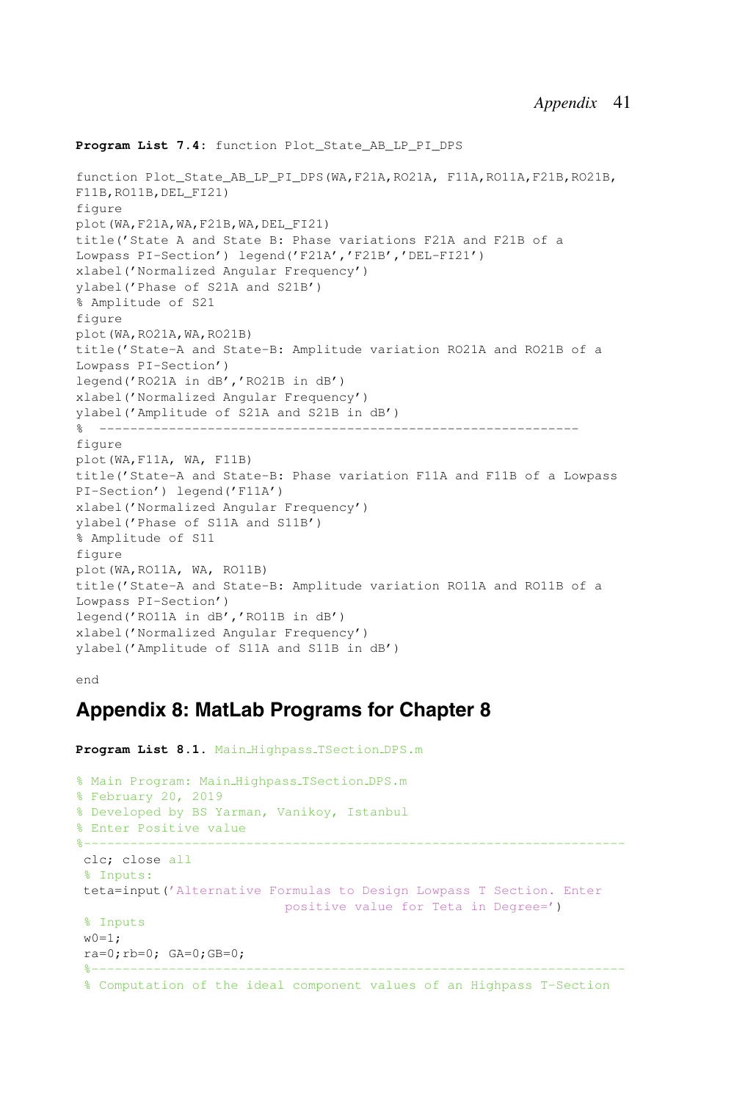#### **Program List 7.4:** function Plot\_State\_AB\_LP\_PI\_DPS

```
function Plot_State_AB_LP_PI_DPS(WA,F21A,RO21A, F11A,RO11A,F21B,RO21B,
F11B, RO11B, DEL FI21)
figure
plot(WA,F21A,WA,F21B,WA,DEL_FI21)
title('State A and State B: Phase variations F21A and F21B of a
Lowpass PI-Section') legend('F21A','F21B','DEL-FI21')
xlabel('Normalized Angular Frequency')
ylabel('Phase of S21A and S21B')
% Amplitude of S21
figure
plot(WA,RO21A,WA,RO21B)
title('State-A and State-B: Amplitude variation RO21A and RO21B of a
Lowpass PI-Section')
legend('RO21A in dB','RO21B in dB')
xlabel('Normalized Angular Frequency')
ylabel('Amplitude of S21A and S21B in dB')
% --------------------------------------------------------------
figure
plot(WA,F11A, WA, F11B)
title('State-A and State-B: Phase variation F11A and F11B of a Lowpass
PI-Section') legend('F11A')
xlabel('Normalized Angular Frequency')
ylabel('Phase of S11A and S11B')
% Amplitude of S11
figure
plot(WA,RO11A, WA, RO11B)
title('State-A and State-B: Amplitude variation RO11A and RO11B of a
Lowpass PI-Section')
legend('RO11A in dB','RO11B in dB')
xlabel('Normalized Angular Frequency')
ylabel('Amplitude of S11A and S11B in dB')
```
end

# **Appendix 8: MatLab Programs for Chapter 8**

```
Program List 8.1. Main_Highpass_TSection_DPS.m
% Main Program: Main Highpass TSection DPS.m
% February 20, 2019
% Developed by BS Yarman, Vanikoy, Istanbul
% Enter Positive value
%----------------------------------------------------------------------
clc; close all
% Inputs:
teta=input('Alternative Formulas to Design Lowpass T Section. Enter
                     positive value for Teta in Degree=')
% Inputs
w0=1;ra=0;rb=0; GA=0;GB=0;
 %---------------------------------------------------------------------
 % Computation of the ideal component values of an Highpass T-Section
```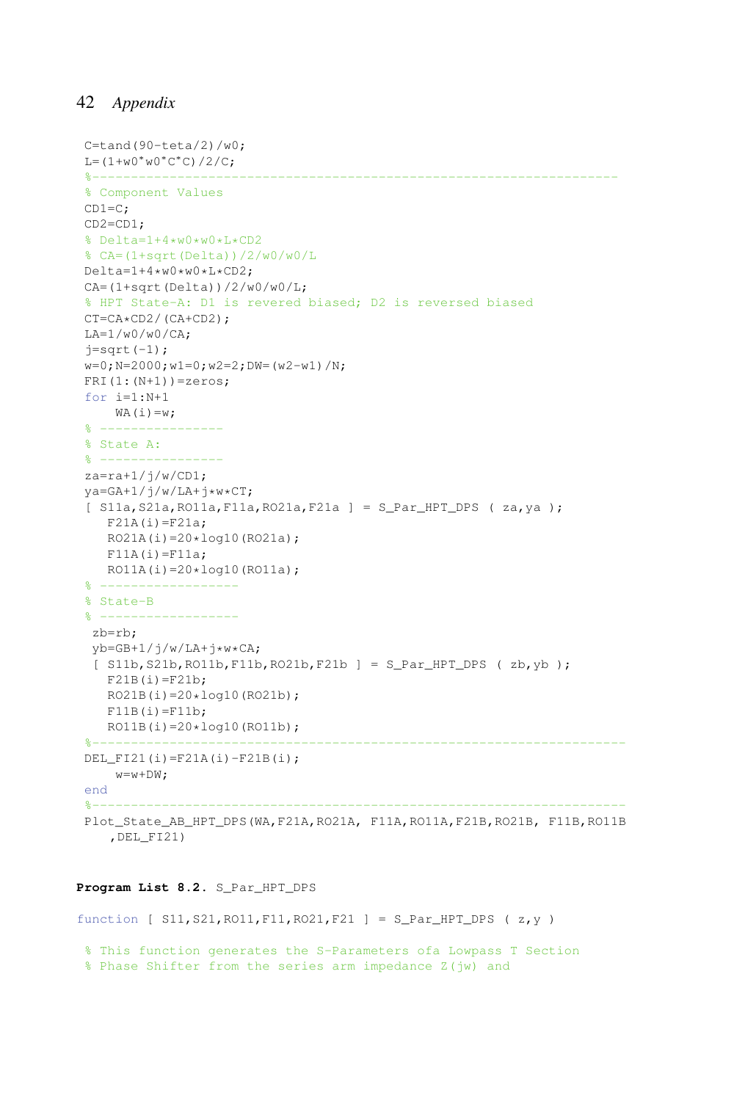```
C=tand(90-teta/2)/w0;
L=(1+w0∗w0∗C
∗C)/2/C;
%--------------------------------------------------------------------
% Component Values
CD1=C;
CD2=CD1;
% Delta=1+4*w0*w0*L*CD2
% CA=(1+sqrt(Delta))/2/w0/w0/L
Delta=1+4*w0*w0*L*CD2;
CA=(1+sqrt(Delta))/2/w0/w0/L;
% HPT State-A: D1 is revered biased; D2 is reversed biased
CT=CA*CD2/(CA+CD2);
LA=1/w0/w0/CA:
j=sqrt(-1);w=0; N=2000; w1=0; w2=2; DW=(w2-w1)/N;
FRI(1:(N+1))=zeros;
for i=1:N+1
   WA(i)=w;\frac{8}{6} ---------
% State A:
% ---------
za=ra+1/j/w/CD1;
va = GA + 1/j/w/LA + i*w*CT;[ S11a,S21a,RO11a,F11a,RO21a,F21a ] = S_Par_HPT_DPS ( za,ya );
  F21A(i)=F21a;RO21A(i)=20*log10(RO21a);F11A(i)=F11a;
  RO11A(i)=20*log10(RO11a);% ------------------
% State-B
\frac{6}{5} --
zb=rb;
vb=GB+1/j/w/LA+j*w*CA;
 [ S11b, S21b, RO11b, F11b, RO21b, F21b ] = S_{Par_{HPT_{DPS} ( zb, yb )}}F21B(i)=F21b;
  RO21B(i)=20*log10(RO21b);
  F11B(i)=F11b;RO11B(i)=20*log10(RO11b);%------------------
DEL_FI21(i)=F21A(i)-F21B(i);
   w=w+DW;end
%---------------------------------------------------------------------
Plot_State_AB_HPT_DPS(WA,F21A,RO21A, F11A,RO11A,F21B,RO21B, F11B,RO11B
   ,DEL_FI21)
```
#### Program List 8.2. S Par HPT DPS

function [ S11,S21,RO11,F11,RO21,F21 ] = S\_Par\_HPT\_DPS ( z,y )

```
% This function generates the S-Parameters ofa Lowpass T Section
% Phase Shifter from the series arm impedance Z(jw) and
```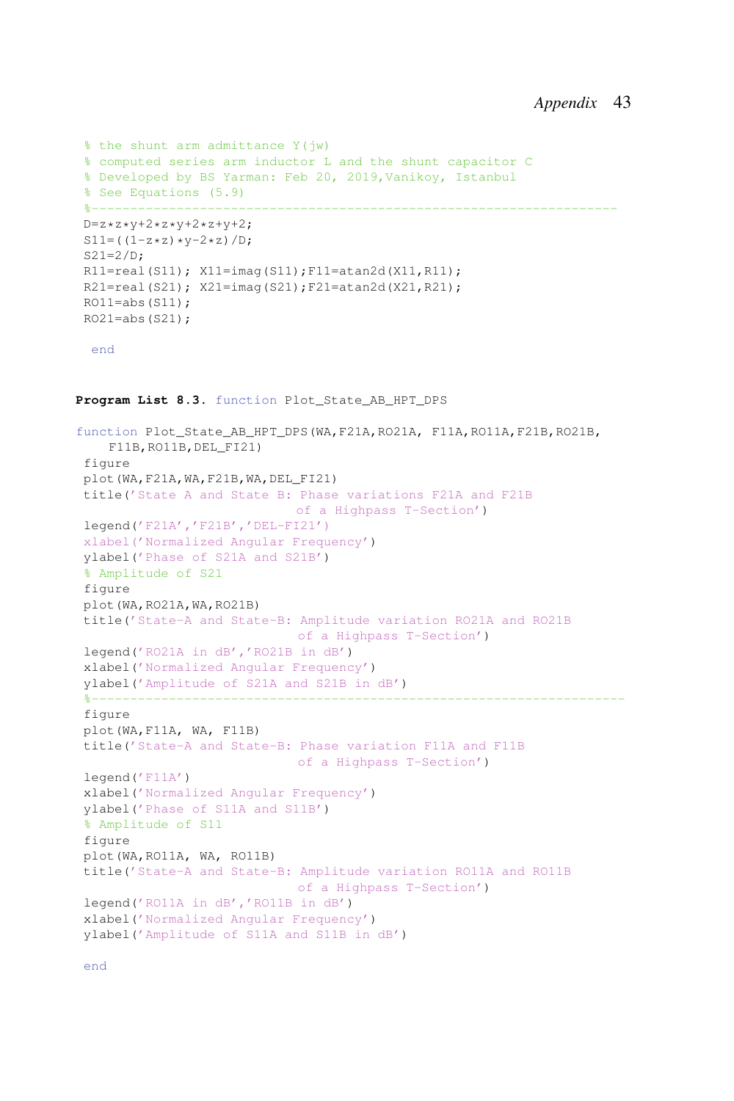```
% the shunt arm admittance Y(jw)
 % computed series arm inductor L and the shunt capacitor C
 % Developed by BS Yarman: Feb 20, 2019,Vanikoy, Istanbul
 % See Equations (5.9)
 %--------------------------------------------------------------------
 D=z*z*y+2*z*y+2*z+y+2;S11= ((1-z*z)*y-2*z)/D;S21=2/D;R11=real(S11); X11=imag(S11);F11=atan2d(X11,R11);
 R21=real(S21); X21=imag(S21);F21=atan2d(X21,R21);
 RO11 = abs(S11);RO21 = abs(S21);
  end
Program List 8.3. function Plot_State_AB_HPT_DPS
function Plot State AB_HPT_DPS(WA,F21A,RO21A, F11A,RO11A,F21B,RO21B,
    F11B,RO11B,DEL_FI21)
 figure
 plot(WA,F21A,WA,F21B,WA,DEL_FI21)
 title('State A and State B: Phase variations F21A and F21B
                             of a Highpass T-Section')
 legend('F21A','F21B','DEL-FI21')
 xlabel('Normalized Angular Frequency')
 ylabel('Phase of S21A and S21B')
 % Amplitude of S21
 figure
 plot(WA,RO21A,WA,RO21B)
 title('State-A and State-B: Amplitude variation RO21A and RO21B
                              of a Highpass T-Section')
 legend('RO21A in dB','RO21B in dB')
 xlabel('Normalized Angular Frequency')
 ylabel('Amplitude of S21A and S21B in dB')
 %---------------------------------------------------------------------
 figure
 plot(WA,F11A, WA, F11B)
 title('State-A and State-B: Phase variation F11A and F11B
                             of a Highpass T-Section')
 legend('F11A')
 xlabel('Normalized Angular Frequency')
 ylabel('Phase of S11A and S11B')
 % Amplitude of S11
 figure
 plot(WA,RO11A, WA, RO11B)
 title('State-A and State-B: Amplitude variation RO11A and RO11B
                            of a Highpass T-Section')
 legend('RO11A in dB','RO11B in dB')
 xlabel('Normalized Angular Frequency')
 ylabel('Amplitude of S11A and S11B in dB')
```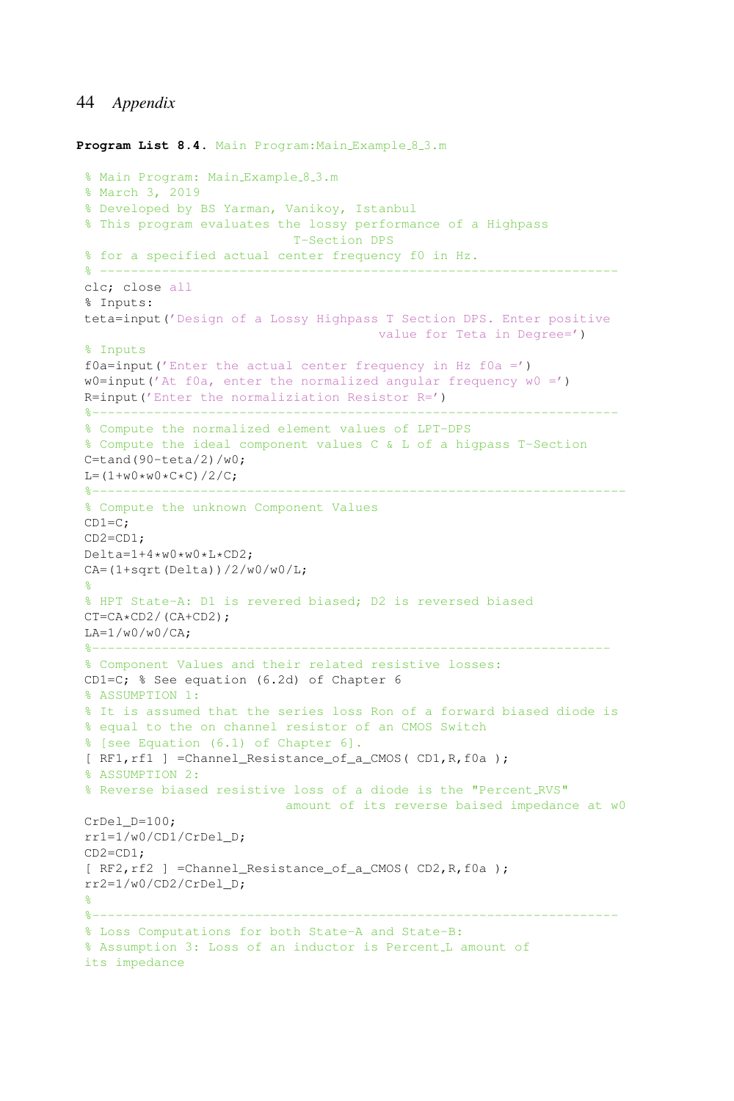```
Program List 8.4. Main Program: Main Example 8.3.m
 % Main Program: Main Example 8.3.m
 % March 3, 2019
 % Developed by BS Yarman, Vanikoy, Istanbul
 % This program evaluates the lossy performance of a Highpass
                           T-Section DPS
 % for a specified actual center frequency f0 in Hz.
 % -------------------------------------------------------------------
 clc; close all
 % Inputs:
teta=input('Design of a Lossy Highpass T Section DPS. Enter positive
                                value for Teta in Degree=')
 % Inputs
 f0a=input('Enter the actual center frequency in Hz f0a =')w0=input('At f0a, enter the normalized angular frequency w0 =')
 R=input('Enter the normaliziation Resistor R=')
 %--------------------------------------------------------------------
 % Compute the normalized element values of LPT-DPS
 % Compute the ideal component values C & L of a higpass T-Section
 C = \tanh(90 - \teta) / w0;L=(1+w0*w0*C*C)/2/C;%---------------------------------------------------------------------
 % Compute the unknown Component Values
 CD1=C;
CD2=CD1;
Delta=1+4*w0*w0*L*CD2;
CA=(1+sqrt(Delta))/2/w0/w0/L;%
 % HPT State-A: D1 is revered biased; D2 is reversed biased
CT=CA*CD2/(CA+CD2);
LA=1/w0/w0/CA;%-------------------------------------------------------------------
 % Component Values and their related resistive losses:
 CD1=C; % See equation (6.2d) of Chapter 6
 % ASSUMPTION 1:
 % It is assumed that the series loss Ron of a forward biased diode is
 % equal to the on channel resistor of an CMOS Switch
 % [see Equation (6.1) of Chapter 6].
 [ RF1,rf1 ] =Channel_Resistance_of_a_CMOS( CD1,R,f0a );
 % ASSUMPTION 2:
 % Reverse biased resistive loss of a diode is the "Percent RVS"
                          amount of its reverse baised impedance at w0
CrDel D=100;
 rr1=1/w0/CD1/CrDel_D;
CD2=CD1;
 [ RF2, rf2 ] =Channel Resistance of a CMOS( CD2, R, f0a );
rr2=1/w0/CD2/CrDel_D;
 %
 %--------------------------------------------------------------------
 % Loss Computations for both State-A and State-B:
 % Assumption 3: Loss of an inductor is Percent L amount of
 its impedance
```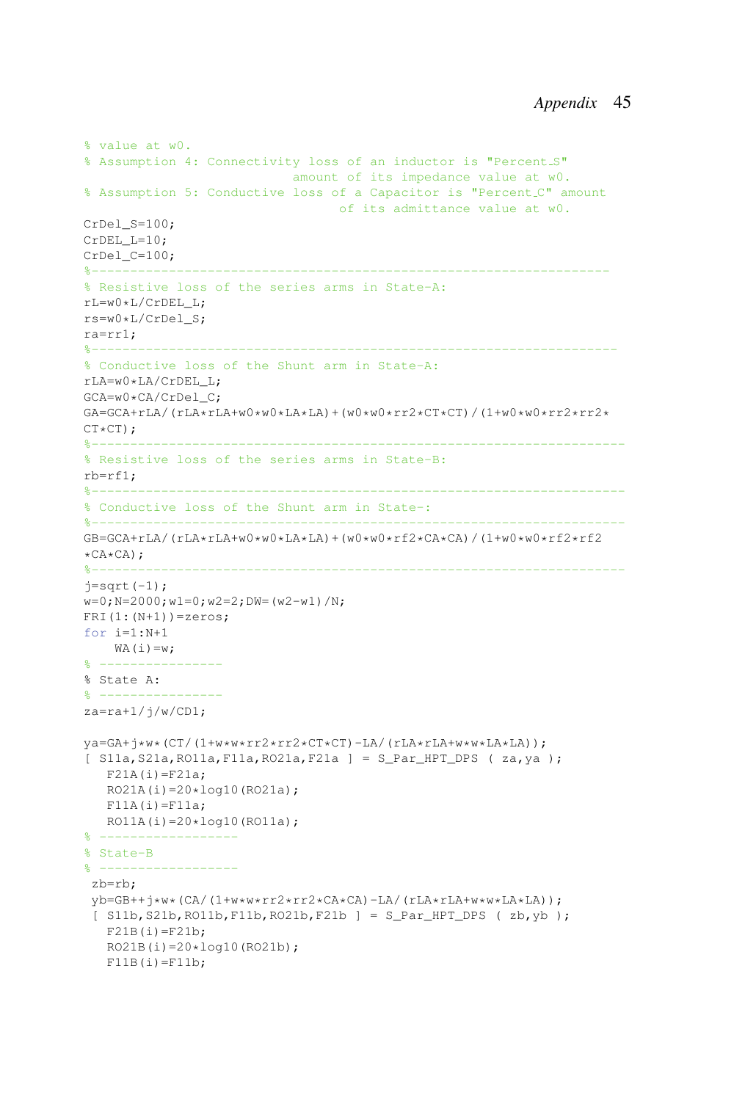```
% value at w0.
% Assumption 4: Connectivity loss of an inductor is "Percent S"
                           amount of its impedance value at w0.
% Assumption 5: Conductive loss of a Capacitor is "Percent C" amount
                                  of its admittance value at w0.
CrDel S=100;
CrDEL_L=10:
CrDel_C=100;
%-------------------------------------------------------------------
% Resistive loss of the series arms in State-A:
rL=w0*L/CrDEL_L;
rs=w0*L/CrDel_S;
ra=rr1;
%--------------------------------------------------------------------
% Conductive loss of the Shunt arm in State-A:
rLA=w0*LA/CrDEL_L;
GCA=w0*CA/CrDel_C;
GA=GCA+rLA/(rLA*rLA+w0*w0*LA*LA)+(w0*w0*rr2*CT*CT)/(1+w0*w0*rr2*rr2*
CT*CT;<br>*------
%---------------------------------------------------------------------
% Resistive loss of the series arms in State-B:
rh=rf1%---------------------------------------------------------------------
% Conductive loss of the Shunt arm in State-:
%---------------------------------------------------------------------
GB=GCA+rLA/(rLA*rLA+w0*w0*LA*LA)+(w0*w0*rf2*CA*CA)/(1+w0*w0*rf2*rf2
*CA*CA) ;<br>\frac{8}{6}-------
%---------------------------------------------------------------------
j=sqrt(-1);w=0; N=2000; w1=0; w2=2; DW= (w2-w1) /N;
FRI(1:(N+1))=zeros;
for i=1:N+1
   WA(i)=w;\frac{6}{8} ---------
% State A:
% ----------------
za=ra+1/j/w/CD1;ya=GA+j*w*(CT/(1+w*w*rr2*rr2*CT*CT)-LA/(rLA*rLA+w*w*LA*LA));
[ S11a,S21a,RO11a,F11a,RO21a,F21a ] = S_Par_HPT_DPS ( za,ya );
  F21A(i)=F21a;RO21A(i)=20*log10(RO21a);F11A(i)=F11a;RO11A(i)=20*log10(R011a);% -% State-B
% ------------------
zb=rb;
 vb=GB++j*w*(CA/(1+w*w*rr2*rr2*CA*CA)-LA/(rLA*rLA+w*w*LA*LA));
 [ S11b,S21b,RO11b,F11b,RO21b,F21b ] = S_Par_HPT_DPS ( zb,yb );
   F21B(i)=F21b:
   RO21B(i)=20*log10(RO21b);
   F11B(i)=F11b;
```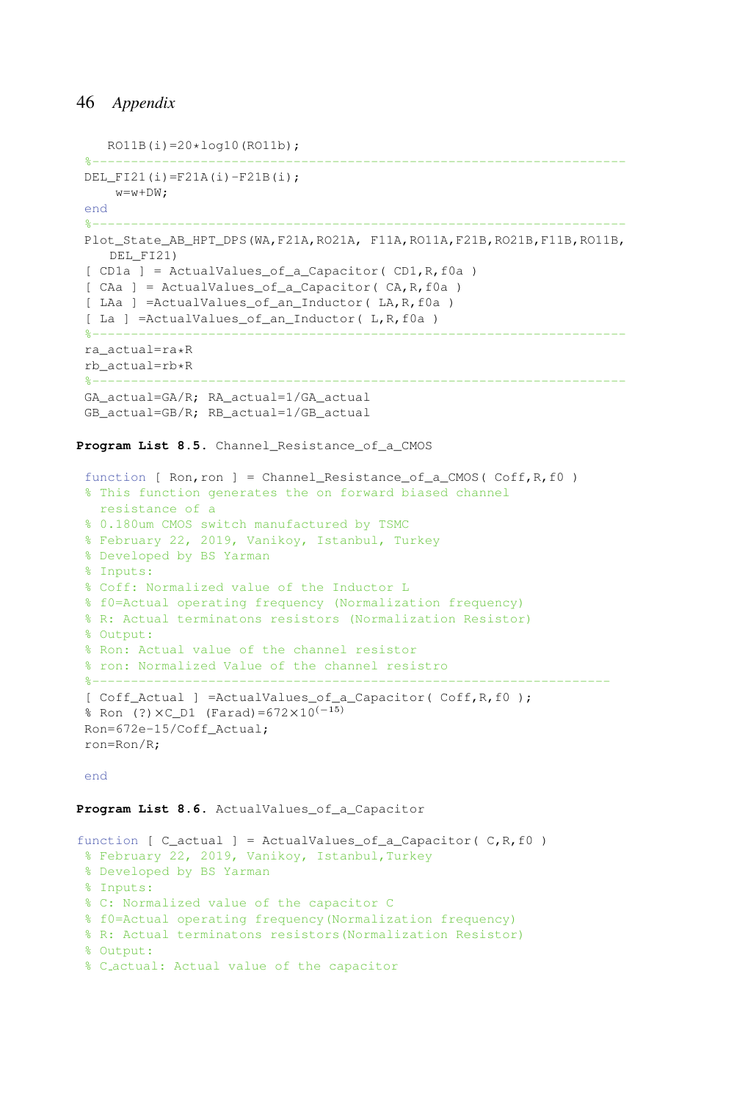```
RO11B(i)=20*log10(RO11b);%---------------------------------------------------------------------
DEL FI21(i)=F21A(i)-F21B(i);
   w=w+DW;end
%---------------------------------------------------------------------
Plot State AB_HPT_DPS(WA,F21A,RO21A, F11A,RO11A,F21B,RO21B,F11B,RO11B,
   DEL_FI21)
[CD1a] = ActualValues of a Capacitor( CD1,R, f0a )[ CAa ] = ActualValues_of_a_Capacitor( CA,R,f0a )
[ LAa ] =ActualValues_of_an_Inductor( LA,R,f0a )
[ La ] =ActualValues_of_an_Inductor( L,R,f0a )
%---------------------------------------------------------------------
ra_actual=ra*R
rb_actual=rb*R
%---------------------------------------------------------------------
GA_actual=GA/R; RA_actual=1/GA_actual
GB_actual=GB/R; RB_actual=1/GB_actual
```
Program List 8.5. Channel Resistance of a CMOS

```
function [ Ron,ron ] = Channel_Resistance_of_a_CMOS( Coff,R,f0 )
% This function generates the on forward biased channel
 resistance of a
% 0.180um CMOS switch manufactured by TSMC
% February 22, 2019, Vanikoy, Istanbul, Turkey
% Developed by BS Yarman
% Inputs:
% Coff: Normalized value of the Inductor L
% f0=Actual operating frequency (Normalization frequency)
% R: Actual terminatons resistors (Normalization Resistor)
% Output:
% Ron: Actual value of the channel resistor
% ron: Normalized Value of the channel resistro
%-------------------------------------------------------------------
[ Coff_Actual ] =ActualValues_of_a_Capacitor( Coff,R,f0 );
% Ron (?)×C_D1 (Farad)=672×10(−15)
Ron=672e-15/Coff_Actual;
ron=Ron/R;
```
end

#### Program List 8.6. ActualValues of a Capacitor

```
function [ C_{\text{actual}} ] = \text{Actual}ues_of_a_Capacitor( C, R, f0)
% February 22, 2019, Vanikoy, Istanbul,Turkey
% Developed by BS Yarman
 % Inputs:
 % C: Normalized value of the capacitor C
 % f0=Actual operating frequency(Normalization frequency)
 % R: Actual terminatons resistors(Normalization Resistor)
 % Output:
 % C actual: Actual value of the capacitor
```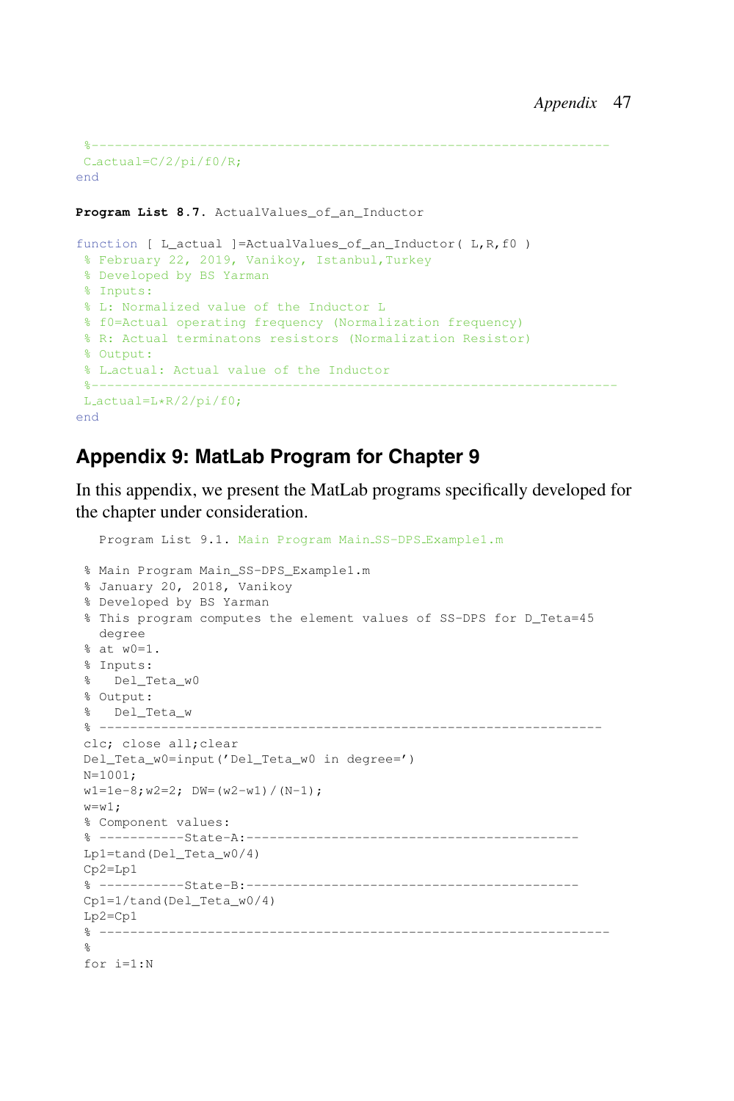```
%-------------------------------------------------------------------
C<sub>actual</sub>=C/2/pi/f0/R;end
```
Program List 8.7. ActualValues of an Inductor

```
function [ L_actual ]=ActualValues_of_an_Inductor( L,R,f0 )
% February 22, 2019, Vanikoy, Istanbul,Turkey
% Developed by BS Yarman
% Inputs:
% L: Normalized value of the Inductor L
% f0=Actual operating frequency (Normalization frequency)
% R: Actual terminatons resistors (Normalization Resistor)
% Output:
% L actual: Actual value of the Inductor
 %--------------------------------------------------------------------
L actual=L*R/2/pi/f0;
end
```
# **Appendix 9: MatLab Program for Chapter 9**

In this appendix, we present the MatLab programs specifically developed for the chapter under consideration.

```
Program List 9.1. Main Program Main SS-DPS Example1.m
% Main Program Main_SS-DPS_Example1.m
% January 20, 2018, Vanikoy
% Developed by BS Yarman
% This program computes the element values of SS-DPS for D_Teta=45
 degree
% at w0=1.
% Inputs:
% Del_Teta_w0
% Output:
% Del_Teta_w
% -----------------------------------------------------------------
clc; close all;clear
Del_Teta_w0=input('Del_Teta_w0 in degree=')
N=1001;
w1=1e-8; w2=2; DW=(w2-w1)/(N-1);
w= w1;
% Component values:
% -----------State-A:-------------------------------------------
Lp1=tand(Del_Teta_w0/4)
Cp2=Lp1
% -----------State-B:-------------------------------------------
Cp1=1/tand(Del_Teta_w0/4)
Lp2=Cp1
% ------------------------------------------------------------------
%
for i=1:N
```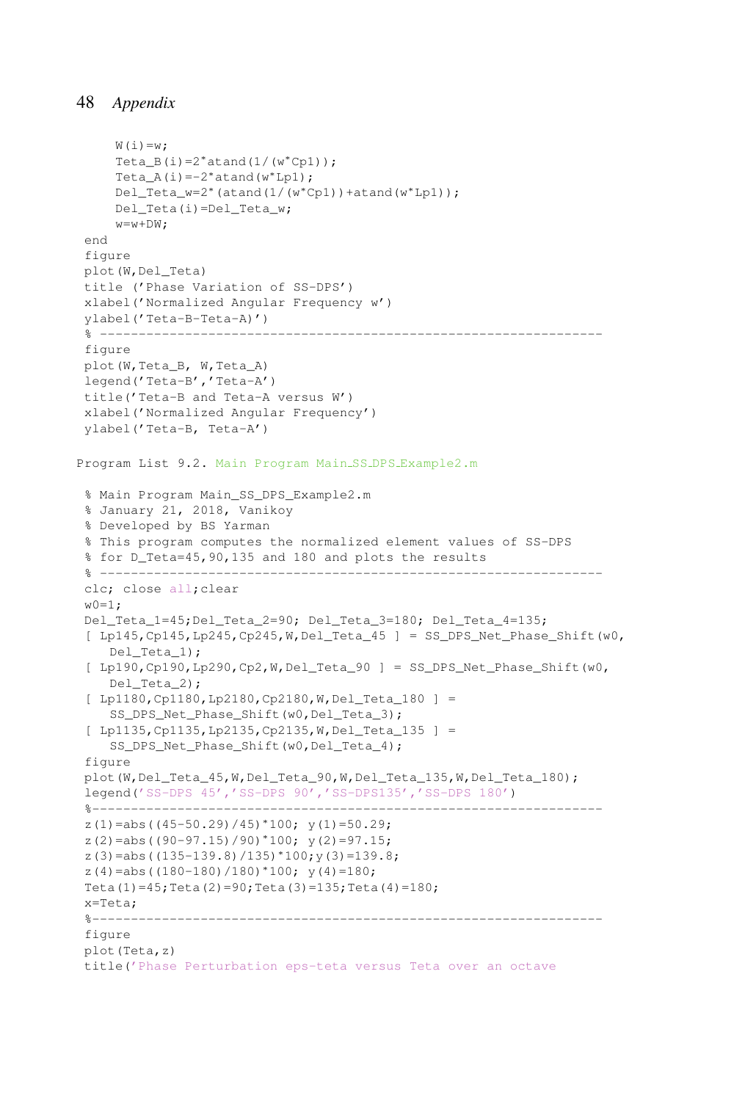```
W(i) = w;Teta_B(i)=2*atand(1/(w*Cp1));
     Teta_A(i)=-2*atand(w*Lp1);
    Del_Teta_w=2∗(atand(1/(w∗Cp1))+atand(w∗Lp1));
    Del_Teta(i)=Del_Teta_w;
     w=w+DW;end
 figure
 plot(W,Del_Teta)
 title ('Phase Variation of SS-DPS')
 xlabel('Normalized Angular Frequency w')
ylabel('Teta-B-Teta-A)')
 % -----------------------------------------------------------------
figure
 plot(W,Teta_B, W,Teta_A)
 legend('Teta-B','Teta-A')
 title('Teta-B and Teta-A versus W')
xlabel('Normalized Angular Frequency')
ylabel('Teta-B, Teta-A')
Program List 9.2. Main Program Main SS DPS Example2.m
 % Main Program Main_SS_DPS_Example2.m
 % January 21, 2018, Vanikoy
 % Developed by BS Yarman
 % This program computes the normalized element values of SS-DPS
 % for D_Teta=45,90,135 and 180 and plots the results
 % -----------------------------------------------------------------
 clc; close all;clear
 w \cap = 1.
 Del_Teta_1=45;Del_Teta_2=90; Del_Teta_3=180; Del_Teta_4=135;
 [ Lp145, Cp145, Lp245, Cp245, W, Del_Teta_45 ] = SS_DPS_Net_Phase_Shift(w0,
    Del_Teta_1);
 [ Lp190, Cp190, Lp290, Cp2, W, Del_Teta_90 ] = SS_DPSNet_Phase_Shift(W0,Del_Teta_2);
 [ Lp1180,Cp1180,Lp2180,Cp2180,W,Del_Teta_180 ] =
    SS_DPS_Net_Phase_Shift(w0,Del_Teta_3);
 [ Lp1135, Cp1135, Lp2135, Cp2135, W, Del Teta 135 ] =SS_DPS_Net_Phase_Shift(w0,Del_Teta_4);
 figure
 plot(W,Del_Teta_45,W,Del_Teta_90,W,Del_Teta_135,W,Del_Teta_180);
 legend('SS-DPS 45','SS-DPS 90','SS-DPS135','SS-DPS 180')
 %------------------------------------------------------------------
 z(1)=abs((45-50.29)/45)*100; y(1)=50.29;
 z(2)=abs((90-97.15)/90)*100; y(2)=97.15;
 z(3)=abs((135-139.8)/135)*100;y(3)=139.8;
 z(4)=abs((180-180)/180)*100; y(4) = 180;
 Teta(1)=45;Teta(2)=90;Teta(3)=135;Teta(4)=180;
 x=Teta;
 %------------------------------------------------------------------
 figure
plot(Teta,z)
 title('Phase Perturbation eps-teta versus Teta over an octave
```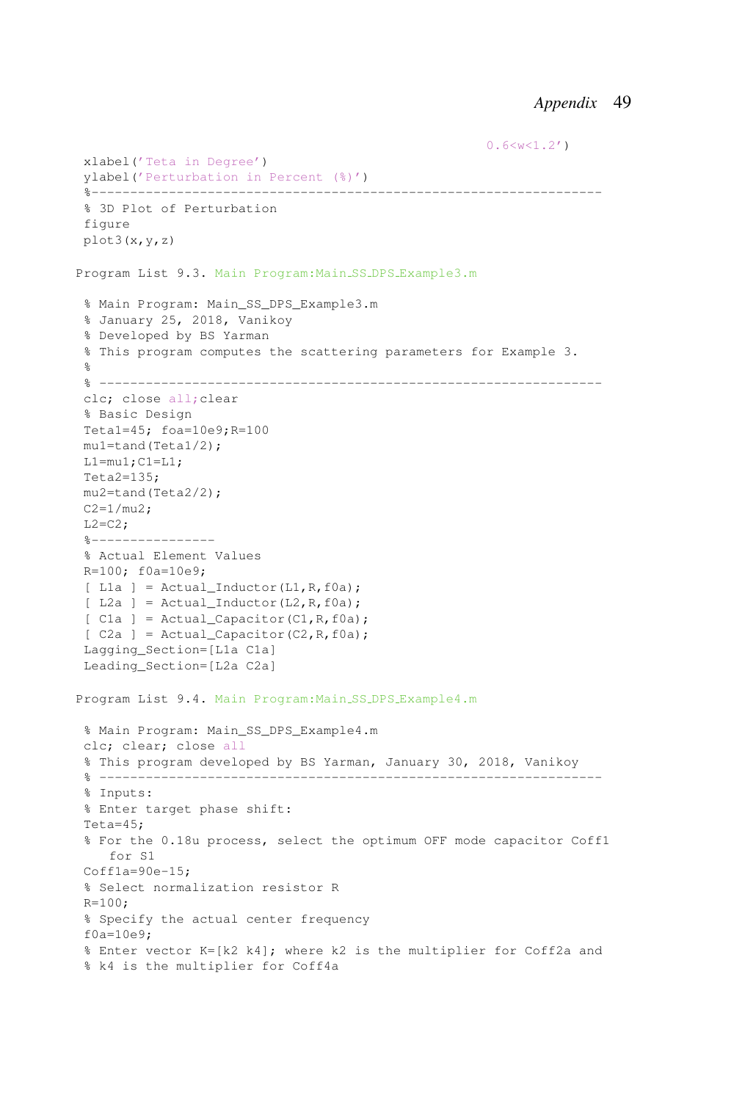```
0.6 \le w \le 1.2')xlabel('Teta in Degree')
 ylabel('Perturbation in Percent (%)')
 %------------------------------------------------------------------
 % 3D Plot of Perturbation
 figure
plot3(x,y,z)
Program List 9.3. Main Program:Main SS DPS Example3.m
 % Main Program: Main_SS_DPS_Example3.m
 % January 25, 2018, Vanikoy
 % Developed by BS Yarman
 % This program computes the scattering parameters for Example 3.
 %
 % -----------------------------------------------------------------
 clc; close all;clear
 % Basic Design
Teta1=45; foa=10e9;R=100
mu1=tand(Teta1/2);
L1=mu1;C1=L1;
Teta2=135;
mu2=tand(Teta2/2);
C2 = 1/mu2;L2=C2;%----------------
 % Actual Element Values
R=100; f0a=10e9;
 [ L1a ] = Actual_Inductor(L1, R, f0a);
 [ L2a ] = Actual\_Inductor(L2, R, f0a);[ C1a ] = \text{Actual\_Capacitor}(C1, R, f0a);[ C2a ] = \text{Actual Capacity}(C2, R, f0a);Lagging_Section=[L1a C1a]
Leading_Section=[L2a C2a]
Program List 9.4. Main Program:Main SS DPS Example4.m
 % Main Program: Main_SS_DPS_Example4.m
clc; clear; close all
 % This program developed by BS Yarman, January 30, 2018, Vanikoy
 % -----------------------------------------------------------------
 % Inputs:
 % Enter target phase shift:
Teta=45;
 % For the 0.18u process, select the optimum OFF mode capacitor Coff1
    for S1
 Cofflag=90e-15;% Select normalization resistor R
R=100;% Specify the actual center frequency
f0a=10e9;
 % Enter vector K=[k2 k4]; where k2 is the multiplier for Coff2a and
 % k4 is the multiplier for Coff4a
```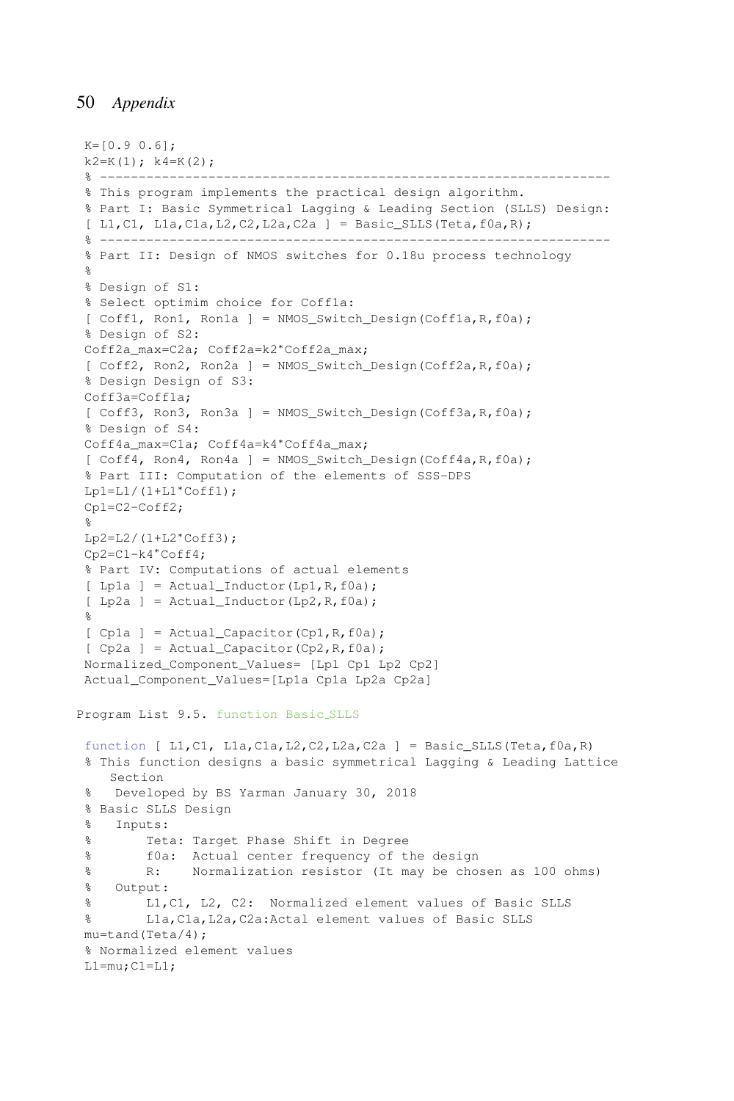```
K=[0.9 0.6];
k2=K(1); k4=K(2);% ------------------------------------------------------------------
% This program implements the practical design algorithm.
% Part I: Basic Symmetrical Lagging & Leading Section (SLLS) Design:
 [ L1, C1, L1a, C1a, L2, C2, L2a, C2a ] = Basic_SLLS(Teta, f0a, R);% ------------------------------------------------------------------
% Part II: Design of NMOS switches for 0.18u process technology
\approx% Design of S1:
% Select optimim choice for Coff1a:
[ Coff1, Ron1, Ron1a ] = NMOS_Switch_Design(Coff1a, R, f0a);
% Design of S2:
Coff2a_max=C2a; Coff2a=k2∗Coff2a_max;
[CGff2, Ron2, Ron2a] = NMOS Switch Design(Coff2a,R,fla);% Design Design of S3:
Coff3a=Coff1a;
 [ Coff3, Ron3, Ron3a ] = NMOS_Switch_Design(Coff3a, R, f0a);
% Design of S4:
Coff4a_max=C1a; Coff4a=k4*Coff4a_max;
 [ Coff4, Ron4, Ron4a ] = NMOS_Switch_Design(Coff4a, R, f0a);
% Part III: Computation of the elements of SSS-DPS
Lp1=L1/(1+L1*Coff1);Cp1=C2-Coff2;
%
Lp2=L2/(1+L2*Coff3);Cp2=C1-k4∗Coff4;
% Part IV: Computations of actual elements
[ Lp1a ] = Actual_Inductor(Lp1, R, f0a);
 [ Lp2a ] = Actual_Inductor(Lp2, R, f0a);
%
[ Cp1a ] = Actual_Capacitor(Cp1, R, f0a);
 [ Cp2a ] = Actual Capacity(Cp2,R,fla);Normalized_Component_Values= [Lp1 Cp1 Lp2 Cp2]
Actual_Component_Values=[Lp1a Cp1a Lp2a Cp2a]
Program List 9.5. function Basic SLLS
function [ L1, C1, L1a, C1a, L2, C2, L2a, C2a ] = Basic_SLLS(Teta, f0a, R)
% This function designs a basic symmetrical Lagging & Leading Lattice
   Section
% Developed by BS Yarman January 30, 2018
% Basic SLLS Design
% Inputs:
% Teta: Target Phase Shift in Degree
% f0a: Actual center frequency of the design
% R: Normalization resistor (It may be chosen as 100 ohms)
% Output:
% L1,C1, L2, C2: Normalized element values of Basic SLLS
% L1a,C1a,L2a,C2a:Actal element values of Basic SLLS
mu=tand(Teta/4);
% Normalized element values
L1=mu;C1=L1;
```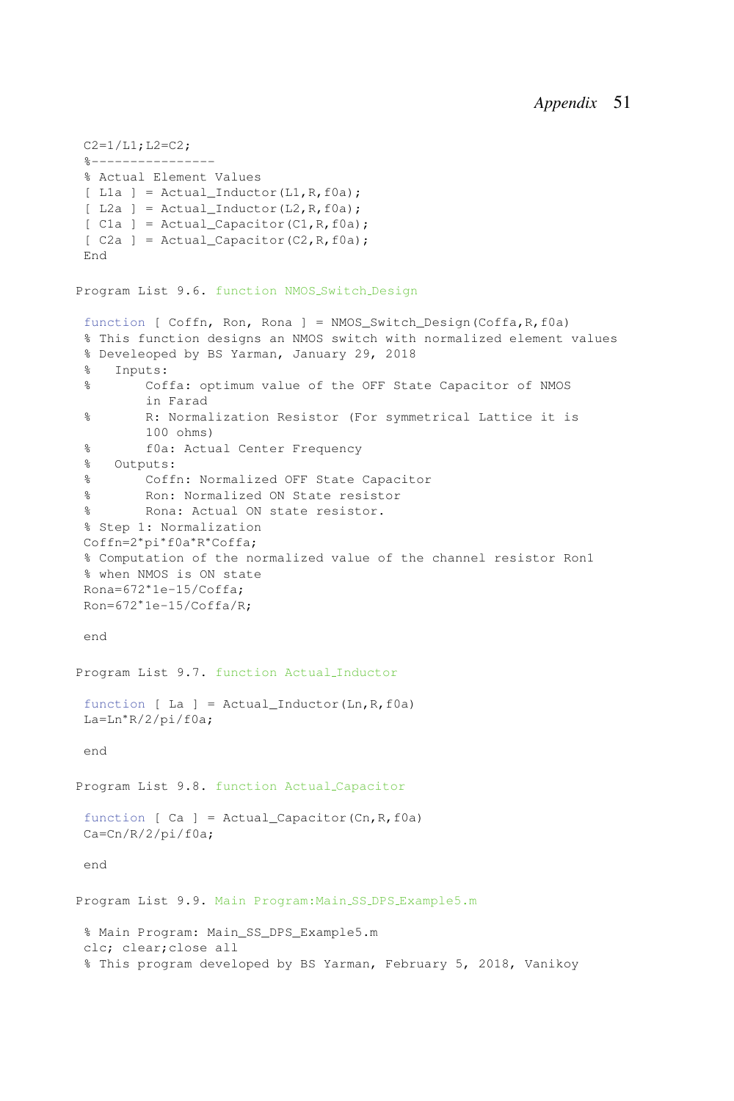```
C2=1/L1; L2=C2;8 - - - - - - - - - - -% Actual Element Values
[ L1a ] = Actual_Inductor(L1, R, f0a);
 [ L2a ] = Actual_Inductor(L2, R, f0a);
[ C1a ] = \text{Actual Capacity}(C1,R,f0a);[ C2a ] = Actual_Capacitor(C2,R, f0a);End
Program List 9.6. function NMOS Switch Design
 function [ Coffn, Ron, Rona ] = NMOS_Switch_Design(Coffa,R,f0a)
 % This function designs an NMOS switch with normalized element values
 % Develeoped by BS Yarman, January 29, 2018
 % Inputs:
 % Coffa: optimum value of the OFF State Capacitor of NMOS
        in Farad
 % R: Normalization Resistor (For symmetrical Lattice it is
        100 ohms)
 % f0a: Actual Center Frequency
 % Outputs:
% Coffn: Normalized OFF State Capacitor
% Ron: Normalized ON State resistor
% Rona: Actual ON state resistor.
% Step 1: Normalization
 Coffn=2∗pi∗f0a∗R
∗Coffa;
 % Computation of the normalized value of the channel resistor Ron1
% when NMOS is ON state
Rona=672∗1e-15/Coffa;
Ron=672∗1e-15/Coffa/R;
end
Program List 9.7. function Actual Inductor
 function [ La ] = Actual_Inductor(Ln, R, f0a)
La=Ln∗R/2/pi/f0a;
end
Program List 9.8. function Actual Capacitor
 function [ Ca ] = Actual_Capacitor(Cn,R,f0a)
Ca=Cn/R/2/pi/f0a;
end
Program List 9.9. Main Program:Main SS DPS Example5.m
 % Main Program: Main_SS_DPS_Example5.m
clc; clear;close all
 % This program developed by BS Yarman, February 5, 2018, Vanikoy
```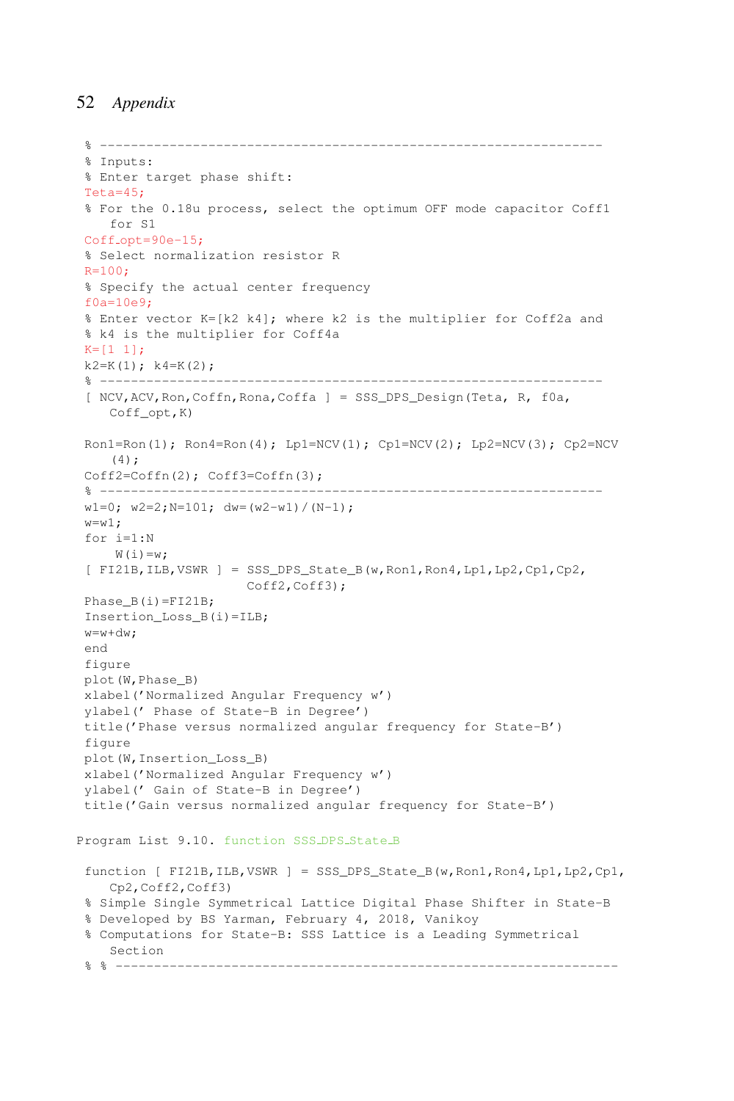```
% -----------------------------------------------------------------
 % Inputs:
% Enter target phase shift:
Teta=45;
% For the 0.18u process, select the optimum OFF mode capacitor Coff1
    for S1
Cof f_opt=90e-15;% Select normalization resistor R
R=100:
% Specify the actual center frequency
f0a=10e9;
% Enter vector K=[k2 k4]; where k2 is the multiplier for Coff2a and
% k4 is the multiplier for Coff4a
K=[1 1];k2=K(1); k4=K(2);% -----------------------------------------------------------------
 [ NCV,ACV,Ron,Coffn,Rona,Coffa ] = SSS_DPS_Design(Teta, R, f0a,
    Coff_opt,K)
Ron1=Ron(1); Ron4=Ron(4); Lp1=NCV(1); Cp1=NCV(2); Lp2=NCV(3); Cp2=NCV(3)(4);
Coff2=Coffn(2); Coff3=Coffn(3);% -----------------------------------------------------------------
w1=0; w2=2; N=101; dw=(w2-w1)/(N-1);w= w1;for i=1:N
    W(i) = w;
 [ FI21B,ILB,VSWR ] = SSS_DPS_State_B(w,Ron1,Ron4,Lp1,Lp2,Cp1,Cp2,
                     Coff2, Coff3);
Phase B(i)=FI21B;
Insertion Loss B(i)=ILB;
w=w+dw;end
figure
plot(W,Phase_B)
xlabel('Normalized Angular Frequency w')
ylabel(' Phase of State-B in Degree')
title('Phase versus normalized angular frequency for State-B')
figure
plot(W,Insertion_Loss_B)
xlabel('Normalized Angular Frequency w')
ylabel(' Gain of State-B in Degree')
title('Gain versus normalized angular frequency for State-B')
Program List 9.10. function SSS_DPS_State_B
function [ FI21B,ILB,VSWR ] = SSS_DPS_State_B(w,Ron1,Ron4,Lp1,Lp2,Cp1,
   Cp2,Coff2,Coff3)
% Simple Single Symmetrical Lattice Digital Phase Shifter in State-B
 % Developed by BS Yarman, February 4, 2018, Vanikoy
% Computations for State-B: SSS Lattice is a Leading Symmetrical
   Section
 % % -----------------------------------------------------------------
```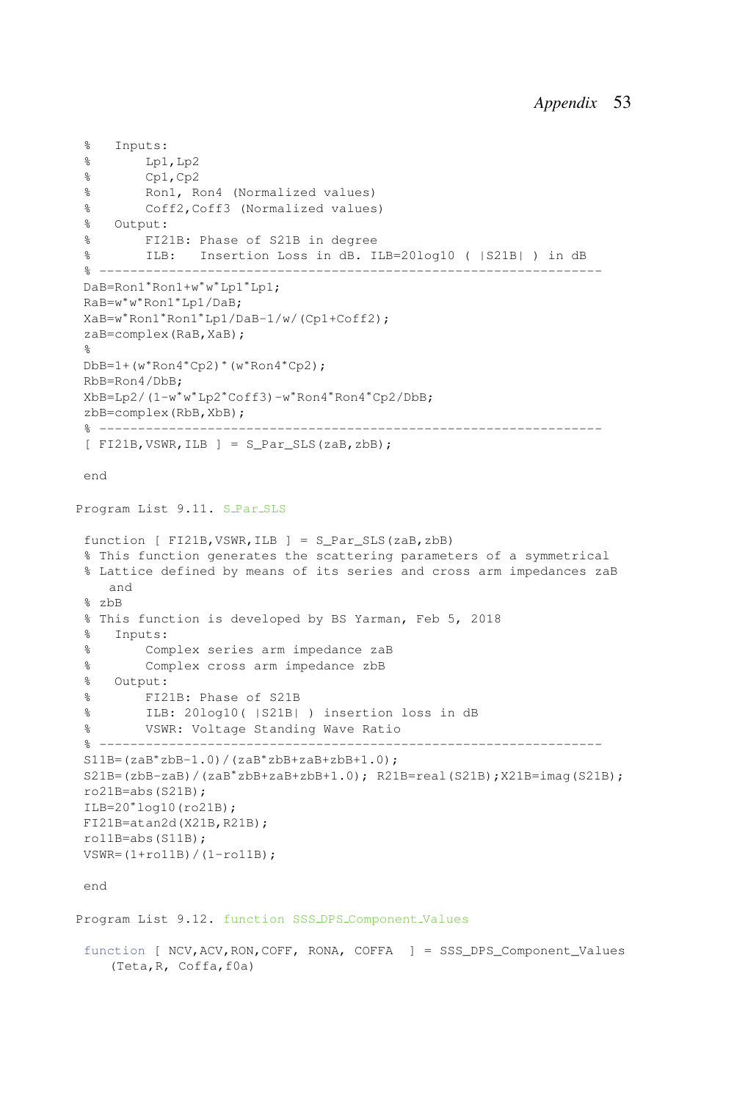```
% Inputs:
 % Lp1,Lp2
 % Cp1,Cp2
 % Ron1, Ron4 (Normalized values)
 % Coff2,Coff3 (Normalized values)
 % Output:
 % FI21B: Phase of S21B in degree
 % ILB: Insertion Loss in dB. ILB=20log10 ( |S21B| ) in dB
 % -----------------------------------------------------------------
 DaB=Ron1∗Ron1+w∗w
∗Lp1∗Lp1;
 RaB=w∗w
∗Ron1∗Lp1/DaB;
XaB=w∗Ron1∗Ron1∗Lp1/DaB-1/w/(Cp1+Coff2);
zaB=complex(RaB,XaB);
 %
DbB=1+(w∗Ron4∗Cp2)∗(w∗Ron4∗Cp2);
RbB=Ron4/DbB;
 XbB=Lp2/(1-w∗w
∗Lp2∗Coff3)-w∗Ron4∗Ron4∗Cp2/DbB;
zbB=complex(RbB,XbB);
 % -----------------------------------------------------------------
 [ FI21B, VSWR, ILB ] = S Par SLS(zaB, zbB);
end
Program List 9.11. S_Par_SLS
function [ FI21B, VSWR, ILB ] = S Par SLS(zaB, zbB)
 % This function generates the scattering parameters of a symmetrical
 % Lattice defined by means of its series and cross arm impedances zaB
    and
 % zbB
 % This function is developed by BS Yarman, Feb 5, 2018
 % Inputs:
 % Complex series arm impedance zaB
 % Complex cross arm impedance zbB
 % Output:
 % FI21B: Phase of S21B
 % ILB: 20log10( |S21B| ) insertion loss in dB
 % VSWR: Voltage Standing Wave Ratio
 % -----------------------------------------------------------------
S11B=(zaB*zbB-1.0)/(zaB*zbB+zaB+zbB+1.0);S21B=(zbB-zaB)/(zaB∗zbB+zaB+zbB+1.0); R21B=real(S21B);X21B=imag(S21B);
ro21B=abs(S21B);
ILB=20∗log10(ro21B);
FI21B=atan2d(X21B,R21B);
ro11B=abs(S11B);
VSWR = (1 + \text{rollB}) / (1 - \text{rollB});
end
Program List 9.12. function SSS DPS Component Values
```
function [ NCV,ACV,RON,COFF, RONA, COFFA ] = SSS\_DPS\_Component\_Values (Teta,R, Coffa,f0a)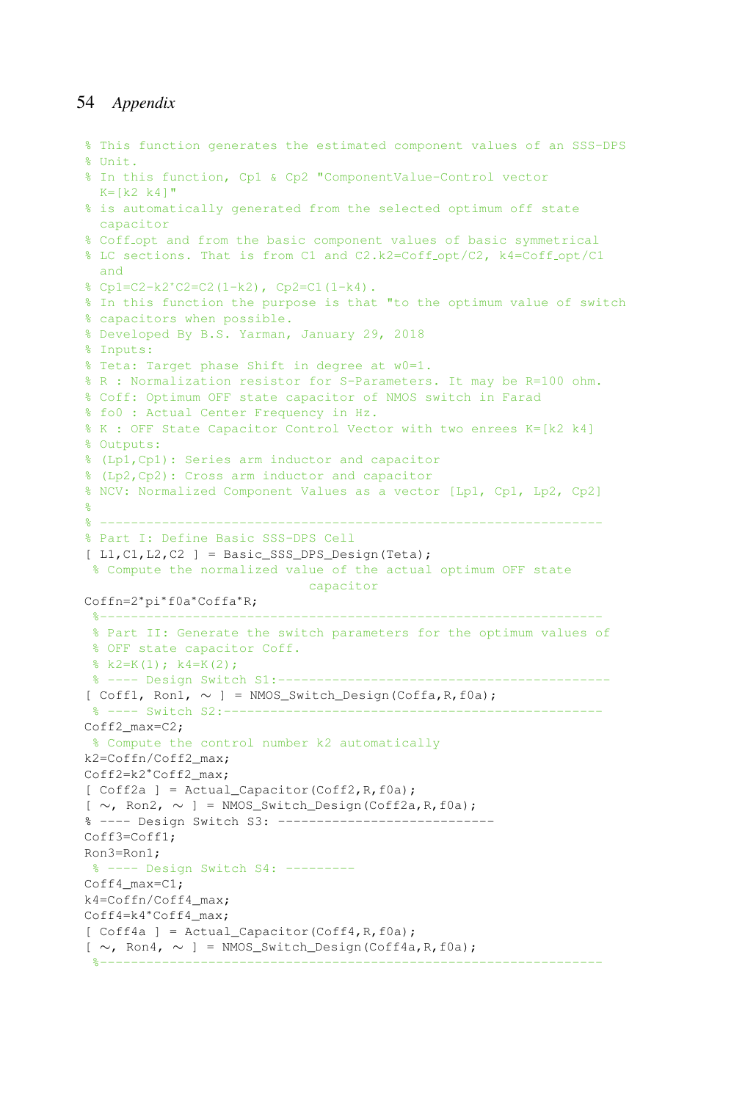```
% This function generates the estimated component values of an SSS-DPS
% Unit.
% In this function, Cp1 & Cp2 "ComponentValue-Control vector
 K=[k2 \ k4]"
% is automatically generated from the selected optimum off state
 capacitor
% Coff opt and from the basic component values of basic symmetrical
% LC sections. That is from C1 and C2.k2=Coff opt/C2, k4=Coff opt/C1
 and
% Cp1=C2-k2*C2=C2(1-k2), Cp2=C1(1-k4).
% In this function the purpose is that "to the optimum value of switch
% capacitors when possible.
% Developed By B.S. Yarman, January 29, 2018
% Inputs:
% Teta: Target phase Shift in degree at w0=1.
% R : Normalization resistor for S-Parameters. It may be R=100 ohm.
% Coff: Optimum OFF state capacitor of NMOS switch in Farad
% fo0 : Actual Center Frequency in Hz.
% K : OFF State Capacitor Control Vector with two enrees K=[k2 k4]
% Outputs:
% (Lp1,Cp1): Series arm inductor and capacitor
% (Lp2,Cp2): Cross arm inductor and capacitor
% NCV: Normalized Component Values as a vector [Lp1, Cp1, Lp2, Cp2]
%
% -----------------------------------------------------------------
% Part I: Define Basic SSS-DPS Cell
[ L1, C1, L2, C2 ] = Basic_SSS_DPS_Design(Teta);
% Compute the normalized value of the actual optimum OFF state
                            capacitor
Coffn=2∗pi∗f0a∗Coffa∗R;
 %-----------------------------------------------------------------
% Part II: Generate the switch parameters for the optimum values of
% OFF state capacitor Coff.
k2=K(1); k4=K(2);% ---- Design Switch S1:-------
[ Coff1, Ron1, ∼ ] = NMOS_Switch_Design(Coffa,R,f0a);
% ---- Switch S2:---------------
Coff2_max=C2;
% Compute the control number k2 automatically
k2=Coffn/Coff2_max;
Coff2=k2∗Coff2_max;
[ Coff2a ] = Actual_Capacitor(Coff2, R, f0a);
[ ∼, Ron2, ∼ ] = NMOS_Switch_Design(Coff2a,R,f0a);
% ---- Design Switch S3: ----------------------------
Coff3=Coff1;
Ron3=Ron1;
% ---- Design Switch S4: ---------
Coff4_max=C1;
k4=Coffn/Coff4_max;
Coff4=k4∗Coff4_max;
[ Coff4a ] = Actual_Capacitor(Coff4, R, f0a);[ ∼, Ron4, ∼ ] = NMOS_Switch_Design(Coff4a,R,f0a);
 %-----------------------------------------------------------------
```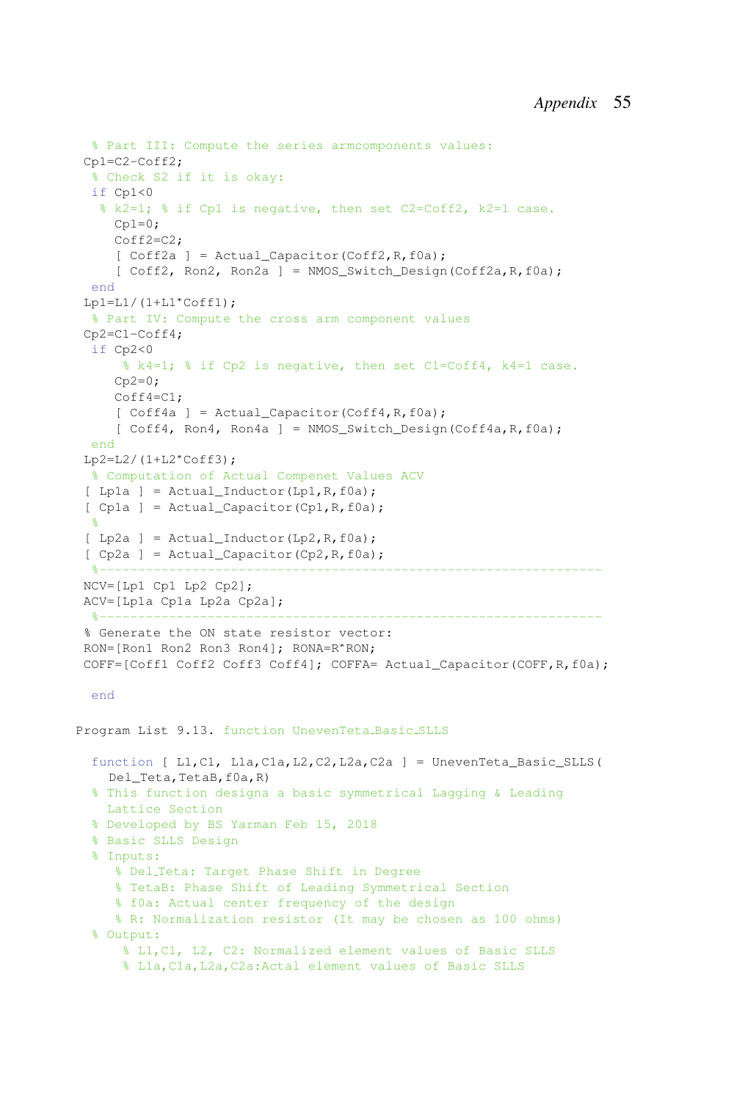```
% Part III: Compute the series armcomponents values:
Cp1=C2-Coff2;
  % Check S2 if it is okay:
 if Cp1<0
  % k2=1; % if Cp1 is negative, then set C2=Coff2, k2=1 case.
    Cp1=0;Coff2=C2:
     [ Coff2a ] = Actual_Capacitor(Coff2, R, f0a);
     [CGff2, Ron2, Ron2a] = NMOS Switch Design(Coff2a,R,fla);end
Lp1=L1/(1+L1*Coff1);
 % Part IV: Compute the cross arm component values
Cp2=C1-Coff4:
 if Cp2<0
     % k4=1; % if Cp2 is negative, then set C1=Coff4, k4=1 case.
    Cp2=0;Coff4=C1;
     [ Coff4a ] = Actual_Capacitor(Coff4, R, f0a);
     [CGff4, Ron4, Ron4a] = NMOS_Swich\_Design(Coff4a, R, f0a);end
 Lp2=L2/(1+L2*Coff3);% Computation of Actual Compenet Values ACV
 [Lp1a] = ActualInductor(Lp1,R,f0a);[ Cp1a ] = Actual_Capacitor(Cp1, R, f0a);
 ^{\circ}[p2a] = \text{Actual\_Inductor}(Lp2, R, f0a);[ Cp2a ] = Actual_Capacitor(Cp2, R, f0a);%-----------------------------------------------------------------
NCV=[Lp1 Cp1 Lp2 Cp2];
ACV=[Lp1a Cp1a Lp2a Cp2a];
  %-----------------------------------------------------------------
 % Generate the ON state resistor vector:
RON=[Ron1 Ron2 Ron3 Ron4]; RONA=R*RON;
COFF=[Coff1 Coff2 Coff3 Coff4]; COFFA= Actual_Capacitor(COFF,R,f0a);
 end
Program List 9.13. function UnevenTeta Basic SLLS
  function [ L1,C1, L1a,C1a,L2,C2,L2a,C2a ] = UnevenTeta_Basic_SLLS(
   Del_Teta,TetaB,f0a,R)
  % This function designa a basic symmetrical Lagging & Leading
   Lattice Section
 % Developed by BS Yarman Feb 15, 2018
  % Basic SLLS Design
  % Inputs:
     % Del Teta: Target Phase Shift in Degree
     % TetaB: Phase Shift of Leading Symmetrical Section
     % f0a: Actual center frequency of the design
     % R: Normalization resistor (It may be chosen as 100 ohms)
  % Output:
     % L1,C1, L2, C2: Normalized element values of Basic SLLS
     % L1a,C1a,L2a,C2a:Actal element values of Basic SLLS
```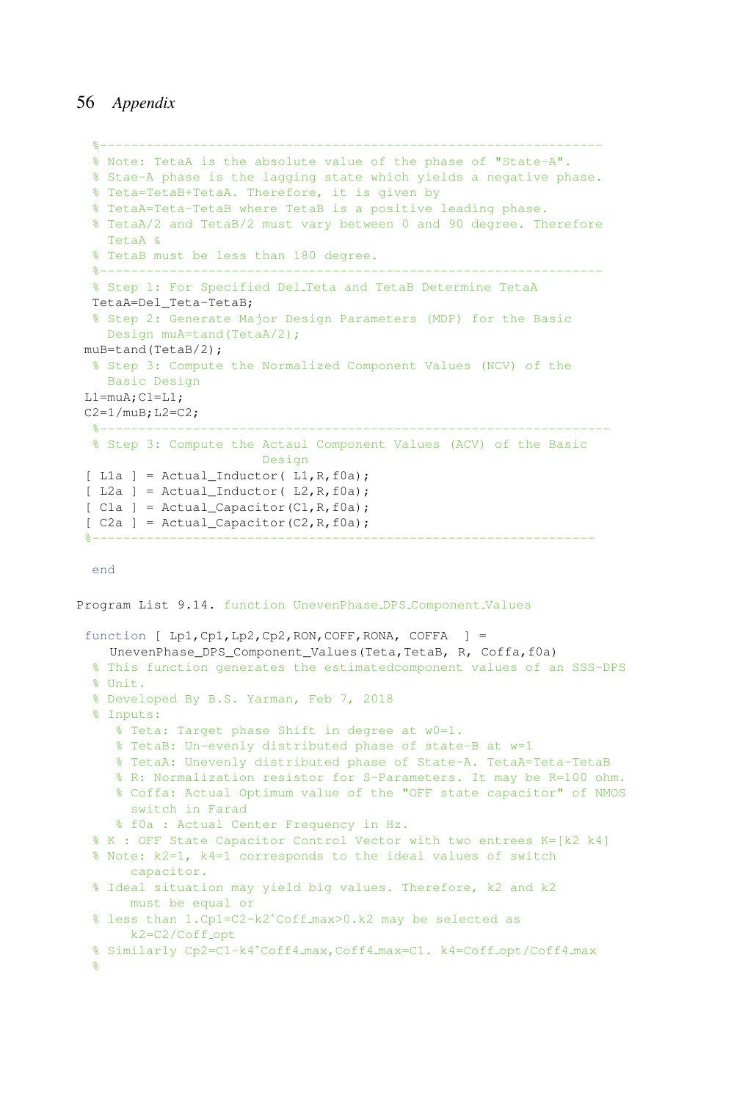```
%-----------------------------------------------------------------
  % Note: TetaA is the absolute value of the phase of "State-A".
  % Stae-A phase is the lagging state which yields a negative phase.
 % Teta=TetaB+TetaA. Therefore, it is given by
  % TetaA=Teta-TetaB where TetaB is a positive leading phase.
  % TetaA/2 and TetaB/2 must vary between 0 and 90 degree. Therefore
   TetaA &
  % TetaB must be less than 180 degree.
  %-----------------------------------------------------------------
  % Step 1: For Specified Del Teta and TetaB Determine TetaA
 TetaA=Del_Teta-TetaB;
 % Step 2: Generate Major Design Parameters (MDP) for the Basic
   Design muA=tand(TetaA/2);
 muB=tand(TetaB/2);
 % Step 3: Compute the Normalized Component Values (NCV) of the
   Basic Design
 L1=muA;C1=L1;C2=1/muB; L2=C2;%------------------------------------------------------------------
 % Step 3: Compute the Actaul Component Values (ACV) of the Basic
                         Design
 [ L1a ] = Actual_Inductor( L1, R, f0a);
 [ L2a ] = Actual_Inductor( L2, R, f0a);
 [ C1a ] = Actual_Capacitor(C1,R, f0a);[ C2a ] = Actual_Capacitor(C2, R, f0a);%-----------------------------------------------------------------
 end
Program List 9.14. function UnevenPhase DPS Component Values
 function [ Lp1,Cp1,Lp2,Cp2,RON,COFF,RONA, COFFA ] =
   UnevenPhase_DPS_Component_Values(Teta,TetaB, R, Coffa,f0a)
  % This function generates the estimatedcomponent values of an SSS-DPS
  % Unit.
  % Developed By B.S. Yarman, Feb 7, 2018
  % Inputs:
     % Teta: Target phase Shift in degree at w0=1.
     % TetaB: Un-evenly distributed phase of state-B at w=1
     % TetaA: Unevenly distributed phase of State-A. TetaA=Teta-TetaB
     % R: Normalization resistor for S-Parameters. It may be R=100 ohm.
     % Coffa: Actual Optimum value of the "OFF state capacitor" of NMOS
      switch in Farad
     % f0a : Actual Center Frequency in Hz.
  % K : OFF State Capacitor Control Vector with two entrees K=[k2 k4]
  % Note: k2=1, k4=1 corresponds to the ideal values of switch
       capacitor.
  % Ideal situation may yield big values. Therefore, k2 and k2
       must be equal or
  % less than 1.Cp1=C2-k2*Coff max>0.k2 may be selected as
      k2 = C2/Coff_opt
  % Similarly Cp2=C1-k4*Coff4_max,Coff4_max=C1. k4=Coff_opt/Coff4_max
  \frac{6}{6}
```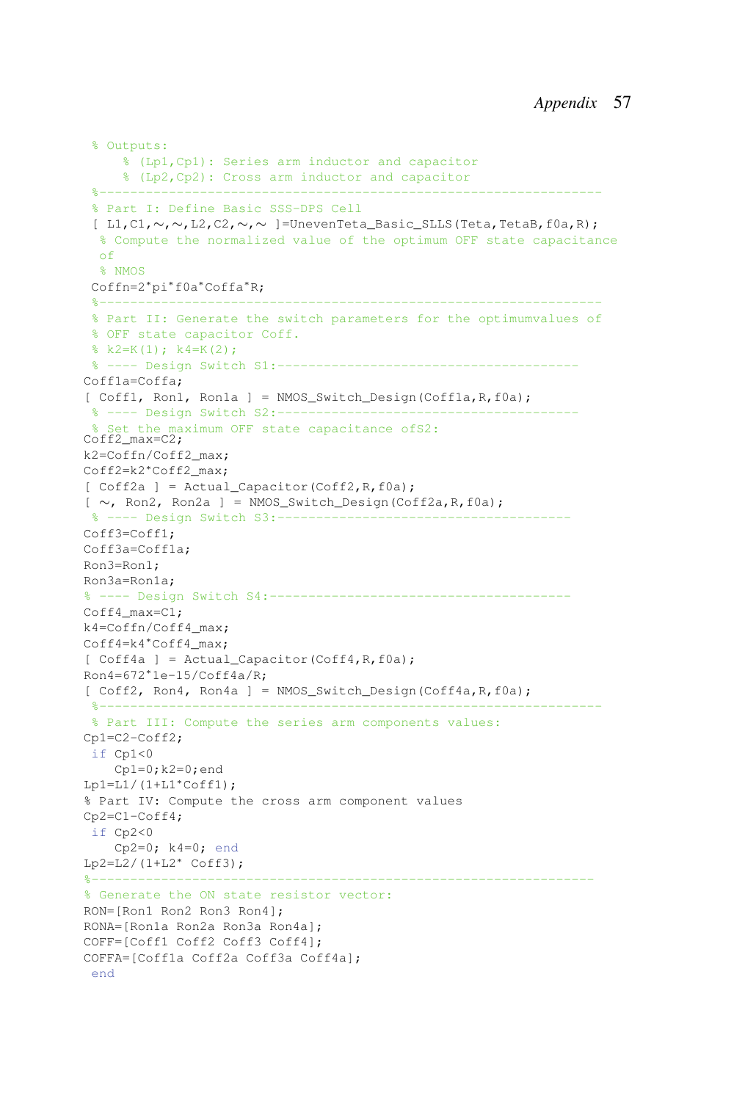```
% Outputs:
    % (Lp1,Cp1): Series arm inductor and capacitor
     % (Lp2,Cp2): Cross arm inductor and capacitor
 %-----------------------------------------------------------------
 % Part I: Define Basic SSS-DPS Cell
 [ L1,C1,∼,∼,L2,C2,∼,∼ ]=UnevenTeta_Basic_SLLS(Teta,TetaB,f0a,R);
  % Compute the normalized value of the optimum OFF state capacitance
  of
  % NMOS
 Coffn=2∗pi∗f0a∗Coffa∗R;
 %-----------------------------------------------------------------
 % Part II: Generate the switch parameters for the optimumvalues of
 % OFF state capacitor Coff.
 k2=K(1); k4=K(2);% ---- Design Switch S1:---------------------------------------
Coff1a=Coffa;
[ Coff1, Ron1, Ron1a ] = NMOS_Switch_Design(Coff1a, R, f0a);
 % ---- Design Switch S2:------------------------
   Set the maximum OFF state capacitance ofS2:
Coff2_max=C2;
k2=Coffn/Coff2_max;
Coff2=k2∗Coff2_max;
[ Coff2a ] = Actual_Capacitor(Coff2, R, f0a);
[ ∼, Ron2, Ron2a ] = NMOS_Switch_Design(Coff2a,R,f0a);
% ---- Design Switch S3:-----
Coff3=Coff1;
Coff3a=Coff1a;
Ron3=Ron1;
Ron3a=Ron1a;
% ---- Design Switch S4:---------------------------------------
Coff4_max=C1;
k4=Coffn/Coff4_max;
Coff4=k4∗Coff4_max;
[ Coff4a ] = Actual Capacitor(Coff4, R,f0a);
Ron4=672∗1e-15/Coff4a/R;
[ Coff2, Ron4, Ron4a ] = NMOS_Switch_Design(Coff4a, R, f0a);
 %-----------------------------------------------------------------
% Part III: Compute the series arm components values:
Cp1=C2-Coff2;
if Cp1<0
    Cp1=0; k2=0; endLp1=L1/(1+L1*Coff1);% Part IV: Compute the cross arm component values
Cp2=C1-Coff4;
if Cp2<0
    Cp2=0; k4=0; end
Lp2=L2/(1+L2∗ Coff3);
%-----------------------------------------------------------------
% Generate the ON state resistor vector:
RON=[Ron1 Ron2 Ron3 Ron4];
RONA=[Ron1a Ron2a Ron3a Ron4a];
COFF=[Coff1 Coff2 Coff3 Coff4];
COFFA=[Coff1a Coff2a Coff3a Coff4a];
 end
```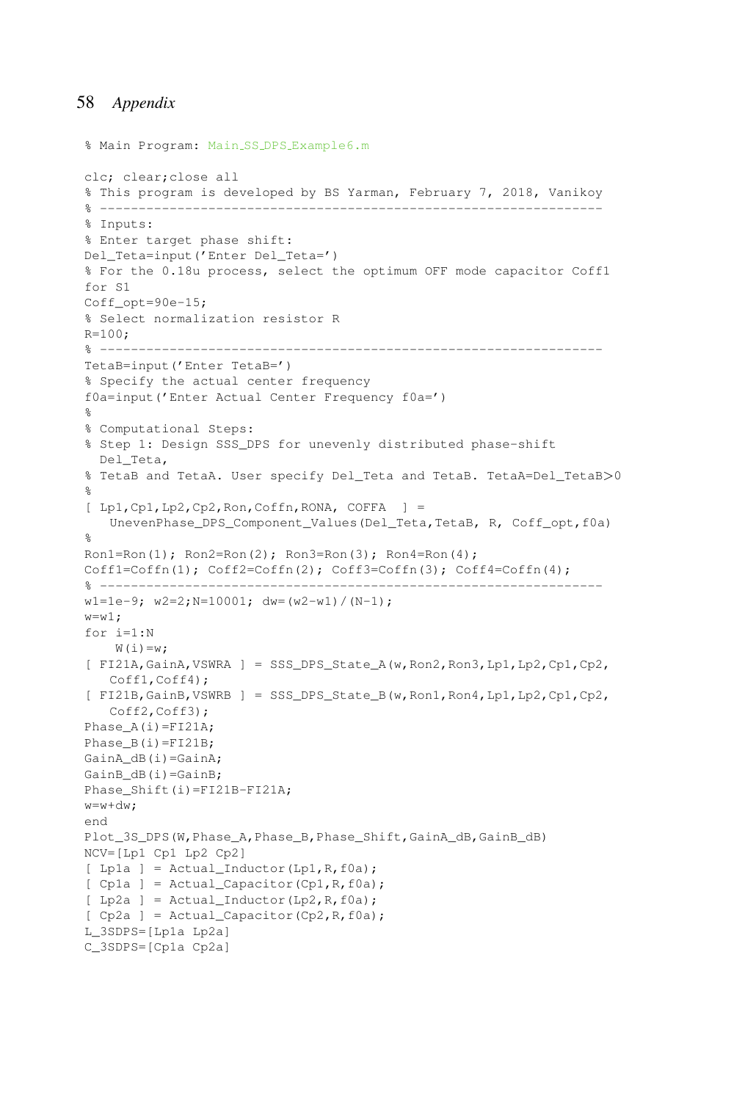```
% Main Program: Main SS DPS Example6.m
clc; clear;close all
% This program is developed by BS Yarman, February 7, 2018, Vanikoy
% -----------------------------------------------------------------
% Inputs:
% Enter target phase shift:
Del_Teta=input('Enter Del_Teta=')
% For the 0.18u process, select the optimum OFF mode capacitor Coff1
for S1
Coff opt=90e-15;
% Select normalization resistor R
R=100;
% -----------------------------------------------------------------
TetaB=input('Enter TetaB=')
% Specify the actual center frequency
f0a=input('Enter Actual Center Frequency f0a=')
\approx% Computational Steps:
% Step 1: Design SSS_DPS for unevenly distributed phase-shift
 Del Teta,
% TetaB and TetaA. User specify Del_Teta and TetaB. TetaA=Del_TetaB>0
%
[ Lp1,Cp1,Lp2,Cp2,Ron,Coffn,RONA, COFFA ] =
   UnevenPhase_DPS_Component_Values(Del_Teta,TetaB, R, Coff_opt,f0a)
%
Ron1=Ron(1); Ron2=Ron(2); Ron3=Ron(3); Ron4=Ron(4);Coff1=Coffn(1); Coff2=Coffn(2); Coff3=Coffn(3); Coff4=Coffn(4);
% -----------------------------------------------------------------
w1=1e-9; w2=2; N=10001; dw=(w2-w1)/(N-1);
w = w1;
for i=1:N
   W(i) = w;[ FI21A,GainA,VSWRA ] = SSS_DPS_State_A(w,Ron2,Ron3,Lp1,Lp2,Cp1,Cp2,
   Coff1,Coff4);
[ FI21B,GainB,VSWRB ] = SSS_DPS_State_B(w,Ron1,Ron4,Lp1,Lp2,Cp1,Cp2,
   Coff2, Coff3);
Phase_A(i)=FI21A;
Phase B(i)=FI21B;
GainA_dB(i)=GainA;
GainB dB(i)=GainB;
Phase_Shift(i)=FI21B-FI21A;
w=w+dw;end
Plot_3S_DPS(W,Phase_A,Phase_B,Phase_Shift,GainA_dB,GainB_dB)
NCV=[Lp1 Cp1 Lp2 Cp2]
[Lp1a] = ActualInductor(Lp1,R,f0a);[ Cp1a ] = Actual_Capacitor(Cp1,R, f0a);[ Lp2a ] = Actual Inductor(Lp2,R,f0a);
[ Cp2a ] = Actual_Capacitor(Cp2,R, f0a);L_3SDPS=[Lp1a Lp2a]
C_3SDPS=[Cp1a Cp2a]
```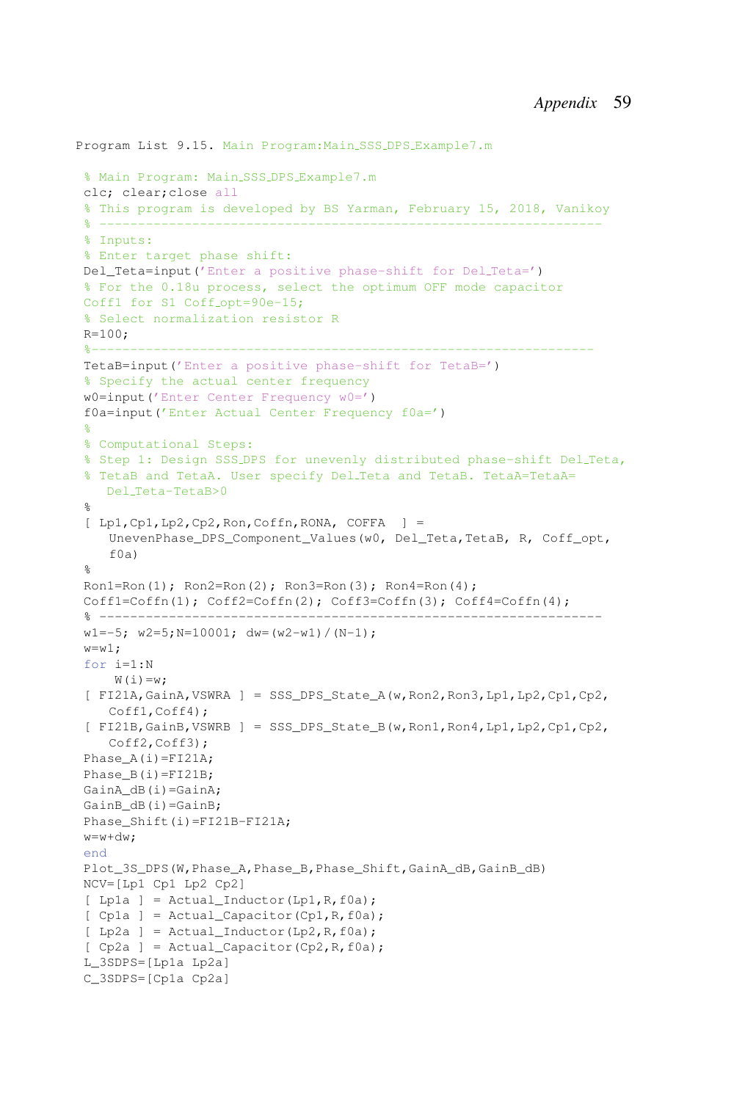```
Program List 9.15. Main Program: Main SSS DPS Example7.m
 % Main Program: Main SSS DPS Example7.m
clc; clear;close all
% This program is developed by BS Yarman, February 15, 2018, Vanikoy
 % -----------------------------------------------------------------
% Inputs:
% Enter target phase shift:
Del Teta=input ('Enter a positive phase-shift for Del Teta=')
% For the 0.18u process, select the optimum OFF mode capacitor
Coff1 for S1 Coff opt=90e-15;
% Select normalization resistor R
R=100;
 %-----------------------------------------------------------------
TetaB=input('Enter a positive phase-shift for TetaB=')
 % Specify the actual center frequency
w0=input('Enter Center Frequency w0=')
f0a=input('Enter Actual Center Frequency f0a=')
 %
% Computational Steps:
 % Step 1: Design SSS DPS for unevenly distributed phase-shift Del Teta,
 % TetaB and TetaA. User specify Del_Teta and TetaB. TetaA=TetaA=
   Del Teta-TetaB>0
 %
 [ Lp1, Cp1, Lp2, Cp2, Ron, Coffn, RONA, COFFA ] =UnevenPhase_DPS_Component_Values(w0, Del_Teta,TetaB, R, Coff_opt,
    f0a)
 %
Ron1=Ron(1); Ron2=Ron(2); Ron3=Ron(3); Ron4=Ron(4);
Coff1=Coffn(1); Coff2=Coffn(2); Coff3=Coffn(3); Coff4=Coffn(4);
 % -----------------------------------------------------------------
w1=-5; w2=5; N=10001; dw=(w2-w1)/(N-1);
w= w1:
for i=1:N
    W(i) = w;
 [ FI21A,GainA,VSWRA ] = SSS_DPS_State_A(w,Ron2,Ron3,Lp1,Lp2,Cp1,Cp2,
    Coff1,Coff4);
 [ FI21B,GainB,VSWRB ] = SSS_DPS_State_B(w,Ron1,Ron4,Lp1,Lp2,Cp1,Cp2,
    Coff2,Coff3);
Phase_A(i)=FI21A;
Phase B(i)=FI21B;
GainA_dB(i)=GainA;
GainB_dB(i)=GainB;
Phase Shift(i)=FI21B-FI21A;
w=w+dw;end
Plot 3S DPS(W, Phase A, Phase B, Phase Shift, GainA dB, GainB dB)
NCV=[Lp1 Cp1 Lp2 Cp2]
[Lp1a] = ActualInductor(Lp1,R,f0a);[ Cp1a ] = Actual_Capacitor(Cp1, R, f0a);
 [ Lp2a ] = Actual_Inductor(Lp2, R, f0a);
 [ Cp2a ] = Actual_Capacitor(Cp2,R, f0a);L_3SDPS=[Lp1a Lp2a]
C_3SDPS=[Cp1a Cp2a]
```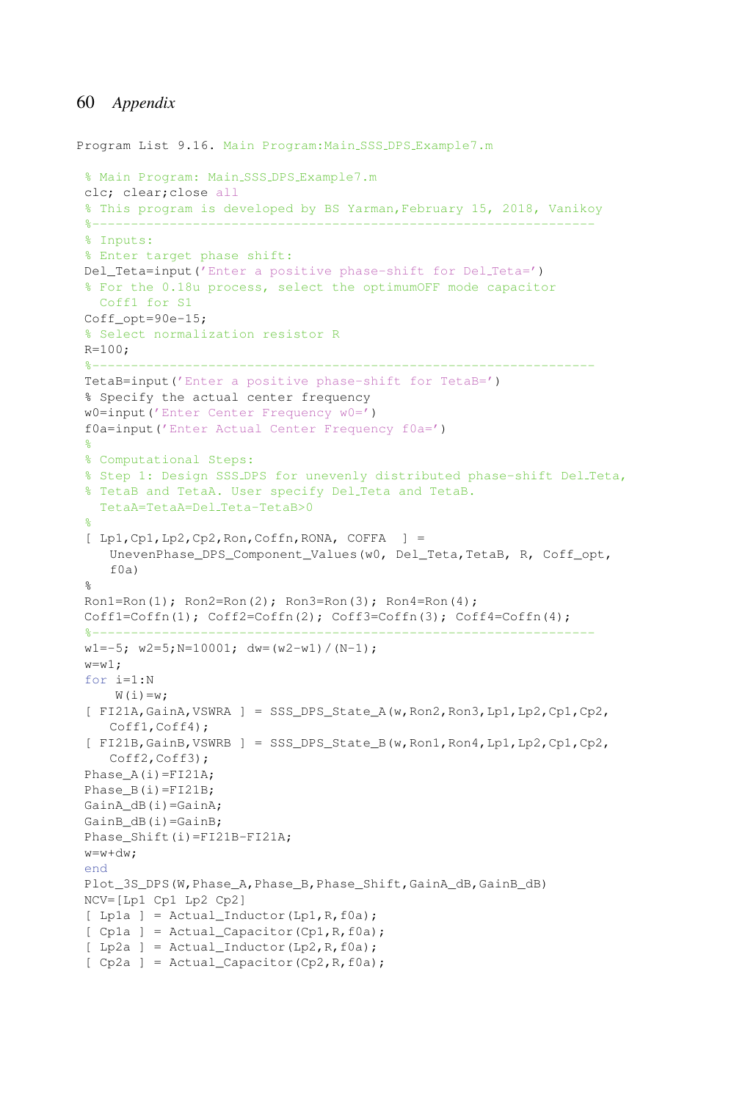```
Program List 9.16. Main Program:Main SSS DPS Example7.m
 % Main Program: Main SSS DPS Example7.m
clc; clear;close all
% This program is developed by BS Yarman,February 15, 2018, Vanikoy
 %-----------------------------------------------------------------
 % Inputs:
 % Enter target phase shift:
 Del Teta=input ('Enter a positive phase-shift for Del Teta=')
 % For the 0.18u process, select the optimumOFF mode capacitor
  Coff1 for S1
Coff opt=90e-15;
 % Select normalization resistor R
R=100:
 %-----------------------------------------------------------------
TetaB=input('Enter a positive phase-shift for TetaB=')
 % Specify the actual center frequency
w0=input('Enter Center Frequency w0=')
f0a=input('Enter Actual Center Frequency f0a=')
 %
 % Computational Steps:
 % Step 1: Design SSS DPS for unevenly distributed phase-shift Del Teta,
 % TetaB and TetaA. User specify Del Teta and TetaB.
   TetaA=TetaA=Del Teta-TetaB>0
 %
 [ Lp1,Cp1,Lp2,Cp2,Ron,Coffn,RONA, COFFA ] =
    UnevenPhase_DPS_Component_Values(w0, Del_Teta,TetaB, R, Coff_opt,
    f0a)
 \mathsf{R}^{\mathsf{D}}Ron1=Ron(1); Ron2=Ron(2); Ron3=Ron(3); Ron4=Ron(4);
 Coff1 = Coffn(1); Coff2 = Coffn(2); Coff3 = Coffn(3); Coff4 = Coffn(4);%-----------------------------------------------------------------
 w1=-5; w2=5; N=10001; dw=(w2-w1)/(N-1);
 w=w1:
 for i=1:N
    W(i) = w;[ FI21A,GainA,VSWRA ] = SSS_DPS_State_A(w,Ron2,Ron3,Lp1,Lp2,Cp1,Cp2,
    Coff1,Coff4);
 [ FI21B, GainB, VSWRB ] = SSS DPS State B(w, Ron1, Ron4, Lp1, Lp2, Cp1, Cp2,
    Coff2, Coff3);
 Phase A(i) = FI21A;Phase_B(i)=FI21B;
 GainA_dB(i)=GainA;
 GainB_dB(i)=GainB;
Phase_Shift(i)=FI21B-FI21A;
w=w+dw;
 end
 Plot_3S_DPS(W,Phase_A,Phase_B,Phase_Shift,GainA_dB,GainB_dB)
NCV=[Lp1 Cp1 Lp2 Cp2]
 [ Lp1a ] = Actual_Inductor(Lp1, R, f0a);
 [ Cp1a ] = Actual_Capacitor(Cp1,R, f0a);[ Lp2a ] = Actual_Inductor(Lp2, R, f0a);
 [ Cp2a ] = Actual_Capacitor(Cp2, R, f0a);
```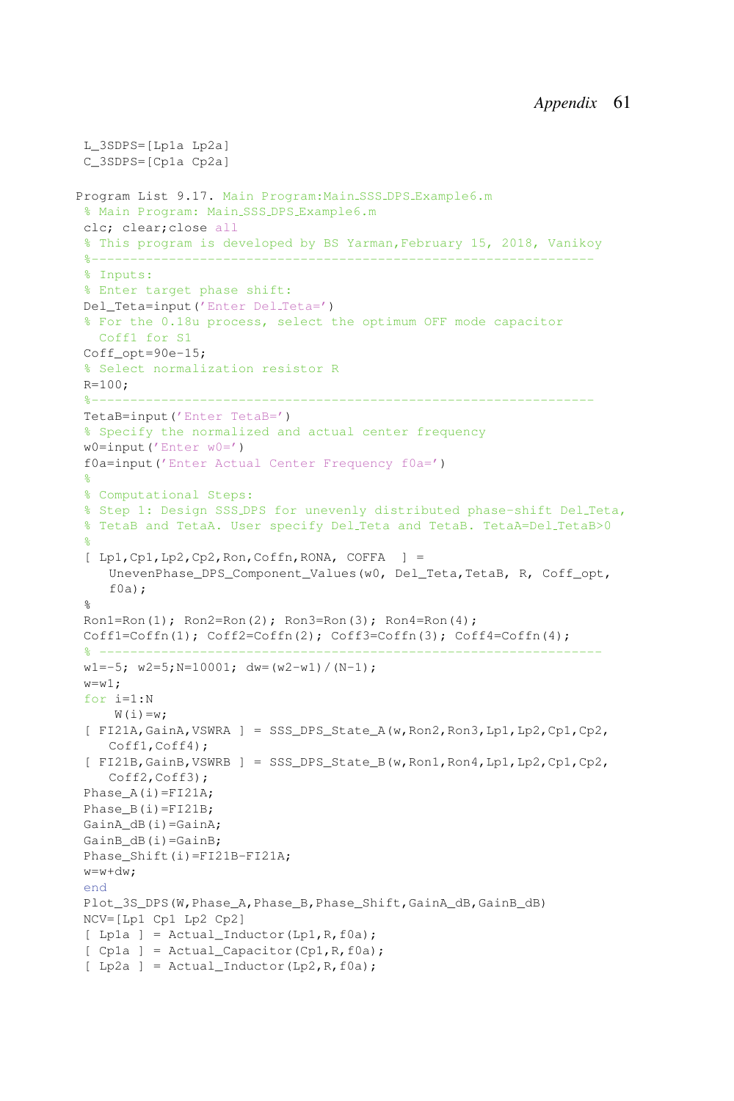```
L_3SDPS=[Lp1a Lp2a]
C_3SDPS=[Cp1a Cp2a]
Program List 9.17. Main Program:Main SSS DPS Example6.m
 % Main Program: Main SSS DPS Example6.m
 clc; clear;close all
% This program is developed by BS Yarman,February 15, 2018, Vanikoy
 %-----------------------------------------------------------------
% Inputs:
 % Enter target phase shift:
Del_Teta=input('Enter Del Teta=')
 % For the 0.18u process, select the optimum OFF mode capacitor
  Coff1 for S1
Coff opt=90e-15;
 % Select normalization resistor R
R=100;
 %-----------------------------------------------------------------
TetaB=input('Enter TetaB=')
 % Specify the normalized and actual center frequency
 w0=input('Enter w0=')
 f0a=input('Enter Actual Center Frequency f0a=')
 \approx% Computational Steps:
 % Step 1: Design SSS DPS for unevenly distributed phase-shift Del Teta,
 % TetaB and TetaA. User specify Del_Teta and TetaB. TetaA=Del_TetaB>0
 %
 [ Lp1, Cp1, Lp2, Cp2, Ron, Coffn, RONA, COFFA ] =UnevenPhase_DPS_Component_Values(w0, Del_Teta,TetaB, R, Coff_opt,
    f(0a);
 %
 Ron1=Ron(1); Ron2=Ron(2); Ron3=Ron(3); Ron4=Ron(4);
 Coff1 = Coffn(1); Coff2 = Coffn(2); Coff3 = Coffn(3); Coff4 = Coffn(4);% ------------------------------
 w1=-5; w2=5; N=10001; dw=(w2-w1)/(N-1);
 w= w1;
 for i=1:N
    W(i) = w;[ FI21A, GainA, VSWRA ] = SSS DPS State A(w,Ron2,Ron3,Lp1,Lp2,Cp1,Cp2,
    Coff1,Coff4);
 [ FI21B,GainB,VSWRB ] = SSS_DPS_State_B(w,Ron1,Ron4,Lp1,Lp2,Cp1,Cp2,
    Coff2, Coff3);
 Phase_A(i)=FI21A;
 Phase B(i)=FI21B;
GainA_dB(i)=GainA;
GainB dB(i)=GainB;
Phase Shift(i)=FI21B-FI21A;
 w=w+dw:
 end
Plot_3S_DPS(W,Phase_A,Phase_B,Phase_Shift,GainA_dB,GainB_dB)
NCV=[Lp1 Cp1 Lp2 Cp2]
 [ Lp1a ] = Actual_Inductor(Lp1, R, f0a);
 [ Cp1a ] = Actual_Capacitor(Cp1, R, f0a);
 [p2a] = \text{Actual\_Inductor}(\text{Lp2}, R, f0a);
```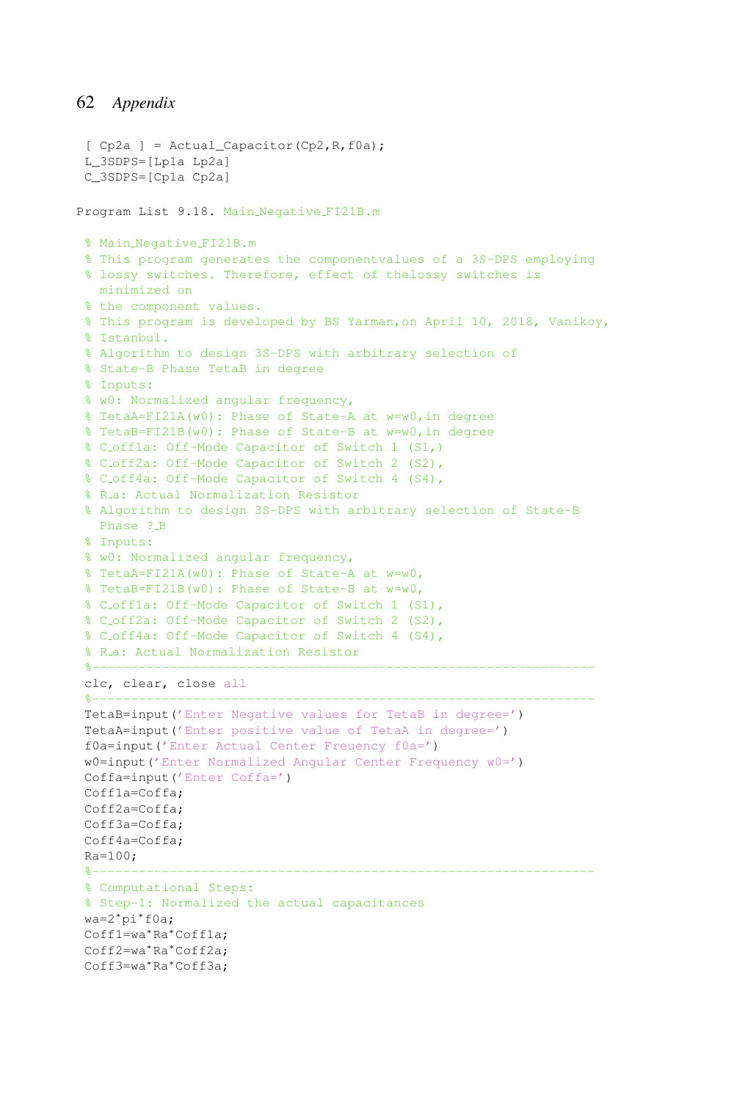```
[ Cp2a ] = Actual Capacity(Cp2,R,fla);L_3SDPS=[Lp1a Lp2a]
C_3SDPS=[Cp1a Cp2a]
Program List 9.18. Main Negative FI21B.m
% Main Negative FI21B.m
% This program generates the componentvalues of a 3S-DPS employing
% lossy switches. Therefore, effect of thelossy switches is
 minimized on
% the component values.
% This program is developed by BS Yarman,on April 10, 2018, Vanikoy,
% Istanbul.
% Algorithm to design 3S-DPS with arbitrary selection of
% State-B Phase TetaB in degree
% Inputs:
% w0: Normalized angular frequency,
% TetaA=FI21A(w0): Phase of State-A at w=w0,in degree
% TetaB=FI21B(w0): Phase of State-B at w=w0,in degree
% C off1a: Off-Mode Capacitor of Switch 1 (S1,)
% C off2a: Off-Mode Capacitor of Switch 2 (S2),
% C off4a: Off-Mode Capacitor of Switch 4 (S4),
% R.a: Actual Normalization Resistor
% Algorithm to design 3S-DPS with arbitrary selection of State-B
  Phase ? B
% Inputs:
% w0: Normalized angular frequency,
% TetaA=FI21A(w0): Phase of State-A at w=w0,
% TetaB=FI21B(w0): Phase of State-B at w=w0,
% C off1a: Off-Mode Capacitor of Switch 1 (S1),
% C off2a: Off-Mode Capacitor of Switch 2 (S2),
% C off4a: Off-Mode Capacitor of Switch 4 (S4),
% R_a: Actual Normalization Resistor
 %-----------------------------------------------------------------
clc, clear, close all
 %-----------------------------------------------------------------
TetaB=input('Enter Negative values for TetaB in degree=')
TetaA=input('Enter positive value of TetaA in degree=')
f0a=input('Enter Actual Center Freuency f0a=')
w0=input('Enter Normalized Angular Center Frequency w0=')
Coffa=input('Enter Coffa=')
Coff1a=Coffa;
Coff2a=Coffa;
Coff3a=Coffa;
Coff4a=Coffa;
Ra = 100:
 %-----------------------------------------------------------------
% Computational Steps:
% Step-1: Normalized the actual capacitances
wa=2∗pi∗f0a;
Coff1=wa∗Ra∗Coff1a;
Coff2=wa∗Ra∗Coff2a;
Coff3=wa∗Ra∗Coff3a;
```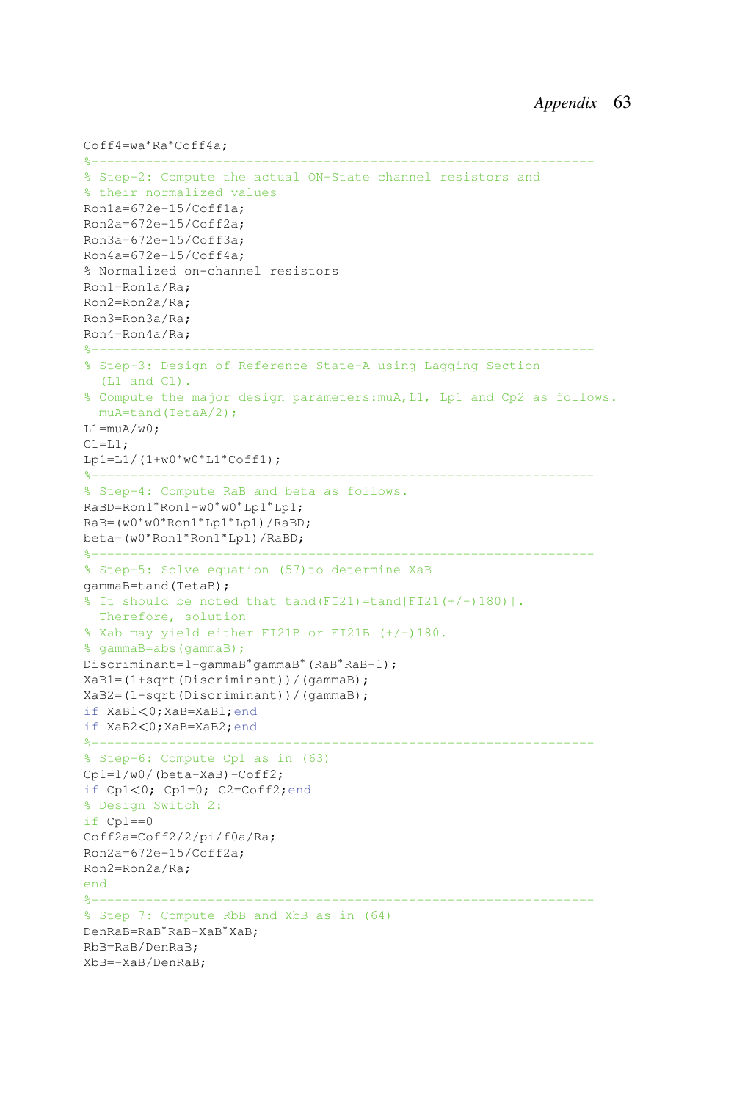```
Coff4=wa∗Ra∗Coff4a;
%-----------------------------------------------------------------
% Step-2: Compute the actual ON-State channel resistors and
% their normalized values
Ron1a=672e-15/Coff1a;
Ron2a=672e-15/Coff2a;
Ron3a=672e-15/Coff3a;
Ron4a=672e-15/Coff4a;
% Normalized on-channel resistors
Ron1=Ron1a/Ra;
Ron2=Ron2a/Ra;
Ron3=Ron3a/Ra;
Ron4=Ron4a/Ra;
%-----------------------------------------------------------------
% Step-3: Design of Reference State-A using Lagging Section
  (L1 and C1).
% Compute the major design parameters:muA,L1, Lp1 and Cp2 as follows.
 muA=tand(TetaA/2);
L1=muA/w0:
C1 = L1;Lp1=L1/(1+w0*w0*LI*Coff1);%-----------------------------------------------------------------
% Step-4: Compute RaB and beta as follows.
RaBD=Ron1∗Ron1+w0∗w0∗Lp1∗Lp1;
RaB=(w0∗w0∗Ron1∗Lp1∗Lp1)/RaBD;
beta=(w0∗Ron1∗Ron1∗Lp1)/RaBD;
%-----------------------------------------------------------------
% Step-5: Solve equation (57)to determine XaB
gammaB=tand(TetaB);
$ It should be noted that tand(FI21)=tand[FI21(+/-)180)].
  Therefore, solution
% Xab may yield either FI21B or FI21B (+/-)180.
% gammaB=abs(gammaB);
Discriminant=1-gammaB∗gammaB∗(RaB∗RaB-1);
XaB1=(1+sqrt(Discriminant))/(gammaB);
XaB2=(1-sqrt(Discriminant))/(gammaB);
if XaB1<0;XaB=XaB1;end
if XaB2<0;XaB=XaB2;end
%-----------------------------------------------------------------
% Step-6: Compute Cp1 as in (63)
Cp1=1/w0/(beta-XaB)-Coff2;
if Cp1<0; Cp1=0; C2=Coff2;end
% Design Switch 2:
if Cp1==0
Coff2a=Coff2/2/pi/f0a/Ra;
Ron2a=672e-15/Coff2a;
Ron2=Ron2a/Ra;
end
%-----------------------------------------------------------------
% Step 7: Compute RbB and XbB as in (64)
DenRaB=RaB∗RaB+XaB∗XaB;
RbB=RaB/DenRaB;
XbB=-XaB/DenRaB;
```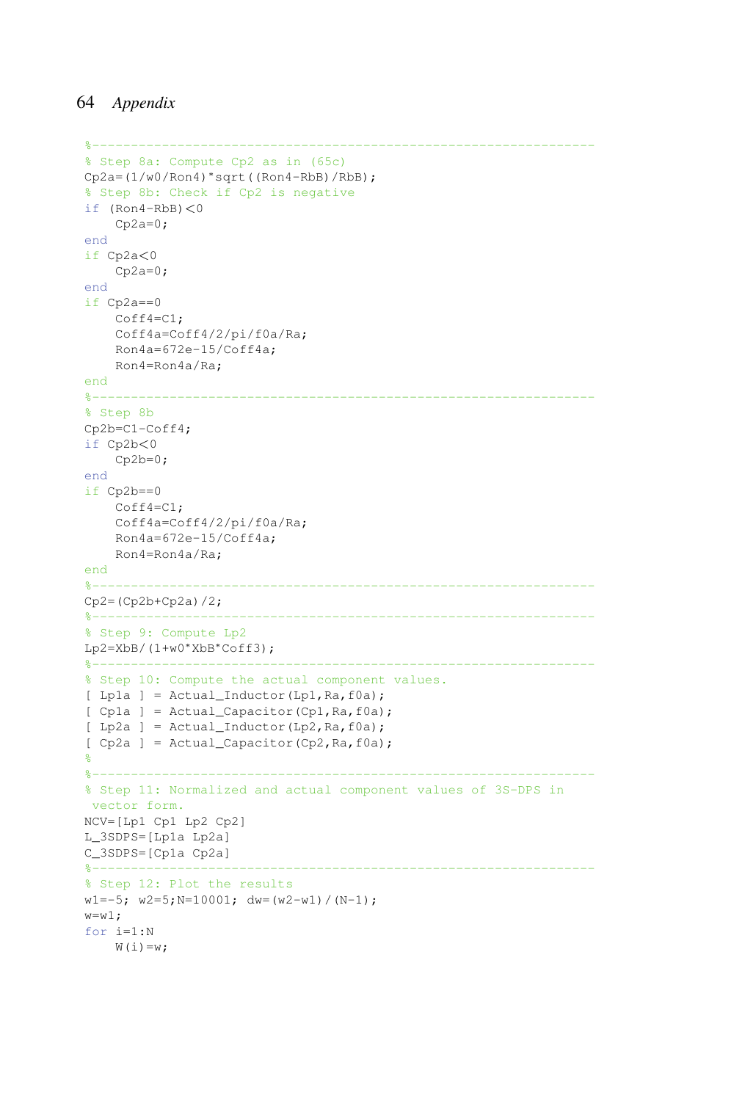```
%-----------------------------------------------------------------
% Step 8a: Compute Cp2 as in (65c)
Cp2a=(1/w0/Ron4)∗sqrt((Ron4-RbB)/RbB);
% Step 8b: Check if Cp2 is negative
if (Ron4-RbB) < 0Cp2a=0;end
if Cp2a<0
   Cp2a=0;end
if Cp2a==0
   Coff4=C1;
   Coff4a=Coff4/2/pi/f0a/Ra;
   Ron4a=672e-15/Coff4a;
   Ron4=Ron4a/Ra;
end
%-----------------------------------------------------------------
% Step 8b
Cp2b=C1-Coff4;
if Cp2b<0
   Cp2b=0;end
if Cp2b==0
   Coff4=C1;Coff4a=Coff4/2/pi/f0a/Ra;
   Ron4a=672e-15/Coff4a;
   Ron4=Ron4a/Ra;
end
%-----------------------------------------------------------------
Cp2 = (Cp2b + Cp2a)/2;%-----------------------------------------------------------------
% Step 9: Compute Lp2
Lp2=XbB/(1+w0*XbB*Coff3);
%-----------------------------------------------------------------
% Step 10: Compute the actual component values.
[ Lp1a ] = Actual_Inductor(Lp1, Ra, f0a);
[ Cp1a ] = Actual_Capacitor(Cp1, Ra, f0a);
[ Lp2a ] = Actual_Inductor(Lp2,Ra,f0a);
[ Cp2a ] = Actual_Capacitor(Cp2,Ra,f0a);%
%-----------------------------------------------------------------
% Step 11: Normalized and actual component values of 3S-DPS in
vector form.
NCV=[Lp1 Cp1 Lp2 Cp2]
L_3SDPS=[Lp1a Lp2a]
C_3SDPS=[Cp1a Cp2a]
%-----------------------------------------------------------------
% Step 12: Plot the results
w1=-5; w2=5; N=10001; dw=(w2-w1)/(N-1);
w= w1;for i=1:N
   W(i) = w;
```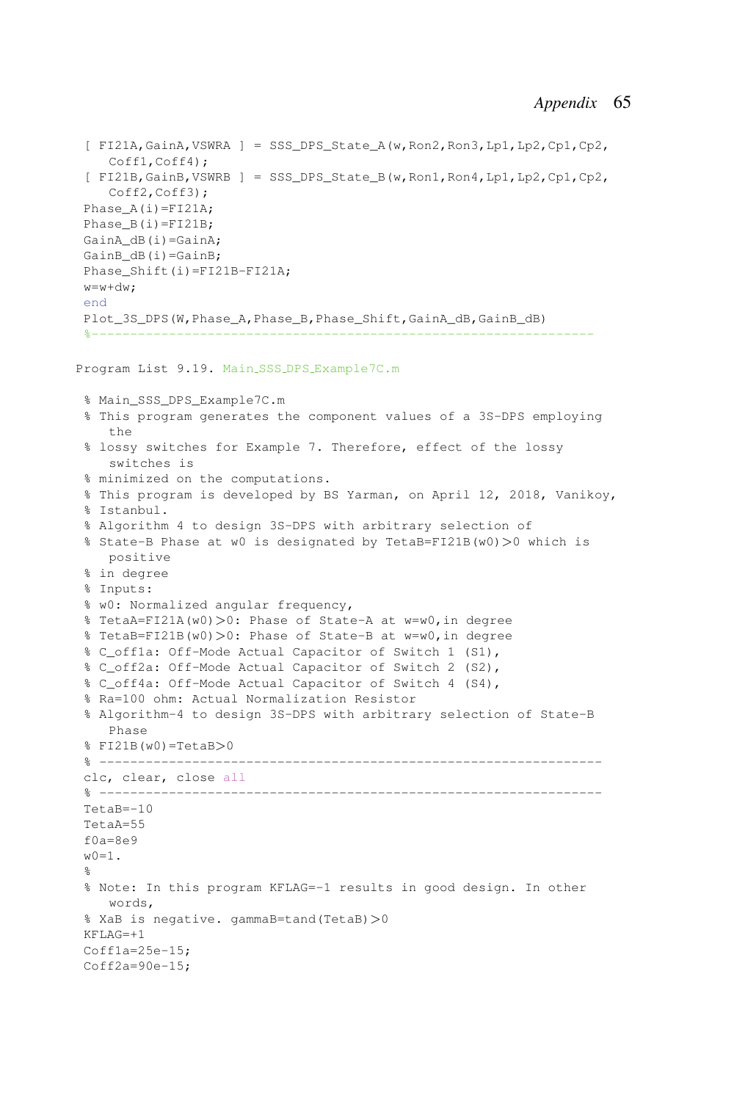```
[ FI21A, GainA, VSWRA ] = SSS DPS State A(w,Ron2,Ron3,Lp1,Lp2,Cp1,Cp2,
   Coff1,Coff4);
 [ FI21B,GainB,VSWRB ] = SSS_DPS_State_B(w,Ron1,Ron4,Lp1,Lp2,Cp1,Cp2,
    Coff2,Coff3);
Phase_A(i)=FI21A;
Phase B(i) = FI21B;GainA dB(i)=GainA;
GainB_dB(i)=GainB;
Phase Shift(i)=FI21B-FI21A;
w=w+dw:
end
Plot_3S_DPS(W,Phase_A,Phase_B,Phase_Shift,GainA_dB,GainB_dB)
 %-----------------------------------------------------------------
Program List 9.19. Main SSS DPS Example7C.m
 % Main_SSS_DPS_Example7C.m
 % This program generates the component values of a 3S-DPS employing
    th\alpha% lossy switches for Example 7. Therefore, effect of the lossy
    switches is
 % minimized on the computations.
 % This program is developed by BS Yarman, on April 12, 2018, Vanikoy,
 % Istanbul.
 % Algorithm 4 to design 3S-DPS with arbitrary selection of
% State-B Phase at w0 is designated by TetaB=FI21B(w0)>0 which is
   positive
% in degree
 % Inputs:
 % w0: Normalized angular frequency,
% TetaA=FI21A(w0)>0: Phase of State-A at w=w0,in degree
 % TetaB=FI21B(w0)>0: Phase of State-B at w=w0,in degree
 % C_off1a: Off-Mode Actual Capacitor of Switch 1 (S1),
 % C_off2a: Off-Mode Actual Capacitor of Switch 2 (S2),
 % C_off4a: Off-Mode Actual Capacitor of Switch 4 (S4),
 % Ra=100 ohm: Actual Normalization Resistor
 % Algorithm-4 to design 3S-DPS with arbitrary selection of State-B
   Phase
 % FI21B(w0)=TetaB>0
 % -----------------------------------------------------------------
clc, clear, close all
 % -----------------------------------------------------------------
TetaB=-10
TetaA=55f0a=8e9w(0=1).
 \mathbf{Q}% Note: In this program KFLAG=-1 results in good design. In other
    words,
 % XaB is negative. gammaB=tand(TetaB)>0
KFT.AG=+1Cofflag=25e-15;Coff2a=90e-15;
```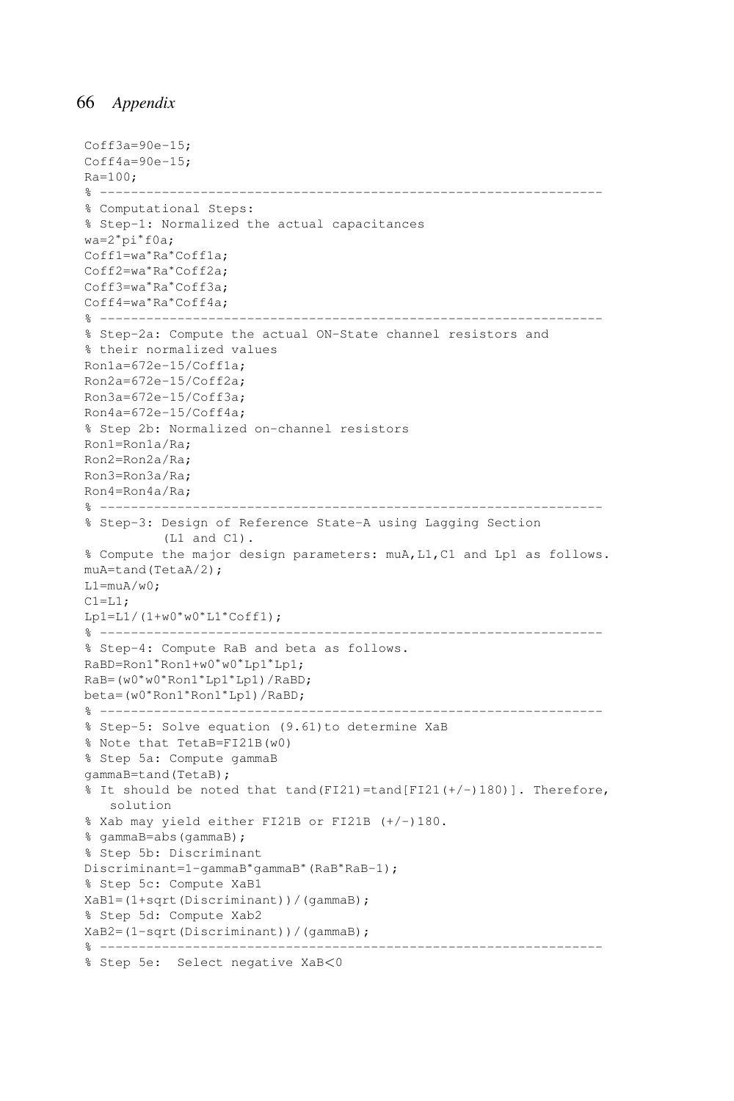```
Coff3a=90e-15;Coff4a=90e-15;Ra=100;
% -----------------------------------------------------------------
% Computational Steps:
% Step-1: Normalized the actual capacitances
wa=2∗pi∗f0a;
Coff1=wa∗Ra∗Coff1a;
Coff2=wa∗Ra∗Coff2a;
Coff3=wa∗Ra∗Coff3a;
Coff4=wa∗Ra∗Coff4a;
% -----------------------------------------------------------------
% Step-2a: Compute the actual ON-State channel resistors and
% their normalized values
Ron1a=672e-15/Coff1a;
Ron2a=672e-15/Coff2a;
Ron3a=672e-15/Coff3a;
Ron4a=672e-15/Coff4a;
% Step 2b: Normalized on-channel resistors
Ron1=Ron1a/Ra;
Ron2=Ron2a/Ra;
Ron3=Ron3a/Ra;
Ron4=Ron4a/Ra;
% -----------------------------------------------------------------
% Step-3: Design of Reference State-A using Lagging Section
         (L1 and C1).
% Compute the major design parameters: muA,L1,C1 and Lp1 as follows.
muA=tand(TetaA/2);
L1=muA/w0;C1 = L1;Lp1=L1/(1+w0*w0*L1*Coff1);% -----------------------------------------------------------------
% Step-4: Compute RaB and beta as follows.
RaBD=Ron1∗Ron1+w0∗w0∗Lp1∗Lp1;
RaB=(w0∗w0∗Ron1∗Lp1∗Lp1)/RaBD;
beta=(w0∗Ron1∗Ron1∗Lp1)/RaBD;
% -----------------------------------------------------------------
% Step-5: Solve equation (9.61)to determine XaB
% Note that TetaB=FI21B(w0)
% Step 5a: Compute gammaB
gammaB=tand(TetaB);
% It should be noted that tand(FI21)=tand[FI21(+/-)180)]. Therefore,
   solution
% Xab may yield either FI21B or FI21B (+/-)180.
% gammaB=abs(gammaB);
% Step 5b: Discriminant
Discriminant=1-gammaB∗gammaB∗(RaB∗RaB-1);
% Step 5c: Compute XaB1
XaB1=(1+sqrt(Discriminant))/(gammaB);
% Step 5d: Compute Xab2
XaB2=(1-sqrt(Discriminant))/(gammaB);
% -----------------------------------------------------------------
% Step 5e: Select negative XaB<0
```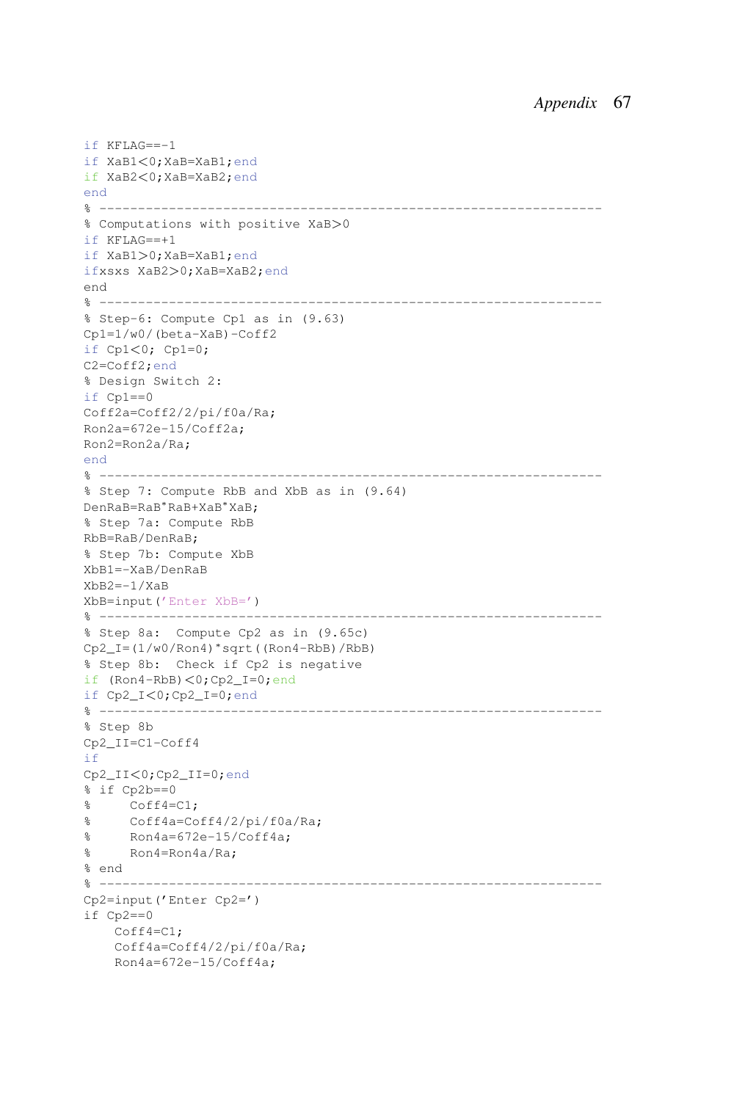```
if KFLAG==-1
if XaB1<0;XaB=XaB1;end
if XaB2<0;XaB=XaB2;end
end
% -----------------------------------------------------------------
% Computations with positive XaB>0
if KFLAG==+1
if XaB1>0;XaB=XaB1;end
ifxsxs XaB2>0;XaB=XaB2;end
end
% -----------------------------------------------------------------
% Step-6: Compute Cp1 as in (9.63)
Cp1=1/w0/(beta-XaB)-Coff2
if Cp1<0; Cp1=0;
C2=Coff2;end
% Design Switch 2:
if Cp1==0
Coff2a=Coff2/2/pi/f0a/Ra;
Ron2a=672e-15/Coff2a;
Ron2=Ron2a/Ra;
end
% -----------------------------------------------------------------
% Step 7: Compute RbB and XbB as in (9.64)
DenRaB=RaB∗RaB+XaB∗XaB;
% Step 7a: Compute RbB
RbB=RaB/DenRaB;
% Step 7b: Compute XbB
XbB1=-XaB/DenRaB
XbB2=-1/XaB
XbB=input('Enter XbB=')
% -----------------------------------------------------------------
% Step 8a: Compute Cp2 as in (9.65c)
Cp2_I=(1/w0/Ron4)∗sqrt((Ron4-RbB)/RbB)
% Step 8b: Check if Cp2 is negative
if (Ron4-RbB)<0;Cp2_I=0;end
if Cp2_I<0;Cp2_I=0;end
% -----------------------------------------------------------------
% Step 8b
Cp2_II=C1-Coff4
if
Cp2_II<0;Cp2_II=0;end
% if Cp2b==0
% Coff4=C1;
% Coff4a=Coff4/2/pi/f0a/Ra;
% Ron4a=672e-15/Coff4a;
% Ron4=Ron4a/Ra;
% end
% -----------------------------------------------------------------
Cp2=input('Enter Cp2=')
if Cp2==0
    Coff4=C1;
    Coff4a=Coff4/2/pi/f0a/Ra;
    Ron4a=672e-15/Coff4a;
```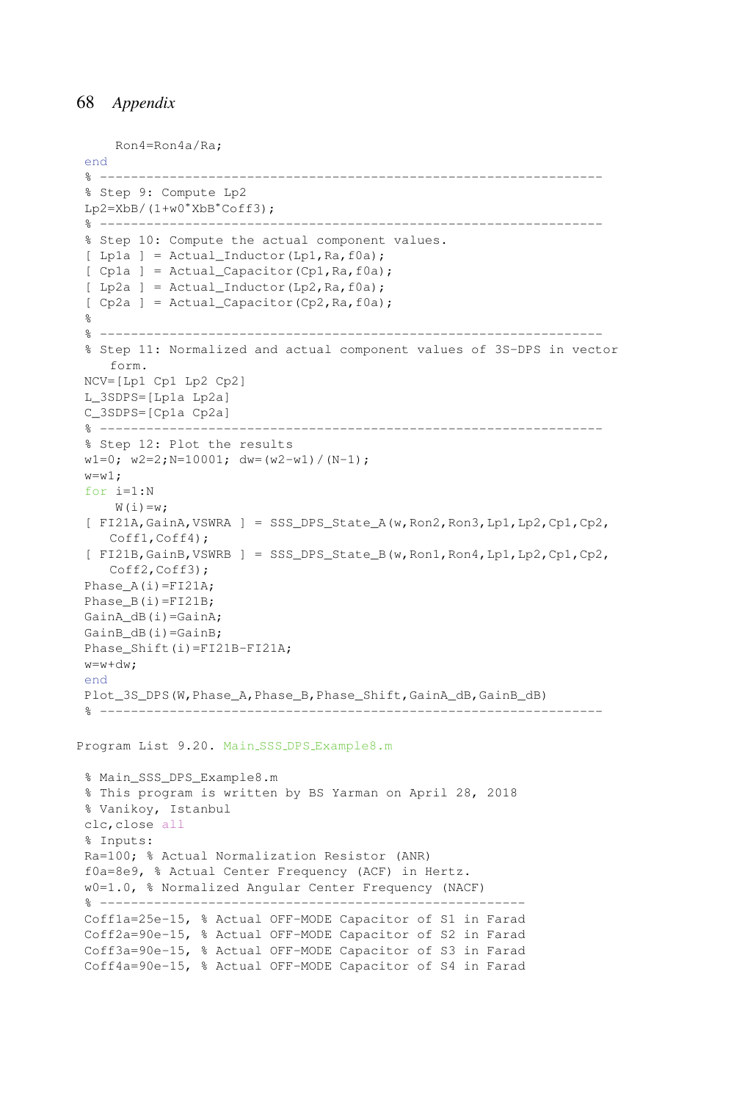```
Ron4=Ron4a/Ra;
 end
 % -----------------------------------------------------------------
 % Step 9: Compute Lp2
Lp2=XbB/(1+w0∗XbB∗Coff3);
                               % -----------------------------------------------------------------
 % Step 10: Compute the actual component values.
 [ Lp1a ] = Actual_Inductor(Lp1, Ra, f0a);
 [ Cp1a ] = Actual_Capacitor(Cp1,Ra,f0a);[ Lp2a ] = Actual_Inductor(Lp2, Ra, f0a);
 [ Cp2a ] = Actual_Capacitor(Cp2,Ra,f0a);%
 % -----------------------------------------------------------------
 % Step 11: Normalized and actual component values of 3S-DPS in vector
   form.
NCV=[Lp1 Cp1 Lp2 Cp2]
 L_3SDPS=[Lp1a Lp2a]
C_3SDPS=[Cp1a Cp2a]
 % -----------------------------------------------------------------
 % Step 12: Plot the results
 w1=0; w2=2; N=10001; dw=(w2-w1)/(N-1);
 w=x_1 1 \cdotfor i=1:N
    W(i) = w;[ FI21A, GainA, VSWRA ] = SSS DPS State A(w, Ron2, Ron3, Lp1, Lp2, Cp1, Cp2,
    Coff1,Coff4);
 [ FI21B,GainB,VSWRB ] = SSS_DPS_State_B(w,Ron1,Ron4,Lp1,Lp2,Cp1,Cp2,
    Coff2, Coff3);
 Phase_A(i)=FI21A;
 Phase B(i) = FI21B;GainA dB(i)=GainA;
 GainB_dB(i)=GainB;
Phase Shift(i)=FI21B-FI21A;
 w = w + dw:
end
Plot_3S_DPS(W, Phase_A, Phase_B, Phase_Shift, GainA_dB, GainB_dB)
 % -----------------------------------------------------------------
Program List 9.20. Main SSS DPS Example8.m
 % Main_SSS_DPS_Example8.m
 % This program is written by BS Yarman on April 28, 2018
 % Vanikoy, Istanbul
 clc,close all
 % Inputs:
 Ra=100; % Actual Normalization Resistor (ANR)
 f0a=8e9, % Actual Center Frequency (ACF) in Hertz.
 w0=1.0, % Normalized Angular Center Frequency (NACF)
 % -------------------------------------------------------
 Coff1a=25e-15, % Actual OFF-MODE Capacitor of S1 in Farad
 Coff2a=90e-15, % Actual OFF-MODE Capacitor of S2 in Farad
 Coff3a=90e-15, % Actual OFF-MODE Capacitor of S3 in Farad
```

```
Coff4a=90e-15, % Actual OFF-MODE Capacitor of S4 in Farad
```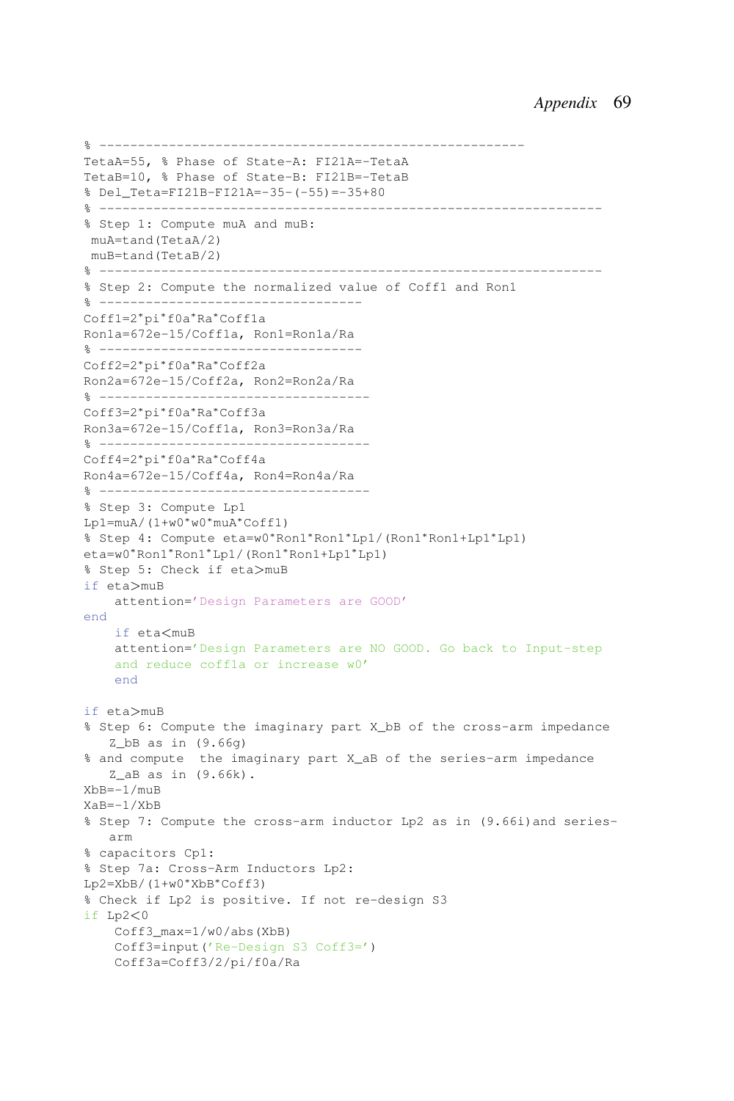```
% -------------------------------------------------------
TetaA=55, % Phase of State-A: FI21A=-TetaA
TetaB=10, % Phase of State-B: FI21B=-TetaB
% Del_Teta=FI21B-FI21A=-35-(-55)=-35+80
% -----------------------------------------------------------------
% Step 1: Compute muA and muB:
muA=tand(TetaA/2)
muB=tand(TetaB/2)
% -----------------------------------------------------------------
% Step 2: Compute the normalized value of Coff1 and Ron1
% ----------------------------------
Coff1=2∗pi∗f0a∗Ra∗Coff1a
Ron1a=672e-15/Coff1a, Ron1=Ron1a/Ra
% ----------------------------------
Coff2=2∗pi∗f0a∗Ra∗Coff2a
Ron2a=672e-15/Coff2a, Ron2=Ron2a/Ra
% -----------------------------------
Coff3=2∗pi∗f0a∗Ra∗Coff3a
Ron3a=672e-15/Coff1a, Ron3=Ron3a/Ra
% -----------------------------------
Coff4=2∗pi∗f0a∗Ra∗Coff4a
Ron4a=672e-15/Coff4a, Ron4=Ron4a/Ra
% -----------------------------------
% Step 3: Compute Lp1
Lp1=muA/(1+w0∗w0∗muA∗Coff1)
% Step 4: Compute eta=w0∗Ron1∗Ron1∗Lp1/(Ron1∗Ron1+Lp1∗Lp1)
eta=w0∗Ron1∗Ron1∗Lp1/(Ron1∗Ron1+Lp1∗Lp1)
% Step 5: Check if eta>muB
if eta>muB
    attention='Design Parameters are GOOD'
end
    if eta<muB
    attention='Design Parameters are NO GOOD. Go back to Input-step
    and reduce coff1a or increase w0'
    end
if eta>muB
% Step 6: Compute the imaginary part X_bB of the cross-arm impedance
   Z bB as in (9.66q)% and compute the imaginary part X_aB of the series-arm impedance
   Z aB as in (9.66k).
XbB=-1/muB
XaB=-1/XbB
% Step 7: Compute the cross-arm inductor Lp2 as in (9.66i)and series-
   arm
% capacitors Cp1:
% Step 7a: Cross-Arm Inductors Lp2:
Lp2=XbB/(1+w0∗XbB∗Coff3)
% Check if Lp2 is positive. If not re-design S3
if Lp2<0
    Coff3_max=1/w0/abs(XbB)
    Coff3=input('Re-Design S3 Coff3=')
    Coff3a=Coff3/2/pi/f0a/Ra
```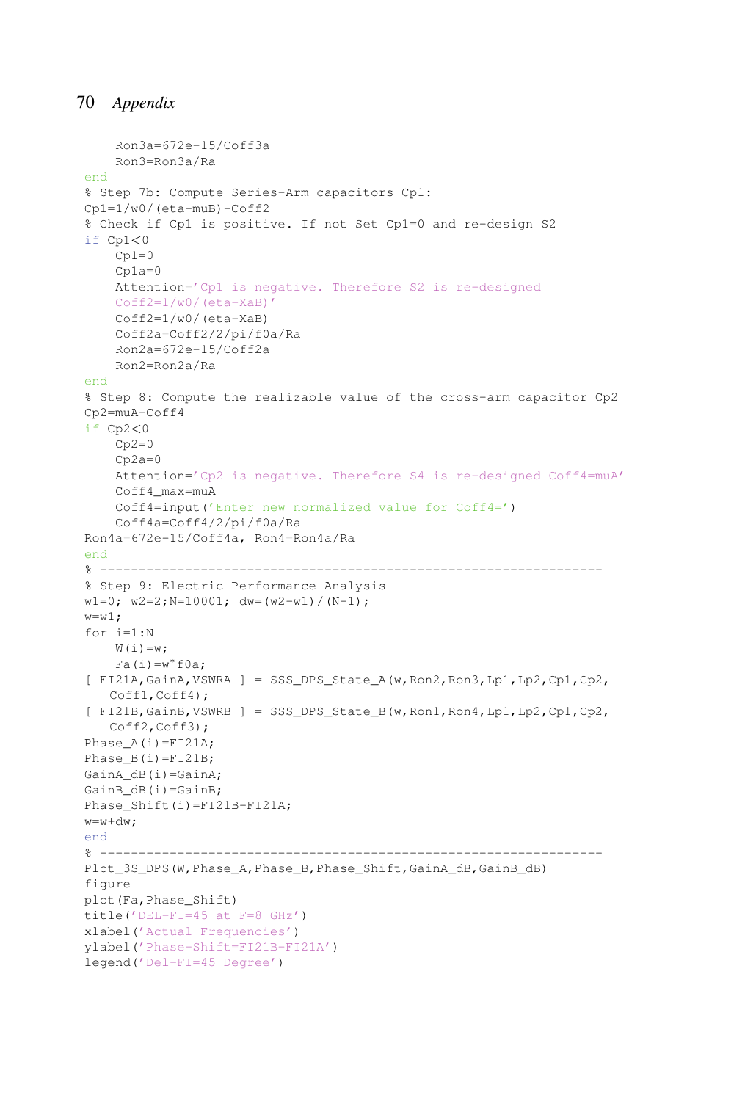```
Ron3a=672e-15/Coff3a
   Ron3=Ron3a/Ra
end
% Step 7b: Compute Series-Arm capacitors Cp1:
Cp1=1/w0/(eta-muB)-Coff2
% Check if Cp1 is positive. If not Set Cp1=0 and re-design S2
if Cp1<0Cp1=0Cp1a=0Attention='Cp1 is negative. Therefore S2 is re-designed
   Coff2=1/w0/(eta-XaB)'
   Coff2=1/w0/(eta-XaB)
   Coff2a=Coff2/2/pi/f0a/Ra
   Ron2a=672e-15/Coff2a
   Ron2=Ron2a/Ra
end
% Step 8: Compute the realizable value of the cross-arm capacitor Cp2
Cp2=muA-Coff4
if Cp2<0
   Cp2=0Cp2a=0Attention='Cp2 is negative. Therefore S4 is re-designed Coff4=muA'
    Coff4_max=muA
   Coff4=input('Enter new normalized value for Coff4=')
    Coff4a=Coff4/2/pi/f0a/Ra
Ron4a=672e-15/Coff4a, Ron4=Ron4a/Ra
end
% -----------------------------------------------------------------
% Step 9: Electric Performance Analysis
w1=0; w2=2; N=10001; dw=(w2-w1)/(N-1);
w = w1;
for i=1:N
   W(i) = w;Fa(i)=w*foa;[ FI21A,GainA,VSWRA ] = SSS_DPS_State_A(w,Ron2,Ron3,Lp1,Lp2,Cp1,Cp2,
   Coff1,Coff4);
[ FI21B,GainB,VSWRB ] = SSS_DPS_State_B(w,Ron1,Ron4,Lp1,Lp2,Cp1,Cp2,
   Coff2, Coff3);
Phase A(i) = FI21A;Phase_B(i)=FI21B;
GainA dB(i)=GainA;
GainB_dB(i)=GainB;
Phase_Shift(i)=FI21B-FI21A;
w=w+dw;
end
% -----------------------------------------------------------------
Plot 3S DPS(W, Phase A, Phase B, Phase Shift, GainA dB, GainB dB)
figure
plot(Fa,Phase_Shift)
title('DEL-FI=45 at F=8 GHz')
xlabel('Actual Frequencies')
ylabel('Phase-Shift=FI21B-FI21A')
legend('Del-FI=45 Degree')
```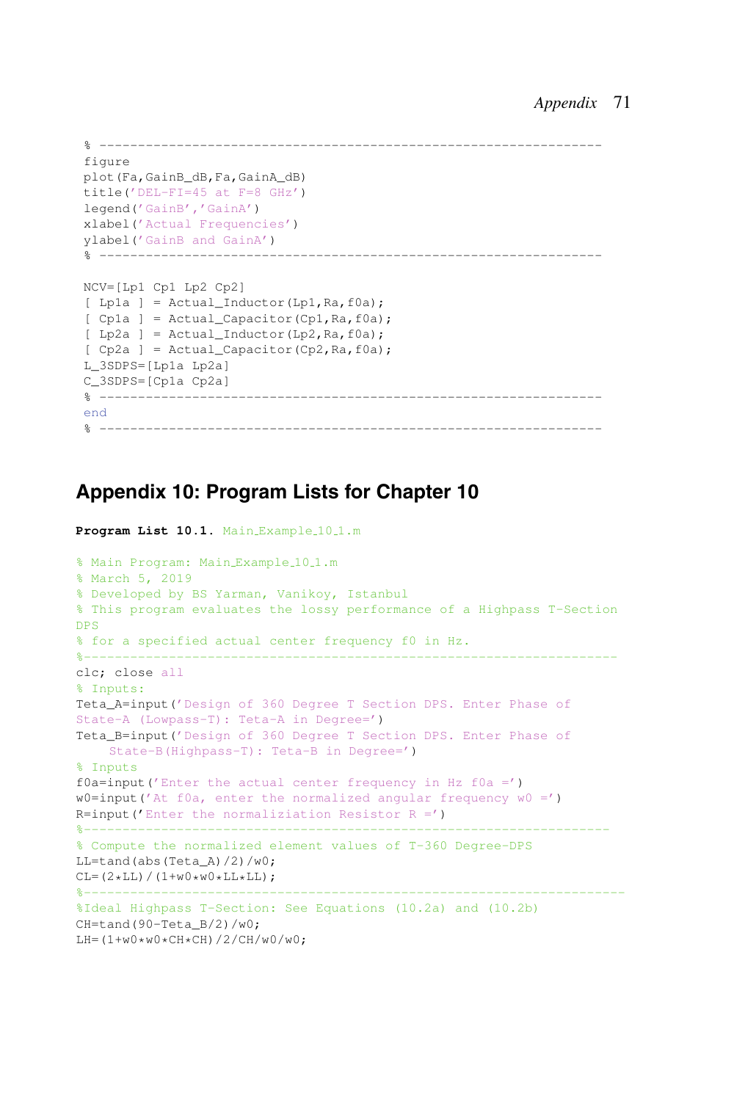```
% -----------------------------------------------------------------
figure
plot(Fa,GainB_dB,Fa,GainA_dB)
title('DEL-FI=45 at F=8 GHz')
legend('GainB','GainA')
xlabel('Actual Frequencies')
ylabel('GainB and GainA')
% -----------------------------------------------------------------
NCV=[Lp1 Cp1 Lp2 Cp2]
[ Lp1a ] = Actual_Inductor(Lp1, Ra, f0a);
[ Cp1a ] = Actual_Capacitor(Cp1, Ra, f0a);
[ Lp2a ] = Actual_Inductor(Lp2, Ra, f0a);
[ Cp2a ] = Actual_Capacitor(Cp2,Ra,f0a);L_3SDPS=[Lp1a Lp2a]
C_3SDPS=[Cp1a Cp2a]
                      % -----------------------------------------------------------------
end
% -----------------------------------------------------------------
```
# **Appendix 10: Program Lists for Chapter 10**

```
Program List 10.1. Main Example 10.1.m
% Main Program: Main_Example_10_1.m
% March 5, 2019
% Developed by BS Yarman, Vanikoy, Istanbul
% This program evaluates the lossy performance of a Highpass T-Section
DPS
% for a specified actual center frequency f0 in Hz.
%---------------------------------------------------------------------
clc; close all
% Inputs:
Teta_A=input('Design of 360 Degree T Section DPS. Enter Phase of
State-A (Lowpass-T): Teta-A in Degree=')
Teta_B=input('Design of 360 Degree T Section DPS. Enter Phase of
    State-B(Highpass-T): Teta-B in Degree=')
% Inputs
f0a=input('Enter the actual center frequency in Hz f0a =')
w0=input('At f0a, enter the normalized angular frequency w0 =')
R=input ('Enter the normaliziation Resistor R =')
%--------------------------------------------------------------------
% Compute the normalized element values of T-360 Degree-DPS
LL=tand(abs(TetaA)/2)/w0;
CL=(2*LL)/(1+w0*w0*LL*LL);%----------------------------------------------------------------------
%Ideal Highpass T-Section: See Equations (10.2a) and (10.2b)
CH=tand(90-Teta_B/2)/w0;
LH = (1+w0*w0*CH*CH)/2/CH/w0/w0;
```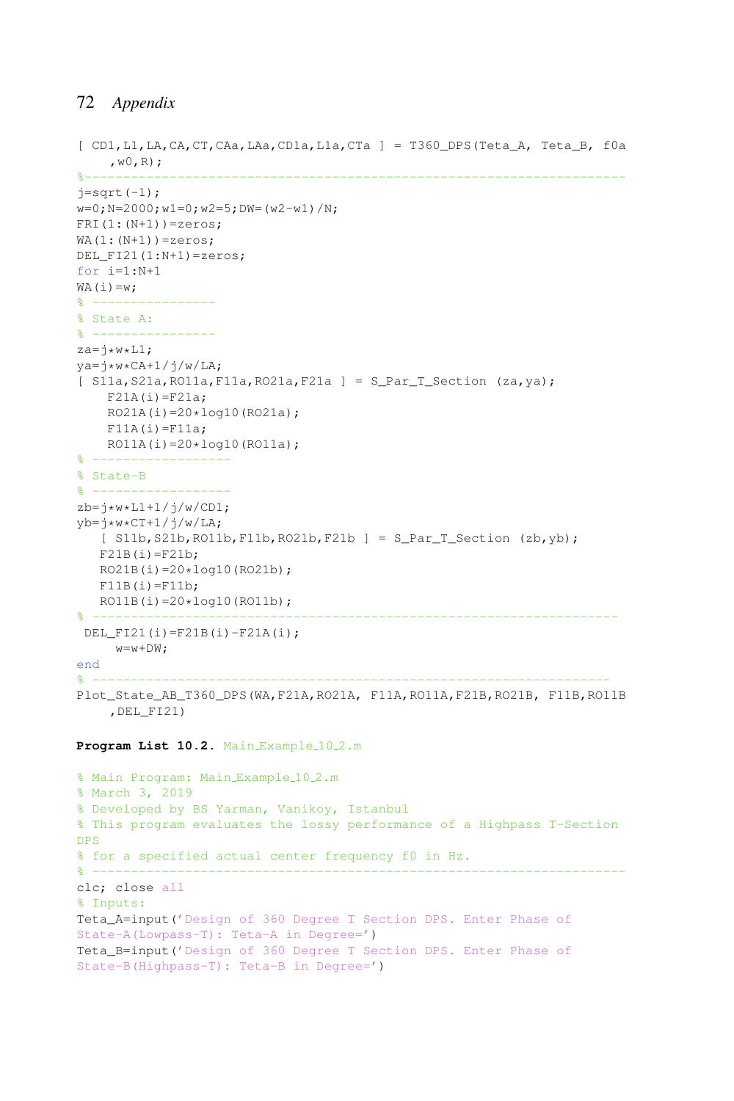```
[CD1, L1, LA, CA, CT, CAa, LAa, CD1a, L1a, CTa] = T360 DPS(Teta A, Teta B, f0a
    ,w0,R);
%----------------------------------------------------------------------
j=sqrt(-1);w=0; N=2000; w1=0; w2=5; DW= (w2-w1) /N;
FRI(1:(N+1))=zeros;
WA(1:(N+1))=zeros;DEL_FI21(1:N+1)=zeros;
for i=1:N+1
WA(i)=w;& - - - - - - - -% State A:
% ----------------
za=j*w*L1;
ya=ikw*CA+1/j/w/LA;[ S11a, S21a, RO11a, F11a, RO21a, F21a ] = S_{\text{Par}} T_{\text{Section}} (za, ya);
    F21A(i)=F21a;RO21A(i)=20*log10(RO21a);F11A(i)=F11a;RO11A(i)=20*log10(RO11a);% ------------------
% State-B
% ------------------
zb=j*w*L1+1/j/w/CD1;
yb=j*w*CT+1/j/w/LA;[ S11b,S21b,RO11b,F11b,RO21b,F21b ] = S_Par_T_Section (zb,yb);
   F21B(i)=F21b;
  RO21B(i)=20*log10(RO21b);
  F11B(i)=F11b;RO11B(i)=20*log10(RO11b);% --------------------------------------------------------------------
 DEL_FI21(i)=F21B(i)-F21A(i);
     w=w+DW;end
% -------------------------------------------------------------------
Plot_State_AB_T360_DPS(WA,F21A,RO21A, F11A,RO11A,F21B,RO21B, F11B,RO11B
    ,DEL_FI21)
Program List 10.2. Main Example 10.2.m
% Main Program: Main_Example_10_2.m
% March 3, 2019
% Developed by BS Yarman, Vanikoy, Istanbul
% This program evaluates the lossy performance of a Highpass T-Section
DPS
% for a specified actual center frequency f0 in Hz.
% ---------------------------------------------------------------------
clc; close all
% Inputs:
Teta_A=input('Design of 360 Degree T Section DPS. Enter Phase of
State-A(Lowpass-T): Teta-A in Degree=')
Teta_B=input('Design of 360 Degree T Section DPS. Enter Phase of
State-B(Highpass-T): Teta-B in Degree=')
```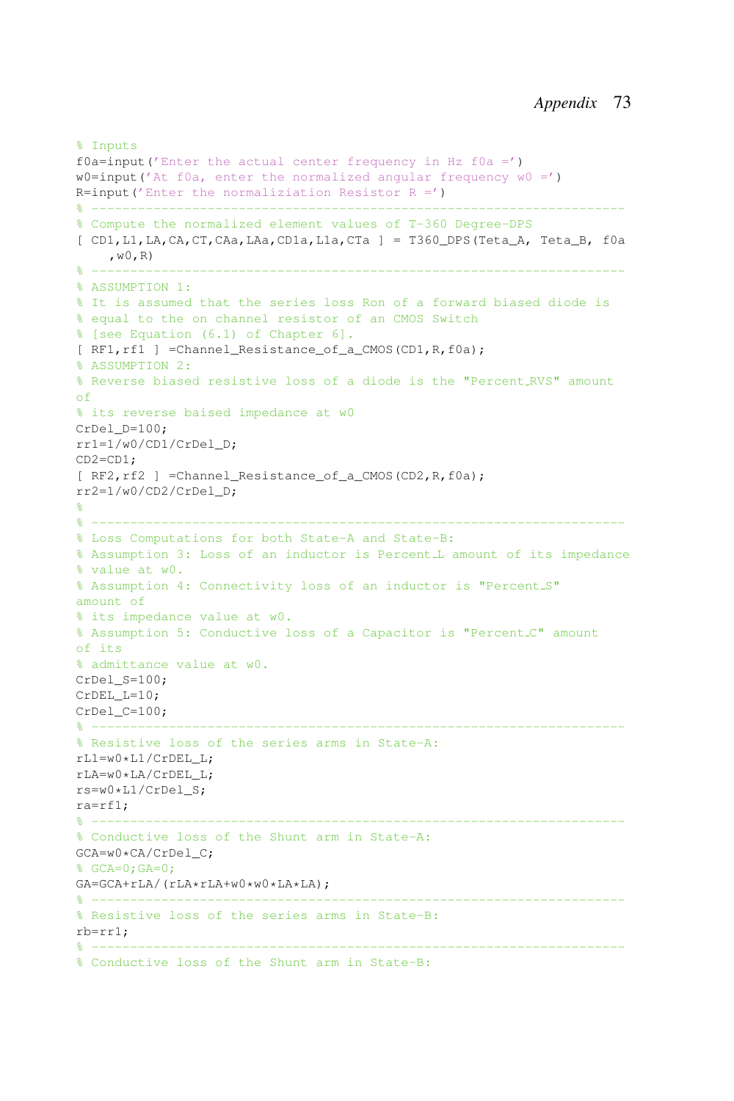```
% Inputs
f0a=input('Enter the actual center frequency in Hz f0a =')
w0=input('At f0a, enter the normalized angular frequency w0 = ')
R=input ('Enter the normaliziation Resistor R =')
% ---------------------------------------------------------------------
% Compute the normalized element values of T-360 Degree-DPS
[CD1, L1, LA, CA, CT, CAa, LAa, CD1a, L1a, CTa] = T360 DPS(Teta A, Teta B, f0a
    ,w0,R)
% ---------------------------------------------------------------------
% ASSUMPTION 1:
% It is assumed that the series loss Ron of a forward biased diode is
% equal to the on channel resistor of an CMOS Switch
% [see Equation (6.1) of Chapter 6].
[ RF1,rf1 ] =Channel_Resistance_of_a_CMOS(CD1,R,f0a);
% ASSUMPTION 2:
% Reverse biased resistive loss of a diode is the "Percent RVS" amount
\alphaf
% its reverse baised impedance at w0
CrDel_D=100;
rr1=1/w0/CD1/CrDel_D;
CD2=CD1;
[ RF2,rf2 ] =Channel_Resistance_of_a_CMOS(CD2,R,f0a);
rr2=1/w0/CD2/CrDel_D;
%
% ---------------------------------------------------------------------
% Loss Computations for both State-A and State-B:
% Assumption 3: Loss of an inductor is Percent L amount of its impedance
% value at w0.
% Assumption 4: Connectivity loss of an inductor is "Percent S"
amount of
% its impedance value at w0.
% Assumption 5: Conductive loss of a Capacitor is "Percent C" amount
of its
% admittance value at w0.
CrDel S=100:
CrDEL_L=10;
CrDel_C=100;
% ---------------------------------------------------------------------
% Resistive loss of the series arms in State-A:
rL1=w0*L1/CrDEL_L;
rLA=w0*LA/CrDEL_L;
rs=w0*L1/CrDel_S;
ra=rf1;
% ---------------------------------------------------------------------
% Conductive loss of the Shunt arm in State-A:
GCA=w0*CA/CrDel_C;
% GCA=0;GA=0;
GA=GCA+rLA/(rLA*rLA+w0*w0*LA*LA);
% ---------------------------------------------------------------------
% Resistive loss of the series arms in State-B:
rb=rr1;
% ---------------------------------------------------------------------
% Conductive loss of the Shunt arm in State-B:
```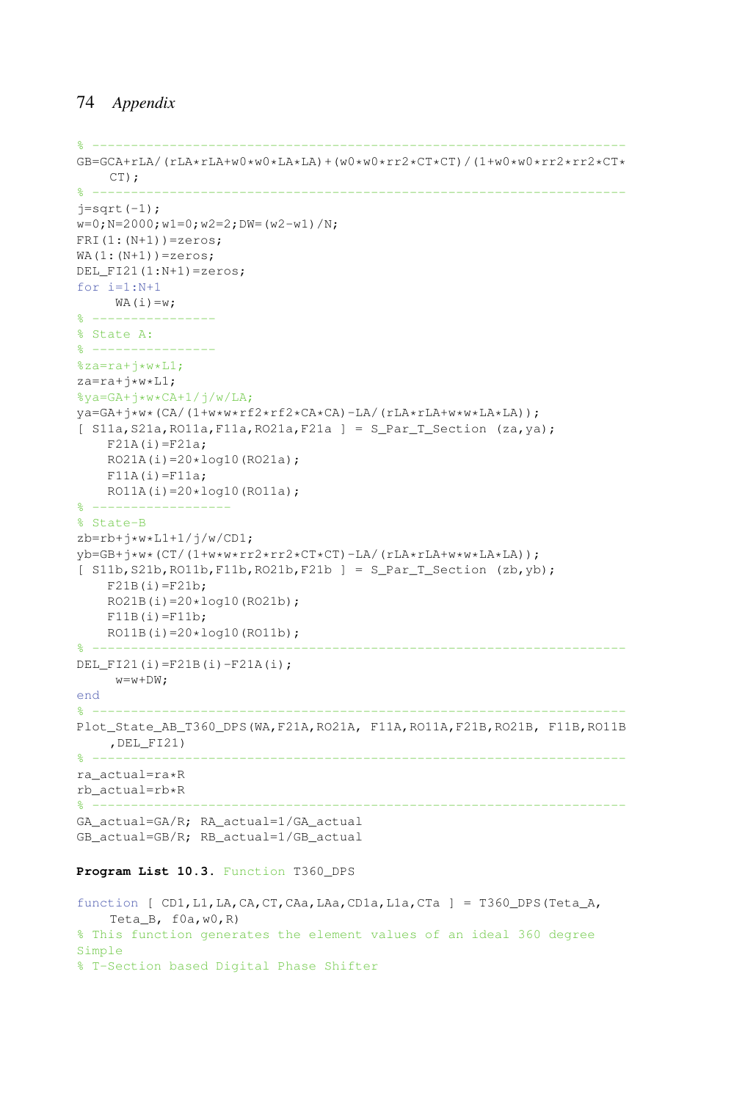```
% ---------------------------------------------------------------------
GB = GCA + rLA / (rLA * rLA + w0 * w0 * LA * LA) + (w0 * w0 * r r2 * CT * CT) / (1 + w0 * w0 * r r2 * cr2 * CT * C')CT):
% ---------------------------------------------------------------------
j=sqrt(-1);w=0; N=2000; w1=0; w2=2; DW=(w2-w1)/N;
FRI(1:(N+1))=zeros;
WA(1:(N+1))=zeros;DEL FI21(1:N+1)=zeros;
for i=1:N+1
   WA(i)=w;% ----------------
% State A:
% -----------
%za=ra+\rightarroww\starL1;
za=ra+j*w*L1;
\sqrt[8]{a} = G A + i * w * CA + 1 / i / w / L A;ya=GA+j*w*(CA/(1+w*w*rf2*rf2*CA*CA)-LA/(rLA*rLA+w*w*LA*LA));
[ S11a, S21a, RO11a, F11a, RO21a, F21a ] = S_{\text{Par}} T_{\text{Section}} (za, ya);
    F21A(i)=F21a;RO21A(i)=20*log10(RO21a);F11A(i)=F11a;RO11A(i)=20*log10(RO11a);
% ------------------
% State-B
zb=rb+j*w*L1+1/j/w/CD1;
yb=GB+j*w*(CT/(1+w*w*rr2*rr2*CT*CT)-LA/(rLA*rLA+w*w*LA*LA));
[ S11b, S21b, RO11b, F11b, RO21b, F21b ] = S_{\text{par\_T\_Section}} (zb, yb);
    F21B(i)=F21b;RO21B(i)=20*log10(RO21b);
    F11B(i)=F11b;RO11B(i)=20*log10(RO11b);
% ---------------------------------------------------------------------
DEL_FI21(i)=F21B(i)-F21A(i);
    w= w+DW:end
% ---------------------------------------------------------------------
Plot_State_AB_T360_DPS(WA,F21A,RO21A, F11A,RO11A,F21B,RO21B, F11B,RO11B
   ,DEL_FI21)
% ---------------------------------------------------------------------
ra_actual=ra*R
rb_actual=rb*R
% ---------------------------------------------------------------------
GA_actual=GA/R; RA_actual=1/GA_actual
GB_actual=GB/R; RB_actual=1/GB_actual
```
### **Program List 10.3.** Function T360\_DPS

```
function [ CD1,L1,LA,CA,CT,CAa,LAa,CD1a,L1a,CTa ] = T360_DPS(Teta_A,
    Teta_B, f0a,w0,R)
% This function generates the element values of an ideal 360 degree
Simple
% T-Section based Digital Phase Shifter
```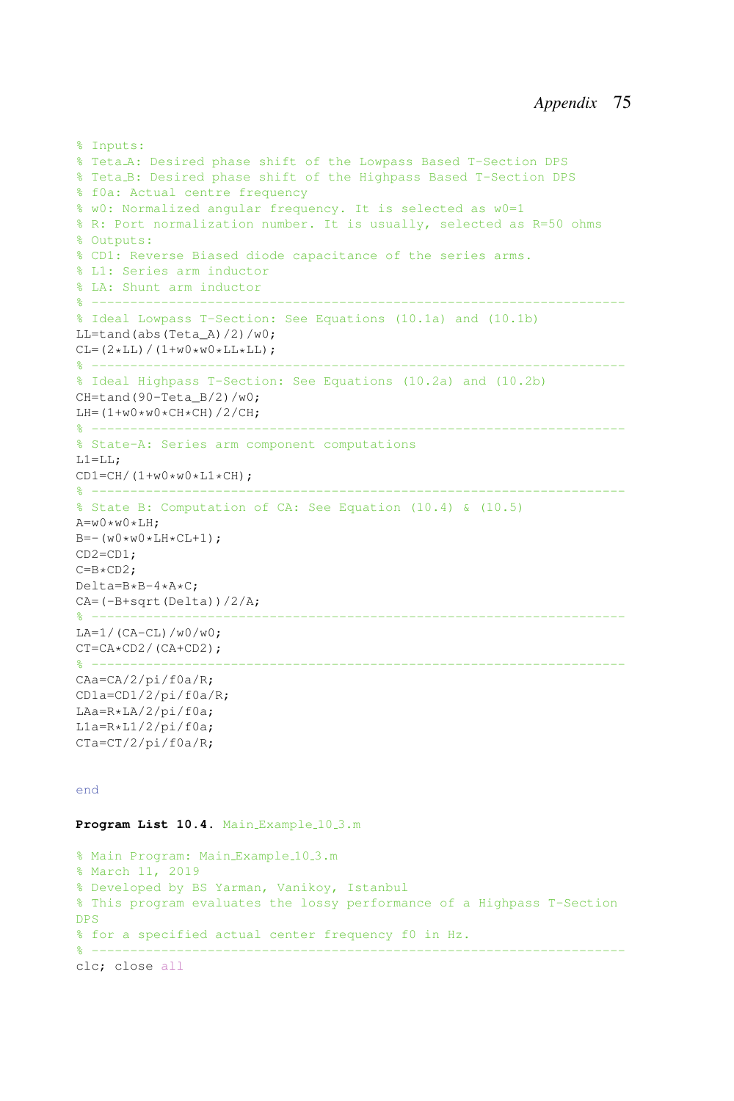```
% Inputs:
% Teta A: Desired phase shift of the Lowpass Based T-Section DPS
% Teta B: Desired phase shift of the Highpass Based T-Section DPS
% f0a: Actual centre frequency
% w0: Normalized angular frequency. It is selected as w0=1
% R: Port normalization number. It is usually, selected as R=50 ohms
% Outputs:
% CD1: Reverse Biased diode capacitance of the series arms.
% L1: Series arm inductor
% LA: Shunt arm inductor
% ---------------------------------------------------------------------
% Ideal Lowpass T-Section: See Equations (10.1a) and (10.1b)
LL=tand(abs(Teta_A)/2)/w0;
CL=(2*LL)/(1+w0*w0*LL*LL);% ---------------------------------------------------------------------
% Ideal Highpass T-Section: See Equations (10.2a) and (10.2b)
CH=tand(90-TetaB/2)/w0;
LH=(1+w0*w0*CH*CH)/2/CH;\frac{8}{6} ------------------------
% State-A: Series arm component computations
L1 = LL;
CD1=CH/(1+w0*w0*L1*CH);\frac{9}{2} ------------
% State B: Computation of CA: See Equation (10.4) & (10.5)
A=w0*w0*LH;
B=-(w0*w0*LH*CL+1);CD2=CD1;
C=Br<sub>CD2</sub>:
Delta=B*B-4*A*C;
CA=(-B+sqrt(Delta))/2/A;
% ---------------------------------------------------------------------
LA=1/(CA-CL)/W0/w0;CT=CA*CD2/(CA+CD2);
% ---------------------------------------------------------------------
CAa=CA/2/pi/f0a/R;
CD1a=CD1/2/pi/f0a/R;
LAa=R*LA/2/pi/f0a;
L1a=R*L1/2/pi/f0a;CTa=CT/2/pi/f0a/R;
```
#### end

Program List 10.4. Main Example 10.3.m

% Main Program: Main\_Example\_10\_3.m % March 11, 2019 % Developed by BS Yarman, Vanikoy, Istanbul % This program evaluates the lossy performance of a Highpass T-Section DPS % for a specified actual center frequency f0 in Hz.  $\frac{9}{6}$  --------------------clc; close all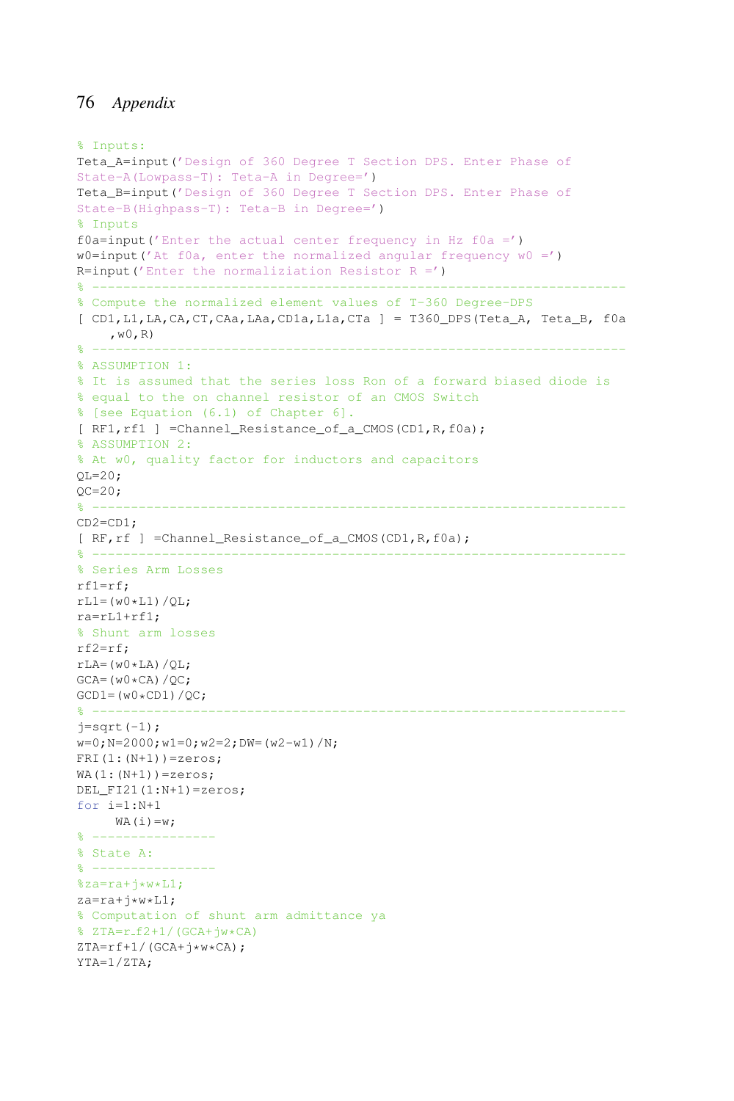```
% Inputs:
Teta_A=input('Design of 360 Degree T Section DPS. Enter Phase of
State-A(Lowpass-T): Teta-A in Degree=')
Teta_B=input('Design of 360 Degree T Section DPS. Enter Phase of
State-B(Highpass-T): Teta-B in Degree=')
% Inputs
f0a=input('Enter the actual center frequency in Hz f0a =')w0=input('At f0a, enter the normalized angular frequency w0 =')
R=input ('Enter the normaliziation Resistor R =')
% ---------------------------------------------------------------------
% Compute the normalized element values of T-360 Degree-DPS
[ CD1,L1,LA,CA,CT,CAa,LAa,CD1a,L1a,CTa ] = T360_DPS(Teta_A, Teta_B, f0a
   , \le 0 , \mathbb{R})% ---------------------------------------------------------------------
% ASSUMPTION 1:
% It is assumed that the series loss Ron of a forward biased diode is
% equal to the on channel resistor of an CMOS Switch
% [see Equation (6.1) of Chapter 6].
[ RF1,rf1 ] =Channel_Resistance_of_a_CMOS(CD1,R,f0a);
% ASSUMPTION 2:
% At w0, quality factor for inductors and capacitors
OL = 20;OC=20;% ---------------------------------------------------------------------
CD2=CD1;
[ RF,rf ] =Channel_Resistance_of_a_CMOS(CD1,R,f0a);
% ---------------------------------------------------------------------
% Series Arm Losses
rf1=rf;
rL1 = (w0 * L1)/OL;ra=rL1+rf1;
% Shunt arm losses
rf2=rf;
rLA=(w0*LA)/QL;GCA=(w0*CA)/QC;GCD1=(w0*CD1)/QC;
                              % ---------------------------------------------------------------------
j=sqrt(-1);
w=0; N=2000; w1=0; w2=2; DW=(w2-w1)/N;
FRI(1:(N+1))=zeros;
WA(1:(N+1))=zeros;DEL_F121(1:N+1)=zeros;
for i=1:N+1
    WA(i)=w;\frac{6}{2} ------
% State A:
\frac{6}{2} ---------
%za=ra+<i>j</i>*w*L1;za=ra+\rightarroww\starL1;
% Computation of shunt arm admittance ya
\sqrt{2TA} = r_f^2 + 1/(GCA + jw*CA)ZTA=rf+1/(GCA+<i>j</i> *w*CA);
```

```
YTA=1/ZTA;
```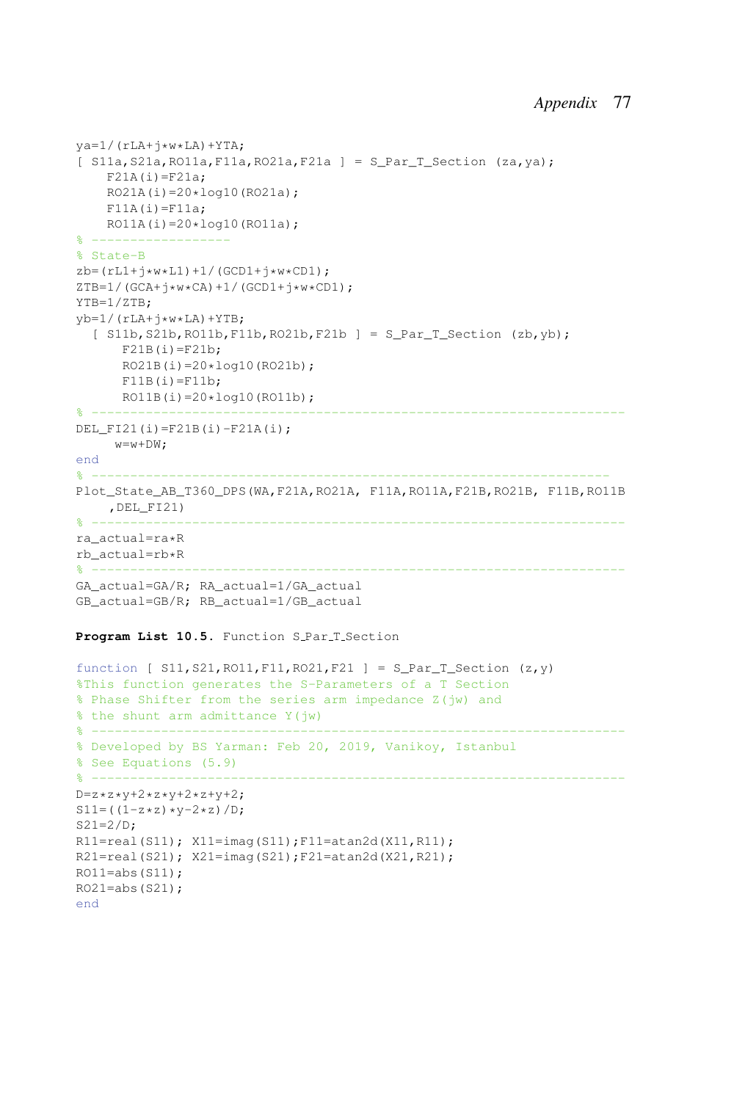```
\text{ya=1}/(\text{rLA+}+\text{w*LA})+\text{YTA};[ S11a, S21a, RO11a, F11a, RO21a, F21a ] = S_{\text{Par}} - S_{\text{B}} Section (za, ya);
    F21A(i)=F21a;
    RO21A(i)=20*log10(RO21a);F11A(i)=F11a;RO11A(i)=20*log10(RO11a);
% ------------------
% State-B
zb=(rL1+i*w*L1)+1/(GCD1+i*w*CD1);ZTB=1/(GCA+j*W*CA)+1/(GCD1+j*W*CD1);YTB=1/ZTB;
vb=1/(rLA+j*w*LA)+YTB;
  [ S11b, S21b, RO11b, F11b, RO21b, F21b ] = S_{\text{Par}} - S_{\text{ection}} (zb, yb);
      F21B(i)=F21b;RO21B(i)=20*log10(RO21b);F11B(i)=F11b;RO11B(i)=20*log10(RO11b);% ---------------------------------------------------------------------
DEL_FI21(i)=F21B(i)-F21A(i);
    w=w+DW;
end
% -------------------------------------------------------------------
Plot State AB T360 DPS(WA, F21A, RO21A, F11A, RO11A, F21B, RO21B, F11B, RO11B
    ,DEL_FI21)
% ---------------------------------------------------------------------
ra_actual=ra*R
rb_actual=rb*R
% ---------------------------------------------------------------------
GA_actual=GA/R; RA_actual=1/GA_actual
GB_actual=GB/R; RB_actual=1/GB_actual
```
### Program List 10.5. Function S<sub>-Par-T-Section</sub>

```
function [ S11, S21, RO11, F11, RO21, F21 ] = S_Par_T_Section (z,y)
%This function generates the S-Parameters of a T Section
% Phase Shifter from the series arm impedance Z(jw) and
% the shunt arm admittance Y(jw)
% ---------------------------------------------------------------------
% Developed by BS Yarman: Feb 20, 2019, Vanikoy, Istanbul
% See Equations (5.9)
% ---------------------------------------------------------------------
D=z*z*y+2*z*y+2*z+y+2;S11= ((1-z*z)*(y-2*z)/D;S21=2/D;R11=real(S11); X11=imag(S11); F11=atan2d(X11, R11);
R21=real(S21); X21=imag(S21);F21=atan2d(X21,R21);
RO11 = abs(S11);RO21 = abs(S21);end
```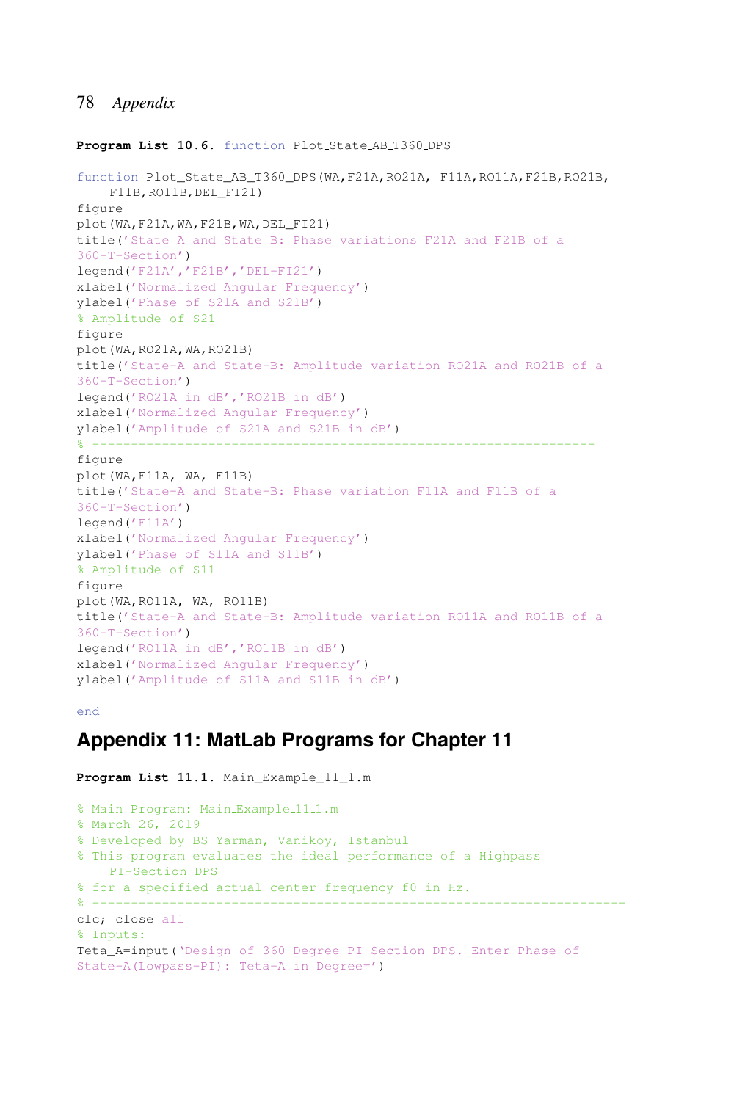#### **Program List 10.6.** function Plot State AB T360 DPS

```
function Plot_State_AB_T360_DPS(WA,F21A,RO21A, F11A,RO11A,F21B,RO21B,
    F11B,RO11B,DEL_FI21)
figure
plot(WA,F21A,WA,F21B,WA,DEL_FI21)
title('State A and State B: Phase variations F21A and F21B of a
360-T-Section')
legend('F21A','F21B','DEL-FI21')
xlabel('Normalized Angular Frequency')
ylabel('Phase of S21A and S21B')
% Amplitude of S21
figure
plot(WA,RO21A,WA,RO21B)
title('State-A and State-B: Amplitude variation RO21A and RO21B of a
360-T-Section')
legend('RO21A in dB','RO21B in dB')
xlabel('Normalized Angular Frequency')
ylabel('Amplitude of S21A and S21B in dB')
% -----------------------------------------------------------------
figure
plot(WA,F11A, WA, F11B)
title('State-A and State-B: Phase variation F11A and F11B of a
360-T-Section')
legend('F11A')
xlabel('Normalized Angular Frequency')
ylabel('Phase of S11A and S11B')
% Amplitude of S11
figure
plot(WA,RO11A, WA, RO11B)
title('State-A and State-B: Amplitude variation RO11A and RO11B of a
360-T-Section')
legend('RO11A in dB','RO11B in dB')
xlabel('Normalized Angular Frequency')
ylabel('Amplitude of S11A and S11B in dB')
```
#### end

## **Appendix 11: MatLab Programs for Chapter 11**

```
Program List 11.1. Main_Example_11_1.m
% Main Program: Main_Example_11_1.m
% March 26, 2019
% Developed by BS Yarman, Vanikoy, Istanbul
% This program evaluates the ideal performance of a Highpass
    PI-Section DPS
% for a specified actual center frequency f0 in Hz.
% ---------------------------------------------------------------------
clc; close all
% Inputs:
Teta_A=input('Design of 360 Degree PI Section DPS. Enter Phase of
State-A(Lowpass-PI): Teta-A in Degree=')
```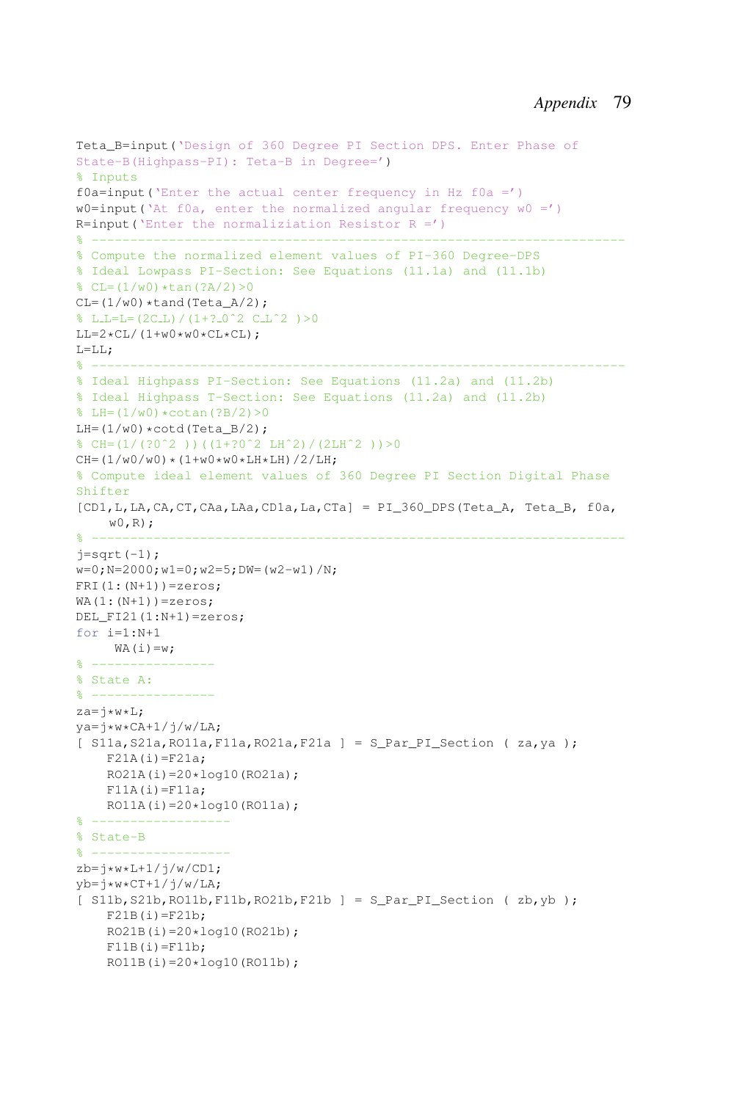```
Teta B=input ('Design of 360 Degree PI Section DPS. Enter Phase of
State-B(Highpass-PI): Teta-B in Degree=')
% Inputs
f0a=input('Enter the actual center frequency in Hz f0a =')
w0=input('At f0a, enter the normalized angular frequency w0 =')
R=input ('Enter the normaliziation Resistor R =')
% ---------------------------------------------------------------------
% Compute the normalized element values of PI-360 Degree-DPS
% Ideal Lowpass PI-Section: See Equations (11.1a) and (11.1b)
\text{CL}=(1/w0)*\tan(?A/2)>0CL=(1/w0)*tand(Teta A/2);% L L=L=(2C L)/(1+? 0ˆ2 C Lˆ2 )>0
LL=2*CL/(1+w0*w0*CL*CL):
L = L L;
% ---------------------------------------------------------------------
% Ideal Highpass PI-Section: See Equations (11.2a) and (11.2b)
% Ideal Highpass T-Section: See Equations (11.2a) and (11.2b)
% LH=(1/w0)*cotan(?B/2)>0LH=(1/w0)*\text{cotd}(Teta_B/2);
% CH=(1/(?0ˆ2 ))((1+?0ˆ2 LHˆ2)/(2LHˆ2 ))>0
CH = (1/w0/w0) * (1+w0*w0*LH*LH)/2/LH;% Compute ideal element values of 360 Degree PI Section Digital Phase
Shifter
[CD1,L,LA,CA,CT,CAa,LAa,CD1a,La,CTa] = PI_360_DPS(Teta_A, Teta_B, f0a,
    W(0,R);% ---------------------------------------------------------------------
j=sqrt(-1);
w=0; N=2000; w1=0; w2=5; DW= (w2-w1)/N;
FRI(1:(N+1))=zeros;
WA(1:(N+1))=zeros;DEL FI21(1:N+1)=zeros;
for i=1:N+1
   WA(i)=w;% ----------------
% State A:
% ----------------
za = j * w * L;ya=j*w*CA+1/j/w/LA;[ S11a, S21a, RO11a, F11a, RO21a, F21a ] = S Par PI Section ( za, ya );
   F21A(i)=F21a;RO21A(i)=20*log10(RO21a);F11A(i)=F11a;RO11A(i) = 20 * log10(RO11a);% ------------------
% State-B
% ------------------
zb = i *w * L + 1/j/w/CD1;yb=ikw*CT+1/j/w/LA;[ S11b, S21b, RO11b, F11b, RO21b, F21b ] = S Par PI Section ( zb, yb );
    F21B(i)=F21b;RO21B(i)=20*log10(RO21b);
    F11B(i)=F11b;RO11B(i)=20*log10(RO11b);
```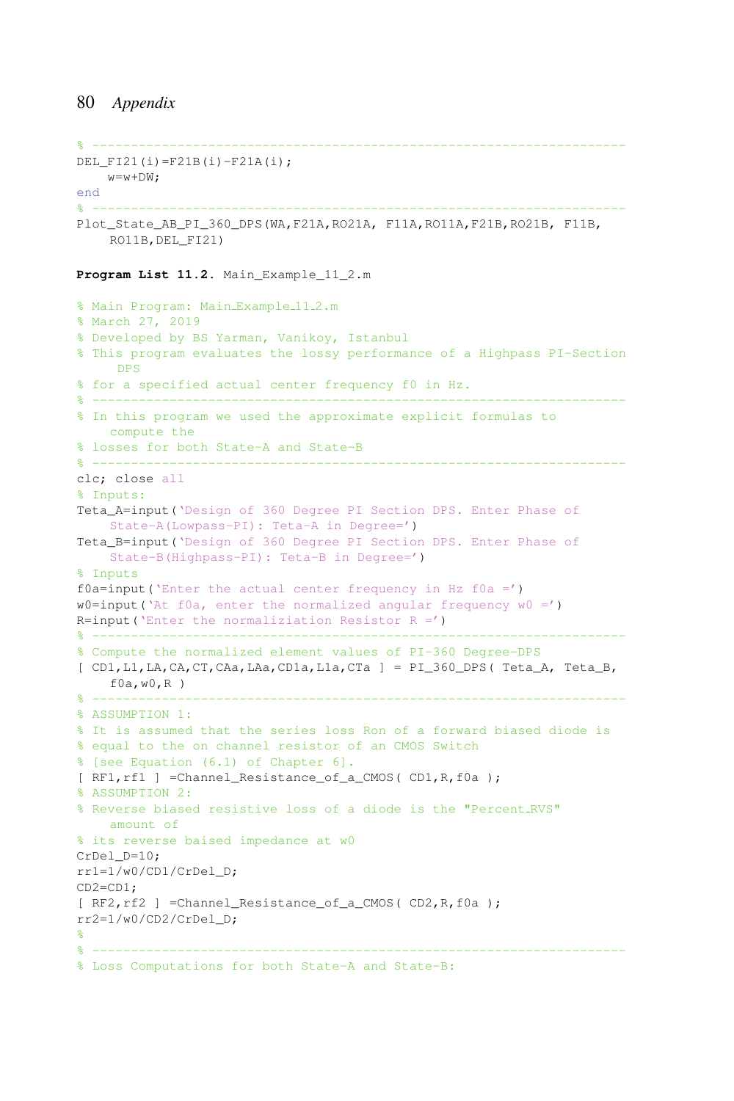```
% ---------------------------------------------------------------------
DEL_FI21(i)=F21B(i)-F21A(i);
   w=w+DW:
end
% ---------------------------------------------------------------------
Plot State AB PI 360 DPS(WA,F21A,RO21A, F11A,RO11A,F21B,RO21B, F11B,
    RO11B,DEL_FI21)
```
**Program List 11.2.** Main\_Example\_11\_2.m

```
% Main Program: Main_Example_11_2.m
% March 27, 2019
% Developed by BS Yarman, Vanikoy, Istanbul
% This program evaluates the lossy performance of a Highpass PI-Section
    DPS
% for a specified actual center frequency f0 in Hz.
% ---------------------------------------------------------------------
% In this program we used the approximate explicit formulas to
   compute the
% losses for both State-A and State-B
% ---------------------------------------------------------------------
clc; close all
% Inputs:
Teta A=input ('Design of 360 Degree PI Section DPS. Enter Phase of
    State-A(Lowpass-PI): Teta-A in Degree=')
Teta_B=input('Design of 360 Degree PI Section DPS. Enter Phase of
    State-B(Highpass-PI): Teta-B in Degree=')
% Inputs
f0a=input('Enter the actual center frequency in Hz f0a =')
w0=input('At f0a, enter the normalized angular frequency w0 =')
R=input ('Enter the normaliziation Resistor R =')
% ---------------------------------------------------------------------
% Compute the normalized element values of PI-360 Degree-DPS
[ CD1,L1,LA,CA,CT,CAa,LAa,CD1a,L1a,CTa ] = PI_360_DPS( Teta_A, Teta_B,
    f0a,w0,R )
% ---------------------------------------------------------------------
% ASSUMPTION 1:
% It is assumed that the series loss Ron of a forward biased diode is
% equal to the on channel resistor of an CMOS Switch
% [see Equation (6.1) of Chapter 6].
[ RF1, rf1 ] =Channel_Resistance_of_a_CMOS( CD1, R, f0a );
% ASSUMPTION 2:
% Reverse biased resistive loss of a diode is the "Percent RVS"
   amount of
% its reverse baised impedance at w0
CrDel_D=10;
rr1=1/w0/CD1/CrDel_D;
CD2=CD1;
[ RF2,rf2 ] =Channel_Resistance_of_a_CMOS( CD2,R,f0a );
rr2=1/w0/CD2/CrDel_D;
%
% ---------------------------------------------------------------------
% Loss Computations for both State-A and State-B:
```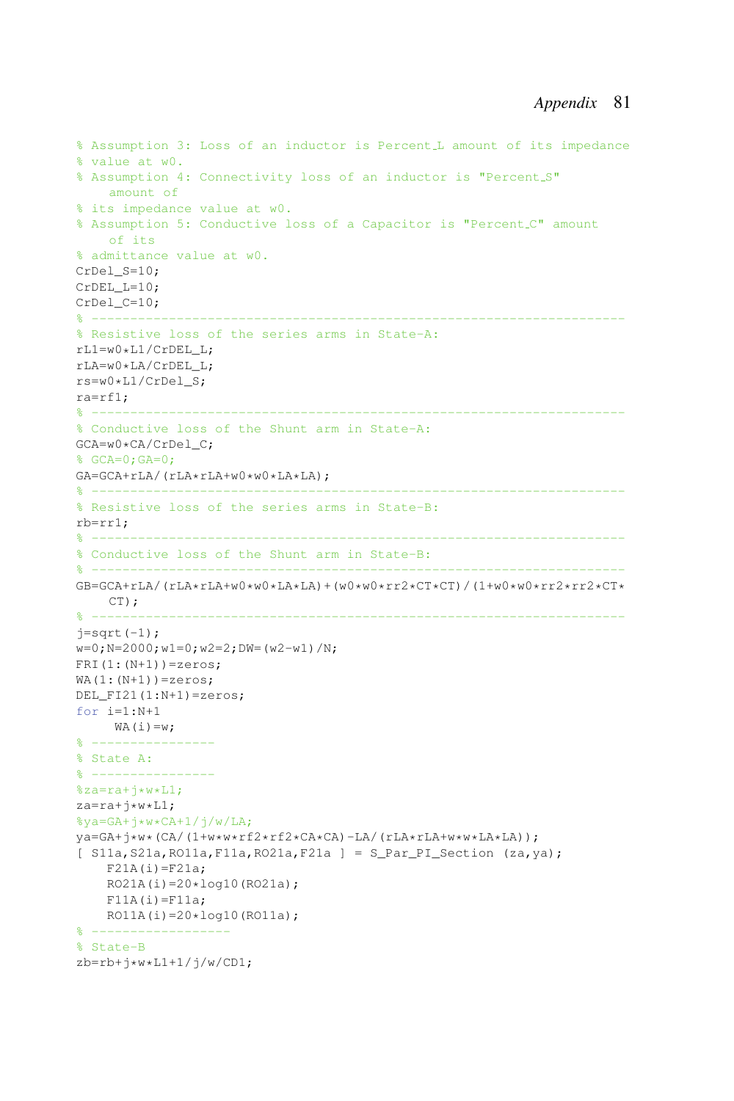```
% Assumption 3: Loss of an inductor is Percent L amount of its impedance
% value at w0.
% Assumption 4: Connectivity loss of an inductor is "Percent S"
    amount of
% its impedance value at w0.
% Assumption 5: Conductive loss of a Capacitor is "Percent C" amount
    of its
% admittance value at w0.
CrDel S=10;
CrDEL_L=10;
CrDel<sub>C=10</sub>;
% ---------------------------------------------------------------------
% Resistive loss of the series arms in State-A:
rL1=w0*L1/CrDEL_L;
rLA=w0*LA/CrDEL_L;
rs=w0*L1/CrDel_S;
ra=rf1;
% ---------------------------------------------------------------------
% Conductive loss of the Shunt arm in State-A:
GCA=w0*CA/CrDel_C;
% GCA=0;GA=0;
GA=GCA+rLA/(rLA*rLA+w0*w0*LA*LA);
% ---------------------------------------------------------------------
% Resistive loss of the series arms in State-B:
rb=rr1;
% ---------------------------------------------------------------------
% Conductive loss of the Shunt arm in State-B:
% ---------------------------------------------------------------------
GB = GCA + rLA / (rLA * rLA + w0 * w0 * LA * LA) + (w0 * w0 * r r2 * CT * CT) / (1 + w0 * w0 * r r2 * r r2 * CT * CT)CT);
% ---------------------------------------------------------------------
j=sqrt(-1);
w=0; N=2000; w1=0; w2=2; DW=(w2-w1)/N;
FRI(1:(N+1))=zeros;
WA(1:(N+1))=zeros;DEL_FI21(1:N+1)=zeros;
for i=1:N+1
    WA(i)=w;% ----------------
% State A:
\frac{6}{6} ------------
%za=ra+j*w*L1;
za=ra+j*w*L1;
%ya=GA+j*w*CA+1/j/w/LA;
ya=GA+j*w*(CA/(1+w*w*rf2*rf2*CA*CA)-LA/(rLA*rLA+w*w*LA*LA));
[ S11a,S21a,RO11a,F11a,RO21a,F21a ] = S_Par_PI_Section (za,ya);
    F21A(i)=F21a;RO21A(i)=20*log10(RO21a);F11A(i)=F11a;RO11A(i) = 20 * log10(RO11a);% -------
% State-B
zb=rb+j*w*L1+1/j/w/CD1;
```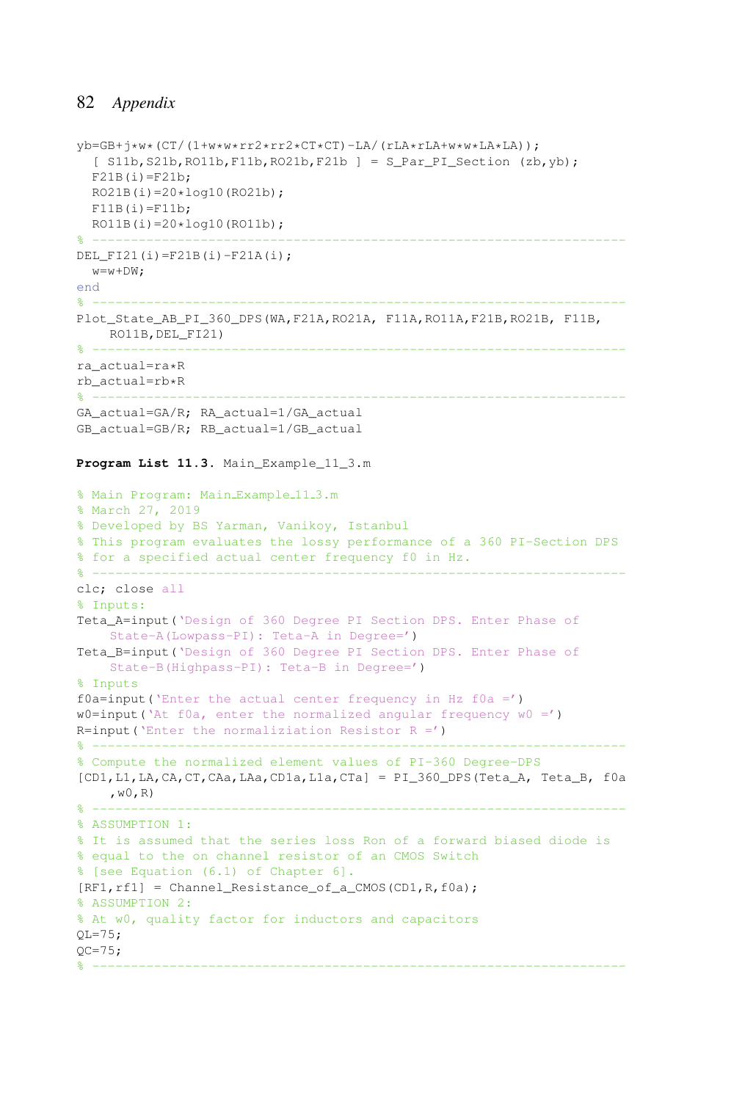```
vb=GB+j*w*(CT/(1+w*w*rr2*rr2*CT*CT)-LA/(rLA*rLA+w*w*LA*LA));
  [ S11b, S21b, RO11b, F11b, RO21b, F21b ] = S\_Par\_PI\_Section (zb,yb);F21B(i)=F21b;
  RO21B(i)=20*log10(RO21b);
  F11B(i)=F11b;
 RO11B(i)=20*log10(RO11b);
\cdot -----------------
DEL_FI21(i)=F21B(i)-F21A(i);
 w = w + DW:
end
% ---------------------------------------------------------------------
Plot_State_AB_PI_360_DPS(WA,F21A,RO21A, F11A,RO11A,F21B,RO21B, F11B,
   RO11B,DEL_FI21)
% ---------------------------------------------------------------------
ra_actual=ra*R
rb\_actual=rb*R<br>* --------------
% ---------------------------------------------------------------------
GA_actual=GA/R; RA_actual=1/GA_actual
GB_actual=GB/R; RB_actual=1/GB_actual
Program List 11.3. Main_Example_11_3.m
% Main Program: Main_Example_11_3.m
% March 27, 2019
% Developed by BS Yarman, Vanikoy, Istanbul
% This program evaluates the lossy performance of a 360 PI-Section DPS
% for a specified actual center frequency f0 in Hz.
% ---------------------------------------------------------------------
clc; close all
% Inputs:
Teta A=input ('Design of 360 Degree PI Section DPS. Enter Phase of
    State-A(Lowpass-PI): Teta-A in Degree=')
Teta_B=input('Design of 360 Degree PI Section DPS. Enter Phase of
    State-B(Highpass-PI): Teta-B in Degree=')
% Inputs
f0a=input('Enter the actual center frequency in Hz f0a =')
w0=input('At f0a, enter the normalized angular frequency w0 =')
R=input ('Enter the normaliziation Resistor R =')
% ---------------------------------------------------------------------
% Compute the normalized element values of PI-360 Degree-DPS
[CD1,L1,LA,CA,CT,CAa,LAa,CD1a,L1a,CTa] = PI_360_DPS(Teta_A, Teta_B, f0a
    , \le 0 , \mathbb{R})% ---------------------------------------------------------------------
% ASSUMPTION 1:
% It is assumed that the series loss Ron of a forward biased diode is
% equal to the on channel resistor of an CMOS Switch
% [see Equation (6.1) of Chapter 6].
[RF1,rf1] = Channel\_Resistance_of_a_CMOS(CD1,R,fla);% ASSUMPTION 2:
% At w0, quality factor for inductors and capacitors
OL = 75;QC = 75;% ---------------------------------------------------------------------
```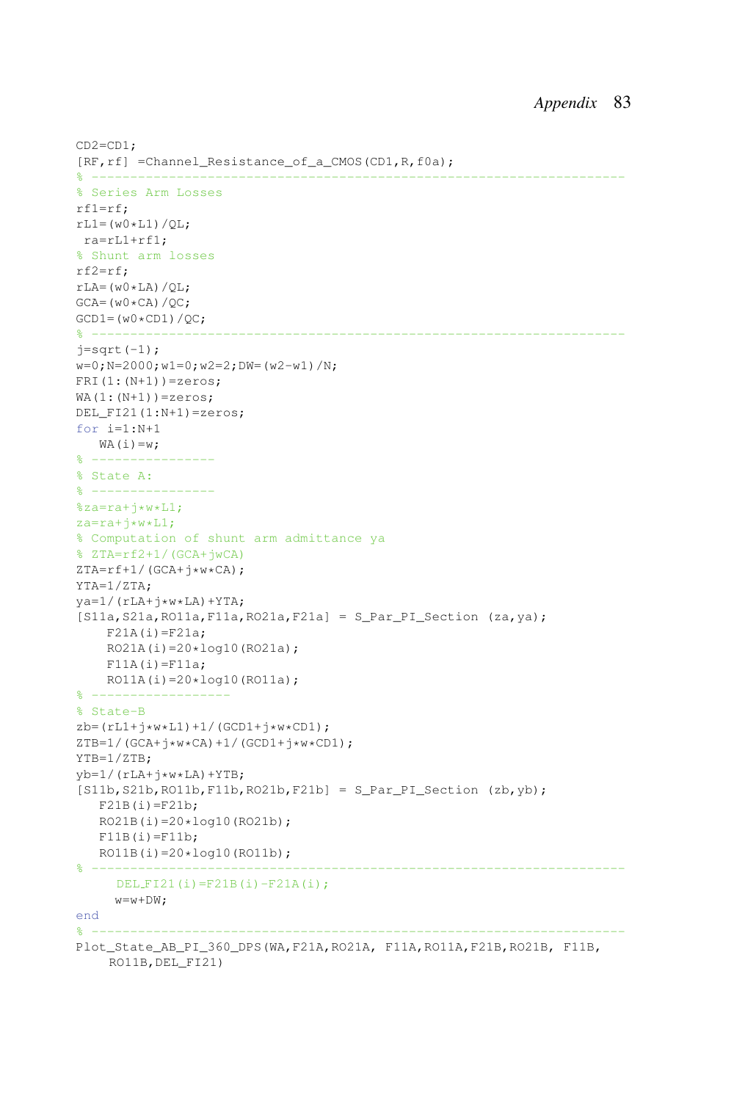```
CD2=CD1;
[RF,rf] =Channel_Resistance_of_a_CMOS(CD1,R,f0a);
% ---------------------------------------------------------------------
% Series Arm Losses
rf1=rf;
rL1 = (w0 * L1)/OL;ra=rL1+rf1;
% Shunt arm losses
rf2=rf;
rLA=(w0*LA)/QL;GCA=(W0*CA)/OC;
GCD1=(w0*CD1)/QC;
% ---------------------------------------------------------------------
j=sqrt(-1);w=0; N=2000; w1=0; w2=2; DW=(w2-w1)/N;
FRI(1:(N+1))=zeros;
WA(1; (N+1)) = zeros;DEL_FI21(1:N+1)=zeros;
for i=1:N+1
  WA(i)=w;% ----------------
% State A:
% ----------------
%za=ra+j*w*L1;
za=ra+\frac{1}{x}w*L1;
% Computation of shunt arm admittance ya
% ZTA=rf2+1/(GCA+jwCA)
ZTA=rf+1/(GCA+j*W*CA);YTA=1/ZTA;
ya=1/(rLA+j*w*LA)+YTA;[S11a, S21a, R011a, F11a, R021a, F21a] = S Par PI Section (za,ya);
    F21A(i)=F21a;RO21A(i)=20*log10(RO21a);F11A(i)=F11a;RO11A(i)=20*log10(R011a);
\frac{6}{2} --------
% State-B
z_{b}=(rL1+j*w*L1)+1/(GCD1+j*w*CD1);ZTB=1/(GCA+<i>i</i>**v*CA)+1/(GCD1+<i>i</i>**v*CD1);YTB=1/ZTB;
vb=1/(rLA+j*w*LA)+YTB;
[S11b, S21b, R011b, F11b, R021b, F21b] = S_Par_PI_Section (zb,yb);F21B(i)=F21b;RO21B(i)=20*log10(RO21b);
   F11B(i)=F11b;RO11B(i)=20*log10(RO11b);
% ---------------------------------------------------------------------
    DEL_FI21(i)=F21B(i)-F21A(i);w=w+DW;end
% ---------------------------------------------------------------------
Plot State AB PI 360 DPS(WA, F21A, RO21A, F11A, RO11A, F21B, RO21B, F11B,
    RO11B,DEL_FI21)
```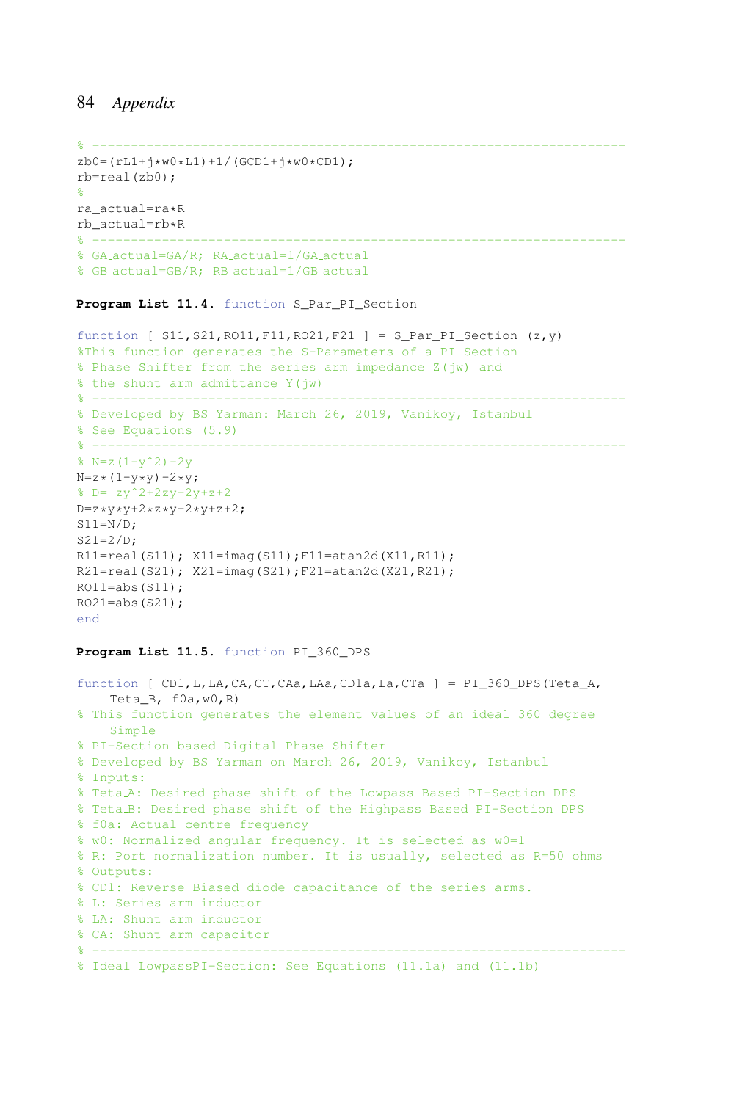```
% ---------------------------------------------------------------------
zb0= (rL1+j*w0*L1)+1/(GCD1+j*w0*CD1);rb=real(zb0);
%
ra_actual=ra*R
rb\_actual=rb*R% ---------------------------------------------------------------------
% GA actual=GA/R; RA actual=1/GA actual
% GB actual=GB/R; RB actual=1/GB actual
```
**Program List 11.4.** function S\_Par\_PI\_Section

```
function [ SI1, S21, R011, F11, R021, F21 ] = S_Par_PI_Section (z,y)
%This function generates the S-Parameters of a PI Section
% Phase Shifter from the series arm impedance Z(jw) and
% the shunt arm admittance Y(jw)
% --------------------------------
% Developed by BS Yarman: March 26, 2019, Vanikoy, Istanbul
% See Equations (5.9)
% ---------------------------------------------------------------------
\text{N} = z(1-y^2) - 2yN=z*(1-y*y)-2*y;% D= zyˆ2+2zy+2y+z+2
D=z*vy*y+2*z*y+2*y+z+2;S11=N/D;S21=2/D;R11=real(S11); X11=imag(S11);F11=atan2d(X11,R11);
R21=real(S21); X21=imaq(S21);F21=atan2d(X21,R21);
RO11 = abs(S11);RO21=abs(S21);
end
```
### **Program List 11.5.** function PI\_360\_DPS

```
function [CD1, L, LA, CA, CT, CAa, LAa, CD1a, La, CTa] = PI 360 DPS (Teta A,Teta_B, f0a,w0,R)
% This function generates the element values of an ideal 360 degree
    Simple
% PI-Section based Digital Phase Shifter
% Developed by BS Yarman on March 26, 2019, Vanikoy, Istanbul
% Inputs:
% Teta A: Desired phase shift of the Lowpass Based PI-Section DPS
% Teta B: Desired phase shift of the Highpass Based PI-Section DPS
% f0a: Actual centre frequency
% w0: Normalized angular frequency. It is selected as w0=1
% R: Port normalization number. It is usually, selected as R=50 ohms
% Outputs:
% CD1: Reverse Biased diode capacitance of the series arms.
% L: Series arm inductor
% LA: Shunt arm inductor
% CA: Shunt arm capacitor
% ---------------------------------------------------------------------
% Ideal LowpassPI-Section: See Equations (11.1a) and (11.1b)
```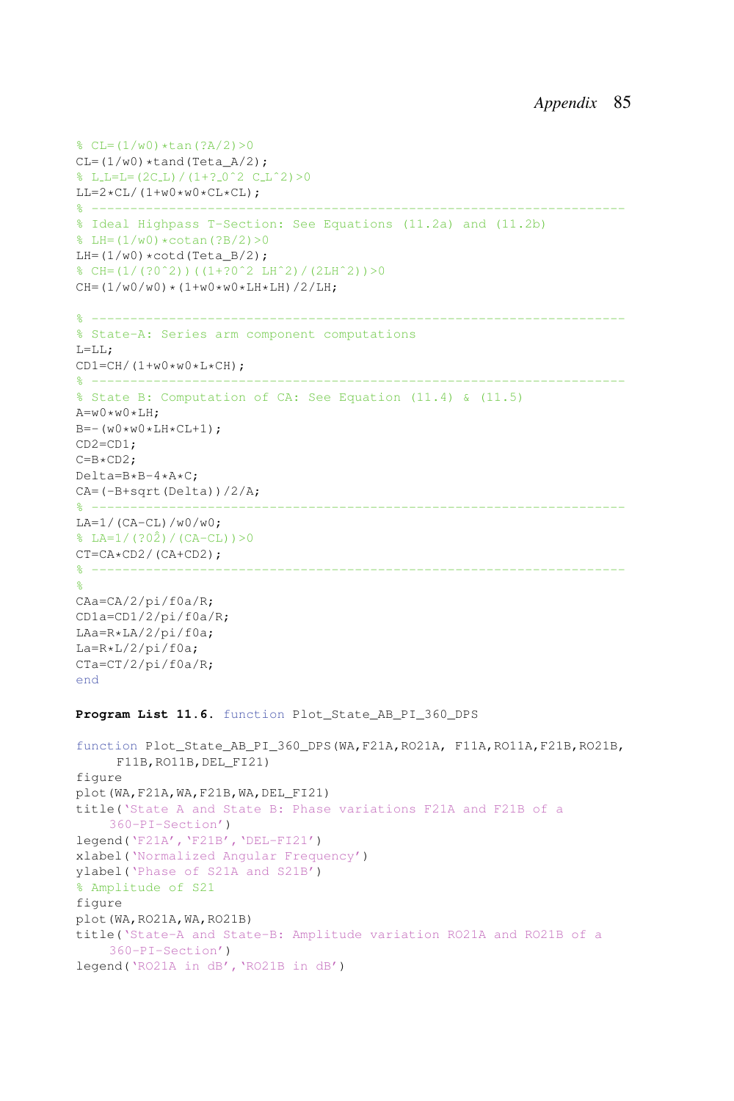```
\text{CL}=(1/w0)*\tan(?A/2)>0CL=(1/w0)*tand(Teta_A/2);SLL=E=(2CL)/(1+? -0^2 C_L^2)>0LL=2*CL/(1+w0*w0*CL*CL);% ---------------------------------------------------------------------
% Ideal Highpass T-Section: See Equations (11.2a) and (11.2b)
\text{LH}=(1/w0)*\text{cotan}(?B/2)>0LH=(1/w0)*\text{cotd}(Teta_B/2);% CH=(1/(?0ˆ2))((1+?0ˆ2 LHˆ2)/(2LHˆ2))>0
CH = (1/w0/w0) * (1+w0*w0*LH*LH)/2/LH;% ---------------------------------------------------------------------
% State-A: Series arm component computations
L = L L;
CD1=CH/(1+w0*w0*L*CH);
% ---------------------------------------------------------------------
% State B: Computation of CA: See Equation (11.4) & (11.5)
A=w0*w0*LH;B=-(w0*w0*LH*CL+1);CD2=CD1;
C=B*CD2;
Delta=B*B-4*A*C;
CA=(-B+sqrt(Delta))/2/A;
% ---------------------------------------------------------------------
LA=1/(CA-CL)/W0/W0;
% LA=1/(?02) / (CA-CL)) > 0
CT=CA*CD2/(CA+CD2);
% ---------------------------------------------------------------------
\mathsf{P}CAa=CA/2/pi/f0a/R;
CD1a=CD1/2/pi/f0a/R;
LAa=R*LA/2/pi/f0a;
La=R*L/2/pi/f0a;CTa=CT/2/pi/f0a/R;
end
Program List 11.6. function Plot_State_AB_PI_360_DPS
function Plot_State_AB_PI_360_DPS(WA,F21A,RO21A, F11A,RO11A,F21B,RO21B,
     F11B,RO11B,DEL_FI21)
figure
plot(WA,F21A,WA,F21B,WA,DEL_FI21)
title('State A and State B: Phase variations F21A and F21B of a
     360-PI-Section')
legend('F21A','F21B','DEL-FI21')
xlabel('Normalized Angular Frequency')
ylabel('Phase of S21A and S21B')
% Amplitude of S21
figure
plot(WA,RO21A,WA,RO21B)
title('State-A and State-B: Amplitude variation RO21A and RO21B of a
     360-PI-Section')
legend('RO21A in dB','RO21B in dB')
```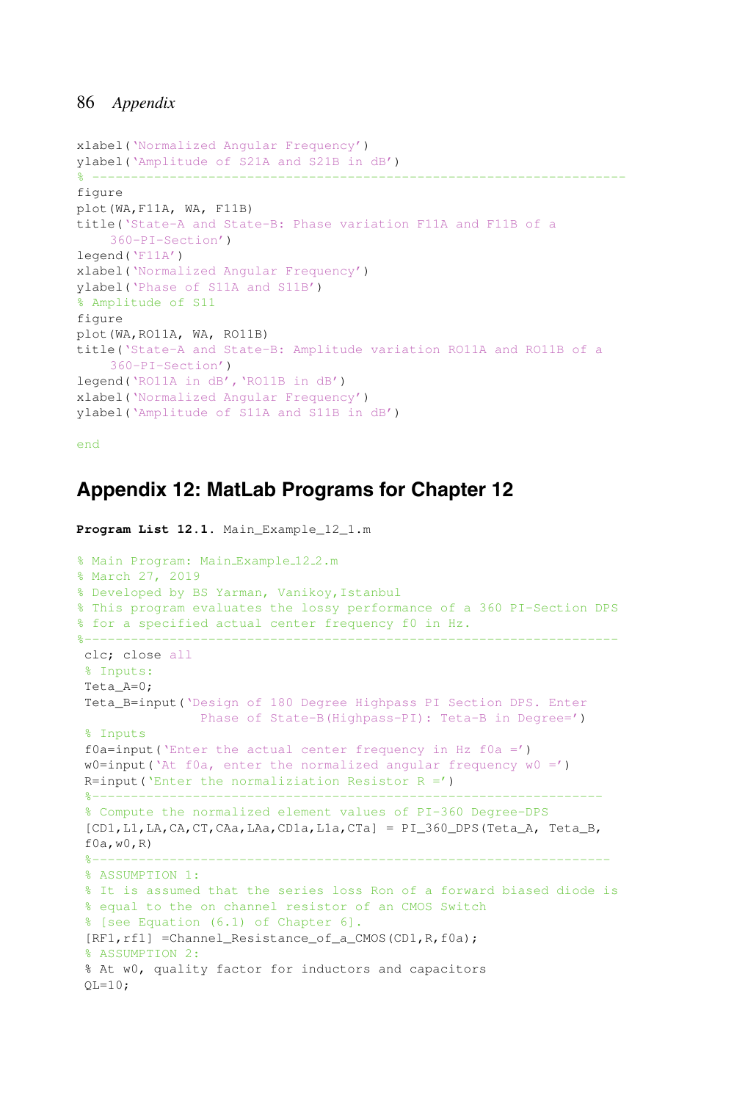```
xlabel('Normalized Angular Frequency')
ylabel('Amplitude of S21A and S21B in dB')
% ---------------------------------------------------------------------
figure
plot(WA,F11A, WA, F11B)
title('State-A and State-B: Phase variation F11A and F11B of a
    360-PI-Section')
legend('F11A')
xlabel('Normalized Angular Frequency')
ylabel('Phase of S11A and S11B')
% Amplitude of S11
figure
plot(WA,RO11A, WA, RO11B)
title('State-A and State-B: Amplitude variation RO11A and RO11B of a
    360-PI-Section')
legend('RO11A in dB','RO11B in dB')
xlabel('Normalized Angular Frequency')
ylabel('Amplitude of S11A and S11B in dB')
```
end

# **Appendix 12: MatLab Programs for Chapter 12**

```
Program List 12.1. Main_Example_12_1.m
% Main Program: Main_Example_12_2.m
% March 27, 2019
% Developed by BS Yarman, Vanikoy,Istanbul
% This program evaluates the lossy performance of a 360 PI-Section DPS
% for a specified actual center frequency f0 in Hz.
%---------------------------------------------------------------------
clc; close all
% Inputs:
Teta_A=0;
Teta_B=input('Design of 180 Degree Highpass PI Section DPS. Enter
               Phase of State-B(Highpass-PI): Teta-B in Degree=')
 % Inputs
 f0a=input('Enter the actual center frequency in Hz f0a =')w0=input('At f0a, enter the normalized angular frequency w0 =')
 R=input ('Enter the normaliziation Resistor R =')
 %------------------------------------------------------------------
 % Compute the normalized element values of PI-360 Degree-DPS
 [CD1,L1,LA,CA,CT,CAa,LAa,CD1a,L1a,CTa] = PI_360_DPS(Teta_A, Teta_B,
 f0a,w0,R)
 %-------------------------------------------------------------------
 % ASSUMPTION 1:
 % It is assumed that the series loss Ron of a forward biased diode is
 % equal to the on channel resistor of an CMOS Switch
 % [see Equation (6.1) of Chapter 6].
[RF1,rf1] =Channel_Resistance_of_a_CMOS(CD1,R,f0a);
 % ASSUMPTION 2:
 % At w0, quality factor for inductors and capacitors
 QL=10;
```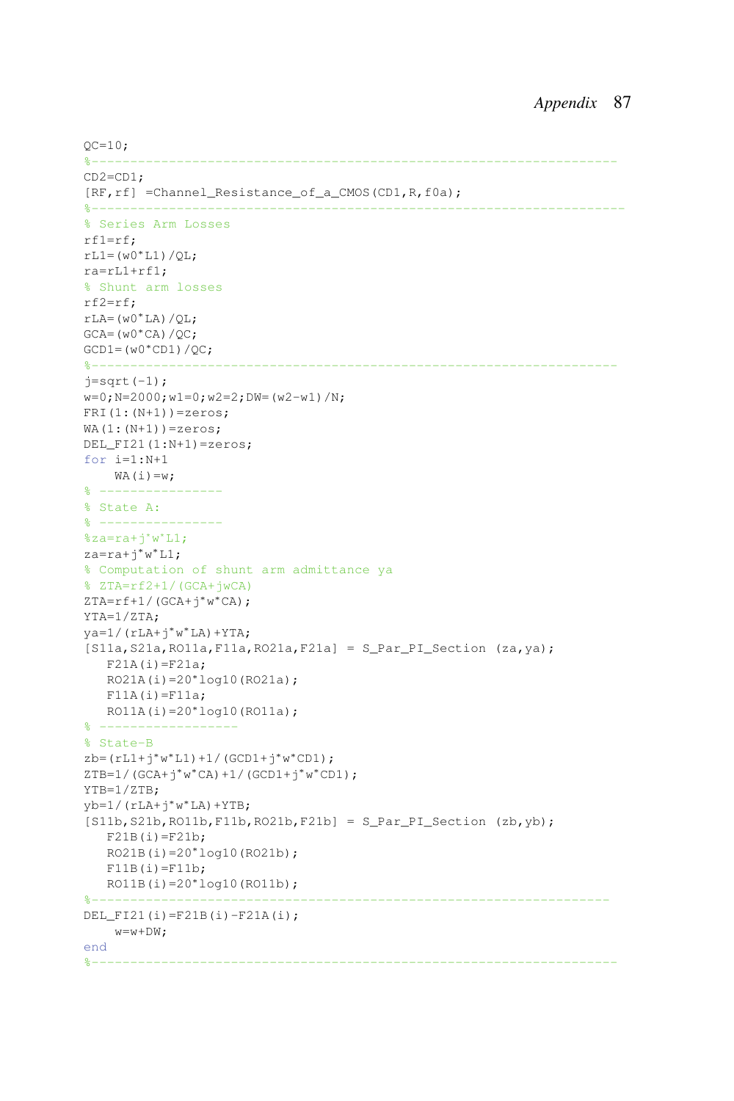```
OC=10;%--------------------------------------------------------------------
CD2=CD1;
[RF, rf] =Channel_Resistance_of_a_CMOS(CD1, R, f0a);
8 - - - - - - - - -% Series Arm Losses
rf1=rf;
rL1 = (w0 * L1)/QL;ra=rL1+rf1;
% Shunt arm losses
rf2=rf;
rLA=(w0*LA)/QL;GCA=(W0*CA)/OC;
GCD1 = (w0 * CD1) / OC;%--------------------------------------------------------------------
j=sqrt(-1);w=0; N=2000; w1=0; w2=2; DW=(w2-w1)/N;
FRI(1:(N+1))=zeros;
WA(1:(N+1))=zeros;DEL FI21(1:N+1)=zeros;
for i=1:N+1
   WA(i)=w;% ----------------
% State A:
% ----------------
%za=ra+j*w*LI;za=ra+j∗w
∗L1;
% Computation of shunt arm admittance ya
% ZTA=rf2+1/(GCA+jwCA)
ZTA=rf+1/(GCA+j∗w
∗CA);
YTA=1/ZTA;
ya=1/(rLA+j∗w
∗LA)+YTA;
[S11a, S21a, R011a, F11a, R021a, F21a] = S Par PI Section (za,ya);
  F21A(i)=F21a;RO21A(i)=20*log10(RO21a);F11A(i)=F11a;RO11A(i)=20*log10(RO11a);% ------------------
% State-B
zb = (rL1+j * w * L1) + 1 / (GCD1 + j * w * CD1);
ZTB=1/(GCA+j*w*CA)+1/(GCD1+j*w*CD1);
YTB=1/ZTB;
yb=1/(rLA+j∗w
∗LA)+YTB;
[S11b, S21b, R011b, F11b, R021b, F21b] = S_Par_PI_S ection (zb, yb);
   F21B(i)=F21b;RO21B(i)=20∗log10(RO21b);
  F11B(i)=F11b;RO11B(i)=20*log10(RO11b);%-------------------------------------------------------------------
DEL_FI21(i)=F21B(i)-F21A(i);
    w=w+DW;end
%--------------------------------------------------------------------
```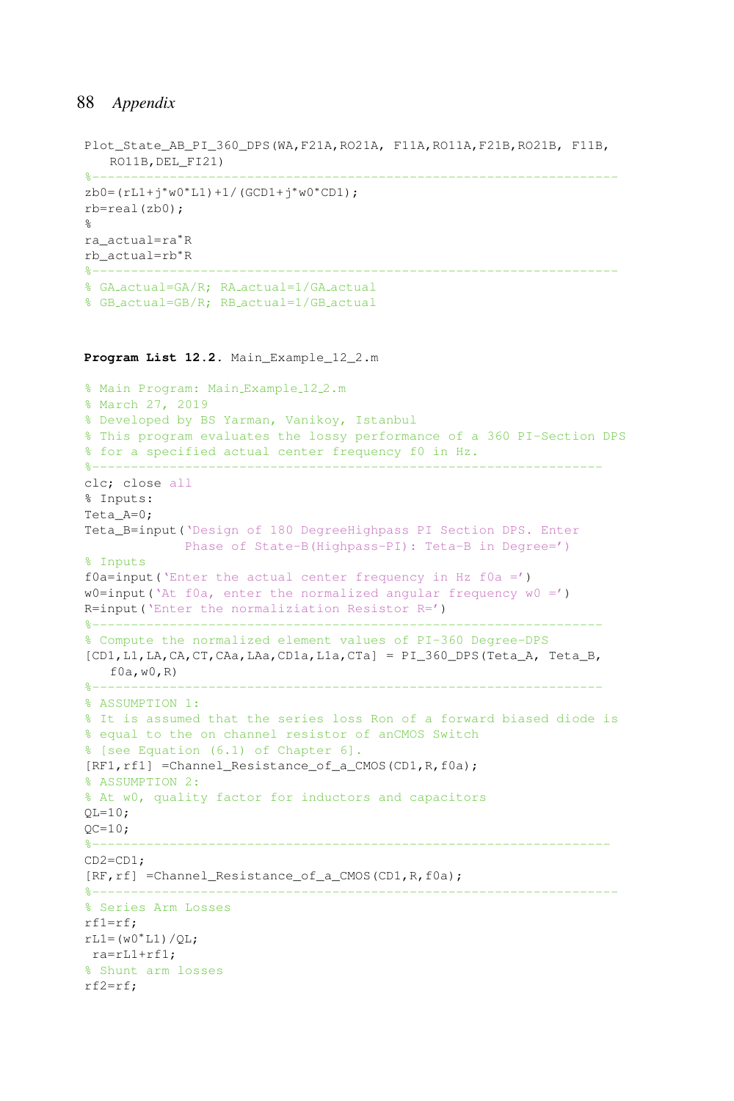```
Plot State AB PI 360 DPS(WA, F21A, RO21A, F11A, RO11A, F21B, RO21B, F11B,
  RO11B,DEL_FI21)
%--------------------------------------------------------------------
zb0 = (rL1+j*w0*L1)+1/(GCD1+j*w0*CD1);rb=real(zb0);
\approxra_actual=ra∗R
rb_actual=rb∗R
%--------------------------------------------------------------------
% GA actual=GA/R; RA actual=1/GA actual
% GB actual=GB/R; RB actual=1/GB actual
```
**Program List 12.2.** Main\_Example\_12\_2.m

```
% Main Program: Main Example 12.2.m
% March 27, 2019
% Developed by BS Yarman, Vanikoy, Istanbul
% This program evaluates the lossy performance of a 360 PI-Section DPS
% for a specified actual center frequency f0 in Hz.
%------------------------------------------------------------------
clc; close all
% Inputs:
Teta_A=0;
Teta B=input ('Design of 180 DegreeHighpass PI Section DPS. Enter
             Phase of State-B(Highpass-PI): Teta-B in Degree=')
% Inputs
f0a=input('Enter the actual center frequency in Hz f0a =')w0=input('At f0a, enter the normalized angular frequency w0 =')
R=input('Enter the normaliziation Resistor R=')
%------------------------------------------------------------------
% Compute the normalized element values of PI-360 Degree-DPS
[CD1,L1,LA,CA,CT,CAa,LAa,CD1a,L1a,CTa] = PI_360_DPS(Teta_A, Teta_B,
  f0a, w0, R)%------------------------------------------------------------------
% ASSUMPTION 1:
% It is assumed that the series loss Ron of a forward biased diode is
% equal to the on channel resistor of anCMOS Switch
% [see Equation (6.1) of Chapter 6].
[RF1,rf1] =Channel_Resistance_of_a_CMOS(CD1,R,f0a);
% ASSUMPTION 2:
% At w0, quality factor for inductors and capacitors
OL = 10:OC=10;%-------------------------------------------------------------------
CD2=CD1;
[RF,rf] =Channel_Resistance_of_a_CMOS(CD1,R,f0a);
%--------------------------------------------------------------------
% Series Arm Losses
rf1=rf;
rL1 = (w0 * L1)/QL;ra=rL1+rf1;
% Shunt arm losses
rf2=rf;
```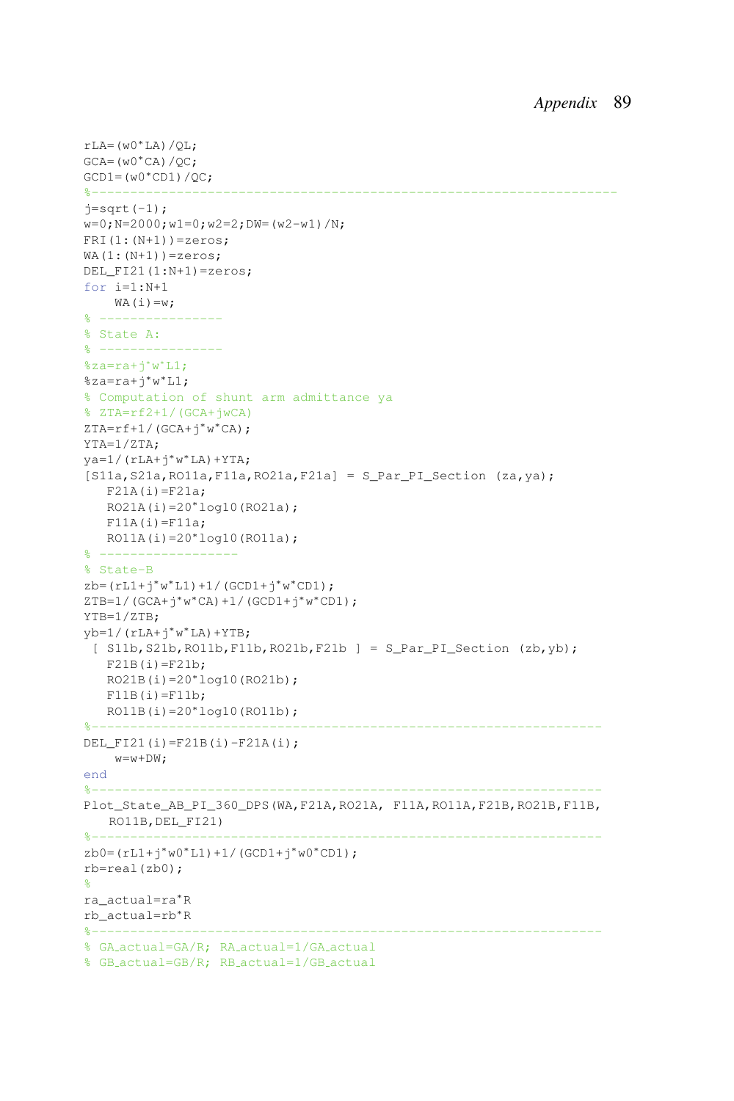```
rLA=(w0∗LA)/QL;
GCA=(w0*CA)/QC;GCD1 = (w0 * CD1)/OC;%--------------------------------------------------------------------
j=sqrt(-1);w=0; N=2000; w1=0; w2=2; DW=(w2-w1)/N;
FRI(1:(N+1))=zeros;
WA(1:(N+1))=zeros;DEL FI21(1:N+1)=zeros;
for i=1:N+1
    WA(i)=w;% ----------------
% State A:
\frac{6}{6} ---------
%za=ra+ji'w'LI;%za=ra+j∗w
∗L1;
% Computation of shunt arm admittance ya
% ZTA=rf2+1/(GCA+jwCA)
ZTA=rf+1/(GCA+j∗w
∗CA);
YTA=1/ZTA;
ya=1/(rLA+j∗w
∗LA)+YTA;
[S11a, S21a, R011a, F11a, R021a, F21a] = S\_Par\_PI\_Section (za, ya);F21A(i)=F21a;RO21A(i)=20*log10(RO21a);F11A(i)=F11a;RO11A(i)=20∗log10(RO11a);
% ------------------
% State-B
zb=(rL1+j∗w
∗L1)+1/(GCD1+j∗w
∗CD1);
ZTB=1/(GCA+j∗w
∗CA)+1/(GCD1+j∗w
∗CD1);
YTB=1/ZTB;
yb=1/(rLA+j∗w
∗LA)+YTB;
 [ S11b, S21b, RO11b, F11b, RO21b, F21b ] = S Par PI Section (zb,yb);
   F21B(i)=F21b;RO21B(i)=20*log10(RO21b);
  F11B(i)=F11b;RO11B(i)=20*log10(RO11b);%------------------------------------------------------------------
DEL FI21(i)=F21B(i)-F21A(i);
    w=w+DW;end
%------------------------------------------------------------------
Plot_State_AB_PI_360_DPS(WA,F21A,RO21A, F11A,RO11A,F21B,RO21B,F11B,
  RO11B,DEL_FI21)
%------------------------------------------------------------------
zb0=(rL1+j∗w0∗L1)+1/(GCD1+j∗w0∗CD1);
rb=real(zb0);
%
ra_actual=ra∗R
rb_actual=rb∗R
%------------------------------------------------------------------
% GA actual=GA/R; RA actual=1/GA actual
% GB actual=GB/R; RB actual=1/GB actual
```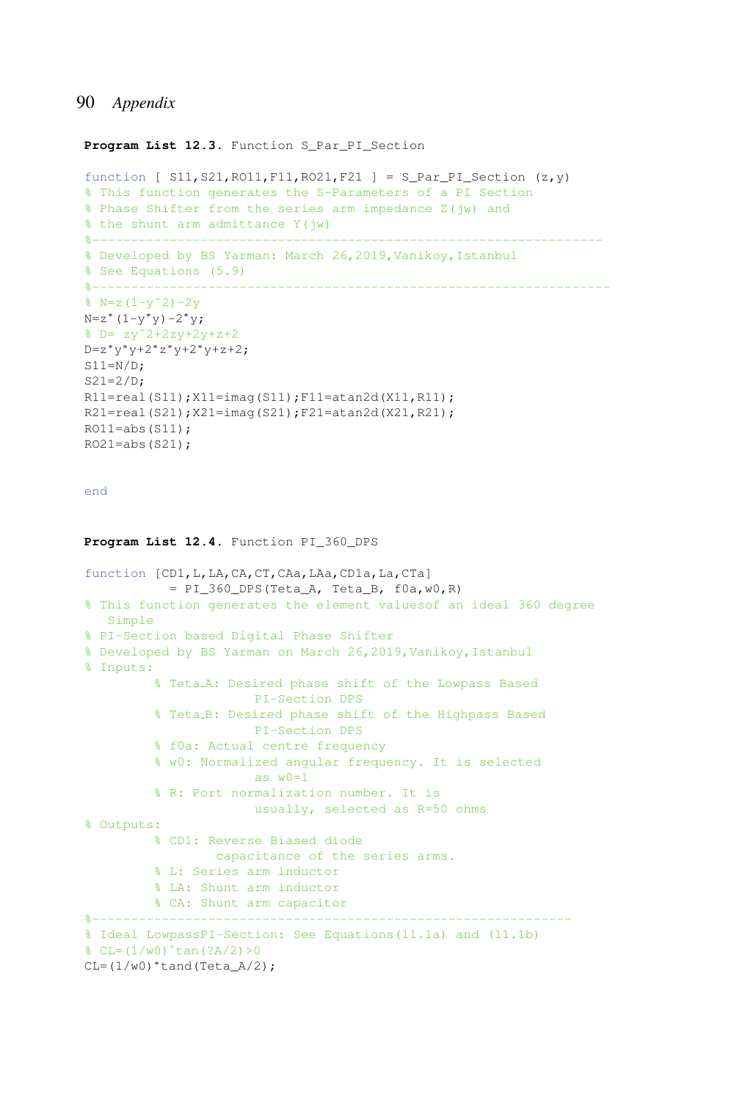Program List 12.3. Function S Par PI Section

```
function [ SI1, S21, R011, F11, R021, F21 ] = S_Par_PI_Section (z,y)
% This function generates the S-Parameters of a PI Section
% Phase Shifter from the series arm impedance Z(jw) and
% the shunt arm admittance Y(jw)
%------------------------------------------------------------------
% Developed by BS Yarman: March 26,2019,Vanikoy,Istanbul
% See Equations (5.9)
8 - - - - - - - - - -\sqrt{2} N=z(1-y<sup>o</sup>2)-2y
N=z^*(1-y^*y)-2^*y;b = zv^2 + 2zv + 2v + z + 2D=z∗y
∗y+2∗z
∗y+2∗y+z+2;
S11=N/D:
S21=2/D;R11=real(S11);X11=imag(S11);F11=atan2d(X11,R11);
R21=real(S21);X21=imag(S21);F21=atan2d(X21,R21);
RO11 = abs(S11);RO21 = abs(S21);
end
Program List 12.4. Function PI_360_DPS
function [CD1, L, LA, CA, CT, CAa, LAa, CD1a, La, CTa]
           = PI_360_DPS(Teta_A, Teta_B, f0a, w0, R)
% This function generates the element valuesof an ideal 360 degree
   Simple
% PI-Section based Digital Phase Shifter
% Developed by BS Yarman on March 26,2019,Vanikoy,Istanbul
% Inputs:
         % Teta A: Desired phase shift of the Lowpass Based
                       PI-Section DPS
          % Teta B: Desired phase shift of the Highpass Based
                       PI-Section DPS
         % f0a: Actual centre frequency
          % w0: Normalized angular frequency. It is selected
                       as w0=1
          % R: Port normalization number. It is
                      usually, selected as R=50 ohms
% Outputs:
         % CD1: Reverse Biased diode
                  capacitance of the series arms.
         % L: Series arm inductor
         % LA: Shunt arm inductor
         % CA: Shunt arm capacitor
%--------------------------------------------------------------
% Ideal LowpassPI-Section: See Equations(11.1a) and (11.1b)
C = (1/w0)^*tan(?A/2) > 0
CL=(1/w0)*tand(Teta_A/2);
```